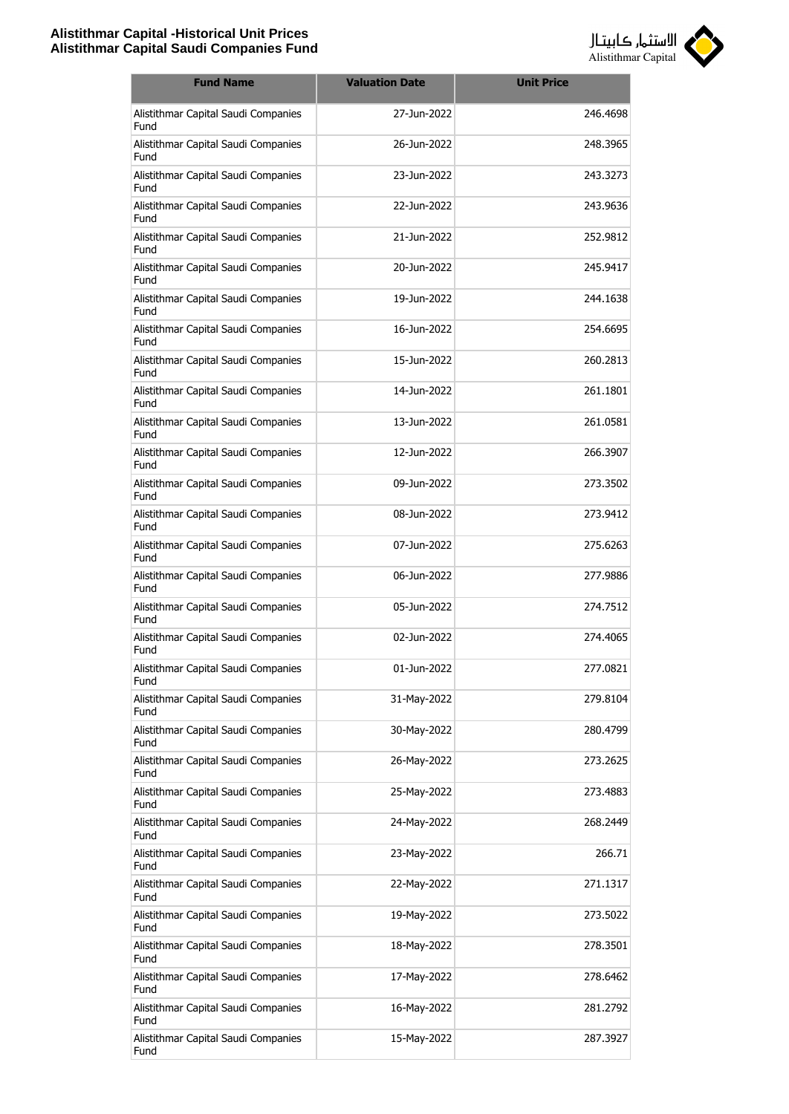

| <b>Fund Name</b>                            | <b>Valuation Date</b> | <b>Unit Price</b> |
|---------------------------------------------|-----------------------|-------------------|
| Alistithmar Capital Saudi Companies<br>Fund | 27-Jun-2022           | 246.4698          |
| Alistithmar Capital Saudi Companies<br>Fund | 26-Jun-2022           | 248.3965          |
| Alistithmar Capital Saudi Companies<br>Fund | 23-Jun-2022           | 243.3273          |
| Alistithmar Capital Saudi Companies<br>Fund | 22-Jun-2022           | 243.9636          |
| Alistithmar Capital Saudi Companies<br>Fund | 21-Jun-2022           | 252.9812          |
| Alistithmar Capital Saudi Companies<br>Fund | 20-Jun-2022           | 245.9417          |
| Alistithmar Capital Saudi Companies<br>Fund | 19-Jun-2022           | 244.1638          |
| Alistithmar Capital Saudi Companies<br>Fund | 16-Jun-2022           | 254.6695          |
| Alistithmar Capital Saudi Companies<br>Fund | 15-Jun-2022           | 260.2813          |
| Alistithmar Capital Saudi Companies<br>Fund | 14-Jun-2022           | 261.1801          |
| Alistithmar Capital Saudi Companies<br>Fund | 13-Jun-2022           | 261.0581          |
| Alistithmar Capital Saudi Companies<br>Fund | 12-Jun-2022           | 266.3907          |
| Alistithmar Capital Saudi Companies<br>Fund | 09-Jun-2022           | 273.3502          |
| Alistithmar Capital Saudi Companies<br>Fund | 08-Jun-2022           | 273.9412          |
| Alistithmar Capital Saudi Companies<br>Fund | 07-Jun-2022           | 275.6263          |
| Alistithmar Capital Saudi Companies<br>Fund | 06-Jun-2022           | 277.9886          |
| Alistithmar Capital Saudi Companies<br>Fund | 05-Jun-2022           | 274.7512          |
| Alistithmar Capital Saudi Companies<br>Fund | 02-Jun-2022           | 274.4065          |
| Alistithmar Capital Saudi Companies<br>Fund | 01-Jun-2022           | 277.0821          |
| Alistithmar Capital Saudi Companies<br>Fund | 31-May-2022           | 279.8104          |
| Alistithmar Capital Saudi Companies<br>Fund | 30-May-2022           | 280,4799          |
| Alistithmar Capital Saudi Companies<br>Fund | 26-May-2022           | 273.2625          |
| Alistithmar Capital Saudi Companies<br>Fund | 25-May-2022           | 273.4883          |
| Alistithmar Capital Saudi Companies<br>Fund | 24-May-2022           | 268.2449          |
| Alistithmar Capital Saudi Companies<br>Fund | 23-May-2022           | 266.71            |
| Alistithmar Capital Saudi Companies<br>Fund | 22-May-2022           | 271.1317          |
| Alistithmar Capital Saudi Companies<br>Fund | 19-May-2022           | 273.5022          |
| Alistithmar Capital Saudi Companies<br>Fund | 18-May-2022           | 278.3501          |
| Alistithmar Capital Saudi Companies<br>Fund | 17-May-2022           | 278.6462          |
| Alistithmar Capital Saudi Companies<br>Fund | 16-May-2022           | 281.2792          |
| Alistithmar Capital Saudi Companies<br>Fund | 15-May-2022           | 287.3927          |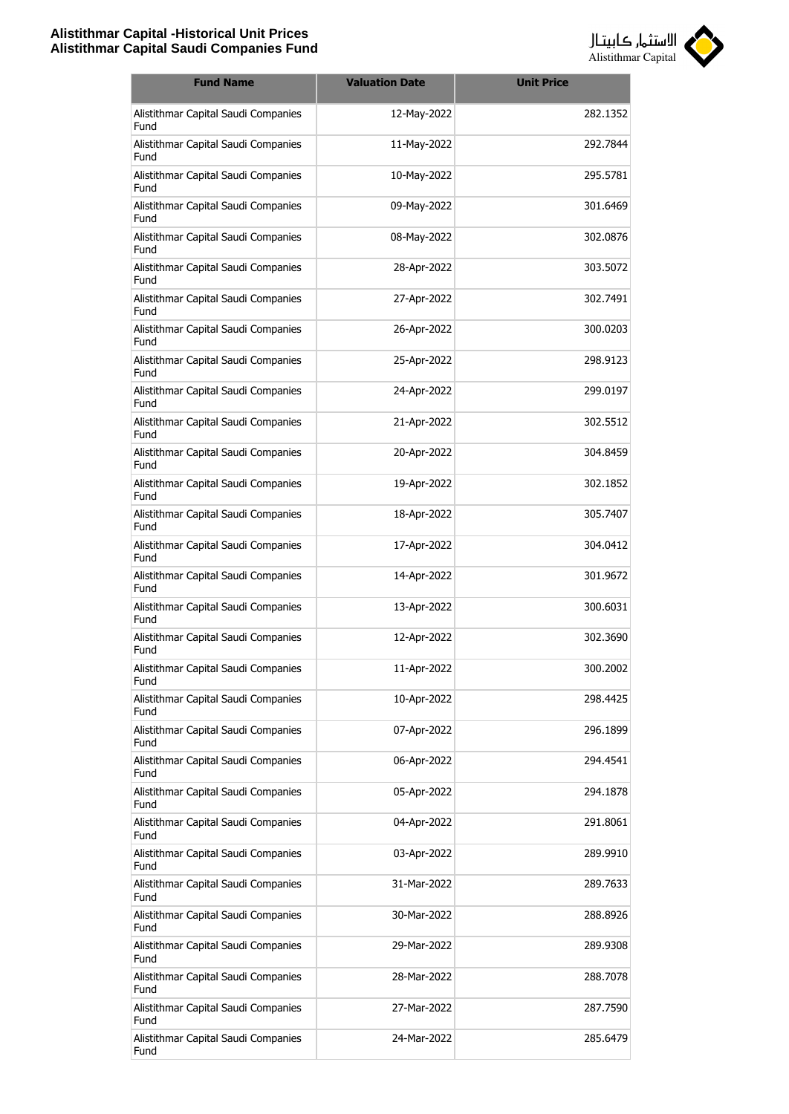

| <b>Fund Name</b>                            | <b>Valuation Date</b> | <b>Unit Price</b> |
|---------------------------------------------|-----------------------|-------------------|
| Alistithmar Capital Saudi Companies<br>Fund | 12-May-2022           | 282.1352          |
| Alistithmar Capital Saudi Companies<br>Fund | 11-May-2022           | 292.7844          |
| Alistithmar Capital Saudi Companies<br>Fund | 10-May-2022           | 295.5781          |
| Alistithmar Capital Saudi Companies<br>Fund | 09-May-2022           | 301.6469          |
| Alistithmar Capital Saudi Companies<br>Fund | 08-May-2022           | 302.0876          |
| Alistithmar Capital Saudi Companies<br>Fund | 28-Apr-2022           | 303.5072          |
| Alistithmar Capital Saudi Companies<br>Fund | 27-Apr-2022           | 302.7491          |
| Alistithmar Capital Saudi Companies<br>Fund | 26-Apr-2022           | 300.0203          |
| Alistithmar Capital Saudi Companies<br>Fund | 25-Apr-2022           | 298.9123          |
| Alistithmar Capital Saudi Companies<br>Fund | 24-Apr-2022           | 299.0197          |
| Alistithmar Capital Saudi Companies<br>Fund | 21-Apr-2022           | 302.5512          |
| Alistithmar Capital Saudi Companies<br>Fund | 20-Apr-2022           | 304.8459          |
| Alistithmar Capital Saudi Companies<br>Fund | 19-Apr-2022           | 302.1852          |
| Alistithmar Capital Saudi Companies<br>Fund | 18-Apr-2022           | 305.7407          |
| Alistithmar Capital Saudi Companies<br>Fund | 17-Apr-2022           | 304.0412          |
| Alistithmar Capital Saudi Companies<br>Fund | 14-Apr-2022           | 301.9672          |
| Alistithmar Capital Saudi Companies<br>Fund | 13-Apr-2022           | 300.6031          |
| Alistithmar Capital Saudi Companies<br>Fund | 12-Apr-2022           | 302.3690          |
| Alistithmar Capital Saudi Companies<br>Fund | 11-Apr-2022           | 300.2002          |
| Alistithmar Capital Saudi Companies<br>Fund | 10-Apr-2022           | 298.4425          |
| Alistithmar Capital Saudi Companies<br>Fund | 07-Apr-2022           | 296.1899          |
| Alistithmar Capital Saudi Companies<br>Fund | 06-Apr-2022           | 294.4541          |
| Alistithmar Capital Saudi Companies<br>Fund | 05-Apr-2022           | 294.1878          |
| Alistithmar Capital Saudi Companies<br>Fund | 04-Apr-2022           | 291.8061          |
| Alistithmar Capital Saudi Companies<br>Fund | 03-Apr-2022           | 289.9910          |
| Alistithmar Capital Saudi Companies<br>Fund | 31-Mar-2022           | 289.7633          |
| Alistithmar Capital Saudi Companies<br>Fund | 30-Mar-2022           | 288.8926          |
| Alistithmar Capital Saudi Companies<br>Fund | 29-Mar-2022           | 289.9308          |
| Alistithmar Capital Saudi Companies<br>Fund | 28-Mar-2022           | 288.7078          |
| Alistithmar Capital Saudi Companies<br>Fund | 27-Mar-2022           | 287.7590          |
| Alistithmar Capital Saudi Companies<br>Fund | 24-Mar-2022           | 285.6479          |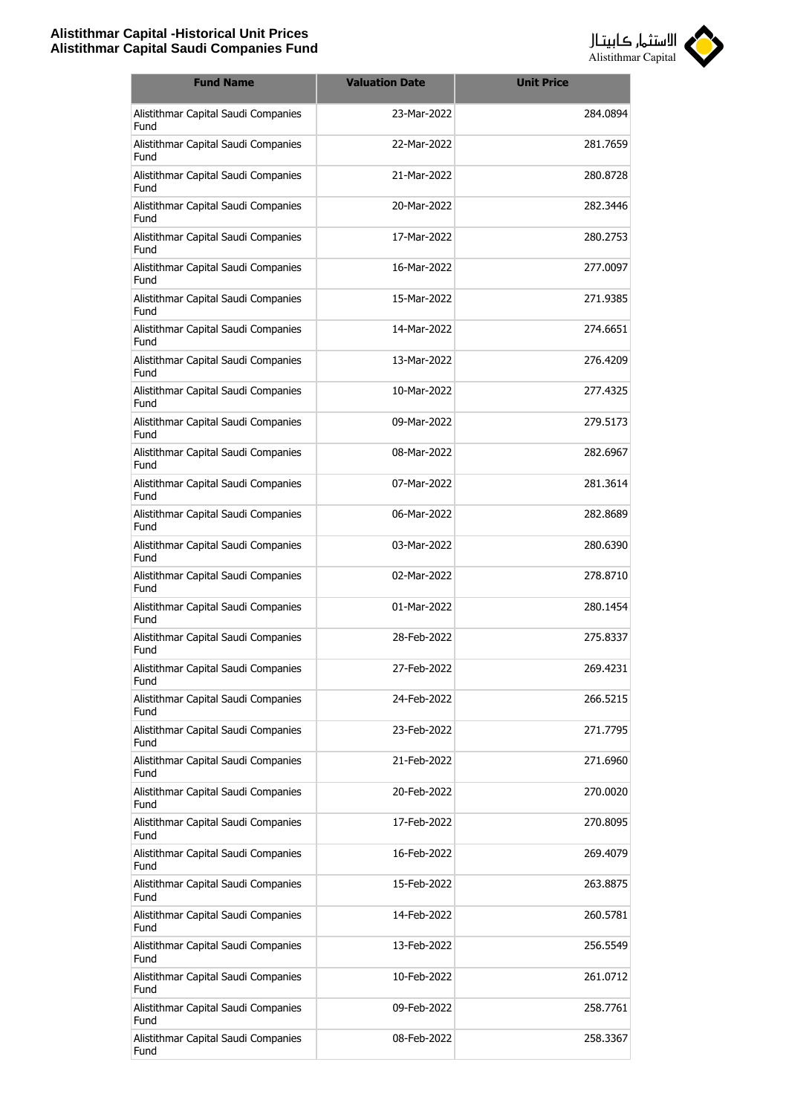

| <b>Fund Name</b>                            | <b>Valuation Date</b> | <b>Unit Price</b> |
|---------------------------------------------|-----------------------|-------------------|
| Alistithmar Capital Saudi Companies<br>Fund | 23-Mar-2022           | 284.0894          |
| Alistithmar Capital Saudi Companies<br>Fund | 22-Mar-2022           | 281.7659          |
| Alistithmar Capital Saudi Companies<br>Fund | 21-Mar-2022           | 280.8728          |
| Alistithmar Capital Saudi Companies<br>Fund | 20-Mar-2022           | 282.3446          |
| Alistithmar Capital Saudi Companies<br>Fund | 17-Mar-2022           | 280.2753          |
| Alistithmar Capital Saudi Companies<br>Fund | 16-Mar-2022           | 277.0097          |
| Alistithmar Capital Saudi Companies<br>Fund | 15-Mar-2022           | 271.9385          |
| Alistithmar Capital Saudi Companies<br>Fund | 14-Mar-2022           | 274.6651          |
| Alistithmar Capital Saudi Companies<br>Fund | 13-Mar-2022           | 276.4209          |
| Alistithmar Capital Saudi Companies<br>Fund | 10-Mar-2022           | 277.4325          |
| Alistithmar Capital Saudi Companies<br>Fund | 09-Mar-2022           | 279.5173          |
| Alistithmar Capital Saudi Companies<br>Fund | 08-Mar-2022           | 282.6967          |
| Alistithmar Capital Saudi Companies<br>Fund | 07-Mar-2022           | 281.3614          |
| Alistithmar Capital Saudi Companies<br>Fund | 06-Mar-2022           | 282.8689          |
| Alistithmar Capital Saudi Companies<br>Fund | 03-Mar-2022           | 280.6390          |
| Alistithmar Capital Saudi Companies<br>Fund | 02-Mar-2022           | 278,8710          |
| Alistithmar Capital Saudi Companies<br>Fund | 01-Mar-2022           | 280.1454          |
| Alistithmar Capital Saudi Companies<br>Fund | 28-Feb-2022           | 275.8337          |
| Alistithmar Capital Saudi Companies<br>Fund | 27-Feb-2022           | 269.4231          |
| Alistithmar Capital Saudi Companies<br>Fund | 24-Feb-2022           | 266.5215          |
| Alistithmar Capital Saudi Companies<br>Fund | 23-Feb-2022           | 271.7795          |
| Alistithmar Capital Saudi Companies<br>Fund | 21-Feb-2022           | 271.6960          |
| Alistithmar Capital Saudi Companies<br>Fund | 20-Feb-2022           | 270.0020          |
| Alistithmar Capital Saudi Companies<br>Fund | 17-Feb-2022           | 270.8095          |
| Alistithmar Capital Saudi Companies<br>Fund | 16-Feb-2022           | 269.4079          |
| Alistithmar Capital Saudi Companies<br>Fund | 15-Feb-2022           | 263.8875          |
| Alistithmar Capital Saudi Companies<br>Fund | 14-Feb-2022           | 260.5781          |
| Alistithmar Capital Saudi Companies<br>Fund | 13-Feb-2022           | 256.5549          |
| Alistithmar Capital Saudi Companies<br>Fund | 10-Feb-2022           | 261.0712          |
| Alistithmar Capital Saudi Companies<br>Fund | 09-Feb-2022           | 258.7761          |
| Alistithmar Capital Saudi Companies<br>Fund | 08-Feb-2022           | 258.3367          |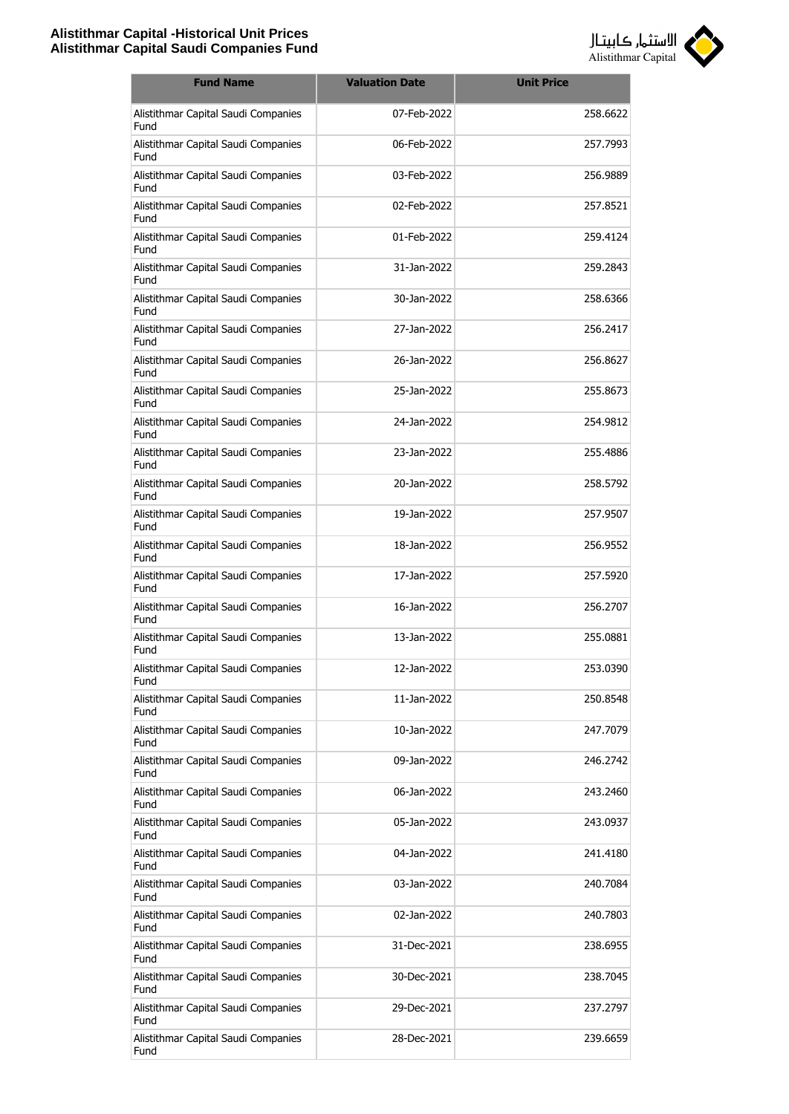

| <b>Fund Name</b>                            | <b>Valuation Date</b> | <b>Unit Price</b> |
|---------------------------------------------|-----------------------|-------------------|
| Alistithmar Capital Saudi Companies<br>Fund | 07-Feb-2022           | 258,6622          |
| Alistithmar Capital Saudi Companies<br>Fund | 06-Feb-2022           | 257,7993          |
| Alistithmar Capital Saudi Companies<br>Fund | 03-Feb-2022           | 256.9889          |
| Alistithmar Capital Saudi Companies<br>Fund | 02-Feb-2022           | 257.8521          |
| Alistithmar Capital Saudi Companies<br>Fund | 01-Feb-2022           | 259.4124          |
| Alistithmar Capital Saudi Companies<br>Fund | 31-Jan-2022           | 259.2843          |
| Alistithmar Capital Saudi Companies<br>Fund | 30-Jan-2022           | 258.6366          |
| Alistithmar Capital Saudi Companies<br>Fund | 27-1an-2022           | 256.2417          |
| Alistithmar Capital Saudi Companies<br>Fund | 26-Jan-2022           | 256,8627          |
| Alistithmar Capital Saudi Companies<br>Fund | 25-Jan-2022           | 255,8673          |
| Alistithmar Capital Saudi Companies<br>Fund | 24-Jan-2022           | 254.9812          |
| Alistithmar Capital Saudi Companies<br>Fund | 23-Jan-2022           | 255.4886          |
| Alistithmar Capital Saudi Companies<br>Fund | 20-Jan-2022           | 258.5792          |
| Alistithmar Capital Saudi Companies<br>Fund | 19-Jan-2022           | 257.9507          |
| Alistithmar Capital Saudi Companies<br>Fund | 18-Jan-2022           | 256.9552          |
| Alistithmar Capital Saudi Companies<br>Fund | 17-Jan-2022           | 257,5920          |
| Alistithmar Capital Saudi Companies<br>Fund | 16-Jan-2022           | 256,2707          |
| Alistithmar Capital Saudi Companies<br>Fund | 13-Jan-2022           | 255.0881          |
| Alistithmar Capital Saudi Companies<br>Fund | 12-Jan-2022           | 253.0390          |
| Alistithmar Capital Saudi Companies<br>Fund | 11-Jan-2022           | 250.8548          |
| Alistithmar Capital Saudi Companies<br>Fund | 10-Jan-2022           | 247.7079          |
| Alistithmar Capital Saudi Companies<br>Fund | 09-Jan-2022           | 246.2742          |
| Alistithmar Capital Saudi Companies<br>Fund | 06-Jan-2022           | 243.2460          |
| Alistithmar Capital Saudi Companies<br>Fund | 05-Jan-2022           | 243.0937          |
| Alistithmar Capital Saudi Companies<br>Fund | 04-Jan-2022           | 241.4180          |
| Alistithmar Capital Saudi Companies<br>Fund | 03-Jan-2022           | 240.7084          |
| Alistithmar Capital Saudi Companies<br>Fund | 02-Jan-2022           | 240.7803          |
| Alistithmar Capital Saudi Companies<br>Fund | 31-Dec-2021           | 238.6955          |
| Alistithmar Capital Saudi Companies<br>Fund | 30-Dec-2021           | 238.7045          |
| Alistithmar Capital Saudi Companies<br>Fund | 29-Dec-2021           | 237.2797          |
| Alistithmar Capital Saudi Companies<br>Fund | 28-Dec-2021           | 239.6659          |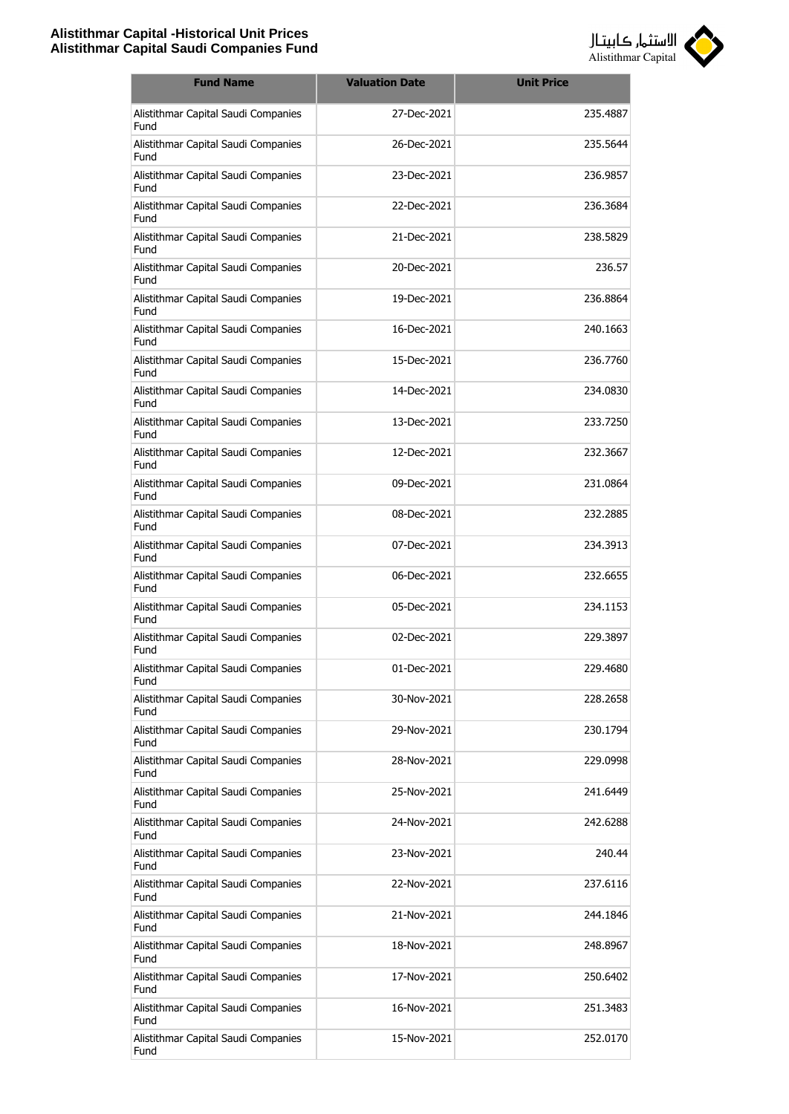

| <b>Fund Name</b>                            | <b>Valuation Date</b> | <b>Unit Price</b> |
|---------------------------------------------|-----------------------|-------------------|
| Alistithmar Capital Saudi Companies<br>Fund | 27-Dec-2021           | 235.4887          |
| Alistithmar Capital Saudi Companies<br>Fund | 26-Dec-2021           | 235.5644          |
| Alistithmar Capital Saudi Companies<br>Fund | 23-Dec-2021           | 236.9857          |
| Alistithmar Capital Saudi Companies<br>Fund | 22-Dec-2021           | 236.3684          |
| Alistithmar Capital Saudi Companies<br>Fund | 21-Dec-2021           | 238.5829          |
| Alistithmar Capital Saudi Companies<br>Fund | 20-Dec-2021           | 236.57            |
| Alistithmar Capital Saudi Companies<br>Fund | 19-Dec-2021           | 236.8864          |
| Alistithmar Capital Saudi Companies<br>Fund | 16-Dec-2021           | 240.1663          |
| Alistithmar Capital Saudi Companies<br>Fund | 15-Dec-2021           | 236,7760          |
| Alistithmar Capital Saudi Companies<br>Fund | 14-Dec-2021           | 234.0830          |
| Alistithmar Capital Saudi Companies<br>Fund | 13-Dec-2021           | 233,7250          |
| Alistithmar Capital Saudi Companies<br>Fund | 12-Dec-2021           | 232.3667          |
| Alistithmar Capital Saudi Companies<br>Fund | 09-Dec-2021           | 231.0864          |
| Alistithmar Capital Saudi Companies<br>Fund | 08-Dec-2021           | 232.2885          |
| Alistithmar Capital Saudi Companies<br>Fund | 07-Dec-2021           | 234.3913          |
| Alistithmar Capital Saudi Companies<br>Fund | 06-Dec-2021           | 232.6655          |
| Alistithmar Capital Saudi Companies<br>Fund | 05-Dec-2021           | 234.1153          |
| Alistithmar Capital Saudi Companies<br>Fund | 02-Dec-2021           | 229.3897          |
| Alistithmar Capital Saudi Companies<br>Fund | 01-Dec-2021           | 229.4680          |
| Alistithmar Capital Saudi Companies<br>Fund | 30-Nov-2021           | 228.2658          |
| Alistithmar Capital Saudi Companies<br>Fund | 29-Nov-2021           | 230.1794          |
| Alistithmar Capital Saudi Companies<br>Fund | 28-Nov-2021           | 229.0998          |
| Alistithmar Capital Saudi Companies<br>Fund | 25-Nov-2021           | 241.6449          |
| Alistithmar Capital Saudi Companies<br>Fund | 24-Nov-2021           | 242.6288          |
| Alistithmar Capital Saudi Companies<br>Fund | 23-Nov-2021           | 240.44            |
| Alistithmar Capital Saudi Companies<br>Fund | 22-Nov-2021           | 237.6116          |
| Alistithmar Capital Saudi Companies<br>Fund | 21-Nov-2021           | 244.1846          |
| Alistithmar Capital Saudi Companies<br>Fund | 18-Nov-2021           | 248.8967          |
| Alistithmar Capital Saudi Companies<br>Fund | 17-Nov-2021           | 250.6402          |
| Alistithmar Capital Saudi Companies<br>Fund | 16-Nov-2021           | 251.3483          |
| Alistithmar Capital Saudi Companies<br>Fund | 15-Nov-2021           | 252.0170          |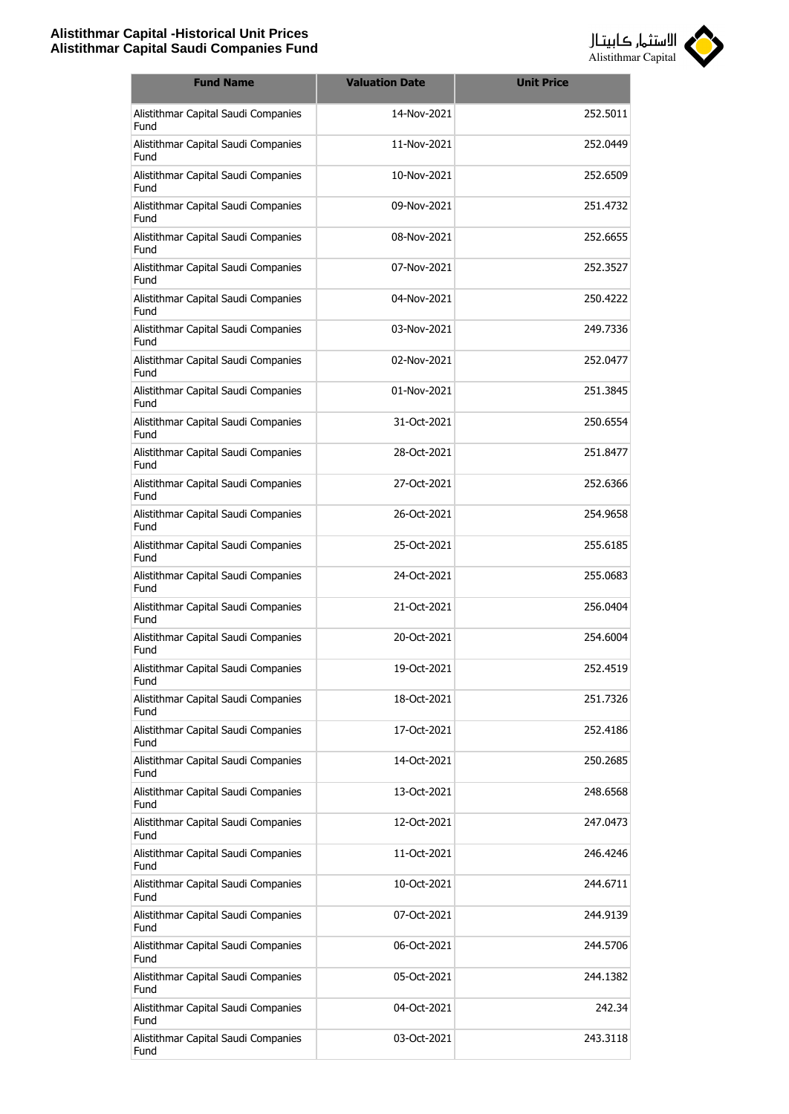

| <b>Fund Name</b>                            | <b>Valuation Date</b> | <b>Unit Price</b> |
|---------------------------------------------|-----------------------|-------------------|
| Alistithmar Capital Saudi Companies<br>Fund | 14-Nov-2021           | 252.5011          |
| Alistithmar Capital Saudi Companies<br>Fund | 11-Nov-2021           | 252.0449          |
| Alistithmar Capital Saudi Companies<br>Fund | 10-Nov-2021           | 252.6509          |
| Alistithmar Capital Saudi Companies<br>Fund | 09-Nov-2021           | 251.4732          |
| Alistithmar Capital Saudi Companies<br>Fund | 08-Nov-2021           | 252.6655          |
| Alistithmar Capital Saudi Companies<br>Fund | 07-Nov-2021           | 252.3527          |
| Alistithmar Capital Saudi Companies<br>Fund | 04-Nov-2021           | 250,4222          |
| Alistithmar Capital Saudi Companies<br>Fund | 03-Nov-2021           | 249.7336          |
| Alistithmar Capital Saudi Companies<br>Fund | 02-Nov-2021           | 252.0477          |
| Alistithmar Capital Saudi Companies<br>Fund | 01-Nov-2021           | 251.3845          |
| Alistithmar Capital Saudi Companies<br>Fund | 31-Oct-2021           | 250.6554          |
| Alistithmar Capital Saudi Companies<br>Fund | 28-Oct-2021           | 251.8477          |
| Alistithmar Capital Saudi Companies<br>Fund | 27-Oct-2021           | 252.6366          |
| Alistithmar Capital Saudi Companies<br>Fund | 26-Oct-2021           | 254.9658          |
| Alistithmar Capital Saudi Companies<br>Fund | 25-Oct-2021           | 255.6185          |
| Alistithmar Capital Saudi Companies<br>Fund | 24-Oct-2021           | 255,0683          |
| Alistithmar Capital Saudi Companies<br>Fund | 21-Oct-2021           | 256.0404          |
| Alistithmar Capital Saudi Companies<br>Fund | 20-Oct-2021           | 254,6004          |
| Alistithmar Capital Saudi Companies<br>Fund | 19-Oct-2021           | 252.4519          |
| Alistithmar Capital Saudi Companies<br>Fund | 18-Oct-2021           | 251.7326          |
| Alistithmar Capital Saudi Companies<br>Fund | 17-Oct-2021           | 252.4186          |
| Alistithmar Capital Saudi Companies<br>Fund | 14-Oct-2021           | 250.2685          |
| Alistithmar Capital Saudi Companies<br>Fund | 13-Oct-2021           | 248.6568          |
| Alistithmar Capital Saudi Companies<br>Fund | 12-Oct-2021           | 247.0473          |
| Alistithmar Capital Saudi Companies<br>Fund | 11-Oct-2021           | 246.4246          |
| Alistithmar Capital Saudi Companies<br>Fund | 10-Oct-2021           | 244.6711          |
| Alistithmar Capital Saudi Companies<br>Fund | 07-Oct-2021           | 244.9139          |
| Alistithmar Capital Saudi Companies<br>Fund | 06-Oct-2021           | 244.5706          |
| Alistithmar Capital Saudi Companies<br>Fund | 05-Oct-2021           | 244.1382          |
| Alistithmar Capital Saudi Companies<br>Fund | 04-Oct-2021           | 242.34            |
| Alistithmar Capital Saudi Companies<br>Fund | 03-Oct-2021           | 243.3118          |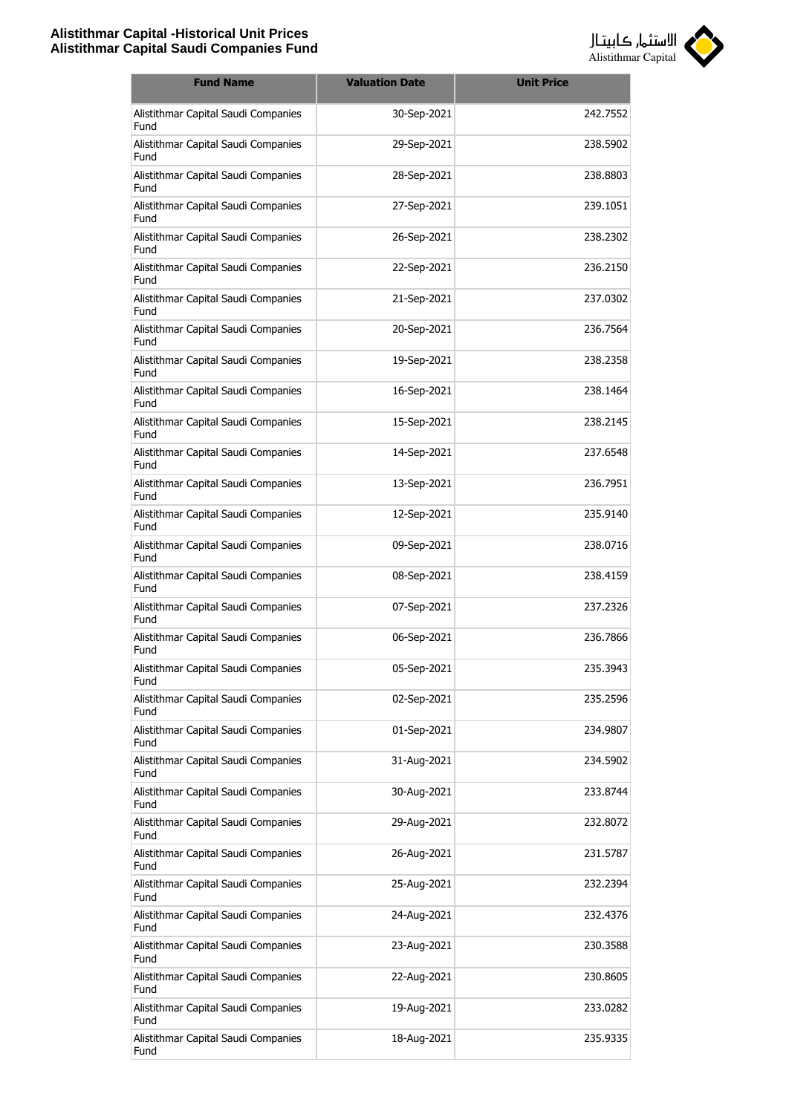

| <b>Fund Name</b>                            | <b>Valuation Date</b> | <b>Unit Price</b> |
|---------------------------------------------|-----------------------|-------------------|
| Alistithmar Capital Saudi Companies<br>Fund | 30-Sep-2021           | 242.7552          |
| Alistithmar Capital Saudi Companies<br>Fund | 29-Sep-2021           | 238.5902          |
| Alistithmar Capital Saudi Companies<br>Fund | 28-Sep-2021           | 238.8803          |
| Alistithmar Capital Saudi Companies<br>Fund | 27-Sep-2021           | 239.1051          |
| Alistithmar Capital Saudi Companies<br>Fund | 26-Sep-2021           | 238.2302          |
| Alistithmar Capital Saudi Companies<br>Fund | 22-Sep-2021           | 236.2150          |
| Alistithmar Capital Saudi Companies<br>Fund | 21-Sep-2021           | 237.0302          |
| Alistithmar Capital Saudi Companies<br>Fund | 20-Sep-2021           | 236.7564          |
| Alistithmar Capital Saudi Companies<br>Fund | 19-Sep-2021           | 238,2358          |
| Alistithmar Capital Saudi Companies<br>Fund | 16-Sep-2021           | 238.1464          |
| Alistithmar Capital Saudi Companies<br>Fund | 15-Sep-2021           | 238.2145          |
| Alistithmar Capital Saudi Companies<br>Fund | 14-Sep-2021           | 237.6548          |
| Alistithmar Capital Saudi Companies<br>Fund | 13-Sep-2021           | 236.7951          |
| Alistithmar Capital Saudi Companies<br>Fund | 12-Sep-2021           | 235.9140          |
| Alistithmar Capital Saudi Companies<br>Fund | 09-Sep-2021           | 238.0716          |
| Alistithmar Capital Saudi Companies<br>Fund | 08-Sep-2021           | 238.4159          |
| Alistithmar Capital Saudi Companies<br>Fund | 07-Sep-2021           | 237.2326          |
| Alistithmar Capital Saudi Companies<br>Fund | 06-Sep-2021           | 236,7866          |
| Alistithmar Capital Saudi Companies<br>Fund | 05-Sep-2021           | 235.3943          |
| Alistithmar Capital Saudi Companies<br>Fund | 02-Sep-2021           | 235.2596          |
| Alistithmar Capital Saudi Companies<br>Fund | 01-Sep-2021           | 234.9807          |
| Alistithmar Capital Saudi Companies<br>Fund | 31-Aug-2021           | 234.5902          |
| Alistithmar Capital Saudi Companies<br>Fund | 30-Aug-2021           | 233.8744          |
| Alistithmar Capital Saudi Companies<br>Fund | 29-Aug-2021           | 232.8072          |
| Alistithmar Capital Saudi Companies<br>Fund | 26-Aug-2021           | 231.5787          |
| Alistithmar Capital Saudi Companies<br>Fund | 25-Aug-2021           | 232.2394          |
| Alistithmar Capital Saudi Companies<br>Fund | 24-Aug-2021           | 232.4376          |
| Alistithmar Capital Saudi Companies<br>Fund | 23-Aug-2021           | 230.3588          |
| Alistithmar Capital Saudi Companies<br>Fund | 22-Aug-2021           | 230.8605          |
| Alistithmar Capital Saudi Companies<br>Fund | 19-Aug-2021           | 233.0282          |
| Alistithmar Capital Saudi Companies<br>Fund | 18-Aug-2021           | 235.9335          |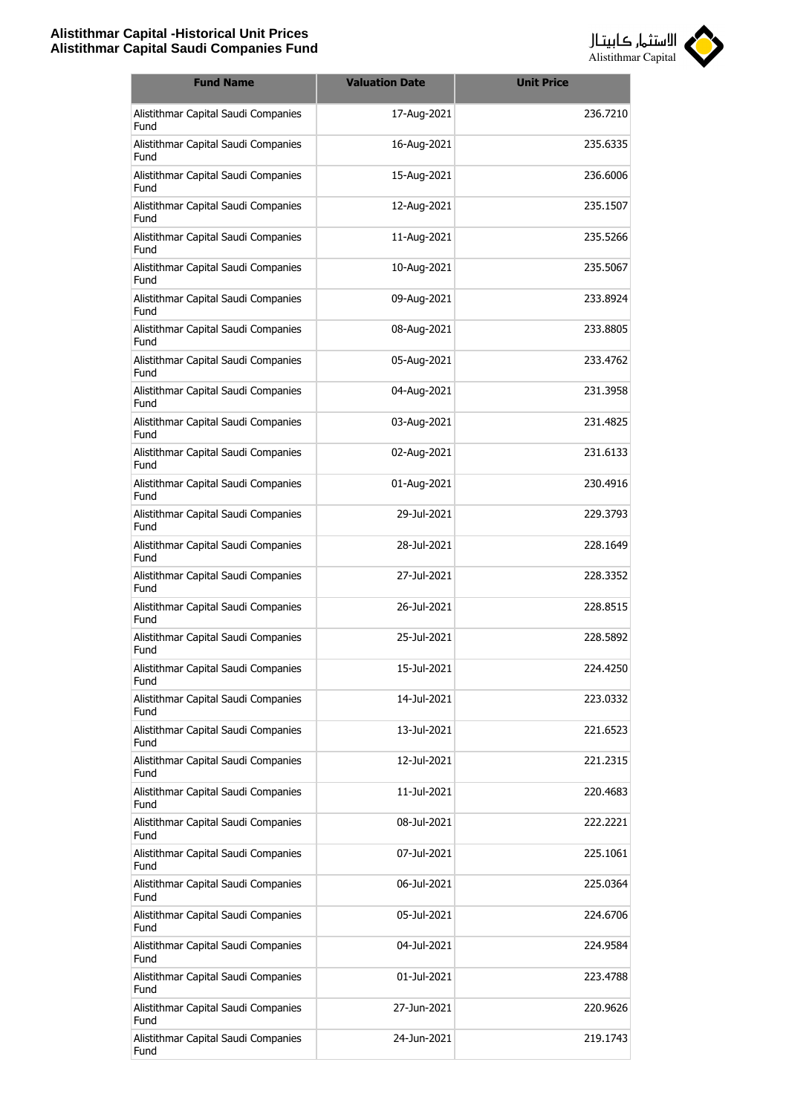

| <b>Fund Name</b>                            | <b>Valuation Date</b> | <b>Unit Price</b> |
|---------------------------------------------|-----------------------|-------------------|
| Alistithmar Capital Saudi Companies<br>Fund | 17-Aug-2021           | 236.7210          |
| Alistithmar Capital Saudi Companies<br>Fund | 16-Aug-2021           | 235.6335          |
| Alistithmar Capital Saudi Companies<br>Fund | 15-Aug-2021           | 236.6006          |
| Alistithmar Capital Saudi Companies<br>Fund | 12-Aug-2021           | 235.1507          |
| Alistithmar Capital Saudi Companies<br>Fund | 11-Aug-2021           | 235.5266          |
| Alistithmar Capital Saudi Companies<br>Fund | 10-Aug-2021           | 235.5067          |
| Alistithmar Capital Saudi Companies<br>Fund | 09-Aug-2021           | 233.8924          |
| Alistithmar Capital Saudi Companies<br>Fund | 08-Aug-2021           | 233,8805          |
| Alistithmar Capital Saudi Companies<br>Fund | 05-Aug-2021           | 233.4762          |
| Alistithmar Capital Saudi Companies<br>Fund | 04-Aug-2021           | 231.3958          |
| Alistithmar Capital Saudi Companies<br>Fund | 03-Aug-2021           | 231.4825          |
| Alistithmar Capital Saudi Companies<br>Fund | 02-Aug-2021           | 231.6133          |
| Alistithmar Capital Saudi Companies<br>Fund | 01-Aug-2021           | 230.4916          |
| Alistithmar Capital Saudi Companies<br>Fund | 29-Jul-2021           | 229.3793          |
| Alistithmar Capital Saudi Companies<br>Fund | 28-Jul-2021           | 228.1649          |
| Alistithmar Capital Saudi Companies<br>Fund | 27-Jul-2021           | 228.3352          |
| Alistithmar Capital Saudi Companies<br>Fund | 26-Jul-2021           | 228.8515          |
| Alistithmar Capital Saudi Companies<br>Fund | 25-Jul-2021           | 228.5892          |
| Alistithmar Capital Saudi Companies<br>Fund | 15-Jul-2021           | 224.4250          |
| Alistithmar Capital Saudi Companies<br>Fund | 14-Jul-2021           | 223.0332          |
| Alistithmar Capital Saudi Companies<br>Fund | 13-Jul-2021           | 221.6523          |
| Alistithmar Capital Saudi Companies<br>Fund | 12-Jul-2021           | 221.2315          |
| Alistithmar Capital Saudi Companies<br>Fund | 11-Jul-2021           | 220.4683          |
| Alistithmar Capital Saudi Companies<br>Fund | 08-Jul-2021           | 222.2221          |
| Alistithmar Capital Saudi Companies<br>Fund | 07-Jul-2021           | 225.1061          |
| Alistithmar Capital Saudi Companies<br>Fund | 06-Jul-2021           | 225.0364          |
| Alistithmar Capital Saudi Companies<br>Fund | 05-Jul-2021           | 224.6706          |
| Alistithmar Capital Saudi Companies<br>Fund | 04-Jul-2021           | 224.9584          |
| Alistithmar Capital Saudi Companies<br>Fund | 01-Jul-2021           | 223.4788          |
| Alistithmar Capital Saudi Companies<br>Fund | 27-Jun-2021           | 220.9626          |
| Alistithmar Capital Saudi Companies<br>Fund | 24-Jun-2021           | 219.1743          |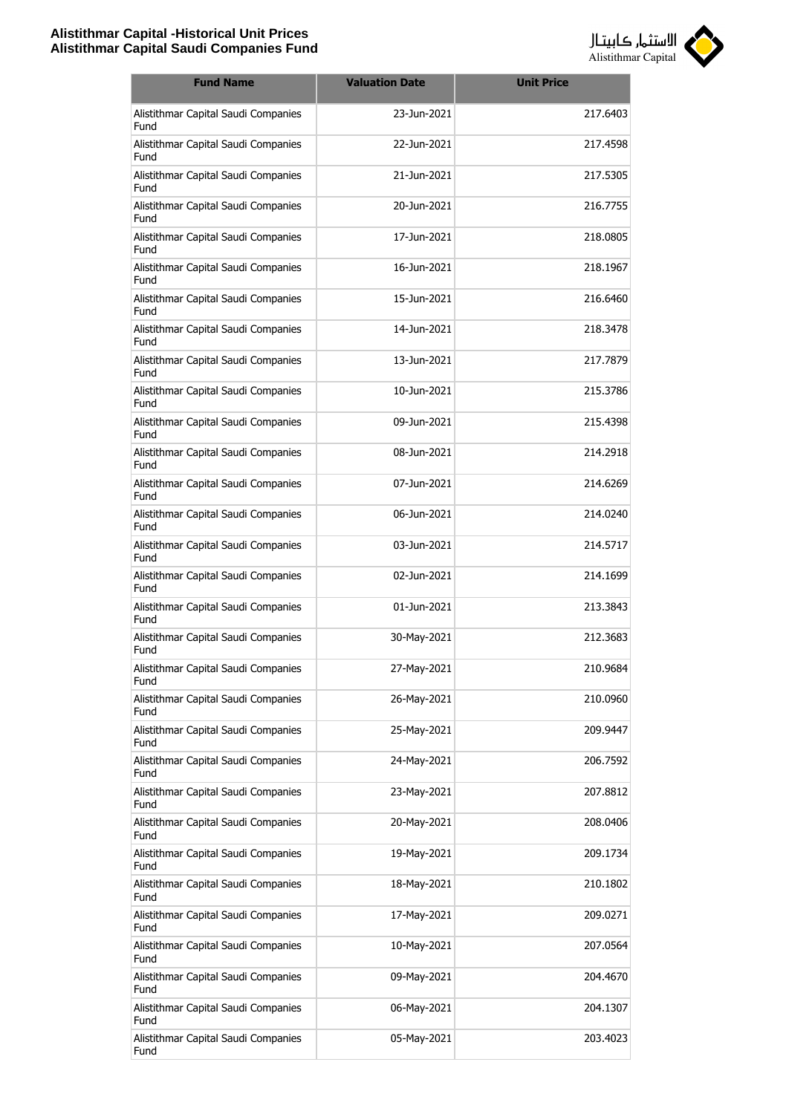

| <b>Fund Name</b>                            | <b>Valuation Date</b> | <b>Unit Price</b> |
|---------------------------------------------|-----------------------|-------------------|
| Alistithmar Capital Saudi Companies<br>Fund | 23-Jun-2021           | 217.6403          |
| Alistithmar Capital Saudi Companies<br>Fund | 22-Jun-2021           | 217.4598          |
| Alistithmar Capital Saudi Companies<br>Fund | 21-Jun-2021           | 217.5305          |
| Alistithmar Capital Saudi Companies<br>Fund | 20-Jun-2021           | 216.7755          |
| Alistithmar Capital Saudi Companies<br>Fund | 17-Jun-2021           | 218.0805          |
| Alistithmar Capital Saudi Companies<br>Fund | 16-Jun-2021           | 218.1967          |
| Alistithmar Capital Saudi Companies<br>Fund | 15-Jun-2021           | 216,6460          |
| Alistithmar Capital Saudi Companies<br>Fund | 14-1un-2021           | 218.3478          |
| Alistithmar Capital Saudi Companies<br>Fund | 13-Jun-2021           | 217,7879          |
| Alistithmar Capital Saudi Companies<br>Fund | 10-Jun-2021           | 215.3786          |
| Alistithmar Capital Saudi Companies<br>Fund | 09-Jun-2021           | 215.4398          |
| Alistithmar Capital Saudi Companies<br>Fund | 08-Jun-2021           | 214.2918          |
| Alistithmar Capital Saudi Companies<br>Fund | 07-Jun-2021           | 214.6269          |
| Alistithmar Capital Saudi Companies<br>Fund | 06-Jun-2021           | 214.0240          |
| Alistithmar Capital Saudi Companies<br>Fund | 03-Jun-2021           | 214.5717          |
| Alistithmar Capital Saudi Companies<br>Fund | 02-Jun-2021           | 214.1699          |
| Alistithmar Capital Saudi Companies<br>Fund | 01-Jun-2021           | 213.3843          |
| Alistithmar Capital Saudi Companies<br>Fund | 30-May-2021           | 212.3683          |
| Alistithmar Capital Saudi Companies<br>Fund | 27-May-2021           | 210.9684          |
| Alistithmar Capital Saudi Companies<br>Fund | 26-May-2021           | 210.0960          |
| Alistithmar Capital Saudi Companies<br>Fund | 25-May-2021           | 209.9447          |
| Alistithmar Capital Saudi Companies<br>Fund | 24-May-2021           | 206.7592          |
| Alistithmar Capital Saudi Companies<br>Fund | 23-May-2021           | 207.8812          |
| Alistithmar Capital Saudi Companies<br>Fund | 20-May-2021           | 208.0406          |
| Alistithmar Capital Saudi Companies<br>Fund | 19-May-2021           | 209.1734          |
| Alistithmar Capital Saudi Companies<br>Fund | 18-May-2021           | 210.1802          |
| Alistithmar Capital Saudi Companies<br>Fund | 17-May-2021           | 209.0271          |
| Alistithmar Capital Saudi Companies<br>Fund | 10-May-2021           | 207.0564          |
| Alistithmar Capital Saudi Companies<br>Fund | 09-May-2021           | 204.4670          |
| Alistithmar Capital Saudi Companies<br>Fund | 06-May-2021           | 204.1307          |
| Alistithmar Capital Saudi Companies<br>Fund | 05-May-2021           | 203.4023          |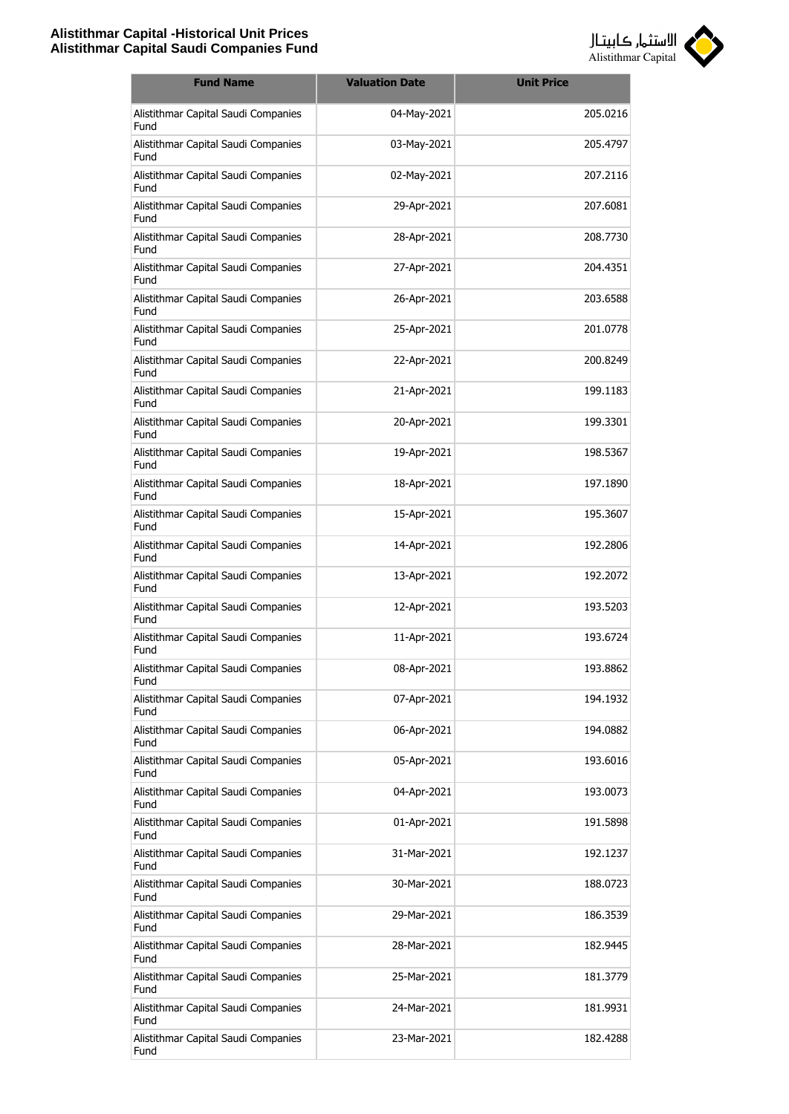

| <b>Fund Name</b>                            | <b>Valuation Date</b> | <b>Unit Price</b> |
|---------------------------------------------|-----------------------|-------------------|
| Alistithmar Capital Saudi Companies<br>Fund | 04-May-2021           | 205.0216          |
| Alistithmar Capital Saudi Companies<br>Fund | 03-May-2021           | 205.4797          |
| Alistithmar Capital Saudi Companies<br>Fund | 02-May-2021           | 207.2116          |
| Alistithmar Capital Saudi Companies<br>Fund | 29-Apr-2021           | 207.6081          |
| Alistithmar Capital Saudi Companies<br>Fund | 28-Apr-2021           | 208.7730          |
| Alistithmar Capital Saudi Companies<br>Fund | 27-Apr-2021           | 204.4351          |
| Alistithmar Capital Saudi Companies<br>Fund | 26-Apr-2021           | 203.6588          |
| Alistithmar Capital Saudi Companies<br>Fund | 25-Apr-2021           | 201.0778          |
| Alistithmar Capital Saudi Companies<br>Fund | 22-Apr-2021           | 200.8249          |
| Alistithmar Capital Saudi Companies<br>Fund | 21-Apr-2021           | 199.1183          |
| Alistithmar Capital Saudi Companies<br>Fund | 20-Apr-2021           | 199.3301          |
| Alistithmar Capital Saudi Companies<br>Fund | 19-Apr-2021           | 198.5367          |
| Alistithmar Capital Saudi Companies<br>Fund | 18-Apr-2021           | 197.1890          |
| Alistithmar Capital Saudi Companies<br>Fund | 15-Apr-2021           | 195.3607          |
| Alistithmar Capital Saudi Companies<br>Fund | 14-Apr-2021           | 192.2806          |
| Alistithmar Capital Saudi Companies<br>Fund | 13-Apr-2021           | 192.2072          |
| Alistithmar Capital Saudi Companies<br>Fund | 12-Apr-2021           | 193.5203          |
| Alistithmar Capital Saudi Companies<br>Fund | 11-Apr-2021           | 193.6724          |
| Alistithmar Capital Saudi Companies<br>Fund | 08-Apr-2021           | 193.8862          |
| Alistithmar Capital Saudi Companies<br>Fund | 07-Apr-2021           | 194.1932          |
| Alistithmar Capital Saudi Companies<br>Fund | 06-Apr-2021           | 194.0882          |
| Alistithmar Capital Saudi Companies<br>Fund | 05-Apr-2021           | 193.6016          |
| Alistithmar Capital Saudi Companies<br>Fund | 04-Apr-2021           | 193.0073          |
| Alistithmar Capital Saudi Companies<br>Fund | 01-Apr-2021           | 191.5898          |
| Alistithmar Capital Saudi Companies<br>Fund | 31-Mar-2021           | 192.1237          |
| Alistithmar Capital Saudi Companies<br>Fund | 30-Mar-2021           | 188.0723          |
| Alistithmar Capital Saudi Companies<br>Fund | 29-Mar-2021           | 186.3539          |
| Alistithmar Capital Saudi Companies<br>Fund | 28-Mar-2021           | 182.9445          |
| Alistithmar Capital Saudi Companies<br>Fund | 25-Mar-2021           | 181.3779          |
| Alistithmar Capital Saudi Companies<br>Fund | 24-Mar-2021           | 181.9931          |
| Alistithmar Capital Saudi Companies<br>Fund | 23-Mar-2021           | 182.4288          |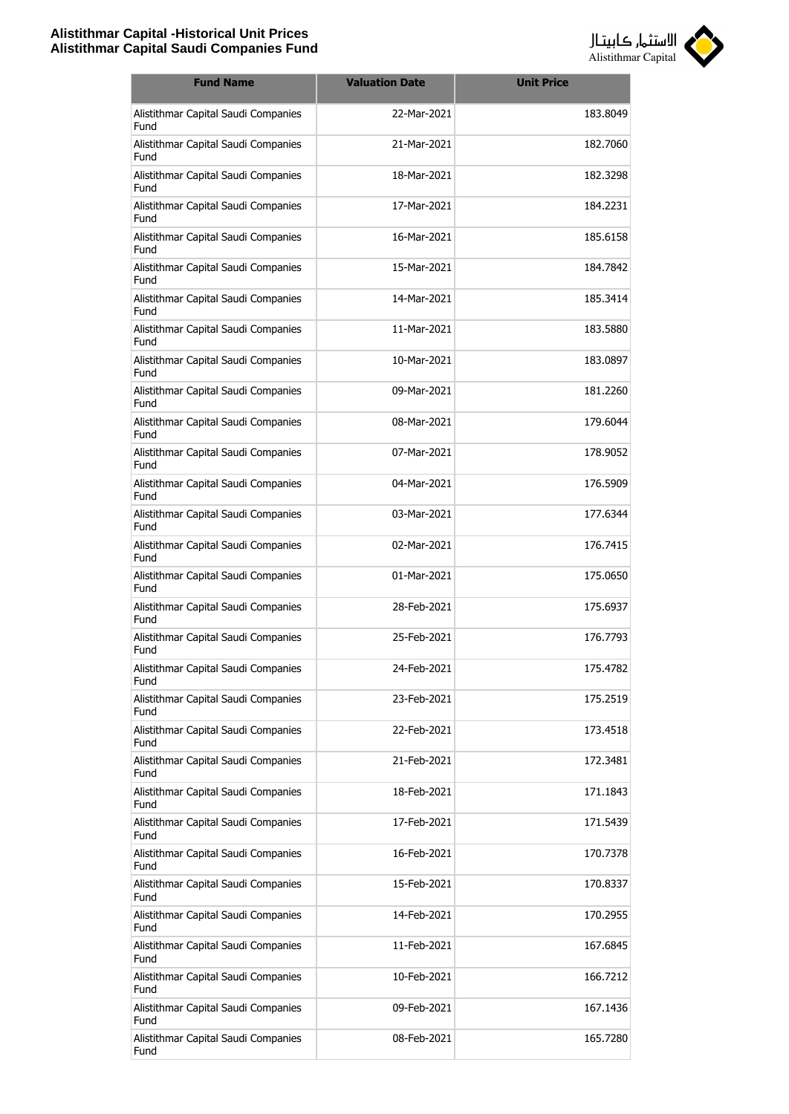

| <b>Fund Name</b>                            | <b>Valuation Date</b> | <b>Unit Price</b> |
|---------------------------------------------|-----------------------|-------------------|
| Alistithmar Capital Saudi Companies<br>Fund | 22-Mar-2021           | 183.8049          |
| Alistithmar Capital Saudi Companies<br>Fund | 21-Mar-2021           | 182.7060          |
| Alistithmar Capital Saudi Companies<br>Fund | 18-Mar-2021           | 182.3298          |
| Alistithmar Capital Saudi Companies<br>Fund | 17-Mar-2021           | 184.2231          |
| Alistithmar Capital Saudi Companies<br>Fund | 16-Mar-2021           | 185.6158          |
| Alistithmar Capital Saudi Companies<br>Fund | 15-Mar-2021           | 184.7842          |
| Alistithmar Capital Saudi Companies<br>Fund | 14-Mar-2021           | 185.3414          |
| Alistithmar Capital Saudi Companies<br>Fund | 11-Mar-2021           | 183.5880          |
| Alistithmar Capital Saudi Companies<br>Fund | 10-Mar-2021           | 183.0897          |
| Alistithmar Capital Saudi Companies<br>Fund | 09-Mar-2021           | 181.2260          |
| Alistithmar Capital Saudi Companies<br>Fund | 08-Mar-2021           | 179.6044          |
| Alistithmar Capital Saudi Companies<br>Fund | 07-Mar-2021           | 178.9052          |
| Alistithmar Capital Saudi Companies<br>Fund | 04-Mar-2021           | 176.5909          |
| Alistithmar Capital Saudi Companies<br>Fund | 03-Mar-2021           | 177.6344          |
| Alistithmar Capital Saudi Companies<br>Fund | 02-Mar-2021           | 176.7415          |
| Alistithmar Capital Saudi Companies<br>Fund | 01-Mar-2021           | 175.0650          |
| Alistithmar Capital Saudi Companies<br>Fund | 28-Feb-2021           | 175.6937          |
| Alistithmar Capital Saudi Companies<br>Fund | 25-Feb-2021           | 176.7793          |
| Alistithmar Capital Saudi Companies<br>Fund | 24-Feb-2021           | 175.4782          |
| Alistithmar Capital Saudi Companies<br>Fund | 23-Feb-2021           | 175.2519          |
| Alistithmar Capital Saudi Companies<br>Fund | 22-Feb-2021           | 173.4518          |
| Alistithmar Capital Saudi Companies<br>Fund | 21-Feb-2021           | 172.3481          |
| Alistithmar Capital Saudi Companies<br>Fund | 18-Feb-2021           | 171.1843          |
| Alistithmar Capital Saudi Companies<br>Fund | 17-Feb-2021           | 171.5439          |
| Alistithmar Capital Saudi Companies<br>Fund | 16-Feb-2021           | 170.7378          |
| Alistithmar Capital Saudi Companies<br>Fund | 15-Feb-2021           | 170.8337          |
| Alistithmar Capital Saudi Companies<br>Fund | 14-Feb-2021           | 170.2955          |
| Alistithmar Capital Saudi Companies<br>Fund | 11-Feb-2021           | 167.6845          |
| Alistithmar Capital Saudi Companies<br>Fund | 10-Feb-2021           | 166.7212          |
| Alistithmar Capital Saudi Companies<br>Fund | 09-Feb-2021           | 167.1436          |
| Alistithmar Capital Saudi Companies<br>Fund | 08-Feb-2021           | 165.7280          |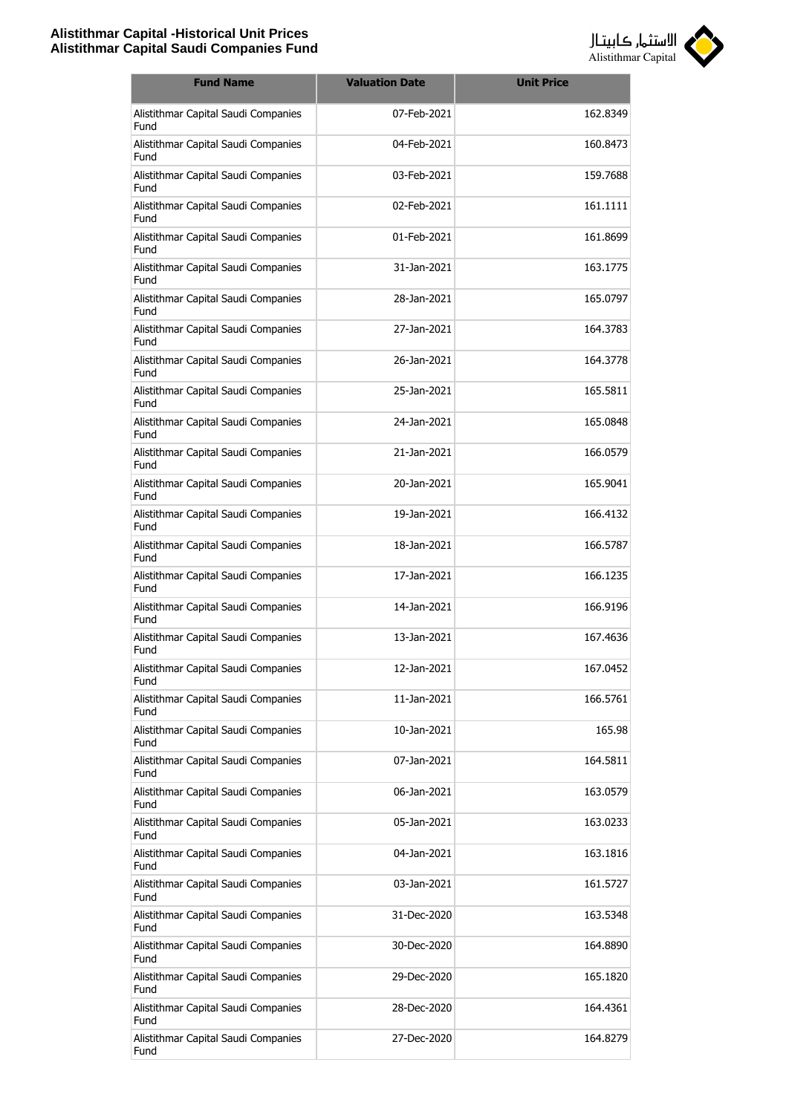

| <b>Fund Name</b>                            | <b>Valuation Date</b> | <b>Unit Price</b> |
|---------------------------------------------|-----------------------|-------------------|
| Alistithmar Capital Saudi Companies<br>Fund | 07-Feb-2021           | 162.8349          |
| Alistithmar Capital Saudi Companies<br>Fund | 04-Feb-2021           | 160.8473          |
| Alistithmar Capital Saudi Companies<br>Fund | 03-Feb-2021           | 159.7688          |
| Alistithmar Capital Saudi Companies<br>Fund | 02-Feb-2021           | 161.1111          |
| Alistithmar Capital Saudi Companies<br>Fund | 01-Feb-2021           | 161.8699          |
| Alistithmar Capital Saudi Companies<br>Fund | 31-Jan-2021           | 163.1775          |
| Alistithmar Capital Saudi Companies<br>Fund | 28-Jan-2021           | 165.0797          |
| Alistithmar Capital Saudi Companies<br>Fund | 27-Jan-2021           | 164.3783          |
| Alistithmar Capital Saudi Companies<br>Fund | 26-1an-2021           | 164.3778          |
| Alistithmar Capital Saudi Companies<br>Fund | 25-Jan-2021           | 165.5811          |
| Alistithmar Capital Saudi Companies<br>Fund | 24-Jan-2021           | 165.0848          |
| Alistithmar Capital Saudi Companies<br>Fund | 21-Jan-2021           | 166.0579          |
| Alistithmar Capital Saudi Companies<br>Fund | 20-Jan-2021           | 165.9041          |
| Alistithmar Capital Saudi Companies<br>Fund | 19-Jan-2021           | 166.4132          |
| Alistithmar Capital Saudi Companies<br>Fund | 18-Jan-2021           | 166.5787          |
| Alistithmar Capital Saudi Companies<br>Fund | 17-Jan-2021           | 166.1235          |
| Alistithmar Capital Saudi Companies<br>Fund | 14-Jan-2021           | 166.9196          |
| Alistithmar Capital Saudi Companies<br>Fund | 13-Jan-2021           | 167.4636          |
| Alistithmar Capital Saudi Companies<br>Fund | 12-Jan-2021           | 167.0452          |
| Alistithmar Capital Saudi Companies<br>Fund | 11-Jan-2021           | 166.5761          |
| Alistithmar Capital Saudi Companies<br>Fund | 10-Jan-2021           | 165.98            |
| Alistithmar Capital Saudi Companies<br>Fund | 07-Jan-2021           | 164.5811          |
| Alistithmar Capital Saudi Companies<br>Fund | 06-Jan-2021           | 163.0579          |
| Alistithmar Capital Saudi Companies<br>Fund | 05-Jan-2021           | 163.0233          |
| Alistithmar Capital Saudi Companies<br>Fund | 04-Jan-2021           | 163.1816          |
| Alistithmar Capital Saudi Companies<br>Fund | 03-Jan-2021           | 161.5727          |
| Alistithmar Capital Saudi Companies<br>Fund | 31-Dec-2020           | 163.5348          |
| Alistithmar Capital Saudi Companies<br>Fund | 30-Dec-2020           | 164.8890          |
| Alistithmar Capital Saudi Companies<br>Fund | 29-Dec-2020           | 165.1820          |
| Alistithmar Capital Saudi Companies<br>Fund | 28-Dec-2020           | 164.4361          |
| Alistithmar Capital Saudi Companies<br>Fund | 27-Dec-2020           | 164.8279          |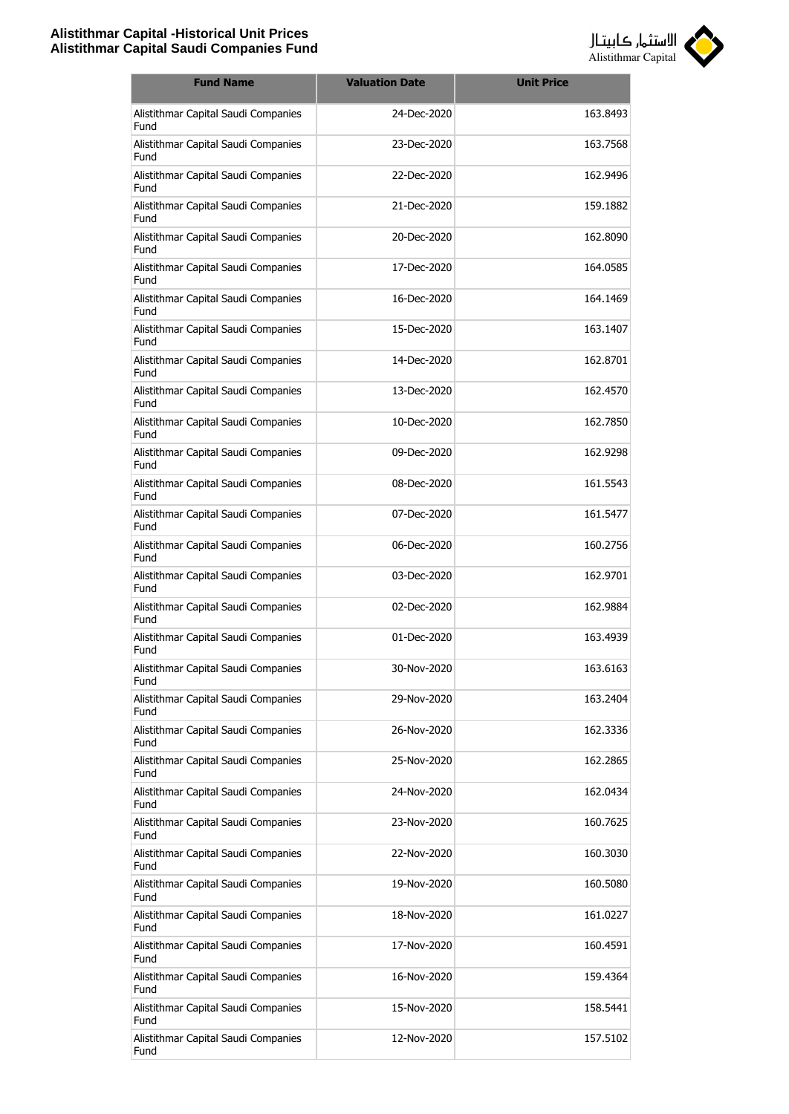

| <b>Fund Name</b>                            | <b>Valuation Date</b> | <b>Unit Price</b> |
|---------------------------------------------|-----------------------|-------------------|
| Alistithmar Capital Saudi Companies<br>Fund | 24-Dec-2020           | 163.8493          |
| Alistithmar Capital Saudi Companies<br>Fund | 23-Dec-2020           | 163.7568          |
| Alistithmar Capital Saudi Companies<br>Fund | 22-Dec-2020           | 162.9496          |
| Alistithmar Capital Saudi Companies<br>Fund | 21-Dec-2020           | 159.1882          |
| Alistithmar Capital Saudi Companies<br>Fund | 20-Dec-2020           | 162.8090          |
| Alistithmar Capital Saudi Companies<br>Fund | 17-Dec-2020           | 164.0585          |
| Alistithmar Capital Saudi Companies<br>Fund | 16-Dec-2020           | 164.1469          |
| Alistithmar Capital Saudi Companies<br>Fund | 15-Dec-2020           | 163.1407          |
| Alistithmar Capital Saudi Companies<br>Fund | 14-Dec-2020           | 162.8701          |
| Alistithmar Capital Saudi Companies<br>Fund | 13-Dec-2020           | 162.4570          |
| Alistithmar Capital Saudi Companies<br>Fund | 10-Dec-2020           | 162.7850          |
| Alistithmar Capital Saudi Companies<br>Fund | 09-Dec-2020           | 162.9298          |
| Alistithmar Capital Saudi Companies<br>Fund | 08-Dec-2020           | 161.5543          |
| Alistithmar Capital Saudi Companies<br>Fund | 07-Dec-2020           | 161.5477          |
| Alistithmar Capital Saudi Companies<br>Fund | 06-Dec-2020           | 160.2756          |
| Alistithmar Capital Saudi Companies<br>Fund | 03-Dec-2020           | 162.9701          |
| Alistithmar Capital Saudi Companies<br>Fund | 02-Dec-2020           | 162.9884          |
| Alistithmar Capital Saudi Companies<br>Fund | 01-Dec-2020           | 163.4939          |
| Alistithmar Capital Saudi Companies<br>Fund | 30-Nov-2020           | 163.6163          |
| Alistithmar Capital Saudi Companies<br>Fund | 29-Nov-2020           | 163.2404          |
| Alistithmar Capital Saudi Companies<br>Fund | 26-Nov-2020           | 162.3336          |
| Alistithmar Capital Saudi Companies<br>Fund | 25-Nov-2020           | 162.2865          |
| Alistithmar Capital Saudi Companies<br>Fund | 24-Nov-2020           | 162.0434          |
| Alistithmar Capital Saudi Companies<br>Fund | 23-Nov-2020           | 160.7625          |
| Alistithmar Capital Saudi Companies<br>Fund | 22-Nov-2020           | 160.3030          |
| Alistithmar Capital Saudi Companies<br>Fund | 19-Nov-2020           | 160.5080          |
| Alistithmar Capital Saudi Companies<br>Fund | 18-Nov-2020           | 161.0227          |
| Alistithmar Capital Saudi Companies<br>Fund | 17-Nov-2020           | 160.4591          |
| Alistithmar Capital Saudi Companies<br>Fund | 16-Nov-2020           | 159.4364          |
| Alistithmar Capital Saudi Companies<br>Fund | 15-Nov-2020           | 158.5441          |
| Alistithmar Capital Saudi Companies<br>Fund | 12-Nov-2020           | 157.5102          |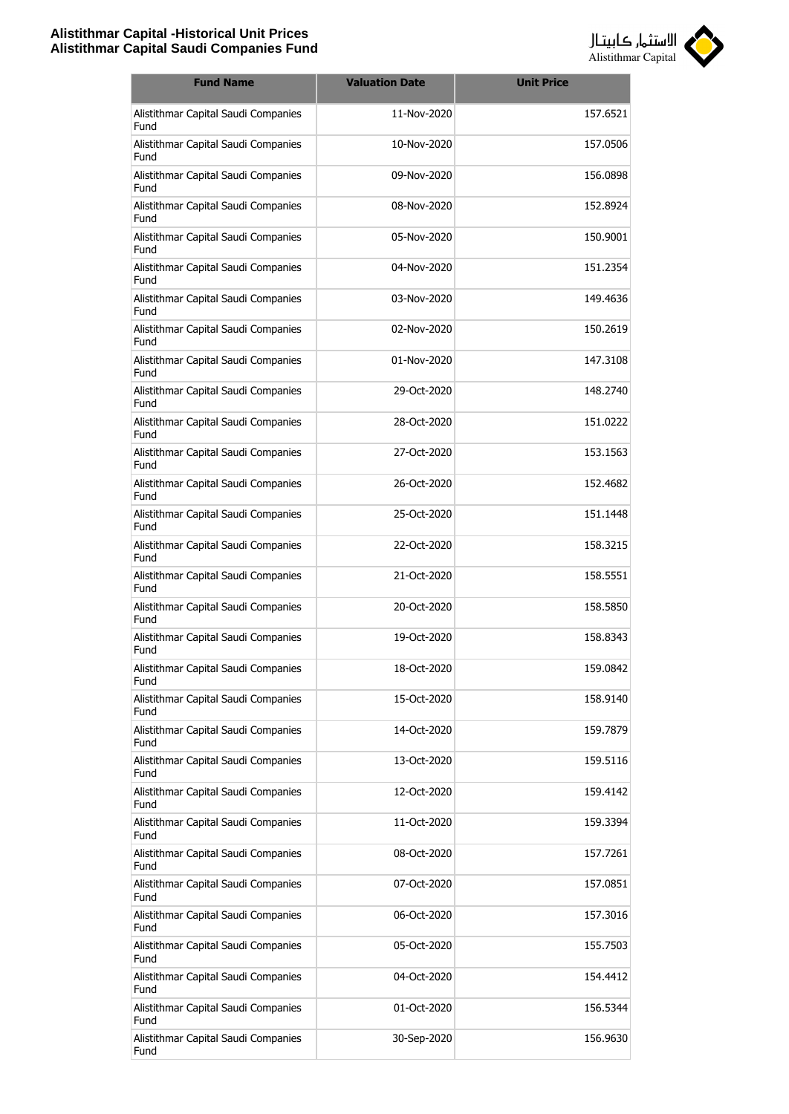

| <b>Fund Name</b>                            | <b>Valuation Date</b> | <b>Unit Price</b> |
|---------------------------------------------|-----------------------|-------------------|
| Alistithmar Capital Saudi Companies<br>Fund | 11-Nov-2020           | 157.6521          |
| Alistithmar Capital Saudi Companies<br>Fund | 10-Nov-2020           | 157.0506          |
| Alistithmar Capital Saudi Companies<br>Fund | 09-Nov-2020           | 156.0898          |
| Alistithmar Capital Saudi Companies<br>Fund | 08-Nov-2020           | 152.8924          |
| Alistithmar Capital Saudi Companies<br>Fund | 05-Nov-2020           | 150.9001          |
| Alistithmar Capital Saudi Companies<br>Fund | 04-Nov-2020           | 151.2354          |
| Alistithmar Capital Saudi Companies<br>Fund | 03-Nov-2020           | 149.4636          |
| Alistithmar Capital Saudi Companies<br>Fund | $02-Nov-2020$         | 150.2619          |
| Alistithmar Capital Saudi Companies<br>Fund | 01-Nov-2020           | 147.3108          |
| Alistithmar Capital Saudi Companies<br>Fund | 29-Oct-2020           | 148.2740          |
| Alistithmar Capital Saudi Companies<br>Fund | 28-Oct-2020           | 151.0222          |
| Alistithmar Capital Saudi Companies<br>Fund | 27-Oct-2020           | 153.1563          |
| Alistithmar Capital Saudi Companies<br>Fund | 26-Oct-2020           | 152.4682          |
| Alistithmar Capital Saudi Companies<br>Fund | 25-Oct-2020           | 151.1448          |
| Alistithmar Capital Saudi Companies<br>Fund | 22-Oct-2020           | 158.3215          |
| Alistithmar Capital Saudi Companies<br>Fund | 21-Oct-2020           | 158.5551          |
| Alistithmar Capital Saudi Companies<br>Fund | 20-Oct-2020           | 158.5850          |
| Alistithmar Capital Saudi Companies<br>Fund | 19-Oct-2020           | 158.8343          |
| Alistithmar Capital Saudi Companies<br>Fund | 18-Oct-2020           | 159.0842          |
| Alistithmar Capital Saudi Companies<br>Fund | 15-Oct-2020           | 158.9140          |
| Alistithmar Capital Saudi Companies<br>Fund | 14-Oct-2020           | 159.7879          |
| Alistithmar Capital Saudi Companies<br>Fund | 13-Oct-2020           | 159.5116          |
| Alistithmar Capital Saudi Companies<br>Fund | 12-Oct-2020           | 159.4142          |
| Alistithmar Capital Saudi Companies<br>Fund | 11-Oct-2020           | 159.3394          |
| Alistithmar Capital Saudi Companies<br>Fund | 08-Oct-2020           | 157.7261          |
| Alistithmar Capital Saudi Companies<br>Fund | 07-Oct-2020           | 157.0851          |
| Alistithmar Capital Saudi Companies<br>Fund | 06-Oct-2020           | 157.3016          |
| Alistithmar Capital Saudi Companies<br>Fund | 05-Oct-2020           | 155.7503          |
| Alistithmar Capital Saudi Companies<br>Fund | 04-Oct-2020           | 154.4412          |
| Alistithmar Capital Saudi Companies<br>Fund | 01-Oct-2020           | 156.5344          |
| Alistithmar Capital Saudi Companies<br>Fund | 30-Sep-2020           | 156.9630          |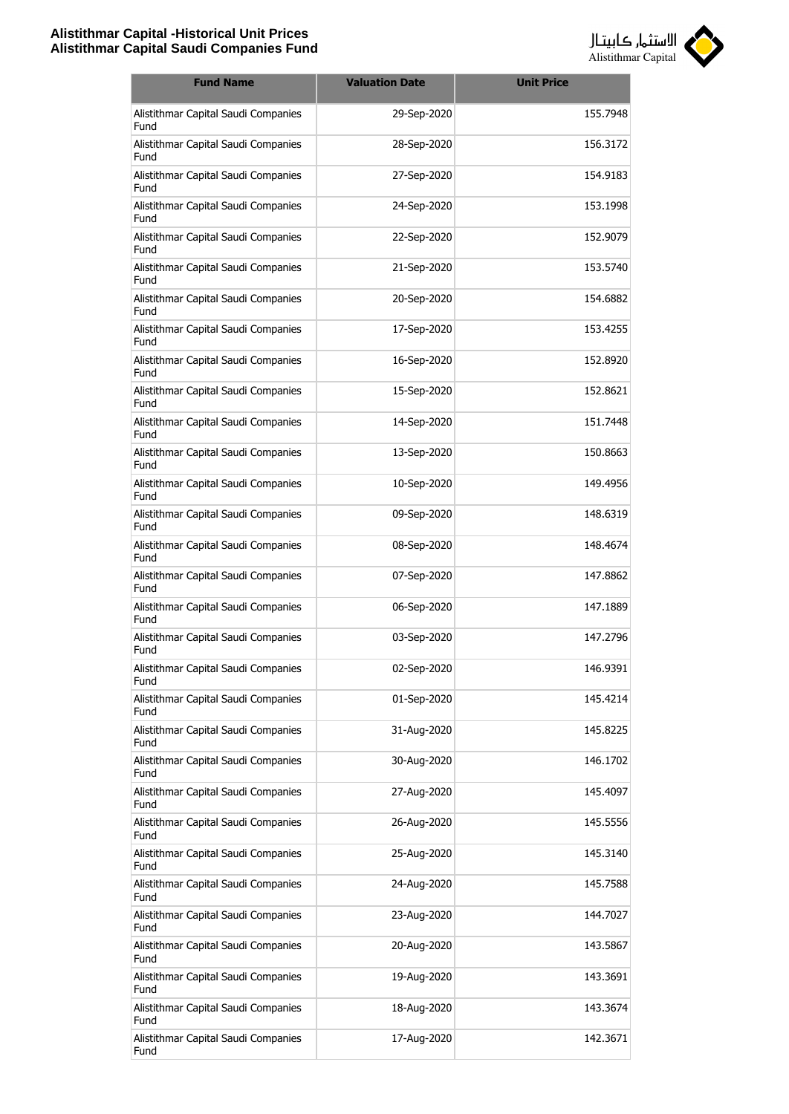

| <b>Fund Name</b>                            | <b>Valuation Date</b> | <b>Unit Price</b> |
|---------------------------------------------|-----------------------|-------------------|
| Alistithmar Capital Saudi Companies<br>Fund | 29-Sep-2020           | 155.7948          |
| Alistithmar Capital Saudi Companies<br>Fund | 28-Sep-2020           | 156.3172          |
| Alistithmar Capital Saudi Companies<br>Fund | 27-Sep-2020           | 154.9183          |
| Alistithmar Capital Saudi Companies<br>Fund | 24-Sep-2020           | 153.1998          |
| Alistithmar Capital Saudi Companies<br>Fund | 22-Sep-2020           | 152.9079          |
| Alistithmar Capital Saudi Companies<br>Fund | 21-Sep-2020           | 153.5740          |
| Alistithmar Capital Saudi Companies<br>Fund | 20-Sep-2020           | 154.6882          |
| Alistithmar Capital Saudi Companies<br>Fund | 17-Sep-2020           | 153.4255          |
| Alistithmar Capital Saudi Companies<br>Fund | 16-Sep-2020           | 152.8920          |
| Alistithmar Capital Saudi Companies<br>Fund | 15-Sep-2020           | 152.8621          |
| Alistithmar Capital Saudi Companies<br>Fund | 14-Sep-2020           | 151.7448          |
| Alistithmar Capital Saudi Companies<br>Fund | 13-Sep-2020           | 150.8663          |
| Alistithmar Capital Saudi Companies<br>Fund | 10-Sep-2020           | 149.4956          |
| Alistithmar Capital Saudi Companies<br>Fund | 09-Sep-2020           | 148.6319          |
| Alistithmar Capital Saudi Companies<br>Fund | 08-Sep-2020           | 148.4674          |
| Alistithmar Capital Saudi Companies<br>Fund | 07-Sep-2020           | 147.8862          |
| Alistithmar Capital Saudi Companies<br>Fund | 06-Sep-2020           | 147.1889          |
| Alistithmar Capital Saudi Companies<br>Fund | 03-Sep-2020           | 147.2796          |
| Alistithmar Capital Saudi Companies<br>Fund | 02-Sep-2020           | 146.9391          |
| Alistithmar Capital Saudi Companies<br>Fund | 01-Sep-2020           | 145.4214          |
| Alistithmar Capital Saudi Companies<br>Fund | 31-Aug-2020           | 145.8225          |
| Alistithmar Capital Saudi Companies<br>Fund | 30-Aug-2020           | 146.1702          |
| Alistithmar Capital Saudi Companies<br>Fund | 27-Aug-2020           | 145.4097          |
| Alistithmar Capital Saudi Companies<br>Fund | 26-Aug-2020           | 145.5556          |
| Alistithmar Capital Saudi Companies<br>Fund | 25-Aug-2020           | 145.3140          |
| Alistithmar Capital Saudi Companies<br>Fund | 24-Aug-2020           | 145.7588          |
| Alistithmar Capital Saudi Companies<br>Fund | 23-Aug-2020           | 144.7027          |
| Alistithmar Capital Saudi Companies<br>Fund | 20-Aug-2020           | 143.5867          |
| Alistithmar Capital Saudi Companies<br>Fund | 19-Aug-2020           | 143.3691          |
| Alistithmar Capital Saudi Companies<br>Fund | 18-Aug-2020           | 143.3674          |
| Alistithmar Capital Saudi Companies<br>Fund | 17-Aug-2020           | 142.3671          |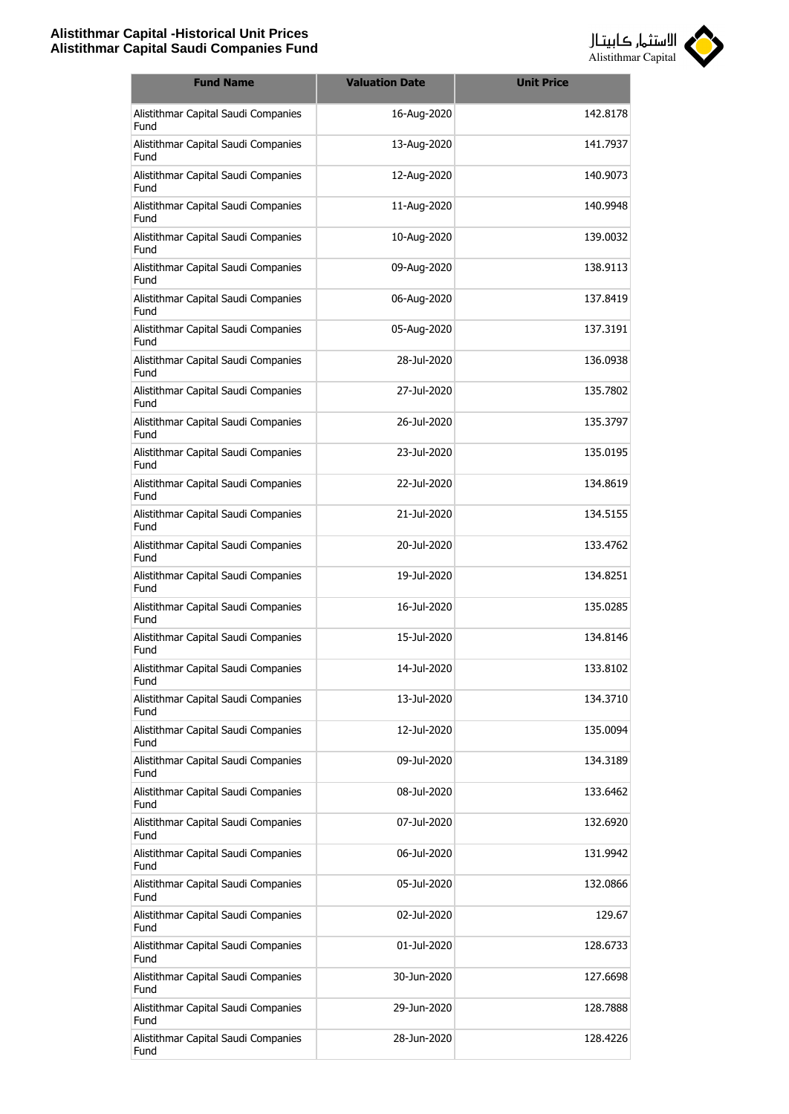

| <b>Fund Name</b>                            | <b>Valuation Date</b> | <b>Unit Price</b> |
|---------------------------------------------|-----------------------|-------------------|
| Alistithmar Capital Saudi Companies<br>Fund | 16-Aug-2020           | 142.8178          |
| Alistithmar Capital Saudi Companies<br>Fund | 13-Aug-2020           | 141.7937          |
| Alistithmar Capital Saudi Companies<br>Fund | 12-Aug-2020           | 140.9073          |
| Alistithmar Capital Saudi Companies<br>Fund | 11-Aug-2020           | 140.9948          |
| Alistithmar Capital Saudi Companies<br>Fund | 10-Aug-2020           | 139.0032          |
| Alistithmar Capital Saudi Companies<br>Fund | 09-Aug-2020           | 138.9113          |
| Alistithmar Capital Saudi Companies<br>Fund | 06-Aug-2020           | 137.8419          |
| Alistithmar Capital Saudi Companies<br>Fund | 05-Aug-2020           | 137.3191          |
| Alistithmar Capital Saudi Companies<br>Fund | 28-Jul-2020           | 136.0938          |
| Alistithmar Capital Saudi Companies<br>Fund | 27-Jul-2020           | 135.7802          |
| Alistithmar Capital Saudi Companies<br>Fund | 26-Jul-2020           | 135.3797          |
| Alistithmar Capital Saudi Companies<br>Fund | 23-Jul-2020           | 135.0195          |
| Alistithmar Capital Saudi Companies<br>Fund | 22-Jul-2020           | 134.8619          |
| Alistithmar Capital Saudi Companies<br>Fund | 21-Jul-2020           | 134.5155          |
| Alistithmar Capital Saudi Companies<br>Fund | 20-Jul-2020           | 133.4762          |
| Alistithmar Capital Saudi Companies<br>Fund | 19-Jul-2020           | 134.8251          |
| Alistithmar Capital Saudi Companies<br>Fund | 16-Jul-2020           | 135.0285          |
| Alistithmar Capital Saudi Companies<br>Fund | 15-Jul-2020           | 134.8146          |
| Alistithmar Capital Saudi Companies<br>Fund | 14-Jul-2020           | 133.8102          |
| Alistithmar Capital Saudi Companies<br>Fund | 13-Jul-2020           | 134.3710          |
| Alistithmar Capital Saudi Companies<br>Fund | 12-Jul-2020           | 135.0094          |
| Alistithmar Capital Saudi Companies<br>Fund | 09-Jul-2020           | 134.3189          |
| Alistithmar Capital Saudi Companies<br>Fund | 08-Jul-2020           | 133.6462          |
| Alistithmar Capital Saudi Companies<br>Fund | 07-Jul-2020           | 132.6920          |
| Alistithmar Capital Saudi Companies<br>Fund | 06-Jul-2020           | 131.9942          |
| Alistithmar Capital Saudi Companies<br>Fund | 05-Jul-2020           | 132.0866          |
| Alistithmar Capital Saudi Companies<br>Fund | 02-Jul-2020           | 129.67            |
| Alistithmar Capital Saudi Companies<br>Fund | 01-Jul-2020           | 128.6733          |
| Alistithmar Capital Saudi Companies<br>Fund | 30-Jun-2020           | 127.6698          |
| Alistithmar Capital Saudi Companies<br>Fund | 29-Jun-2020           | 128.7888          |
| Alistithmar Capital Saudi Companies<br>Fund | 28-Jun-2020           | 128.4226          |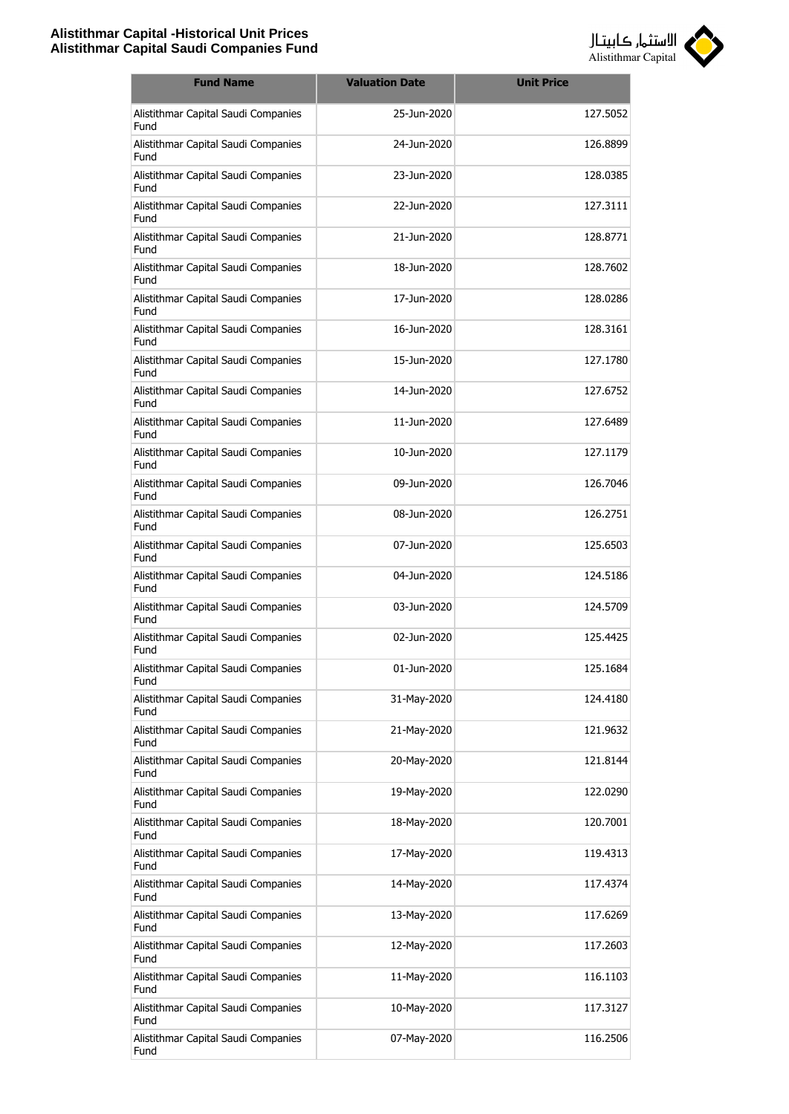

| <b>Fund Name</b>                            | <b>Valuation Date</b> | <b>Unit Price</b> |
|---------------------------------------------|-----------------------|-------------------|
| Alistithmar Capital Saudi Companies<br>Fund | 25-Jun-2020           | 127.5052          |
| Alistithmar Capital Saudi Companies<br>Fund | 24-Jun-2020           | 126.8899          |
| Alistithmar Capital Saudi Companies<br>Fund | 23-Jun-2020           | 128.0385          |
| Alistithmar Capital Saudi Companies<br>Fund | 22-Jun-2020           | 127.3111          |
| Alistithmar Capital Saudi Companies<br>Fund | 21-Jun-2020           | 128.8771          |
| Alistithmar Capital Saudi Companies<br>Fund | 18-Jun-2020           | 128.7602          |
| Alistithmar Capital Saudi Companies<br>Fund | 17-Jun-2020           | 128,0286          |
| Alistithmar Capital Saudi Companies<br>Fund | 16-1un-2020           | 128.3161          |
| Alistithmar Capital Saudi Companies<br>Fund | 15-Jun-2020           | 127.1780          |
| Alistithmar Capital Saudi Companies<br>Fund | 14-Jun-2020           | 127.6752          |
| Alistithmar Capital Saudi Companies<br>Fund | 11-Jun-2020           | 127.6489          |
| Alistithmar Capital Saudi Companies<br>Fund | 10-Jun-2020           | 127.1179          |
| Alistithmar Capital Saudi Companies<br>Fund | 09-Jun-2020           | 126.7046          |
| Alistithmar Capital Saudi Companies<br>Fund | 08-Jun-2020           | 126.2751          |
| Alistithmar Capital Saudi Companies<br>Fund | 07-Jun-2020           | 125.6503          |
| Alistithmar Capital Saudi Companies<br>Fund | 04-Jun-2020           | 124.5186          |
| Alistithmar Capital Saudi Companies<br>Fund | 03-Jun-2020           | 124.5709          |
| Alistithmar Capital Saudi Companies<br>Fund | 02-Jun-2020           | 125.4425          |
| Alistithmar Capital Saudi Companies<br>Fund | 01-Jun-2020           | 125.1684          |
| Alistithmar Capital Saudi Companies<br>Fund | 31-May-2020           | 124.4180          |
| Alistithmar Capital Saudi Companies<br>Fund | 21-May-2020           | 121.9632          |
| Alistithmar Capital Saudi Companies<br>Fund | 20-May-2020           | 121.8144          |
| Alistithmar Capital Saudi Companies<br>Fund | 19-May-2020           | 122.0290          |
| Alistithmar Capital Saudi Companies<br>Fund | 18-May-2020           | 120.7001          |
| Alistithmar Capital Saudi Companies<br>Fund | 17-May-2020           | 119.4313          |
| Alistithmar Capital Saudi Companies<br>Fund | 14-May-2020           | 117.4374          |
| Alistithmar Capital Saudi Companies<br>Fund | 13-May-2020           | 117.6269          |
| Alistithmar Capital Saudi Companies<br>Fund | 12-May-2020           | 117.2603          |
| Alistithmar Capital Saudi Companies<br>Fund | 11-May-2020           | 116.1103          |
| Alistithmar Capital Saudi Companies<br>Fund | 10-May-2020           | 117.3127          |
| Alistithmar Capital Saudi Companies<br>Fund | 07-May-2020           | 116.2506          |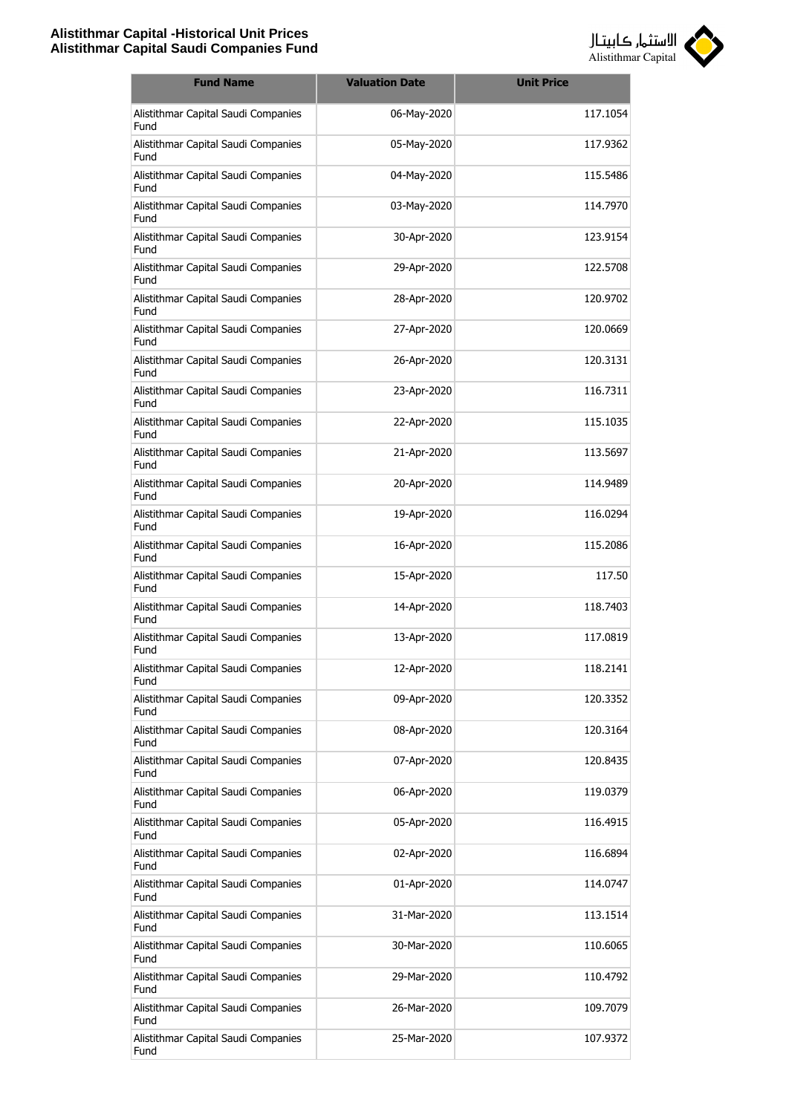

| <b>Fund Name</b>                                   | <b>Valuation Date</b> | <b>Unit Price</b> |
|----------------------------------------------------|-----------------------|-------------------|
| Alistithmar Capital Saudi Companies<br>Fund        | 06-May-2020           | 117.1054          |
| Alistithmar Capital Saudi Companies<br>Fund        | 05-May-2020           | 117.9362          |
| Alistithmar Capital Saudi Companies<br>Fund        | 04-May-2020           | 115.5486          |
| Alistithmar Capital Saudi Companies<br>Fund        | 03-May-2020           | 114.7970          |
| Alistithmar Capital Saudi Companies<br>Fund        | 30-Apr-2020           | 123.9154          |
| Alistithmar Capital Saudi Companies<br>Fund        | 29-Apr-2020           | 122.5708          |
| Alistithmar Capital Saudi Companies<br>Fund        | 28-Apr-2020           | 120.9702          |
| Alistithmar Capital Saudi Companies<br>Fund        | 27-Apr-2020           | 120.0669          |
| Alistithmar Capital Saudi Companies<br>Fund        | 26-Apr-2020           | 120.3131          |
| Alistithmar Capital Saudi Companies<br>Fund        | 23-Apr-2020           | 116.7311          |
| Alistithmar Capital Saudi Companies<br>Fund        | 22-Apr-2020           | 115.1035          |
| Alistithmar Capital Saudi Companies<br>Fund        | 21-Apr-2020           | 113.5697          |
| Alistithmar Capital Saudi Companies<br>Fund        | 20-Apr-2020           | 114.9489          |
| Alistithmar Capital Saudi Companies<br>Fund        | 19-Apr-2020           | 116.0294          |
| Alistithmar Capital Saudi Companies<br>Fund        | 16-Apr-2020           | 115,2086          |
| Alistithmar Capital Saudi Companies<br>Fund        | 15-Apr-2020           | 117.50            |
| Alistithmar Capital Saudi Companies<br><b>Fund</b> | 14-Apr-2020           | 118,7403          |
| Alistithmar Capital Saudi Companies<br>Fund        | 13-Apr-2020           | 117.0819          |
| Alistithmar Capital Saudi Companies<br>Fund        | 12-Apr-2020           | 118.2141          |
| Alistithmar Capital Saudi Companies<br>Fund        | 09-Apr-2020           | 120.3352          |
| Alistithmar Capital Saudi Companies<br>Fund        | 08-Apr-2020           | 120.3164          |
| Alistithmar Capital Saudi Companies<br>Fund        | 07-Apr-2020           | 120.8435          |
| Alistithmar Capital Saudi Companies<br>Fund        | 06-Apr-2020           | 119.0379          |
| Alistithmar Capital Saudi Companies<br>Fund        | 05-Apr-2020           | 116.4915          |
| Alistithmar Capital Saudi Companies<br>Fund        | 02-Apr-2020           | 116.6894          |
| Alistithmar Capital Saudi Companies<br>Fund        | 01-Apr-2020           | 114.0747          |
| Alistithmar Capital Saudi Companies<br>Fund        | 31-Mar-2020           | 113.1514          |
| Alistithmar Capital Saudi Companies<br>Fund        | 30-Mar-2020           | 110.6065          |
| Alistithmar Capital Saudi Companies<br>Fund        | 29-Mar-2020           | 110.4792          |
| Alistithmar Capital Saudi Companies<br>Fund        | 26-Mar-2020           | 109.7079          |
| Alistithmar Capital Saudi Companies<br>Fund        | 25-Mar-2020           | 107.9372          |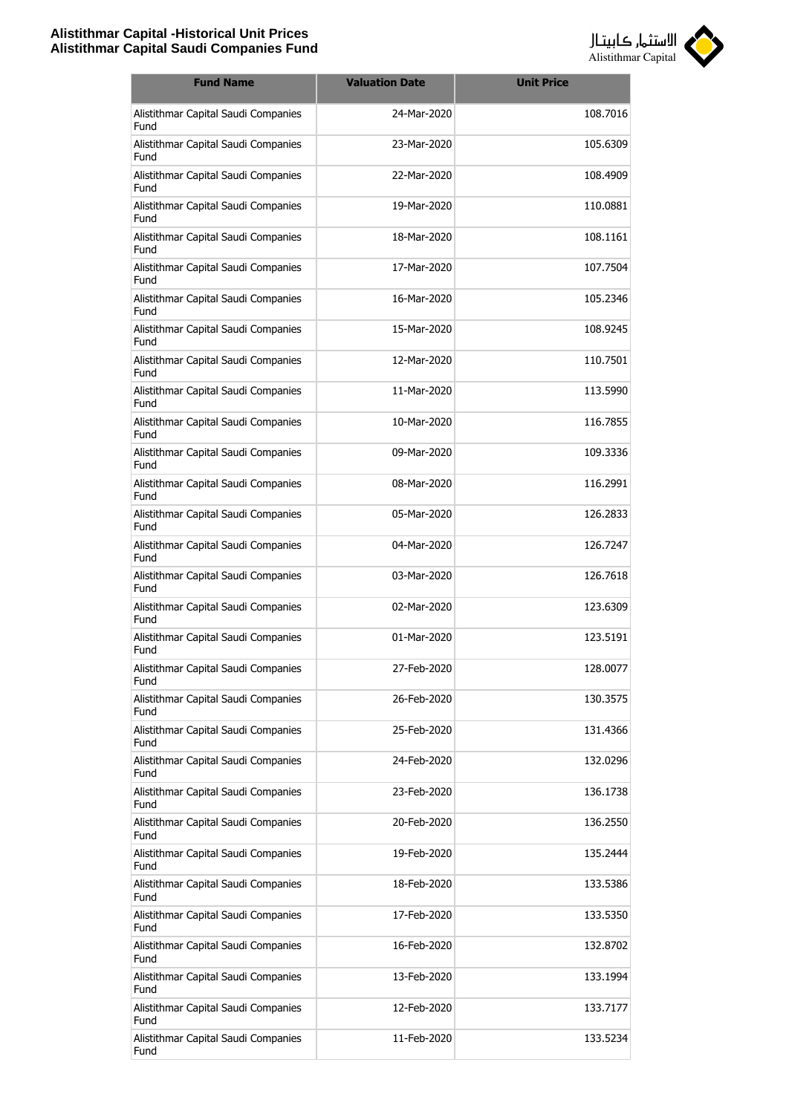

| <b>Fund Name</b>                            | <b>Valuation Date</b> | <b>Unit Price</b> |
|---------------------------------------------|-----------------------|-------------------|
| Alistithmar Capital Saudi Companies<br>Fund | 24-Mar-2020           | 108.7016          |
| Alistithmar Capital Saudi Companies<br>Fund | 23-Mar-2020           | 105.6309          |
| Alistithmar Capital Saudi Companies<br>Fund | 22-Mar-2020           | 108.4909          |
| Alistithmar Capital Saudi Companies<br>Fund | 19-Mar-2020           | 110.0881          |
| Alistithmar Capital Saudi Companies<br>Fund | 18-Mar-2020           | 108.1161          |
| Alistithmar Capital Saudi Companies<br>Fund | 17-Mar-2020           | 107.7504          |
| Alistithmar Capital Saudi Companies<br>Fund | 16-Mar-2020           | 105.2346          |
| Alistithmar Capital Saudi Companies<br>Fund | 15-Mar-2020           | 108.9245          |
| Alistithmar Capital Saudi Companies<br>Fund | 12-Mar-2020           | 110.7501          |
| Alistithmar Capital Saudi Companies<br>Fund | 11-Mar-2020           | 113.5990          |
| Alistithmar Capital Saudi Companies<br>Fund | 10-Mar-2020           | 116.7855          |
| Alistithmar Capital Saudi Companies<br>Fund | 09-Mar-2020           | 109.3336          |
| Alistithmar Capital Saudi Companies<br>Fund | 08-Mar-2020           | 116.2991          |
| Alistithmar Capital Saudi Companies<br>Fund | 05-Mar-2020           | 126.2833          |
| Alistithmar Capital Saudi Companies<br>Fund | 04-Mar-2020           | 126.7247          |
| Alistithmar Capital Saudi Companies<br>Fund | 03-Mar-2020           | 126.7618          |
| Alistithmar Capital Saudi Companies<br>Fund | 02-Mar-2020           | 123.6309          |
| Alistithmar Capital Saudi Companies<br>Fund | 01-Mar-2020           | 123.5191          |
| Alistithmar Capital Saudi Companies<br>Fund | 27-Feb-2020           | 128.0077          |
| Alistithmar Capital Saudi Companies<br>Fund | 26-Feb-2020           | 130.3575          |
| Alistithmar Capital Saudi Companies<br>Fund | 25-Feb-2020           | 131.4366          |
| Alistithmar Capital Saudi Companies<br>Fund | 24-Feb-2020           | 132.0296          |
| Alistithmar Capital Saudi Companies<br>Fund | 23-Feb-2020           | 136.1738          |
| Alistithmar Capital Saudi Companies<br>Fund | 20-Feb-2020           | 136.2550          |
| Alistithmar Capital Saudi Companies<br>Fund | 19-Feb-2020           | 135.2444          |
| Alistithmar Capital Saudi Companies<br>Fund | 18-Feb-2020           | 133.5386          |
| Alistithmar Capital Saudi Companies<br>Fund | 17-Feb-2020           | 133.5350          |
| Alistithmar Capital Saudi Companies<br>Fund | 16-Feb-2020           | 132.8702          |
| Alistithmar Capital Saudi Companies<br>Fund | 13-Feb-2020           | 133.1994          |
| Alistithmar Capital Saudi Companies<br>Fund | 12-Feb-2020           | 133.7177          |
| Alistithmar Capital Saudi Companies<br>Fund | 11-Feb-2020           | 133.5234          |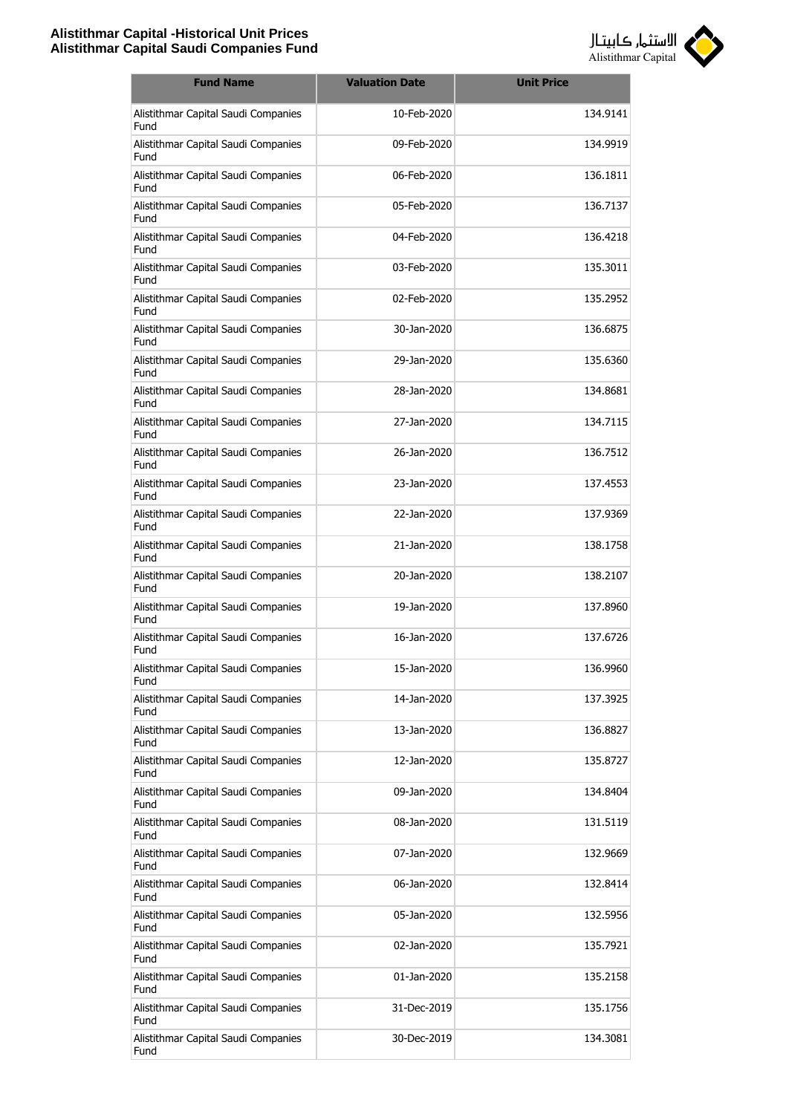

| <b>Fund Name</b>                            | <b>Valuation Date</b> | <b>Unit Price</b> |
|---------------------------------------------|-----------------------|-------------------|
| Alistithmar Capital Saudi Companies<br>Fund | 10-Feb-2020           | 134.9141          |
| Alistithmar Capital Saudi Companies<br>Fund | 09-Feb-2020           | 134.9919          |
| Alistithmar Capital Saudi Companies<br>Fund | 06-Feb-2020           | 136.1811          |
| Alistithmar Capital Saudi Companies<br>Fund | 05-Feb-2020           | 136.7137          |
| Alistithmar Capital Saudi Companies<br>Fund | 04-Feb-2020           | 136.4218          |
| Alistithmar Capital Saudi Companies<br>Fund | 03-Feb-2020           | 135.3011          |
| Alistithmar Capital Saudi Companies<br>Fund | 02-Feb-2020           | 135.2952          |
| Alistithmar Capital Saudi Companies<br>Fund | 30-Jan-2020           | 136.6875          |
| Alistithmar Capital Saudi Companies<br>Fund | 29-Jan-2020           | 135.6360          |
| Alistithmar Capital Saudi Companies<br>Fund | 28-1an-2020           | 134.8681          |
| Alistithmar Capital Saudi Companies<br>Fund | 27-Jan-2020           | 134.7115          |
| Alistithmar Capital Saudi Companies<br>Fund | 26-Jan-2020           | 136.7512          |
| Alistithmar Capital Saudi Companies<br>Fund | 23-Jan-2020           | 137.4553          |
| Alistithmar Capital Saudi Companies<br>Fund | 22-Jan-2020           | 137.9369          |
| Alistithmar Capital Saudi Companies<br>Fund | 21-Jan-2020           | 138.1758          |
| Alistithmar Capital Saudi Companies<br>Fund | 20-Jan-2020           | 138.2107          |
| Alistithmar Capital Saudi Companies<br>Fund | 19-Jan-2020           | 137.8960          |
| Alistithmar Capital Saudi Companies<br>Fund | 16-Jan-2020           | 137.6726          |
| Alistithmar Capital Saudi Companies<br>Fund | 15-Jan-2020           | 136.9960          |
| Alistithmar Capital Saudi Companies<br>Fund | 14-Jan-2020           | 137.3925          |
| Alistithmar Capital Saudi Companies<br>Fund | 13-Jan-2020           | 136.8827          |
| Alistithmar Capital Saudi Companies<br>Fund | 12-Jan-2020           | 135.8727          |
| Alistithmar Capital Saudi Companies<br>Fund | 09-Jan-2020           | 134.8404          |
| Alistithmar Capital Saudi Companies<br>Fund | 08-Jan-2020           | 131.5119          |
| Alistithmar Capital Saudi Companies<br>Fund | 07-Jan-2020           | 132.9669          |
| Alistithmar Capital Saudi Companies<br>Fund | 06-Jan-2020           | 132.8414          |
| Alistithmar Capital Saudi Companies<br>Fund | 05-Jan-2020           | 132.5956          |
| Alistithmar Capital Saudi Companies<br>Fund | 02-Jan-2020           | 135.7921          |
| Alistithmar Capital Saudi Companies<br>Fund | 01-Jan-2020           | 135.2158          |
| Alistithmar Capital Saudi Companies<br>Fund | 31-Dec-2019           | 135.1756          |
| Alistithmar Capital Saudi Companies<br>Fund | 30-Dec-2019           | 134.3081          |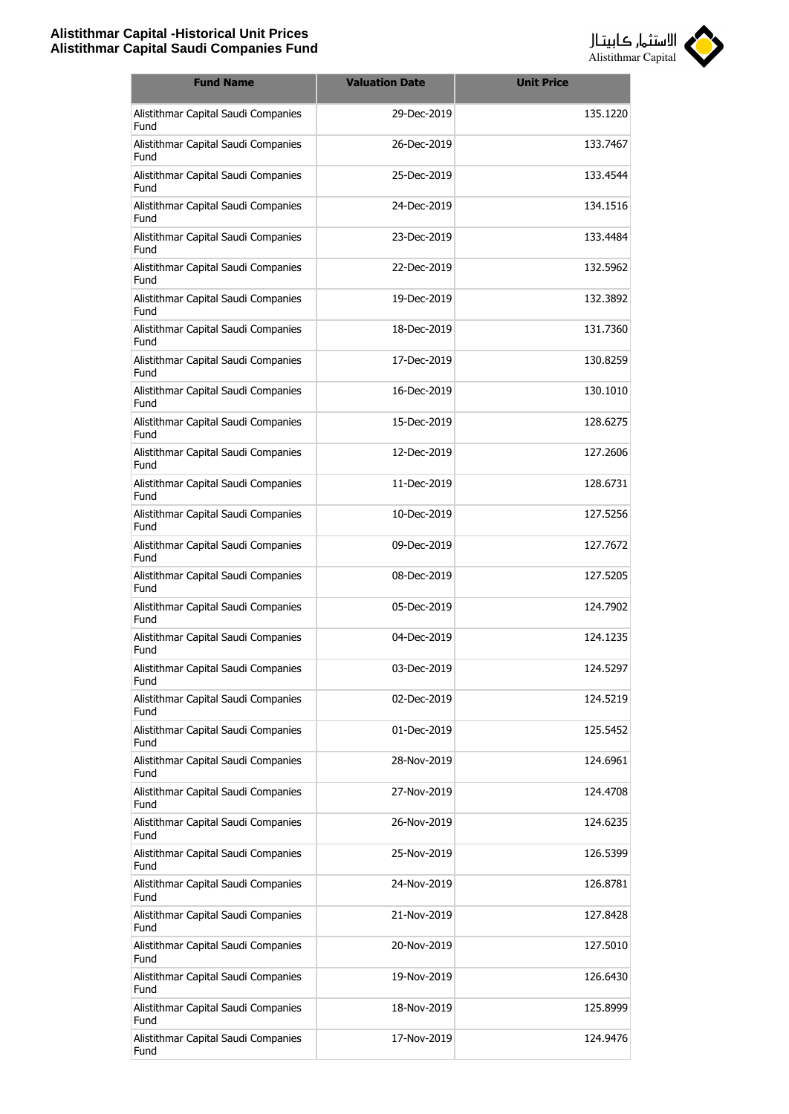

| <b>Fund Name</b>                            | <b>Valuation Date</b> | <b>Unit Price</b> |
|---------------------------------------------|-----------------------|-------------------|
| Alistithmar Capital Saudi Companies<br>Fund | 29-Dec-2019           | 135.1220          |
| Alistithmar Capital Saudi Companies<br>Fund | 26-Dec-2019           | 133.7467          |
| Alistithmar Capital Saudi Companies<br>Fund | 25-Dec-2019           | 133.4544          |
| Alistithmar Capital Saudi Companies<br>Fund | 24-Dec-2019           | 134.1516          |
| Alistithmar Capital Saudi Companies<br>Fund | 23-Dec-2019           | 133.4484          |
| Alistithmar Capital Saudi Companies<br>Fund | 22-Dec-2019           | 132.5962          |
| Alistithmar Capital Saudi Companies<br>Fund | 19-Dec-2019           | 132.3892          |
| Alistithmar Capital Saudi Companies<br>Fund | 18-Dec-2019           | 131.7360          |
| Alistithmar Capital Saudi Companies<br>Fund | 17-Dec-2019           | 130.8259          |
| Alistithmar Capital Saudi Companies<br>Fund | 16-Dec-2019           | 130.1010          |
| Alistithmar Capital Saudi Companies<br>Fund | 15-Dec-2019           | 128.6275          |
| Alistithmar Capital Saudi Companies<br>Fund | 12-Dec-2019           | 127.2606          |
| Alistithmar Capital Saudi Companies<br>Fund | 11-Dec-2019           | 128,6731          |
| Alistithmar Capital Saudi Companies<br>Fund | 10-Dec-2019           | 127.5256          |
| Alistithmar Capital Saudi Companies<br>Fund | 09-Dec-2019           | 127.7672          |
| Alistithmar Capital Saudi Companies<br>Fund | 08-Dec-2019           | 127.5205          |
| Alistithmar Capital Saudi Companies<br>Fund | 05-Dec-2019           | 124.7902          |
| Alistithmar Capital Saudi Companies<br>Fund | 04-Dec-2019           | 124.1235          |
| Alistithmar Capital Saudi Companies<br>Fund | 03-Dec-2019           | 124.5297          |
| Alistithmar Capital Saudi Companies<br>Fund | 02-Dec-2019           | 124.5219          |
| Alistithmar Capital Saudi Companies<br>Fund | 01-Dec-2019           | 125.5452          |
| Alistithmar Capital Saudi Companies<br>Fund | 28-Nov-2019           | 124.6961          |
| Alistithmar Capital Saudi Companies<br>Fund | 27-Nov-2019           | 124.4708          |
| Alistithmar Capital Saudi Companies<br>Fund | 26-Nov-2019           | 124.6235          |
| Alistithmar Capital Saudi Companies<br>Fund | 25-Nov-2019           | 126.5399          |
| Alistithmar Capital Saudi Companies<br>Fund | 24-Nov-2019           | 126.8781          |
| Alistithmar Capital Saudi Companies<br>Fund | 21-Nov-2019           | 127.8428          |
| Alistithmar Capital Saudi Companies<br>Fund | 20-Nov-2019           | 127.5010          |
| Alistithmar Capital Saudi Companies<br>Fund | 19-Nov-2019           | 126.6430          |
| Alistithmar Capital Saudi Companies<br>Fund | 18-Nov-2019           | 125.8999          |
| Alistithmar Capital Saudi Companies<br>Fund | 17-Nov-2019           | 124.9476          |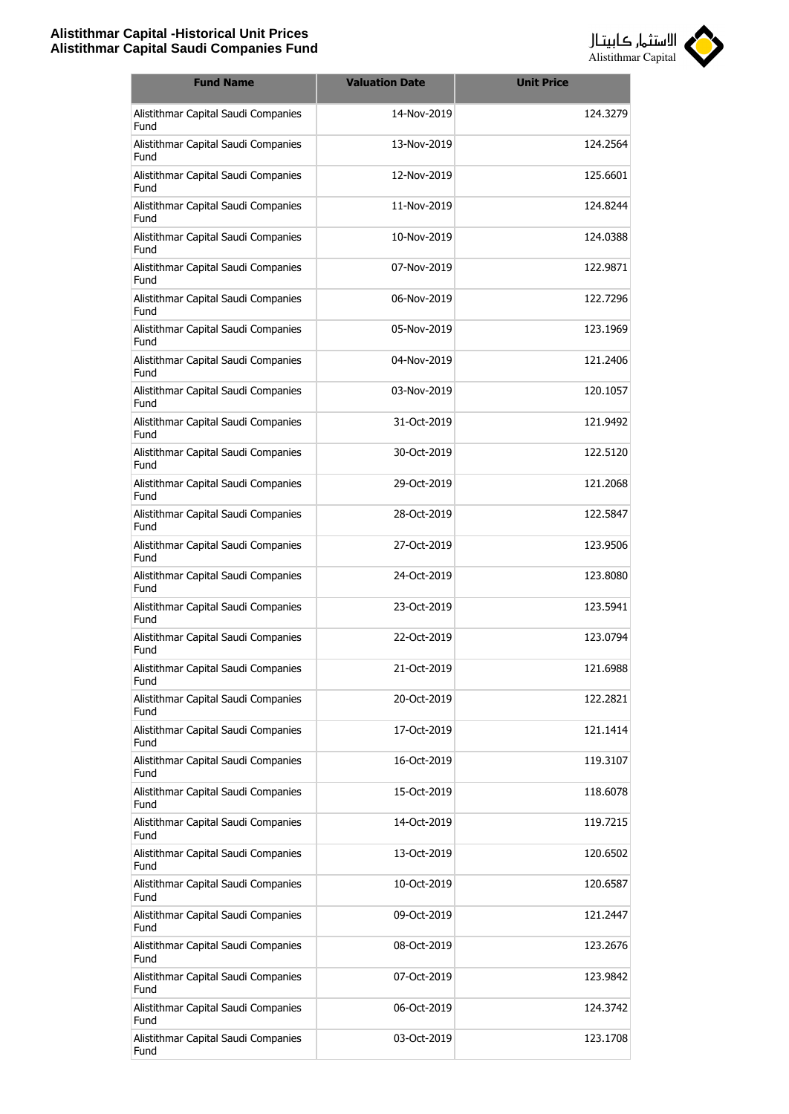

| <b>Fund Name</b>                            | <b>Valuation Date</b> | <b>Unit Price</b> |
|---------------------------------------------|-----------------------|-------------------|
| Alistithmar Capital Saudi Companies<br>Fund | 14-Nov-2019           | 124.3279          |
| Alistithmar Capital Saudi Companies<br>Fund | 13-Nov-2019           | 124.2564          |
| Alistithmar Capital Saudi Companies<br>Fund | 12-Nov-2019           | 125.6601          |
| Alistithmar Capital Saudi Companies<br>Fund | 11-Nov-2019           | 124.8244          |
| Alistithmar Capital Saudi Companies<br>Fund | 10-Nov-2019           | 124.0388          |
| Alistithmar Capital Saudi Companies<br>Fund | 07-Nov-2019           | 122.9871          |
| Alistithmar Capital Saudi Companies<br>Fund | 06-Nov-2019           | 122.7296          |
| Alistithmar Capital Saudi Companies<br>Fund | 05-Nov-2019           | 123.1969          |
| Alistithmar Capital Saudi Companies<br>Fund | 04-Nov-2019           | 121.2406          |
| Alistithmar Capital Saudi Companies<br>Fund | 03-Nov-2019           | 120.1057          |
| Alistithmar Capital Saudi Companies<br>Fund | 31-Oct-2019           | 121.9492          |
| Alistithmar Capital Saudi Companies<br>Fund | 30-Oct-2019           | 122.5120          |
| Alistithmar Capital Saudi Companies<br>Fund | 29-Oct-2019           | 121.2068          |
| Alistithmar Capital Saudi Companies<br>Fund | 28-Oct-2019           | 122.5847          |
| Alistithmar Capital Saudi Companies<br>Fund | 27-Oct-2019           | 123.9506          |
| Alistithmar Capital Saudi Companies<br>Fund | 24-Oct-2019           | 123.8080          |
| Alistithmar Capital Saudi Companies<br>Fund | 23-Oct-2019           | 123.5941          |
| Alistithmar Capital Saudi Companies<br>Fund | 22-Oct-2019           | 123.0794          |
| Alistithmar Capital Saudi Companies<br>Fund | 21-Oct-2019           | 121.6988          |
| Alistithmar Capital Saudi Companies<br>Fund | 20-Oct-2019           | 122.2821          |
| Alistithmar Capital Saudi Companies<br>Fund | 17-Oct-2019           | 121.1414          |
| Alistithmar Capital Saudi Companies<br>Fund | 16-Oct-2019           | 119.3107          |
| Alistithmar Capital Saudi Companies<br>Fund | 15-Oct-2019           | 118.6078          |
| Alistithmar Capital Saudi Companies<br>Fund | 14-Oct-2019           | 119.7215          |
| Alistithmar Capital Saudi Companies<br>Fund | 13-Oct-2019           | 120.6502          |
| Alistithmar Capital Saudi Companies<br>Fund | 10-Oct-2019           | 120.6587          |
| Alistithmar Capital Saudi Companies<br>Fund | 09-Oct-2019           | 121.2447          |
| Alistithmar Capital Saudi Companies<br>Fund | 08-Oct-2019           | 123.2676          |
| Alistithmar Capital Saudi Companies<br>Fund | 07-Oct-2019           | 123.9842          |
| Alistithmar Capital Saudi Companies<br>Fund | 06-Oct-2019           | 124.3742          |
| Alistithmar Capital Saudi Companies<br>Fund | 03-Oct-2019           | 123.1708          |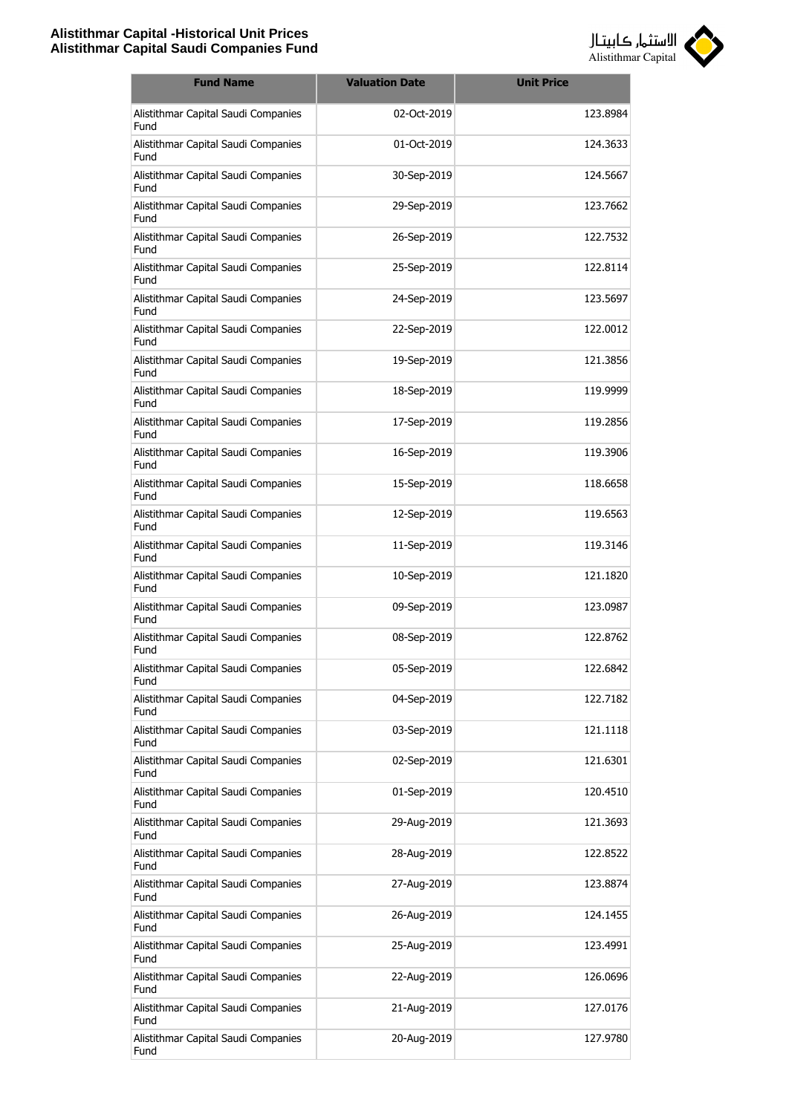

| <b>Fund Name</b>                            | <b>Valuation Date</b> | <b>Unit Price</b> |
|---------------------------------------------|-----------------------|-------------------|
| Alistithmar Capital Saudi Companies<br>Fund | 02-Oct-2019           | 123.8984          |
| Alistithmar Capital Saudi Companies<br>Fund | 01-Oct-2019           | 124.3633          |
| Alistithmar Capital Saudi Companies<br>Fund | 30-Sep-2019           | 124.5667          |
| Alistithmar Capital Saudi Companies<br>Fund | 29-Sep-2019           | 123.7662          |
| Alistithmar Capital Saudi Companies<br>Fund | 26-Sep-2019           | 122.7532          |
| Alistithmar Capital Saudi Companies<br>Fund | 25-Sep-2019           | 122.8114          |
| Alistithmar Capital Saudi Companies<br>Fund | 24-Sep-2019           | 123.5697          |
| Alistithmar Capital Saudi Companies<br>Fund | 22-Sep-2019           | 122,0012          |
| Alistithmar Capital Saudi Companies<br>Fund | 19-Sep-2019           | 121.3856          |
| Alistithmar Capital Saudi Companies<br>Fund | 18-Sep-2019           | 119.9999          |
| Alistithmar Capital Saudi Companies<br>Fund | 17-Sep-2019           | 119.2856          |
| Alistithmar Capital Saudi Companies<br>Fund | 16-Sep-2019           | 119.3906          |
| Alistithmar Capital Saudi Companies<br>Fund | 15-Sep-2019           | 118.6658          |
| Alistithmar Capital Saudi Companies<br>Fund | 12-Sep-2019           | 119.6563          |
| Alistithmar Capital Saudi Companies<br>Fund | 11-Sep-2019           | 119.3146          |
| Alistithmar Capital Saudi Companies<br>Fund | 10-Sep-2019           | 121.1820          |
| Alistithmar Capital Saudi Companies<br>Fund | 09-Sep-2019           | 123.0987          |
| Alistithmar Capital Saudi Companies<br>Fund | 08-Sep-2019           | 122.8762          |
| Alistithmar Capital Saudi Companies<br>Fund | 05-Sep-2019           | 122.6842          |
| Alistithmar Capital Saudi Companies<br>Fund | 04-Sep-2019           | 122.7182          |
| Alistithmar Capital Saudi Companies<br>Fund | 03-Sep-2019           | 121.1118          |
| Alistithmar Capital Saudi Companies<br>Fund | 02-Sep-2019           | 121.6301          |
| Alistithmar Capital Saudi Companies<br>Fund | 01-Sep-2019           | 120.4510          |
| Alistithmar Capital Saudi Companies<br>Fund | 29-Aug-2019           | 121.3693          |
| Alistithmar Capital Saudi Companies<br>Fund | 28-Aug-2019           | 122.8522          |
| Alistithmar Capital Saudi Companies<br>Fund | 27-Aug-2019           | 123.8874          |
| Alistithmar Capital Saudi Companies<br>Fund | 26-Aug-2019           | 124.1455          |
| Alistithmar Capital Saudi Companies<br>Fund | 25-Aug-2019           | 123.4991          |
| Alistithmar Capital Saudi Companies<br>Fund | 22-Aug-2019           | 126.0696          |
| Alistithmar Capital Saudi Companies<br>Fund | 21-Aug-2019           | 127.0176          |
| Alistithmar Capital Saudi Companies<br>Fund | 20-Aug-2019           | 127.9780          |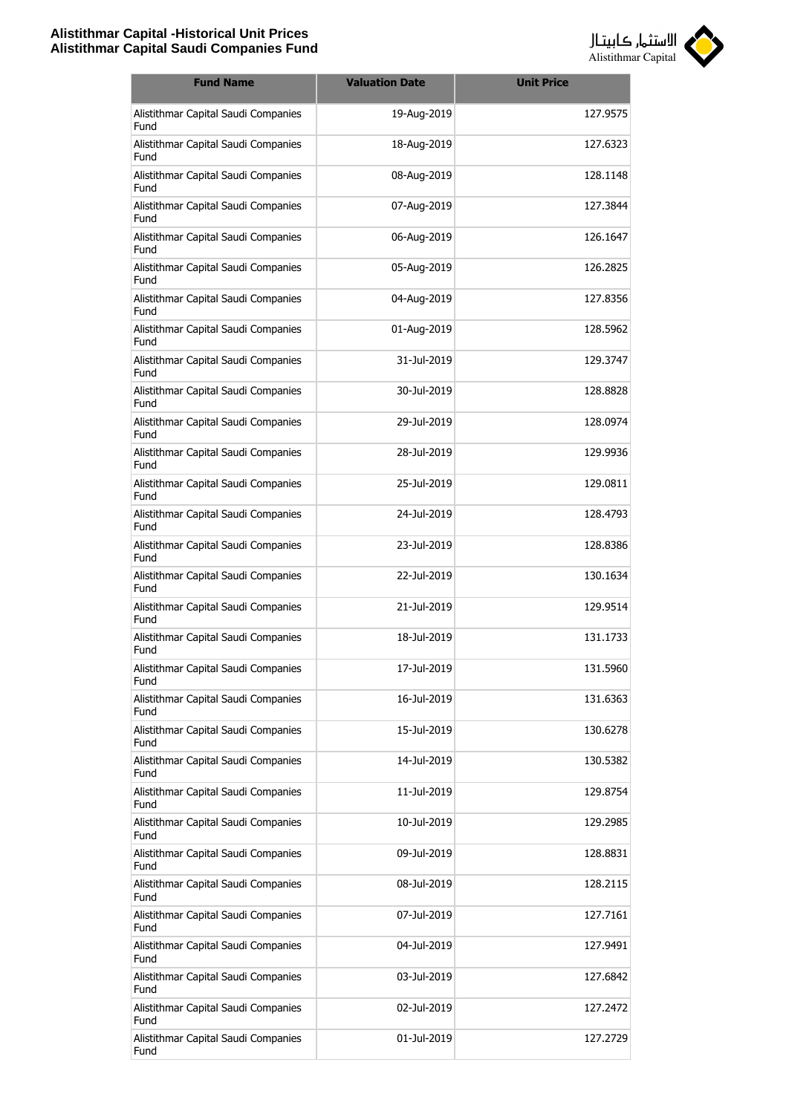

| <b>Fund Name</b>                            | <b>Valuation Date</b> | <b>Unit Price</b> |
|---------------------------------------------|-----------------------|-------------------|
| Alistithmar Capital Saudi Companies<br>Fund | 19-Aug-2019           | 127.9575          |
| Alistithmar Capital Saudi Companies<br>Fund | 18-Aug-2019           | 127.6323          |
| Alistithmar Capital Saudi Companies<br>Fund | 08-Aug-2019           | 128.1148          |
| Alistithmar Capital Saudi Companies<br>Fund | 07-Aug-2019           | 127.3844          |
| Alistithmar Capital Saudi Companies<br>Fund | 06-Aug-2019           | 126.1647          |
| Alistithmar Capital Saudi Companies<br>Fund | 05-Aug-2019           | 126.2825          |
| Alistithmar Capital Saudi Companies<br>Fund | 04-Aug-2019           | 127.8356          |
| Alistithmar Capital Saudi Companies<br>Fund | 01-Aug-2019           | 128.5962          |
| Alistithmar Capital Saudi Companies<br>Fund | 31-Jul-2019           | 129.3747          |
| Alistithmar Capital Saudi Companies<br>Fund | 30-Jul-2019           | 128.8828          |
| Alistithmar Capital Saudi Companies<br>Fund | 29-Jul-2019           | 128,0974          |
| Alistithmar Capital Saudi Companies<br>Fund | 28-Jul-2019           | 129.9936          |
| Alistithmar Capital Saudi Companies<br>Fund | 25-Jul-2019           | 129.0811          |
| Alistithmar Capital Saudi Companies<br>Fund | 24-Jul-2019           | 128.4793          |
| Alistithmar Capital Saudi Companies<br>Fund | 23-Jul-2019           | 128.8386          |
| Alistithmar Capital Saudi Companies<br>Fund | 22-Jul-2019           | 130.1634          |
| Alistithmar Capital Saudi Companies<br>Fund | 21-Jul-2019           | 129.9514          |
| Alistithmar Capital Saudi Companies<br>Fund | 18-Jul-2019           | 131.1733          |
| Alistithmar Capital Saudi Companies<br>Fund | 17-Jul-2019           | 131.5960          |
| Alistithmar Capital Saudi Companies<br>Fund | 16-Jul-2019           | 131.6363          |
| Alistithmar Capital Saudi Companies<br>Fund | 15-Jul-2019           | 130.6278          |
| Alistithmar Capital Saudi Companies<br>Fund | 14-Jul-2019           | 130.5382          |
| Alistithmar Capital Saudi Companies<br>Fund | 11-Jul-2019           | 129.8754          |
| Alistithmar Capital Saudi Companies<br>Fund | 10-Jul-2019           | 129.2985          |
| Alistithmar Capital Saudi Companies<br>Fund | 09-Jul-2019           | 128.8831          |
| Alistithmar Capital Saudi Companies<br>Fund | 08-Jul-2019           | 128.2115          |
| Alistithmar Capital Saudi Companies<br>Fund | 07-Jul-2019           | 127.7161          |
| Alistithmar Capital Saudi Companies<br>Fund | 04-Jul-2019           | 127.9491          |
| Alistithmar Capital Saudi Companies<br>Fund | 03-Jul-2019           | 127.6842          |
| Alistithmar Capital Saudi Companies<br>Fund | 02-Jul-2019           | 127.2472          |
| Alistithmar Capital Saudi Companies<br>Fund | 01-Jul-2019           | 127.2729          |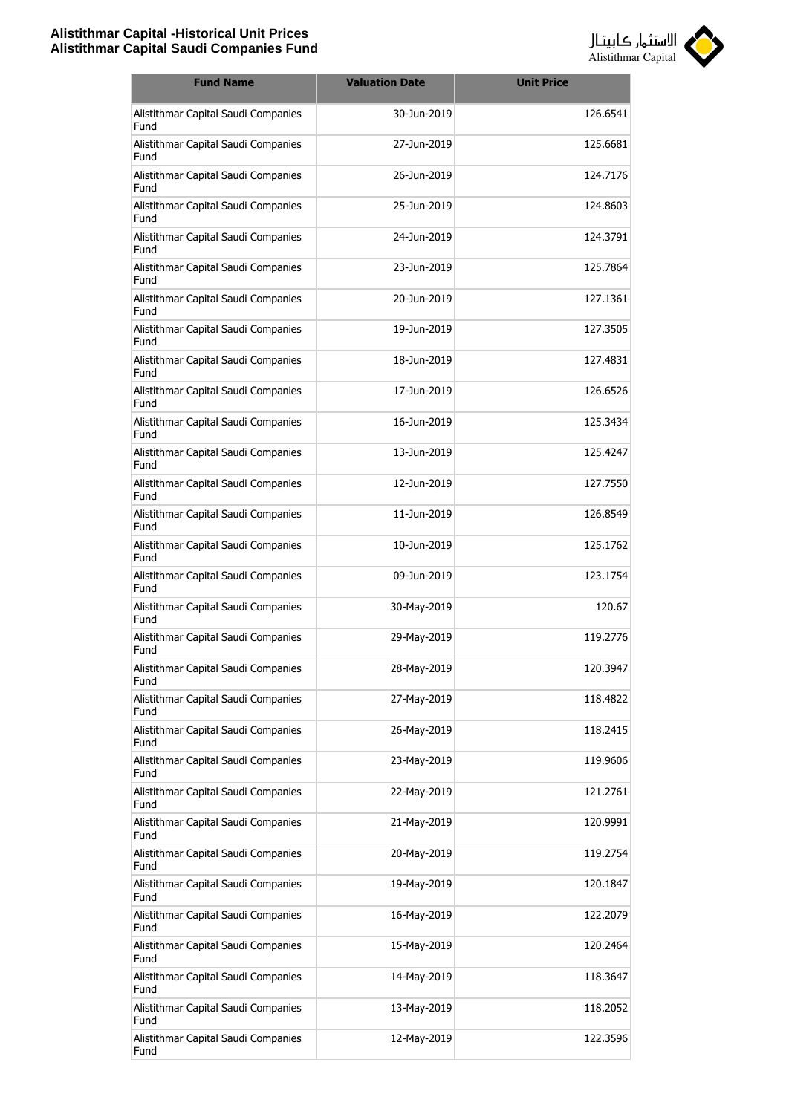

| <b>Fund Name</b>                            | <b>Valuation Date</b> | <b>Unit Price</b> |
|---------------------------------------------|-----------------------|-------------------|
| Alistithmar Capital Saudi Companies<br>Fund | 30-Jun-2019           | 126.6541          |
| Alistithmar Capital Saudi Companies<br>Fund | 27-Jun-2019           | 125.6681          |
| Alistithmar Capital Saudi Companies<br>Fund | 26-Jun-2019           | 124.7176          |
| Alistithmar Capital Saudi Companies<br>Fund | 25-Jun-2019           | 124.8603          |
| Alistithmar Capital Saudi Companies<br>Fund | 24-Jun-2019           | 124.3791          |
| Alistithmar Capital Saudi Companies<br>Fund | 23-Jun-2019           | 125.7864          |
| Alistithmar Capital Saudi Companies<br>Fund | 20-Jun-2019           | 127.1361          |
| Alistithmar Capital Saudi Companies<br>Fund | 19-Jun-2019           | 127.3505          |
| Alistithmar Capital Saudi Companies<br>Fund | 18-Jun-2019           | 127.4831          |
| Alistithmar Capital Saudi Companies<br>Fund | 17-Jun-2019           | 126.6526          |
| Alistithmar Capital Saudi Companies<br>Fund | 16-Jun-2019           | 125.3434          |
| Alistithmar Capital Saudi Companies<br>Fund | 13-Jun-2019           | 125.4247          |
| Alistithmar Capital Saudi Companies<br>Fund | 12-Jun-2019           | 127.7550          |
| Alistithmar Capital Saudi Companies<br>Fund | 11-Jun-2019           | 126.8549          |
| Alistithmar Capital Saudi Companies<br>Fund | 10-Jun-2019           | 125.1762          |
| Alistithmar Capital Saudi Companies<br>Fund | 09-Jun-2019           | 123.1754          |
| Alistithmar Capital Saudi Companies<br>Fund | 30-May-2019           | 120.67            |
| Alistithmar Capital Saudi Companies<br>Fund | 29-May-2019           | 119,2776          |
| Alistithmar Capital Saudi Companies<br>Fund | 28-May-2019           | 120.3947          |
| Alistithmar Capital Saudi Companies<br>Fund | 27-May-2019           | 118.4822          |
| Alistithmar Capital Saudi Companies<br>Fund | 26-May-2019           | 118.2415          |
| Alistithmar Capital Saudi Companies<br>Fund | 23-May-2019           | 119.9606          |
| Alistithmar Capital Saudi Companies<br>Fund | 22-May-2019           | 121.2761          |
| Alistithmar Capital Saudi Companies<br>Fund | 21-May-2019           | 120.9991          |
| Alistithmar Capital Saudi Companies<br>Fund | 20-May-2019           | 119.2754          |
| Alistithmar Capital Saudi Companies<br>Fund | 19-May-2019           | 120.1847          |
| Alistithmar Capital Saudi Companies<br>Fund | 16-May-2019           | 122.2079          |
| Alistithmar Capital Saudi Companies<br>Fund | 15-May-2019           | 120.2464          |
| Alistithmar Capital Saudi Companies<br>Fund | 14-May-2019           | 118.3647          |
| Alistithmar Capital Saudi Companies<br>Fund | 13-May-2019           | 118.2052          |
| Alistithmar Capital Saudi Companies<br>Fund | 12-May-2019           | 122.3596          |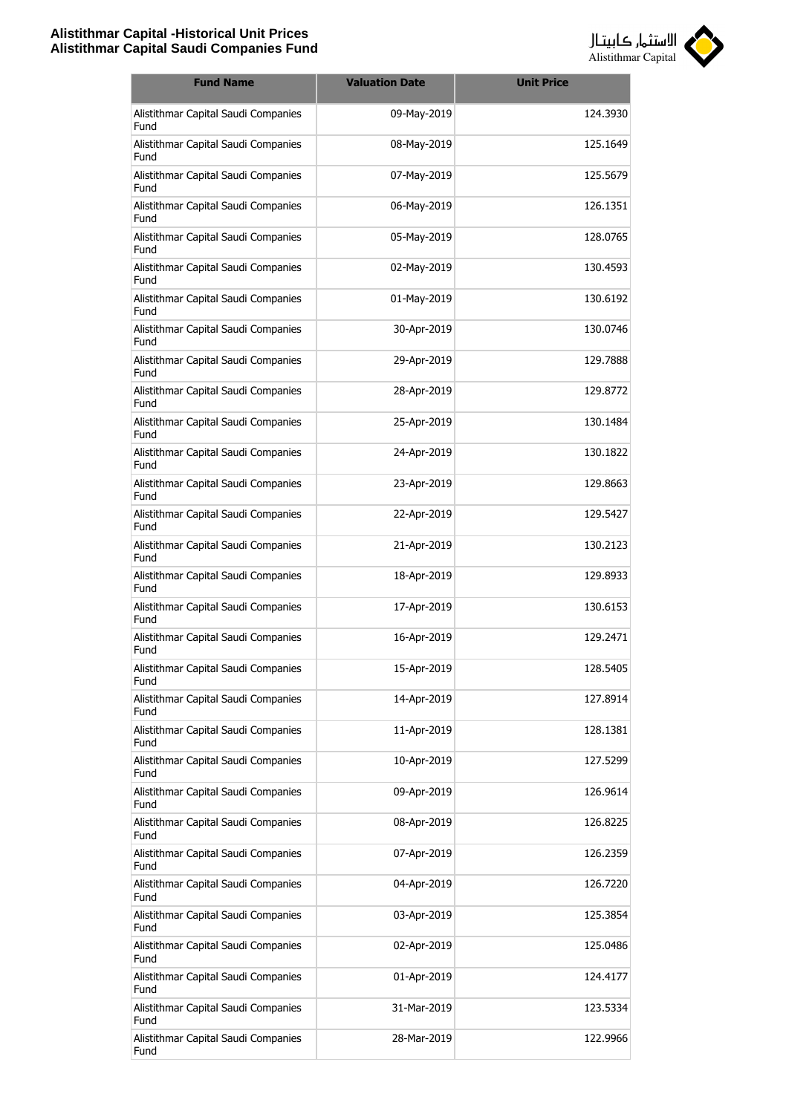

| <b>Fund Name</b>                            | <b>Valuation Date</b> | <b>Unit Price</b> |
|---------------------------------------------|-----------------------|-------------------|
| Alistithmar Capital Saudi Companies<br>Fund | 09-May-2019           | 124.3930          |
| Alistithmar Capital Saudi Companies<br>Fund | 08-May-2019           | 125.1649          |
| Alistithmar Capital Saudi Companies<br>Fund | 07-May-2019           | 125.5679          |
| Alistithmar Capital Saudi Companies<br>Fund | 06-May-2019           | 126.1351          |
| Alistithmar Capital Saudi Companies<br>Fund | 05-May-2019           | 128.0765          |
| Alistithmar Capital Saudi Companies<br>Fund | 02-May-2019           | 130.4593          |
| Alistithmar Capital Saudi Companies<br>Fund | 01-May-2019           | 130.6192          |
| Alistithmar Capital Saudi Companies<br>Fund | 30-Apr-2019           | 130.0746          |
| Alistithmar Capital Saudi Companies<br>Fund | 29-Apr-2019           | 129.7888          |
| Alistithmar Capital Saudi Companies<br>Fund | 28-Apr-2019           | 129.8772          |
| Alistithmar Capital Saudi Companies<br>Fund | 25-Apr-2019           | 130.1484          |
| Alistithmar Capital Saudi Companies<br>Fund | 24-Apr-2019           | 130.1822          |
| Alistithmar Capital Saudi Companies<br>Fund | 23-Apr-2019           | 129.8663          |
| Alistithmar Capital Saudi Companies<br>Fund | 22-Apr-2019           | 129.5427          |
| Alistithmar Capital Saudi Companies<br>Fund | 21-Apr-2019           | 130.2123          |
| Alistithmar Capital Saudi Companies<br>Fund | 18-Apr-2019           | 129.8933          |
| Alistithmar Capital Saudi Companies<br>Fund | 17-Apr-2019           | 130.6153          |
| Alistithmar Capital Saudi Companies<br>Fund | 16-Apr-2019           | 129.2471          |
| Alistithmar Capital Saudi Companies<br>Fund | 15-Apr-2019           | 128.5405          |
| Alistithmar Capital Saudi Companies<br>Fund | 14-Apr-2019           | 127.8914          |
| Alistithmar Capital Saudi Companies<br>Fund | 11-Apr-2019           | 128.1381          |
| Alistithmar Capital Saudi Companies<br>Fund | 10-Apr-2019           | 127.5299          |
| Alistithmar Capital Saudi Companies<br>Fund | 09-Apr-2019           | 126.9614          |
| Alistithmar Capital Saudi Companies<br>Fund | 08-Apr-2019           | 126.8225          |
| Alistithmar Capital Saudi Companies<br>Fund | 07-Apr-2019           | 126.2359          |
| Alistithmar Capital Saudi Companies<br>Fund | 04-Apr-2019           | 126.7220          |
| Alistithmar Capital Saudi Companies<br>Fund | 03-Apr-2019           | 125.3854          |
| Alistithmar Capital Saudi Companies<br>Fund | 02-Apr-2019           | 125.0486          |
| Alistithmar Capital Saudi Companies<br>Fund | 01-Apr-2019           | 124.4177          |
| Alistithmar Capital Saudi Companies<br>Fund | 31-Mar-2019           | 123.5334          |
| Alistithmar Capital Saudi Companies<br>Fund | 28-Mar-2019           | 122.9966          |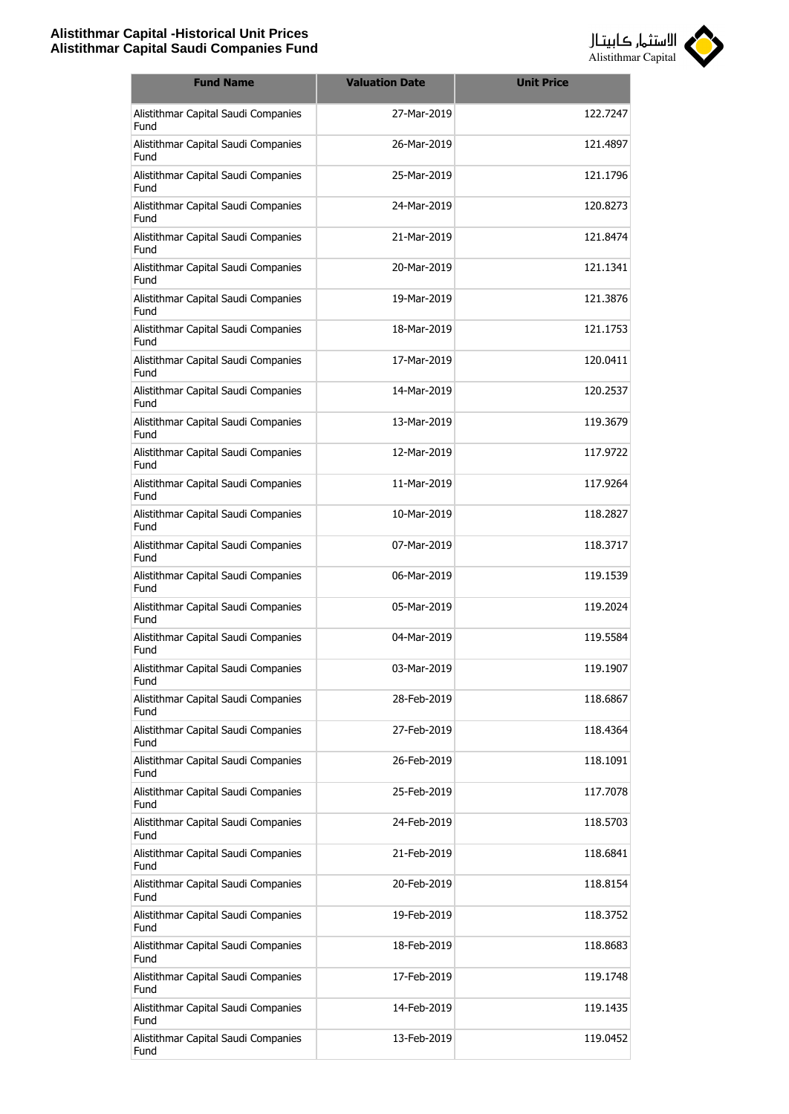

| <b>Fund Name</b>                            | <b>Valuation Date</b> | <b>Unit Price</b> |
|---------------------------------------------|-----------------------|-------------------|
| Alistithmar Capital Saudi Companies<br>Fund | 27-Mar-2019           | 122.7247          |
| Alistithmar Capital Saudi Companies<br>Fund | 26-Mar-2019           | 121.4897          |
| Alistithmar Capital Saudi Companies<br>Fund | 25-Mar-2019           | 121.1796          |
| Alistithmar Capital Saudi Companies<br>Fund | 24-Mar-2019           | 120.8273          |
| Alistithmar Capital Saudi Companies<br>Fund | 21-Mar-2019           | 121.8474          |
| Alistithmar Capital Saudi Companies<br>Fund | 20-Mar-2019           | 121.1341          |
| Alistithmar Capital Saudi Companies<br>Fund | 19-Mar-2019           | 121.3876          |
| Alistithmar Capital Saudi Companies<br>Fund | 18-Mar-2019           | 121.1753          |
| Alistithmar Capital Saudi Companies<br>Fund | 17-Mar-2019           | 120.0411          |
| Alistithmar Capital Saudi Companies<br>Fund | 14-Mar-2019           | 120.2537          |
| Alistithmar Capital Saudi Companies<br>Fund | 13-Mar-2019           | 119.3679          |
| Alistithmar Capital Saudi Companies<br>Fund | 12-Mar-2019           | 117.9722          |
| Alistithmar Capital Saudi Companies<br>Fund | 11-Mar-2019           | 117.9264          |
| Alistithmar Capital Saudi Companies<br>Fund | 10-Mar-2019           | 118.2827          |
| Alistithmar Capital Saudi Companies<br>Fund | 07-Mar-2019           | 118.3717          |
| Alistithmar Capital Saudi Companies<br>Fund | 06-Mar-2019           | 119.1539          |
| Alistithmar Capital Saudi Companies<br>Fund | 05-Mar-2019           | 119.2024          |
| Alistithmar Capital Saudi Companies<br>Fund | 04-Mar-2019           | 119.5584          |
| Alistithmar Capital Saudi Companies<br>Fund | 03-Mar-2019           | 119.1907          |
| Alistithmar Capital Saudi Companies<br>Fund | 28-Feb-2019           | 118.6867          |
| Alistithmar Capital Saudi Companies<br>Fund | 27-Feb-2019           | 118.4364          |
| Alistithmar Capital Saudi Companies<br>Fund | 26-Feb-2019           | 118.1091          |
| Alistithmar Capital Saudi Companies<br>Fund | 25-Feb-2019           | 117.7078          |
| Alistithmar Capital Saudi Companies<br>Fund | 24-Feb-2019           | 118.5703          |
| Alistithmar Capital Saudi Companies<br>Fund | 21-Feb-2019           | 118.6841          |
| Alistithmar Capital Saudi Companies<br>Fund | 20-Feb-2019           | 118.8154          |
| Alistithmar Capital Saudi Companies<br>Fund | 19-Feb-2019           | 118.3752          |
| Alistithmar Capital Saudi Companies<br>Fund | 18-Feb-2019           | 118.8683          |
| Alistithmar Capital Saudi Companies<br>Fund | 17-Feb-2019           | 119.1748          |
| Alistithmar Capital Saudi Companies<br>Fund | 14-Feb-2019           | 119.1435          |
| Alistithmar Capital Saudi Companies<br>Fund | 13-Feb-2019           | 119.0452          |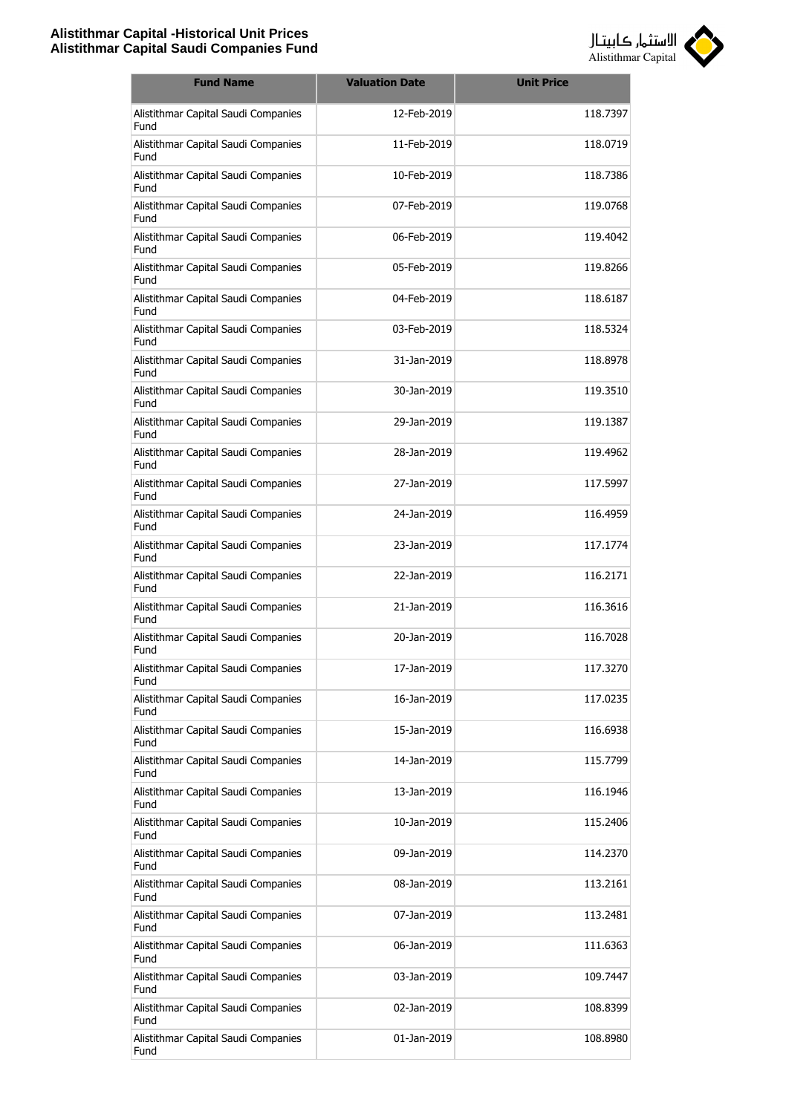

| <b>Fund Name</b>                            | <b>Valuation Date</b> | <b>Unit Price</b> |
|---------------------------------------------|-----------------------|-------------------|
| Alistithmar Capital Saudi Companies<br>Fund | 12-Feb-2019           | 118.7397          |
| Alistithmar Capital Saudi Companies<br>Fund | 11-Feb-2019           | 118.0719          |
| Alistithmar Capital Saudi Companies<br>Fund | 10-Feb-2019           | 118.7386          |
| Alistithmar Capital Saudi Companies<br>Fund | 07-Feb-2019           | 119.0768          |
| Alistithmar Capital Saudi Companies<br>Fund | 06-Feb-2019           | 119.4042          |
| Alistithmar Capital Saudi Companies<br>Fund | 05-Feb-2019           | 119.8266          |
| Alistithmar Capital Saudi Companies<br>Fund | 04-Feb-2019           | 118.6187          |
| Alistithmar Capital Saudi Companies<br>Fund | 03-Feb-2019           | 118.5324          |
| Alistithmar Capital Saudi Companies<br>Fund | 31-Jan-2019           | 118.8978          |
| Alistithmar Capital Saudi Companies<br>Fund | 30-Jan-2019           | 119.3510          |
| Alistithmar Capital Saudi Companies<br>Fund | 29-1an-2019           | 119.1387          |
| Alistithmar Capital Saudi Companies<br>Fund | 28-Jan-2019           | 119.4962          |
| Alistithmar Capital Saudi Companies<br>Fund | 27-Jan-2019           | 117.5997          |
| Alistithmar Capital Saudi Companies<br>Fund | 24-Jan-2019           | 116.4959          |
| Alistithmar Capital Saudi Companies<br>Fund | 23-Jan-2019           | 117.1774          |
| Alistithmar Capital Saudi Companies<br>Fund | 22-Jan-2019           | 116.2171          |
| Alistithmar Capital Saudi Companies<br>Fund | 21-Jan-2019           | 116.3616          |
| Alistithmar Capital Saudi Companies<br>Fund | 20-Jan-2019           | 116.7028          |
| Alistithmar Capital Saudi Companies<br>Fund | 17-Jan-2019           | 117.3270          |
| Alistithmar Capital Saudi Companies<br>Fund | 16-Jan-2019           | 117.0235          |
| Alistithmar Capital Saudi Companies<br>Fund | 15-Jan-2019           | 116.6938          |
| Alistithmar Capital Saudi Companies<br>Fund | 14-Jan-2019           | 115.7799          |
| Alistithmar Capital Saudi Companies<br>Fund | 13-Jan-2019           | 116.1946          |
| Alistithmar Capital Saudi Companies<br>Fund | 10-Jan-2019           | 115.2406          |
| Alistithmar Capital Saudi Companies<br>Fund | 09-Jan-2019           | 114.2370          |
| Alistithmar Capital Saudi Companies<br>Fund | 08-Jan-2019           | 113.2161          |
| Alistithmar Capital Saudi Companies<br>Fund | 07-Jan-2019           | 113.2481          |
| Alistithmar Capital Saudi Companies<br>Fund | 06-Jan-2019           | 111.6363          |
| Alistithmar Capital Saudi Companies<br>Fund | 03-Jan-2019           | 109.7447          |
| Alistithmar Capital Saudi Companies<br>Fund | 02-Jan-2019           | 108.8399          |
| Alistithmar Capital Saudi Companies<br>Fund | 01-Jan-2019           | 108.8980          |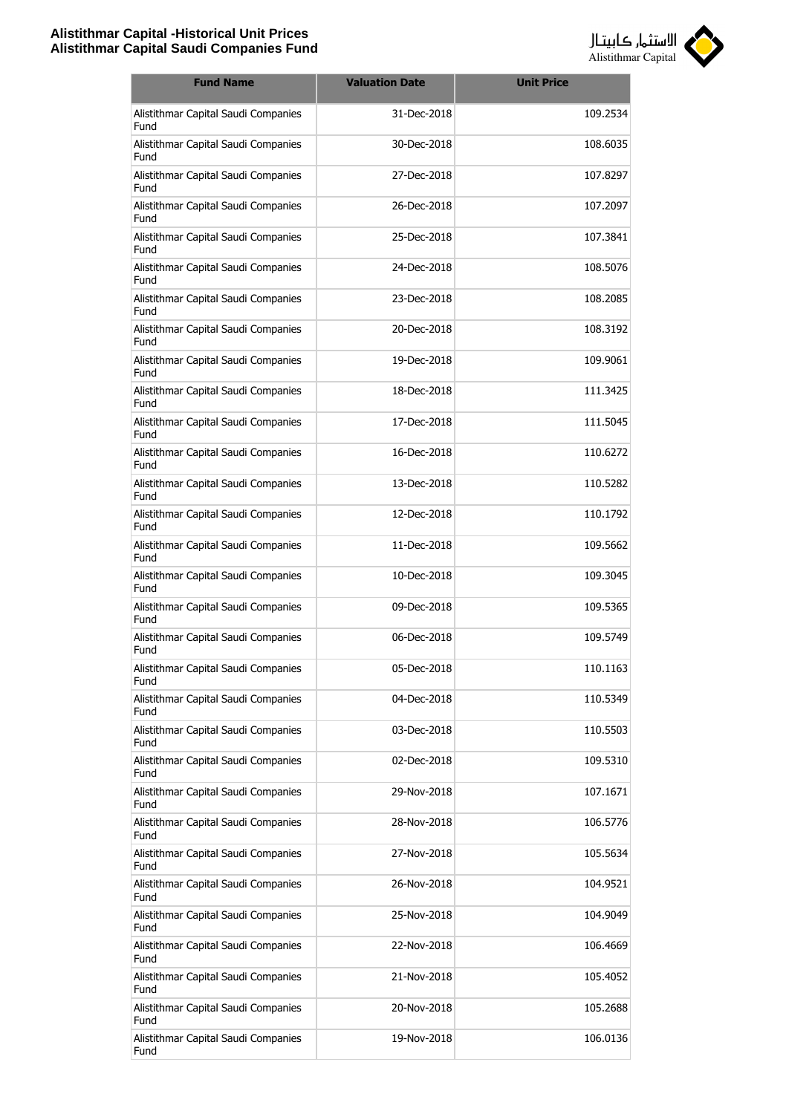

| <b>Fund Name</b>                            | <b>Valuation Date</b> | <b>Unit Price</b> |
|---------------------------------------------|-----------------------|-------------------|
| Alistithmar Capital Saudi Companies<br>Fund | 31-Dec-2018           | 109.2534          |
| Alistithmar Capital Saudi Companies<br>Fund | 30-Dec-2018           | 108.6035          |
| Alistithmar Capital Saudi Companies<br>Fund | 27-Dec-2018           | 107.8297          |
| Alistithmar Capital Saudi Companies<br>Fund | 26-Dec-2018           | 107.2097          |
| Alistithmar Capital Saudi Companies<br>Fund | 25-Dec-2018           | 107.3841          |
| Alistithmar Capital Saudi Companies<br>Fund | 24-Dec-2018           | 108.5076          |
| Alistithmar Capital Saudi Companies<br>Fund | 23-Dec-2018           | 108.2085          |
| Alistithmar Capital Saudi Companies<br>Fund | 20-Dec-2018           | 108.3192          |
| Alistithmar Capital Saudi Companies<br>Fund | 19-Dec-2018           | 109.9061          |
| Alistithmar Capital Saudi Companies<br>Fund | 18-Dec-2018           | 111.3425          |
| Alistithmar Capital Saudi Companies<br>Fund | 17-Dec-2018           | 111.5045          |
| Alistithmar Capital Saudi Companies<br>Fund | 16-Dec-2018           | 110.6272          |
| Alistithmar Capital Saudi Companies<br>Fund | 13-Dec-2018           | 110.5282          |
| Alistithmar Capital Saudi Companies<br>Fund | 12-Dec-2018           | 110.1792          |
| Alistithmar Capital Saudi Companies<br>Fund | 11-Dec-2018           | 109.5662          |
| Alistithmar Capital Saudi Companies<br>Fund | 10-Dec-2018           | 109.3045          |
| Alistithmar Capital Saudi Companies<br>Fund | 09-Dec-2018           | 109.5365          |
| Alistithmar Capital Saudi Companies<br>Fund | 06-Dec-2018           | 109.5749          |
| Alistithmar Capital Saudi Companies<br>Fund | 05-Dec-2018           | 110.1163          |
| Alistithmar Capital Saudi Companies<br>Fund | 04-Dec-2018           | 110.5349          |
| Alistithmar Capital Saudi Companies<br>Fund | 03-Dec-2018           | 110.5503          |
| Alistithmar Capital Saudi Companies<br>Fund | 02-Dec-2018           | 109.5310          |
| Alistithmar Capital Saudi Companies<br>Fund | 29-Nov-2018           | 107.1671          |
| Alistithmar Capital Saudi Companies<br>Fund | 28-Nov-2018           | 106.5776          |
| Alistithmar Capital Saudi Companies<br>Fund | 27-Nov-2018           | 105.5634          |
| Alistithmar Capital Saudi Companies<br>Fund | 26-Nov-2018           | 104.9521          |
| Alistithmar Capital Saudi Companies<br>Fund | 25-Nov-2018           | 104.9049          |
| Alistithmar Capital Saudi Companies<br>Fund | 22-Nov-2018           | 106.4669          |
| Alistithmar Capital Saudi Companies<br>Fund | 21-Nov-2018           | 105.4052          |
| Alistithmar Capital Saudi Companies<br>Fund | 20-Nov-2018           | 105.2688          |
| Alistithmar Capital Saudi Companies<br>Fund | 19-Nov-2018           | 106.0136          |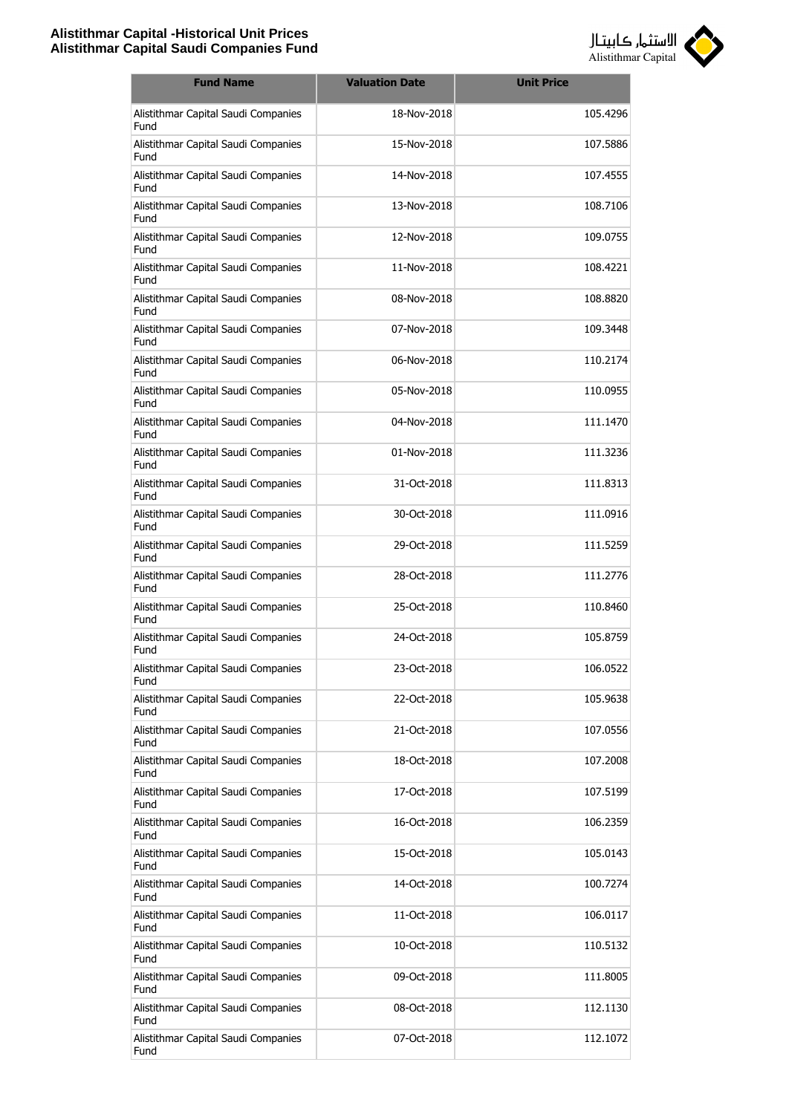

| <b>Fund Name</b>                            | <b>Valuation Date</b> | <b>Unit Price</b> |
|---------------------------------------------|-----------------------|-------------------|
| Alistithmar Capital Saudi Companies<br>Fund | 18-Nov-2018           | 105.4296          |
| Alistithmar Capital Saudi Companies<br>Fund | 15-Nov-2018           | 107.5886          |
| Alistithmar Capital Saudi Companies<br>Fund | 14-Nov-2018           | 107.4555          |
| Alistithmar Capital Saudi Companies<br>Fund | 13-Nov-2018           | 108.7106          |
| Alistithmar Capital Saudi Companies<br>Fund | 12-Nov-2018           | 109.0755          |
| Alistithmar Capital Saudi Companies<br>Fund | 11-Nov-2018           | 108.4221          |
| Alistithmar Capital Saudi Companies<br>Fund | 08-Nov-2018           | 108.8820          |
| Alistithmar Capital Saudi Companies<br>Fund | 07-Nov-2018           | 109.3448          |
| Alistithmar Capital Saudi Companies<br>Fund | 06-Nov-2018           | 110.2174          |
| Alistithmar Capital Saudi Companies<br>Fund | 05-Nov-2018           | 110.0955          |
| Alistithmar Capital Saudi Companies<br>Fund | 04-Nov-2018           | 111.1470          |
| Alistithmar Capital Saudi Companies<br>Fund | 01-Nov-2018           | 111.3236          |
| Alistithmar Capital Saudi Companies<br>Fund | 31-Oct-2018           | 111.8313          |
| Alistithmar Capital Saudi Companies<br>Fund | 30-Oct-2018           | 111.0916          |
| Alistithmar Capital Saudi Companies<br>Fund | 29-Oct-2018           | 111.5259          |
| Alistithmar Capital Saudi Companies<br>Fund | 28-Oct-2018           | 111.2776          |
| Alistithmar Capital Saudi Companies<br>Fund | 25-Oct-2018           | 110.8460          |
| Alistithmar Capital Saudi Companies<br>Fund | 24-Oct-2018           | 105.8759          |
| Alistithmar Capital Saudi Companies<br>Fund | 23-Oct-2018           | 106.0522          |
| Alistithmar Capital Saudi Companies<br>Fund | 22-Oct-2018           | 105.9638          |
| Alistithmar Capital Saudi Companies<br>Fund | 21-Oct-2018           | 107.0556          |
| Alistithmar Capital Saudi Companies<br>Fund | 18-Oct-2018           | 107.2008          |
| Alistithmar Capital Saudi Companies<br>Fund | 17-Oct-2018           | 107.5199          |
| Alistithmar Capital Saudi Companies<br>Fund | 16-Oct-2018           | 106.2359          |
| Alistithmar Capital Saudi Companies<br>Fund | 15-Oct-2018           | 105.0143          |
| Alistithmar Capital Saudi Companies<br>Fund | 14-Oct-2018           | 100.7274          |
| Alistithmar Capital Saudi Companies<br>Fund | 11-Oct-2018           | 106.0117          |
| Alistithmar Capital Saudi Companies<br>Fund | 10-Oct-2018           | 110.5132          |
| Alistithmar Capital Saudi Companies<br>Fund | 09-Oct-2018           | 111.8005          |
| Alistithmar Capital Saudi Companies<br>Fund | 08-Oct-2018           | 112.1130          |
| Alistithmar Capital Saudi Companies<br>Fund | 07-Oct-2018           | 112.1072          |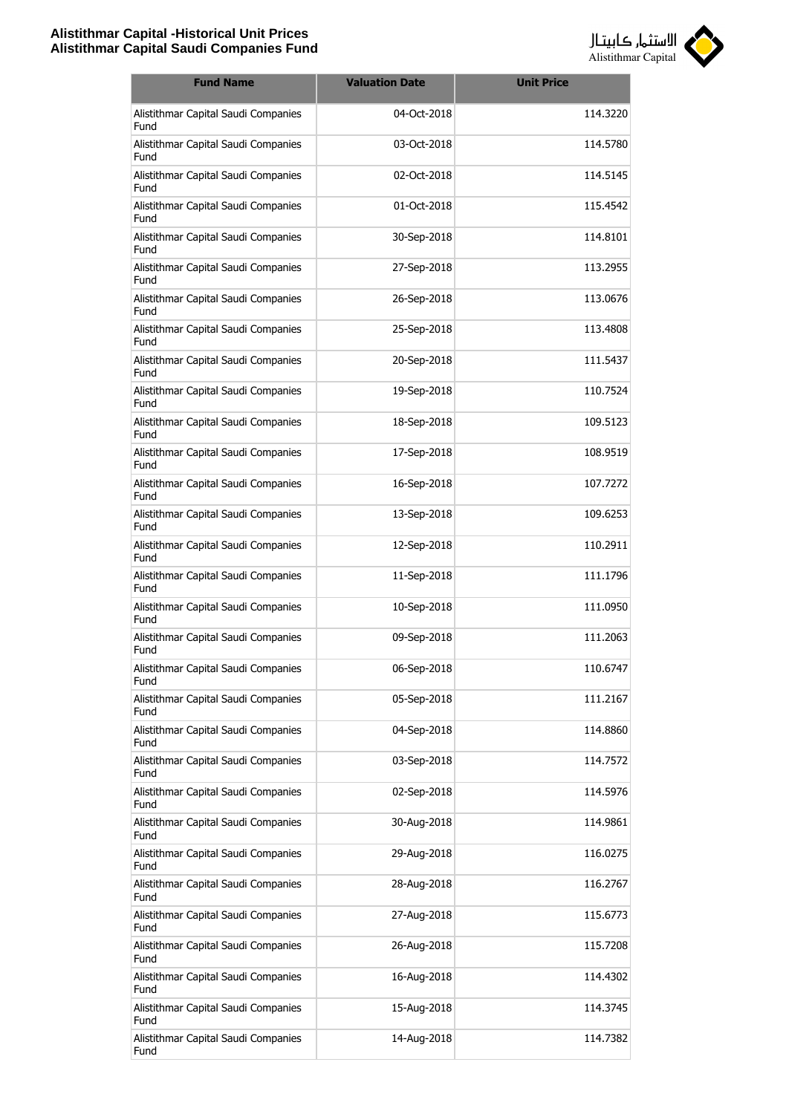

| <b>Fund Name</b>                            | <b>Valuation Date</b> | <b>Unit Price</b> |
|---------------------------------------------|-----------------------|-------------------|
| Alistithmar Capital Saudi Companies<br>Fund | 04-Oct-2018           | 114.3220          |
| Alistithmar Capital Saudi Companies<br>Fund | 03-Oct-2018           | 114.5780          |
| Alistithmar Capital Saudi Companies<br>Fund | 02-Oct-2018           | 114.5145          |
| Alistithmar Capital Saudi Companies<br>Fund | 01-Oct-2018           | 115.4542          |
| Alistithmar Capital Saudi Companies<br>Fund | 30-Sep-2018           | 114.8101          |
| Alistithmar Capital Saudi Companies<br>Fund | 27-Sep-2018           | 113.2955          |
| Alistithmar Capital Saudi Companies<br>Fund | 26-Sep-2018           | 113.0676          |
| Alistithmar Capital Saudi Companies<br>Fund | 25-Sep-2018           | 113,4808          |
| Alistithmar Capital Saudi Companies<br>Fund | 20-Sep-2018           | 111.5437          |
| Alistithmar Capital Saudi Companies<br>Fund | 19-Sep-2018           | 110.7524          |
| Alistithmar Capital Saudi Companies<br>Fund | 18-Sep-2018           | 109.5123          |
| Alistithmar Capital Saudi Companies<br>Fund | 17-Sep-2018           | 108.9519          |
| Alistithmar Capital Saudi Companies<br>Fund | 16-Sep-2018           | 107.7272          |
| Alistithmar Capital Saudi Companies<br>Fund | 13-Sep-2018           | 109.6253          |
| Alistithmar Capital Saudi Companies<br>Fund | 12-Sep-2018           | 110.2911          |
| Alistithmar Capital Saudi Companies<br>Fund | 11-Sep-2018           | 111.1796          |
| Alistithmar Capital Saudi Companies<br>Fund | 10-Sep-2018           | 111.0950          |
| Alistithmar Capital Saudi Companies<br>Fund | 09-Sep-2018           | 111.2063          |
| Alistithmar Capital Saudi Companies<br>Fund | 06-Sep-2018           | 110.6747          |
| Alistithmar Capital Saudi Companies<br>Fund | 05-Sep-2018           | 111.2167          |
| Alistithmar Capital Saudi Companies<br>Fund | 04-Sep-2018           | 114.8860          |
| Alistithmar Capital Saudi Companies<br>Fund | 03-Sep-2018           | 114.7572          |
| Alistithmar Capital Saudi Companies<br>Fund | 02-Sep-2018           | 114.5976          |
| Alistithmar Capital Saudi Companies<br>Fund | 30-Aug-2018           | 114.9861          |
| Alistithmar Capital Saudi Companies<br>Fund | 29-Aug-2018           | 116.0275          |
| Alistithmar Capital Saudi Companies<br>Fund | 28-Aug-2018           | 116.2767          |
| Alistithmar Capital Saudi Companies<br>Fund | 27-Aug-2018           | 115.6773          |
| Alistithmar Capital Saudi Companies<br>Fund | 26-Aug-2018           | 115.7208          |
| Alistithmar Capital Saudi Companies<br>Fund | 16-Aug-2018           | 114.4302          |
| Alistithmar Capital Saudi Companies<br>Fund | 15-Aug-2018           | 114.3745          |
| Alistithmar Capital Saudi Companies<br>Fund | 14-Aug-2018           | 114.7382          |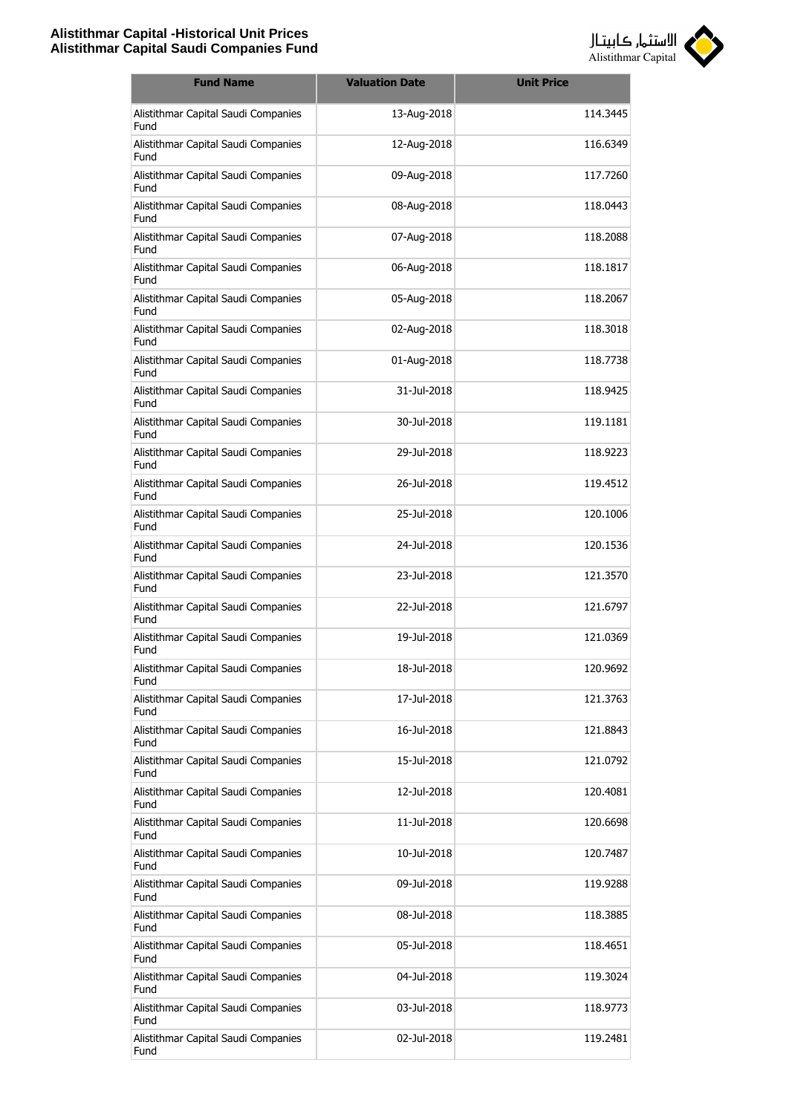

| <b>Fund Name</b>                            | <b>Valuation Date</b> | <b>Unit Price</b> |
|---------------------------------------------|-----------------------|-------------------|
| Alistithmar Capital Saudi Companies<br>Fund | 13-Aug-2018           | 114.3445          |
| Alistithmar Capital Saudi Companies<br>Fund | 12-Aug-2018           | 116.6349          |
| Alistithmar Capital Saudi Companies<br>Fund | 09-Aug-2018           | 117.7260          |
| Alistithmar Capital Saudi Companies<br>Fund | 08-Aug-2018           | 118.0443          |
| Alistithmar Capital Saudi Companies<br>Fund | 07-Aug-2018           | 118.2088          |
| Alistithmar Capital Saudi Companies<br>Fund | 06-Aug-2018           | 118.1817          |
| Alistithmar Capital Saudi Companies<br>Fund | 05-Aug-2018           | 118.2067          |
| Alistithmar Capital Saudi Companies<br>Fund | 02-Aug-2018           | 118.3018          |
| Alistithmar Capital Saudi Companies<br>Fund | 01-Aug-2018           | 118.7738          |
| Alistithmar Capital Saudi Companies<br>Fund | 31-Jul-2018           | 118.9425          |
| Alistithmar Capital Saudi Companies<br>Fund | 30-Jul-2018           | 119.1181          |
| Alistithmar Capital Saudi Companies<br>Fund | 29-Jul-2018           | 118,9223          |
| Alistithmar Capital Saudi Companies<br>Fund | 26-Jul-2018           | 119.4512          |
| Alistithmar Capital Saudi Companies<br>Fund | 25-Jul-2018           | 120.1006          |
| Alistithmar Capital Saudi Companies<br>Fund | 24-Jul-2018           | 120.1536          |
| Alistithmar Capital Saudi Companies<br>Fund | 23-Jul-2018           | 121.3570          |
| Alistithmar Capital Saudi Companies<br>Fund | 22-Jul-2018           | 121.6797          |
| Alistithmar Capital Saudi Companies<br>Fund | 19-Jul-2018           | 121.0369          |
| Alistithmar Capital Saudi Companies<br>Fund | 18-Jul-2018           | 120.9692          |
| Alistithmar Capital Saudi Companies<br>Fund | 17-Jul-2018           | 121.3763          |
| Alistithmar Capital Saudi Companies<br>Fund | 16-Jul-2018           | 121.8843          |
| Alistithmar Capital Saudi Companies<br>Fund | 15-Jul-2018           | 121.0792          |
| Alistithmar Capital Saudi Companies<br>Fund | 12-Jul-2018           | 120.4081          |
| Alistithmar Capital Saudi Companies<br>Fund | 11-Jul-2018           | 120.6698          |
| Alistithmar Capital Saudi Companies<br>Fund | 10-Jul-2018           | 120.7487          |
| Alistithmar Capital Saudi Companies<br>Fund | 09-Jul-2018           | 119.9288          |
| Alistithmar Capital Saudi Companies<br>Fund | 08-Jul-2018           | 118.3885          |
| Alistithmar Capital Saudi Companies<br>Fund | 05-Jul-2018           | 118.4651          |
| Alistithmar Capital Saudi Companies<br>Fund | 04-Jul-2018           | 119.3024          |
| Alistithmar Capital Saudi Companies<br>Fund | 03-Jul-2018           | 118.9773          |
| Alistithmar Capital Saudi Companies<br>Fund | 02-Jul-2018           | 119.2481          |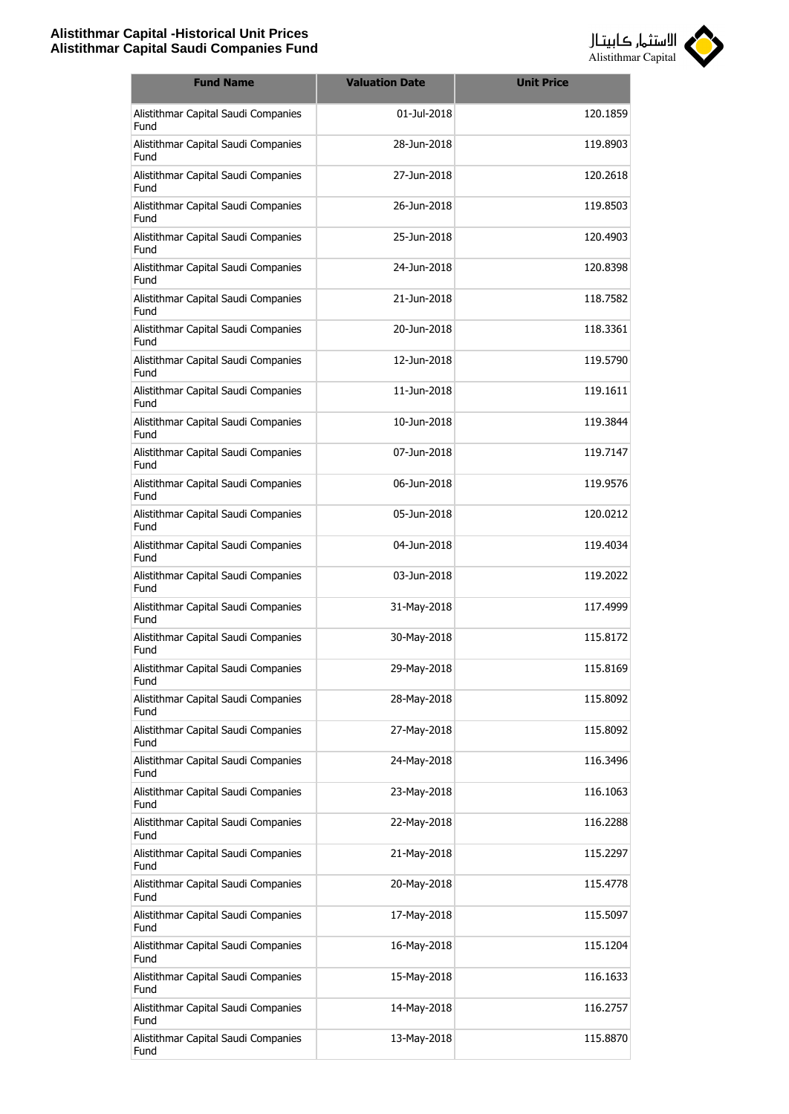

| <b>Fund Name</b>                            | <b>Valuation Date</b> | <b>Unit Price</b> |
|---------------------------------------------|-----------------------|-------------------|
| Alistithmar Capital Saudi Companies<br>Fund | 01-Jul-2018           | 120.1859          |
| Alistithmar Capital Saudi Companies<br>Fund | 28-Jun-2018           | 119.8903          |
| Alistithmar Capital Saudi Companies<br>Fund | 27-Jun-2018           | 120.2618          |
| Alistithmar Capital Saudi Companies<br>Fund | 26-Jun-2018           | 119.8503          |
| Alistithmar Capital Saudi Companies<br>Fund | 25-Jun-2018           | 120.4903          |
| Alistithmar Capital Saudi Companies<br>Fund | 24-Jun-2018           | 120.8398          |
| Alistithmar Capital Saudi Companies<br>Fund | 21-Jun-2018           | 118.7582          |
| Alistithmar Capital Saudi Companies<br>Fund | 20-Jun-2018           | 118.3361          |
| Alistithmar Capital Saudi Companies<br>Fund | 12-Jun-2018           | 119.5790          |
| Alistithmar Capital Saudi Companies<br>Fund | 11-Jun-2018           | 119.1611          |
| Alistithmar Capital Saudi Companies<br>Fund | 10-Jun-2018           | 119.3844          |
| Alistithmar Capital Saudi Companies<br>Fund | 07-Jun-2018           | 119.7147          |
| Alistithmar Capital Saudi Companies<br>Fund | 06-Jun-2018           | 119.9576          |
| Alistithmar Capital Saudi Companies<br>Fund | 05-Jun-2018           | 120.0212          |
| Alistithmar Capital Saudi Companies<br>Fund | 04-Jun-2018           | 119.4034          |
| Alistithmar Capital Saudi Companies<br>Fund | 03-Jun-2018           | 119.2022          |
| Alistithmar Capital Saudi Companies<br>Fund | 31-May-2018           | 117.4999          |
| Alistithmar Capital Saudi Companies<br>Fund | 30-May-2018           | 115.8172          |
| Alistithmar Capital Saudi Companies<br>Fund | 29-May-2018           | 115.8169          |
| Alistithmar Capital Saudi Companies<br>Fund | 28-May-2018           | 115.8092          |
| Alistithmar Capital Saudi Companies<br>Fund | 27-May-2018           | 115.8092          |
| Alistithmar Capital Saudi Companies<br>Fund | 24-May-2018           | 116.3496          |
| Alistithmar Capital Saudi Companies<br>Fund | 23-May-2018           | 116.1063          |
| Alistithmar Capital Saudi Companies<br>Fund | 22-May-2018           | 116.2288          |
| Alistithmar Capital Saudi Companies<br>Fund | 21-May-2018           | 115.2297          |
| Alistithmar Capital Saudi Companies<br>Fund | 20-May-2018           | 115.4778          |
| Alistithmar Capital Saudi Companies<br>Fund | 17-May-2018           | 115.5097          |
| Alistithmar Capital Saudi Companies<br>Fund | 16-May-2018           | 115.1204          |
| Alistithmar Capital Saudi Companies<br>Fund | 15-May-2018           | 116.1633          |
| Alistithmar Capital Saudi Companies<br>Fund | 14-May-2018           | 116.2757          |
| Alistithmar Capital Saudi Companies<br>Fund | 13-May-2018           | 115.8870          |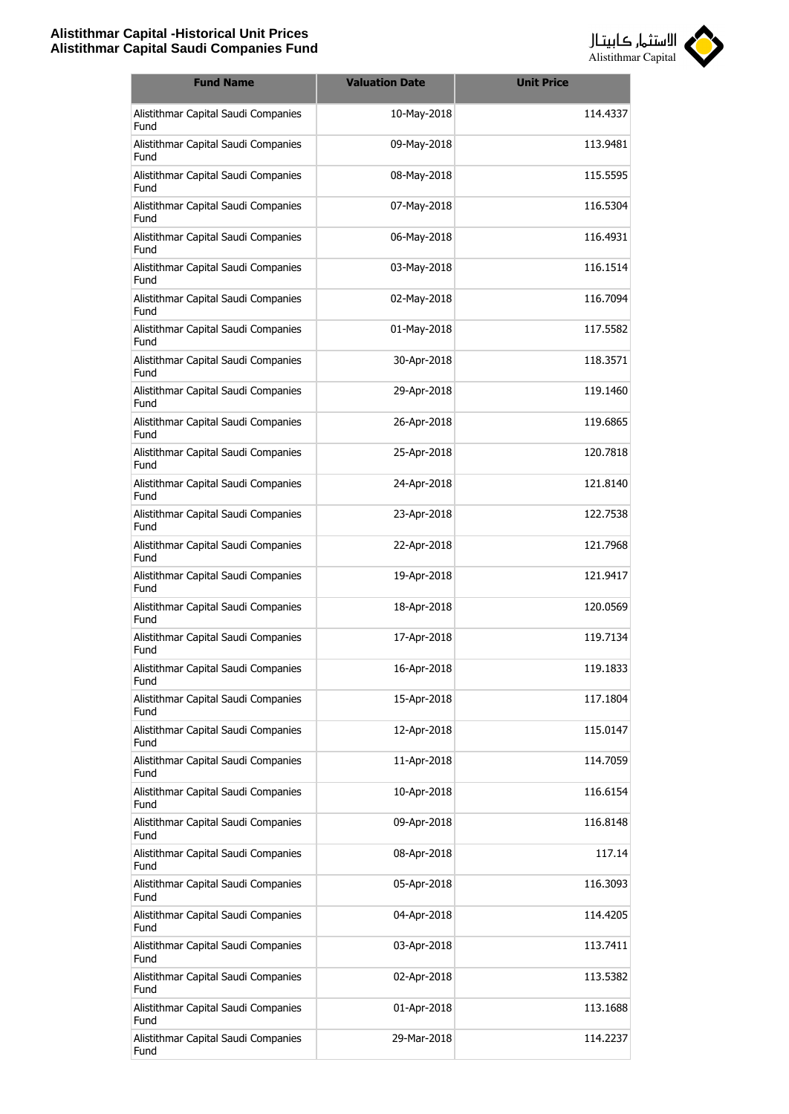

| <b>Fund Name</b>                            | <b>Valuation Date</b> | <b>Unit Price</b> |
|---------------------------------------------|-----------------------|-------------------|
| Alistithmar Capital Saudi Companies<br>Fund | 10-May-2018           | 114.4337          |
| Alistithmar Capital Saudi Companies<br>Fund | 09-May-2018           | 113.9481          |
| Alistithmar Capital Saudi Companies<br>Fund | 08-May-2018           | 115.5595          |
| Alistithmar Capital Saudi Companies<br>Fund | 07-May-2018           | 116.5304          |
| Alistithmar Capital Saudi Companies<br>Fund | 06-May-2018           | 116.4931          |
| Alistithmar Capital Saudi Companies<br>Fund | 03-May-2018           | 116.1514          |
| Alistithmar Capital Saudi Companies<br>Fund | 02-May-2018           | 116.7094          |
| Alistithmar Capital Saudi Companies<br>Fund | 01-May-2018           | 117.5582          |
| Alistithmar Capital Saudi Companies<br>Fund | 30-Apr-2018           | 118.3571          |
| Alistithmar Capital Saudi Companies<br>Fund | 29-Apr-2018           | 119.1460          |
| Alistithmar Capital Saudi Companies<br>Fund | 26-Apr-2018           | 119.6865          |
| Alistithmar Capital Saudi Companies<br>Fund | 25-Apr-2018           | 120.7818          |
| Alistithmar Capital Saudi Companies<br>Fund | 24-Apr-2018           | 121.8140          |
| Alistithmar Capital Saudi Companies<br>Fund | 23-Apr-2018           | 122.7538          |
| Alistithmar Capital Saudi Companies<br>Fund | 22-Apr-2018           | 121.7968          |
| Alistithmar Capital Saudi Companies<br>Fund | 19-Apr-2018           | 121.9417          |
| Alistithmar Capital Saudi Companies<br>Fund | 18-Apr-2018           | 120.0569          |
| Alistithmar Capital Saudi Companies<br>Fund | 17-Apr-2018           | 119.7134          |
| Alistithmar Capital Saudi Companies<br>Fund | 16-Apr-2018           | 119.1833          |
| Alistithmar Capital Saudi Companies<br>Fund | 15-Apr-2018           | 117.1804          |
| Alistithmar Capital Saudi Companies<br>Fund | 12-Apr-2018           | 115.0147          |
| Alistithmar Capital Saudi Companies<br>Fund | 11-Apr-2018           | 114.7059          |
| Alistithmar Capital Saudi Companies<br>Fund | 10-Apr-2018           | 116.6154          |
| Alistithmar Capital Saudi Companies<br>Fund | 09-Apr-2018           | 116.8148          |
| Alistithmar Capital Saudi Companies<br>Fund | 08-Apr-2018           | 117.14            |
| Alistithmar Capital Saudi Companies<br>Fund | 05-Apr-2018           | 116.3093          |
| Alistithmar Capital Saudi Companies<br>Fund | 04-Apr-2018           | 114.4205          |
| Alistithmar Capital Saudi Companies<br>Fund | 03-Apr-2018           | 113.7411          |
| Alistithmar Capital Saudi Companies<br>Fund | 02-Apr-2018           | 113.5382          |
| Alistithmar Capital Saudi Companies<br>Fund | 01-Apr-2018           | 113.1688          |
| Alistithmar Capital Saudi Companies<br>Fund | 29-Mar-2018           | 114.2237          |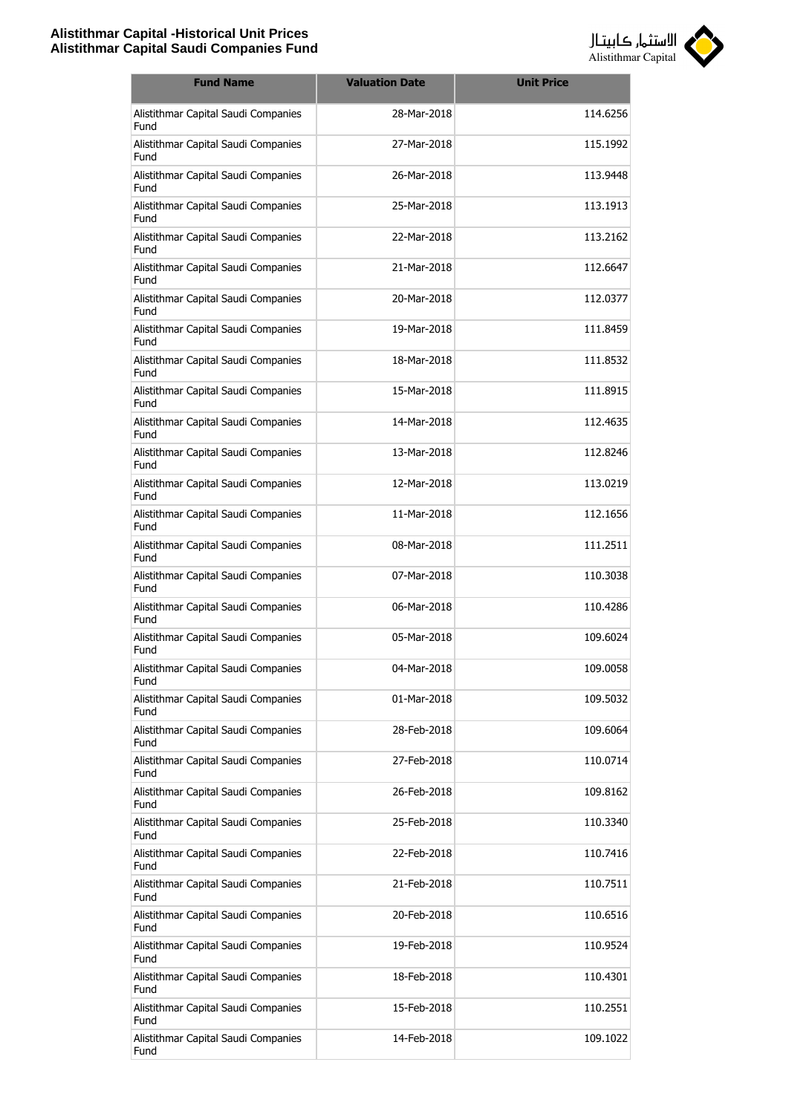

| <b>Fund Name</b>                            | <b>Valuation Date</b> | <b>Unit Price</b> |
|---------------------------------------------|-----------------------|-------------------|
| Alistithmar Capital Saudi Companies<br>Fund | 28-Mar-2018           | 114.6256          |
| Alistithmar Capital Saudi Companies<br>Fund | 27-Mar-2018           | 115.1992          |
| Alistithmar Capital Saudi Companies<br>Fund | 26-Mar-2018           | 113.9448          |
| Alistithmar Capital Saudi Companies<br>Fund | 25-Mar-2018           | 113.1913          |
| Alistithmar Capital Saudi Companies<br>Fund | 22-Mar-2018           | 113.2162          |
| Alistithmar Capital Saudi Companies<br>Fund | 21-Mar-2018           | 112.6647          |
| Alistithmar Capital Saudi Companies<br>Fund | 20-Mar-2018           | 112.0377          |
| Alistithmar Capital Saudi Companies<br>Fund | 19-Mar-2018           | 111.8459          |
| Alistithmar Capital Saudi Companies<br>Fund | 18-Mar-2018           | 111.8532          |
| Alistithmar Capital Saudi Companies<br>Fund | 15-Mar-2018           | 111.8915          |
| Alistithmar Capital Saudi Companies<br>Fund | 14-Mar-2018           | 112.4635          |
| Alistithmar Capital Saudi Companies<br>Fund | 13-Mar-2018           | 112.8246          |
| Alistithmar Capital Saudi Companies<br>Fund | 12-Mar-2018           | 113.0219          |
| Alistithmar Capital Saudi Companies<br>Fund | 11-Mar-2018           | 112.1656          |
| Alistithmar Capital Saudi Companies<br>Fund | 08-Mar-2018           | 111.2511          |
| Alistithmar Capital Saudi Companies<br>Fund | 07-Mar-2018           | 110.3038          |
| Alistithmar Capital Saudi Companies<br>Fund | 06-Mar-2018           | 110.4286          |
| Alistithmar Capital Saudi Companies<br>Fund | 05-Mar-2018           | 109.6024          |
| Alistithmar Capital Saudi Companies<br>Fund | 04-Mar-2018           | 109.0058          |
| Alistithmar Capital Saudi Companies<br>Fund | 01-Mar-2018           | 109.5032          |
| Alistithmar Capital Saudi Companies<br>Fund | 28-Feb-2018           | 109.6064          |
| Alistithmar Capital Saudi Companies<br>Fund | 27-Feb-2018           | 110.0714          |
| Alistithmar Capital Saudi Companies<br>Fund | 26-Feb-2018           | 109.8162          |
| Alistithmar Capital Saudi Companies<br>Fund | 25-Feb-2018           | 110.3340          |
| Alistithmar Capital Saudi Companies<br>Fund | 22-Feb-2018           | 110.7416          |
| Alistithmar Capital Saudi Companies<br>Fund | 21-Feb-2018           | 110.7511          |
| Alistithmar Capital Saudi Companies<br>Fund | 20-Feb-2018           | 110.6516          |
| Alistithmar Capital Saudi Companies<br>Fund | 19-Feb-2018           | 110.9524          |
| Alistithmar Capital Saudi Companies<br>Fund | 18-Feb-2018           | 110.4301          |
| Alistithmar Capital Saudi Companies<br>Fund | 15-Feb-2018           | 110.2551          |
| Alistithmar Capital Saudi Companies<br>Fund | 14-Feb-2018           | 109.1022          |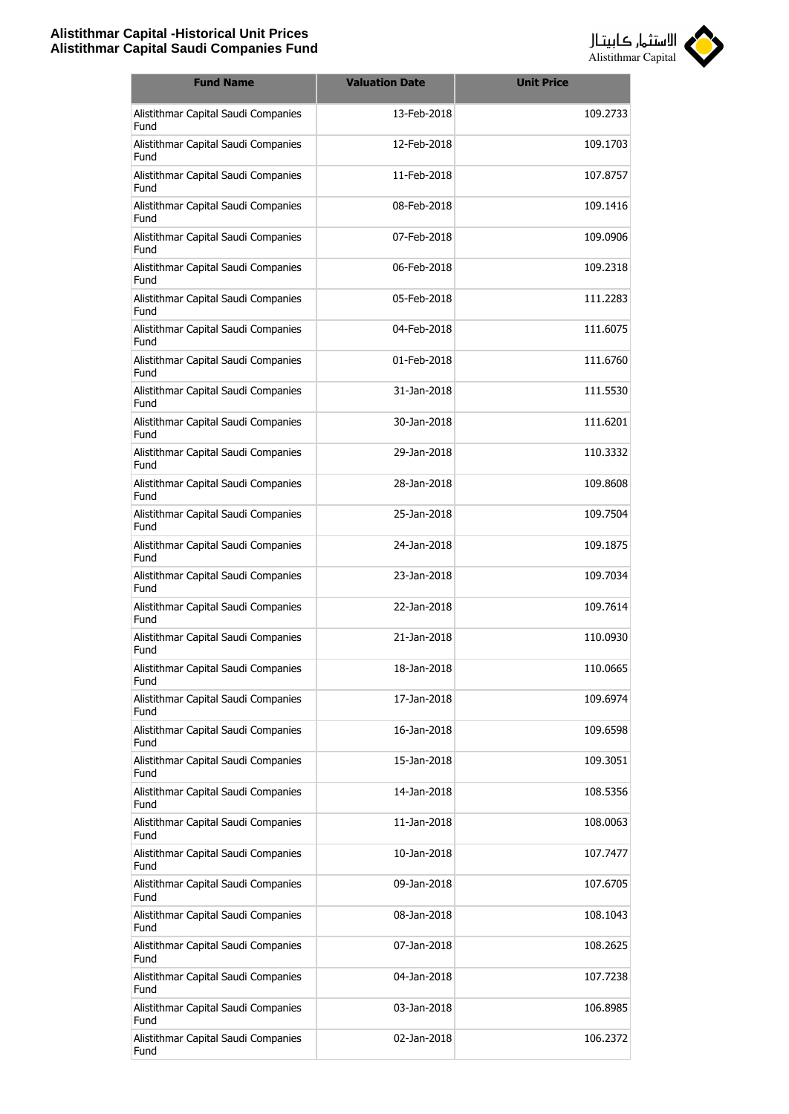

| <b>Fund Name</b>                            | <b>Valuation Date</b> | <b>Unit Price</b> |
|---------------------------------------------|-----------------------|-------------------|
| Alistithmar Capital Saudi Companies<br>Fund | 13-Feb-2018           | 109.2733          |
| Alistithmar Capital Saudi Companies<br>Fund | 12-Feb-2018           | 109.1703          |
| Alistithmar Capital Saudi Companies<br>Fund | 11-Feb-2018           | 107.8757          |
| Alistithmar Capital Saudi Companies<br>Fund | 08-Feb-2018           | 109.1416          |
| Alistithmar Capital Saudi Companies<br>Fund | 07-Feb-2018           | 109.0906          |
| Alistithmar Capital Saudi Companies<br>Fund | 06-Feb-2018           | 109.2318          |
| Alistithmar Capital Saudi Companies<br>Fund | 05-Feb-2018           | 111.2283          |
| Alistithmar Capital Saudi Companies<br>Fund | 04-Feb-2018           | 111.6075          |
| Alistithmar Capital Saudi Companies<br>Fund | 01-Feb-2018           | 111.6760          |
| Alistithmar Capital Saudi Companies<br>Fund | 31-Jan-2018           | 111.5530          |
| Alistithmar Capital Saudi Companies<br>Fund | 30-Jan-2018           | 111.6201          |
| Alistithmar Capital Saudi Companies<br>Fund | 29-Jan-2018           | 110.3332          |
| Alistithmar Capital Saudi Companies<br>Fund | 28-Jan-2018           | 109.8608          |
| Alistithmar Capital Saudi Companies<br>Fund | 25-Jan-2018           | 109.7504          |
| Alistithmar Capital Saudi Companies<br>Fund | 24-Jan-2018           | 109.1875          |
| Alistithmar Capital Saudi Companies<br>Fund | 23-Jan-2018           | 109.7034          |
| Alistithmar Capital Saudi Companies<br>Fund | 22-Jan-2018           | 109.7614          |
| Alistithmar Capital Saudi Companies<br>Fund | 21-Jan-2018           | 110.0930          |
| Alistithmar Capital Saudi Companies<br>Fund | 18-Jan-2018           | 110.0665          |
| Alistithmar Capital Saudi Companies<br>Fund | 17-Jan-2018           | 109.6974          |
| Alistithmar Capital Saudi Companies<br>Fund | 16-Jan-2018           | 109.6598          |
| Alistithmar Capital Saudi Companies<br>Fund | 15-Jan-2018           | 109.3051          |
| Alistithmar Capital Saudi Companies<br>Fund | 14-Jan-2018           | 108.5356          |
| Alistithmar Capital Saudi Companies<br>Fund | 11-Jan-2018           | 108.0063          |
| Alistithmar Capital Saudi Companies<br>Fund | 10-Jan-2018           | 107.7477          |
| Alistithmar Capital Saudi Companies<br>Fund | 09-Jan-2018           | 107.6705          |
| Alistithmar Capital Saudi Companies<br>Fund | 08-Jan-2018           | 108.1043          |
| Alistithmar Capital Saudi Companies<br>Fund | 07-Jan-2018           | 108.2625          |
| Alistithmar Capital Saudi Companies<br>Fund | 04-Jan-2018           | 107.7238          |
| Alistithmar Capital Saudi Companies<br>Fund | 03-Jan-2018           | 106.8985          |
| Alistithmar Capital Saudi Companies<br>Fund | 02-Jan-2018           | 106.2372          |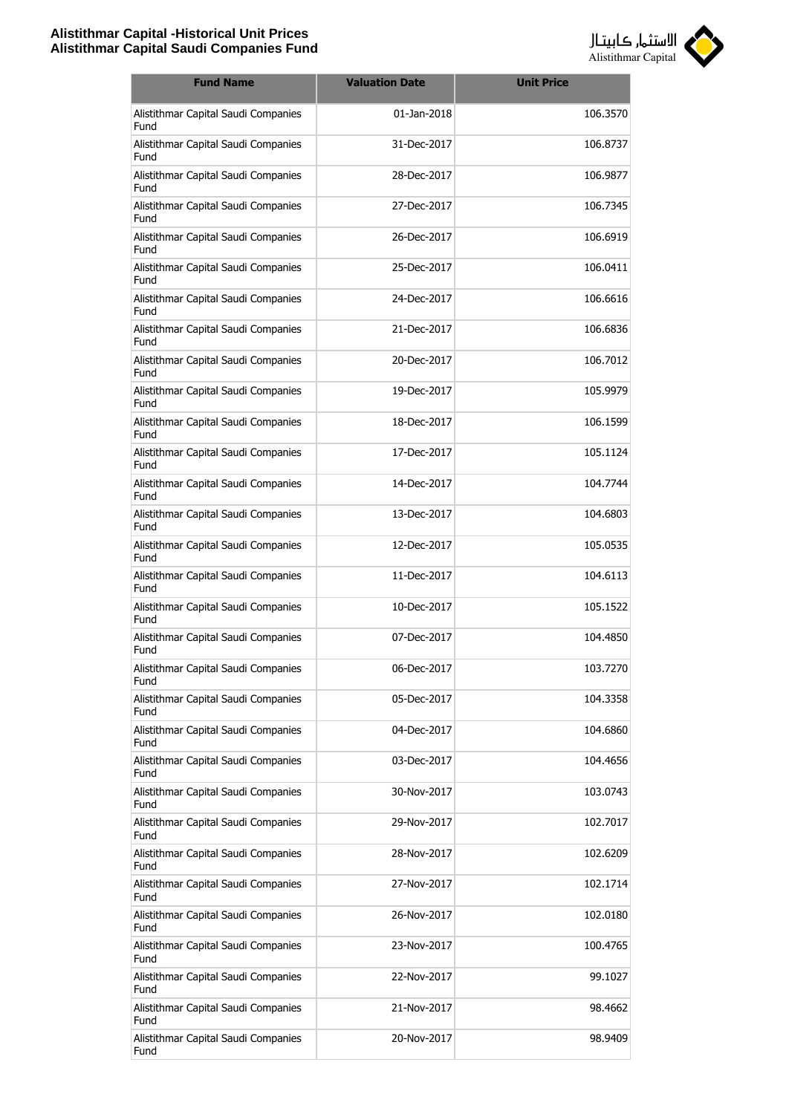

| <b>Fund Name</b>                            | <b>Valuation Date</b> | <b>Unit Price</b> |
|---------------------------------------------|-----------------------|-------------------|
| Alistithmar Capital Saudi Companies<br>Fund | 01-Jan-2018           | 106.3570          |
| Alistithmar Capital Saudi Companies<br>Fund | 31-Dec-2017           | 106.8737          |
| Alistithmar Capital Saudi Companies<br>Fund | 28-Dec-2017           | 106.9877          |
| Alistithmar Capital Saudi Companies<br>Fund | 27-Dec-2017           | 106.7345          |
| Alistithmar Capital Saudi Companies<br>Fund | 26-Dec-2017           | 106.6919          |
| Alistithmar Capital Saudi Companies<br>Fund | 25-Dec-2017           | 106.0411          |
| Alistithmar Capital Saudi Companies<br>Fund | 24-Dec-2017           | 106.6616          |
| Alistithmar Capital Saudi Companies<br>Fund | 21-Dec-2017           | 106.6836          |
| Alistithmar Capital Saudi Companies<br>Fund | 20-Dec-2017           | 106.7012          |
| Alistithmar Capital Saudi Companies<br>Fund | 19-Dec-2017           | 105.9979          |
| Alistithmar Capital Saudi Companies<br>Fund | 18-Dec-2017           | 106.1599          |
| Alistithmar Capital Saudi Companies<br>Fund | 17-Dec-2017           | 105.1124          |
| Alistithmar Capital Saudi Companies<br>Fund | 14-Dec-2017           | 104.7744          |
| Alistithmar Capital Saudi Companies<br>Fund | 13-Dec-2017           | 104.6803          |
| Alistithmar Capital Saudi Companies<br>Fund | 12-Dec-2017           | 105.0535          |
| Alistithmar Capital Saudi Companies<br>Fund | 11-Dec-2017           | 104.6113          |
| Alistithmar Capital Saudi Companies<br>Fund | 10-Dec-2017           | 105.1522          |
| Alistithmar Capital Saudi Companies<br>Fund | 07-Dec-2017           | 104.4850          |
| Alistithmar Capital Saudi Companies<br>Fund | 06-Dec-2017           | 103.7270          |
| Alistithmar Capital Saudi Companies<br>Fund | 05-Dec-2017           | 104.3358          |
| Alistithmar Capital Saudi Companies<br>Fund | 04-Dec-2017           | 104.6860          |
| Alistithmar Capital Saudi Companies<br>Fund | 03-Dec-2017           | 104.4656          |
| Alistithmar Capital Saudi Companies<br>Fund | 30-Nov-2017           | 103.0743          |
| Alistithmar Capital Saudi Companies<br>Fund | 29-Nov-2017           | 102.7017          |
| Alistithmar Capital Saudi Companies<br>Fund | 28-Nov-2017           | 102.6209          |
| Alistithmar Capital Saudi Companies<br>Fund | 27-Nov-2017           | 102.1714          |
| Alistithmar Capital Saudi Companies<br>Fund | 26-Nov-2017           | 102.0180          |
| Alistithmar Capital Saudi Companies<br>Fund | 23-Nov-2017           | 100.4765          |
| Alistithmar Capital Saudi Companies<br>Fund | 22-Nov-2017           | 99.1027           |
| Alistithmar Capital Saudi Companies<br>Fund | 21-Nov-2017           | 98.4662           |
| Alistithmar Capital Saudi Companies<br>Fund | 20-Nov-2017           | 98.9409           |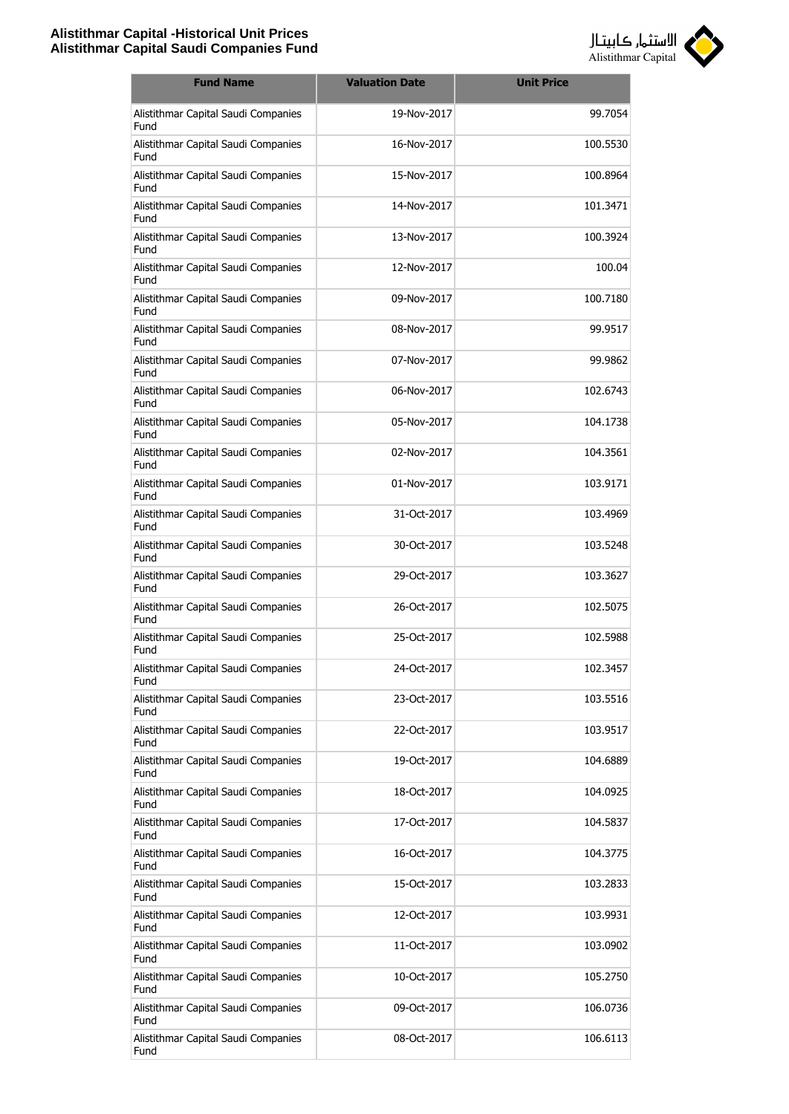

| <b>Fund Name</b>                            | <b>Valuation Date</b> | <b>Unit Price</b> |
|---------------------------------------------|-----------------------|-------------------|
| Alistithmar Capital Saudi Companies<br>Fund | 19-Nov-2017           | 99.7054           |
| Alistithmar Capital Saudi Companies<br>Fund | 16-Nov-2017           | 100.5530          |
| Alistithmar Capital Saudi Companies<br>Fund | 15-Nov-2017           | 100.8964          |
| Alistithmar Capital Saudi Companies<br>Fund | 14-Nov-2017           | 101.3471          |
| Alistithmar Capital Saudi Companies<br>Fund | 13-Nov-2017           | 100.3924          |
| Alistithmar Capital Saudi Companies<br>Fund | 12-Nov-2017           | 100.04            |
| Alistithmar Capital Saudi Companies<br>Fund | 09-Nov-2017           | 100.7180          |
| Alistithmar Capital Saudi Companies<br>Fund | 08-Nov-2017           | 99.9517           |
| Alistithmar Capital Saudi Companies<br>Fund | 07-Nov-2017           | 99.9862           |
| Alistithmar Capital Saudi Companies<br>Fund | 06-Nov-2017           | 102.6743          |
| Alistithmar Capital Saudi Companies<br>Fund | 05-Nov-2017           | 104.1738          |
| Alistithmar Capital Saudi Companies<br>Fund | 02-Nov-2017           | 104.3561          |
| Alistithmar Capital Saudi Companies<br>Fund | 01-Nov-2017           | 103.9171          |
| Alistithmar Capital Saudi Companies<br>Fund | 31-Oct-2017           | 103.4969          |
| Alistithmar Capital Saudi Companies<br>Fund | 30-Oct-2017           | 103.5248          |
| Alistithmar Capital Saudi Companies<br>Fund | 29-Oct-2017           | 103.3627          |
| Alistithmar Capital Saudi Companies<br>Fund | 26-Oct-2017           | 102.5075          |
| Alistithmar Capital Saudi Companies<br>Fund | 25-Oct-2017           | 102.5988          |
| Alistithmar Capital Saudi Companies<br>Fund | 24-Oct-2017           | 102.3457          |
| Alistithmar Capital Saudi Companies<br>Fund | 23-Oct-2017           | 103.5516          |
| Alistithmar Capital Saudi Companies<br>Fund | 22-Oct-2017           | 103.9517          |
| Alistithmar Capital Saudi Companies<br>Fund | 19-Oct-2017           | 104.6889          |
| Alistithmar Capital Saudi Companies<br>Fund | 18-Oct-2017           | 104.0925          |
| Alistithmar Capital Saudi Companies<br>Fund | 17-Oct-2017           | 104.5837          |
| Alistithmar Capital Saudi Companies<br>Fund | 16-Oct-2017           | 104.3775          |
| Alistithmar Capital Saudi Companies<br>Fund | 15-Oct-2017           | 103.2833          |
| Alistithmar Capital Saudi Companies<br>Fund | 12-Oct-2017           | 103.9931          |
| Alistithmar Capital Saudi Companies<br>Fund | 11-Oct-2017           | 103.0902          |
| Alistithmar Capital Saudi Companies<br>Fund | 10-Oct-2017           | 105.2750          |
| Alistithmar Capital Saudi Companies<br>Fund | 09-Oct-2017           | 106.0736          |
| Alistithmar Capital Saudi Companies<br>Fund | 08-Oct-2017           | 106.6113          |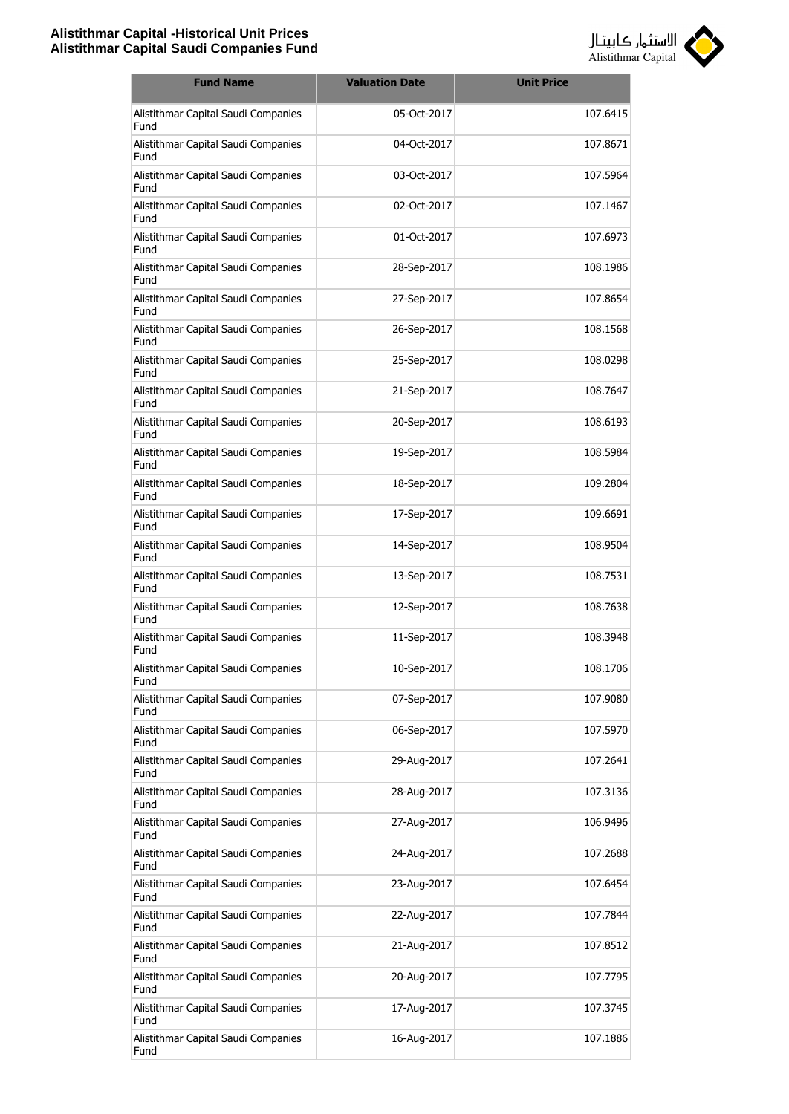

| <b>Fund Name</b>                            | <b>Valuation Date</b> | <b>Unit Price</b> |
|---------------------------------------------|-----------------------|-------------------|
| Alistithmar Capital Saudi Companies<br>Fund | 05-Oct-2017           | 107.6415          |
| Alistithmar Capital Saudi Companies<br>Fund | 04-Oct-2017           | 107.8671          |
| Alistithmar Capital Saudi Companies<br>Fund | 03-Oct-2017           | 107.5964          |
| Alistithmar Capital Saudi Companies<br>Fund | 02-Oct-2017           | 107.1467          |
| Alistithmar Capital Saudi Companies<br>Fund | 01-Oct-2017           | 107.6973          |
| Alistithmar Capital Saudi Companies<br>Fund | 28-Sep-2017           | 108.1986          |
| Alistithmar Capital Saudi Companies<br>Fund | 27-Sep-2017           | 107.8654          |
| Alistithmar Capital Saudi Companies<br>Fund | 26-Sep-2017           | 108.1568          |
| Alistithmar Capital Saudi Companies<br>Fund | 25-Sep-2017           | 108.0298          |
| Alistithmar Capital Saudi Companies<br>Fund | 21-Sep-2017           | 108.7647          |
| Alistithmar Capital Saudi Companies<br>Fund | 20-Sep-2017           | 108.6193          |
| Alistithmar Capital Saudi Companies<br>Fund | 19-Sep-2017           | 108.5984          |
| Alistithmar Capital Saudi Companies<br>Fund | 18-Sep-2017           | 109.2804          |
| Alistithmar Capital Saudi Companies<br>Fund | 17-Sep-2017           | 109.6691          |
| Alistithmar Capital Saudi Companies<br>Fund | 14-Sep-2017           | 108.9504          |
| Alistithmar Capital Saudi Companies<br>Fund | 13-Sep-2017           | 108.7531          |
| Alistithmar Capital Saudi Companies<br>Fund | 12-Sep-2017           | 108.7638          |
| Alistithmar Capital Saudi Companies<br>Fund | 11-Sep-2017           | 108.3948          |
| Alistithmar Capital Saudi Companies<br>Fund | 10-Sep-2017           | 108.1706          |
| Alistithmar Capital Saudi Companies<br>Fund | 07-Sep-2017           | 107.9080          |
| Alistithmar Capital Saudi Companies<br>Fund | 06-Sep-2017           | 107.5970          |
| Alistithmar Capital Saudi Companies<br>Fund | 29-Aug-2017           | 107.2641          |
| Alistithmar Capital Saudi Companies<br>Fund | 28-Aug-2017           | 107.3136          |
| Alistithmar Capital Saudi Companies<br>Fund | 27-Aug-2017           | 106.9496          |
| Alistithmar Capital Saudi Companies<br>Fund | 24-Aug-2017           | 107.2688          |
| Alistithmar Capital Saudi Companies<br>Fund | 23-Aug-2017           | 107.6454          |
| Alistithmar Capital Saudi Companies<br>Fund | 22-Aug-2017           | 107.7844          |
| Alistithmar Capital Saudi Companies<br>Fund | 21-Aug-2017           | 107.8512          |
| Alistithmar Capital Saudi Companies<br>Fund | 20-Aug-2017           | 107.7795          |
| Alistithmar Capital Saudi Companies<br>Fund | 17-Aug-2017           | 107.3745          |
| Alistithmar Capital Saudi Companies<br>Fund | 16-Aug-2017           | 107.1886          |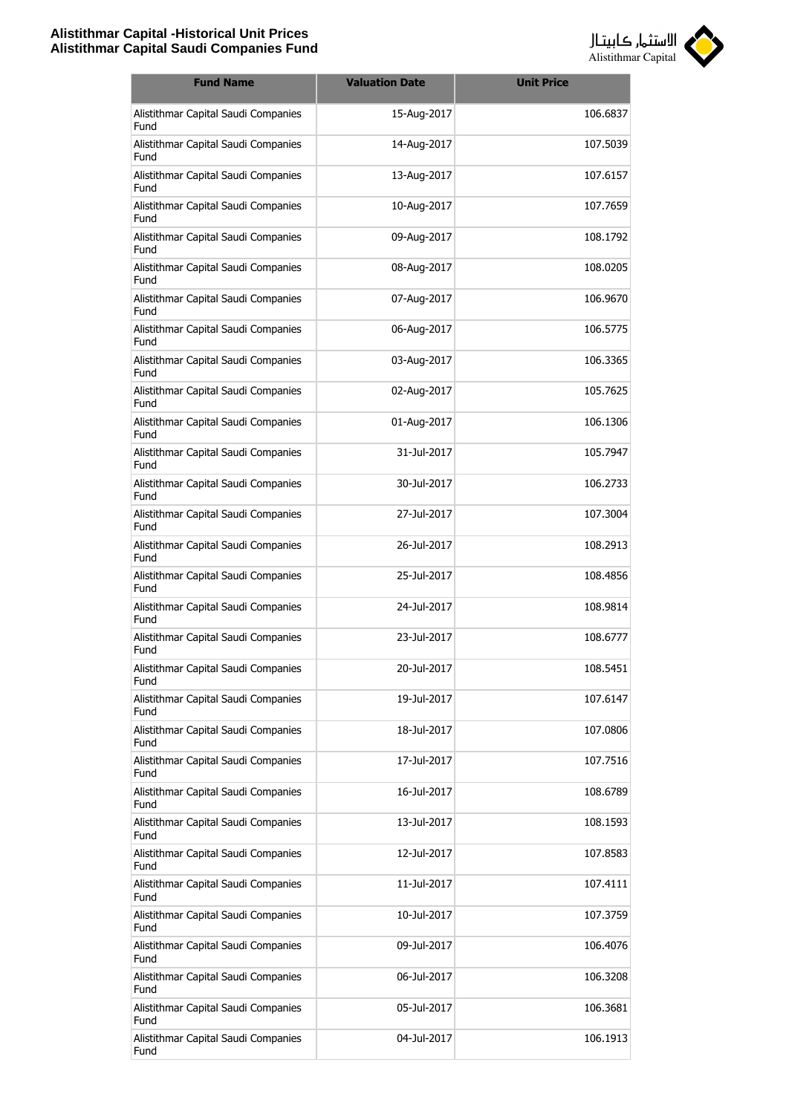

| <b>Fund Name</b>                            | <b>Valuation Date</b> | <b>Unit Price</b> |
|---------------------------------------------|-----------------------|-------------------|
| Alistithmar Capital Saudi Companies<br>Fund | 15-Aug-2017           | 106.6837          |
| Alistithmar Capital Saudi Companies<br>Fund | 14-Aug-2017           | 107.5039          |
| Alistithmar Capital Saudi Companies<br>Fund | 13-Aug-2017           | 107.6157          |
| Alistithmar Capital Saudi Companies<br>Fund | 10-Aug-2017           | 107.7659          |
| Alistithmar Capital Saudi Companies<br>Fund | 09-Aug-2017           | 108.1792          |
| Alistithmar Capital Saudi Companies<br>Fund | 08-Aug-2017           | 108.0205          |
| Alistithmar Capital Saudi Companies<br>Fund | 07-Aug-2017           | 106.9670          |
| Alistithmar Capital Saudi Companies<br>Fund | 06-Aug-2017           | 106.5775          |
| Alistithmar Capital Saudi Companies<br>Fund | 03-Aug-2017           | 106.3365          |
| Alistithmar Capital Saudi Companies<br>Fund | 02-Aug-2017           | 105.7625          |
| Alistithmar Capital Saudi Companies<br>Fund | 01-Aug-2017           | 106.1306          |
| Alistithmar Capital Saudi Companies<br>Fund | 31-Jul-2017           | 105.7947          |
| Alistithmar Capital Saudi Companies<br>Fund | 30-Jul-2017           | 106.2733          |
| Alistithmar Capital Saudi Companies<br>Fund | 27-Jul-2017           | 107.3004          |
| Alistithmar Capital Saudi Companies<br>Fund | 26-Jul-2017           | 108.2913          |
| Alistithmar Capital Saudi Companies<br>Fund | 25-Jul-2017           | 108.4856          |
| Alistithmar Capital Saudi Companies<br>Fund | 24-Jul-2017           | 108.9814          |
| Alistithmar Capital Saudi Companies<br>Fund | 23-Jul-2017           | 108,6777          |
| Alistithmar Capital Saudi Companies<br>Fund | 20-Jul-2017           | 108.5451          |
| Alistithmar Capital Saudi Companies<br>Fund | 19-Jul-2017           | 107.6147          |
| Alistithmar Capital Saudi Companies<br>Fund | 18-Jul-2017           | 107.0806          |
| Alistithmar Capital Saudi Companies<br>Fund | 17-Jul-2017           | 107.7516          |
| Alistithmar Capital Saudi Companies<br>Fund | 16-Jul-2017           | 108.6789          |
| Alistithmar Capital Saudi Companies<br>Fund | 13-Jul-2017           | 108.1593          |
| Alistithmar Capital Saudi Companies<br>Fund | 12-Jul-2017           | 107.8583          |
| Alistithmar Capital Saudi Companies<br>Fund | 11-Jul-2017           | 107.4111          |
| Alistithmar Capital Saudi Companies<br>Fund | 10-Jul-2017           | 107.3759          |
| Alistithmar Capital Saudi Companies<br>Fund | 09-Jul-2017           | 106.4076          |
| Alistithmar Capital Saudi Companies<br>Fund | 06-Jul-2017           | 106.3208          |
| Alistithmar Capital Saudi Companies<br>Fund | 05-Jul-2017           | 106.3681          |
| Alistithmar Capital Saudi Companies<br>Fund | 04-Jul-2017           | 106.1913          |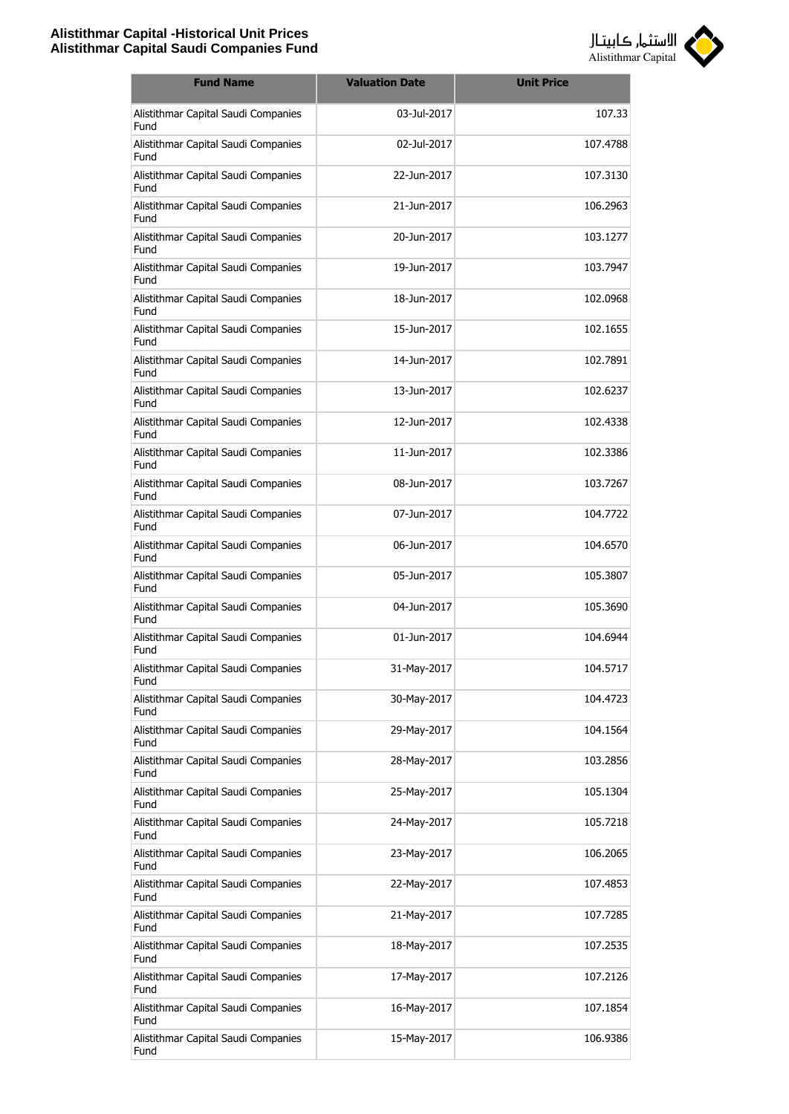

| <b>Fund Name</b>                            | <b>Valuation Date</b> | <b>Unit Price</b> |
|---------------------------------------------|-----------------------|-------------------|
| Alistithmar Capital Saudi Companies<br>Fund | 03-Jul-2017           | 107.33            |
| Alistithmar Capital Saudi Companies<br>Fund | 02-Jul-2017           | 107.4788          |
| Alistithmar Capital Saudi Companies<br>Fund | 22-Jun-2017           | 107.3130          |
| Alistithmar Capital Saudi Companies<br>Fund | 21-Jun-2017           | 106.2963          |
| Alistithmar Capital Saudi Companies<br>Fund | 20-Jun-2017           | 103.1277          |
| Alistithmar Capital Saudi Companies<br>Fund | 19-Jun-2017           | 103.7947          |
| Alistithmar Capital Saudi Companies<br>Fund | 18-Jun-2017           | 102.0968          |
| Alistithmar Capital Saudi Companies<br>Fund | 15-1un-2017           | 102.1655          |
| Alistithmar Capital Saudi Companies<br>Fund | 14-Jun-2017           | 102.7891          |
| Alistithmar Capital Saudi Companies<br>Fund | 13-Jun-2017           | 102.6237          |
| Alistithmar Capital Saudi Companies<br>Fund | 12-Jun-2017           | 102.4338          |
| Alistithmar Capital Saudi Companies<br>Fund | 11-Jun-2017           | 102.3386          |
| Alistithmar Capital Saudi Companies<br>Fund | 08-Jun-2017           | 103.7267          |
| Alistithmar Capital Saudi Companies<br>Fund | 07-Jun-2017           | 104.7722          |
| Alistithmar Capital Saudi Companies<br>Fund | 06-Jun-2017           | 104.6570          |
| Alistithmar Capital Saudi Companies<br>Fund | 05-Jun-2017           | 105.3807          |
| Alistithmar Capital Saudi Companies<br>Fund | 04-Jun-2017           | 105.3690          |
| Alistithmar Capital Saudi Companies<br>Fund | 01-Jun-2017           | 104.6944          |
| Alistithmar Capital Saudi Companies<br>Fund | 31-May-2017           | 104.5717          |
| Alistithmar Capital Saudi Companies<br>Fund | 30-May-2017           | 104.4723          |
| Alistithmar Capital Saudi Companies<br>Fund | 29-May-2017           | 104.1564          |
| Alistithmar Capital Saudi Companies<br>Fund | 28-May-2017           | 103.2856          |
| Alistithmar Capital Saudi Companies<br>Fund | 25-May-2017           | 105.1304          |
| Alistithmar Capital Saudi Companies<br>Fund | 24-May-2017           | 105.7218          |
| Alistithmar Capital Saudi Companies<br>Fund | 23-May-2017           | 106.2065          |
| Alistithmar Capital Saudi Companies<br>Fund | 22-May-2017           | 107.4853          |
| Alistithmar Capital Saudi Companies<br>Fund | 21-May-2017           | 107.7285          |
| Alistithmar Capital Saudi Companies<br>Fund | 18-May-2017           | 107.2535          |
| Alistithmar Capital Saudi Companies<br>Fund | 17-May-2017           | 107.2126          |
| Alistithmar Capital Saudi Companies<br>Fund | 16-May-2017           | 107.1854          |
| Alistithmar Capital Saudi Companies<br>Fund | 15-May-2017           | 106.9386          |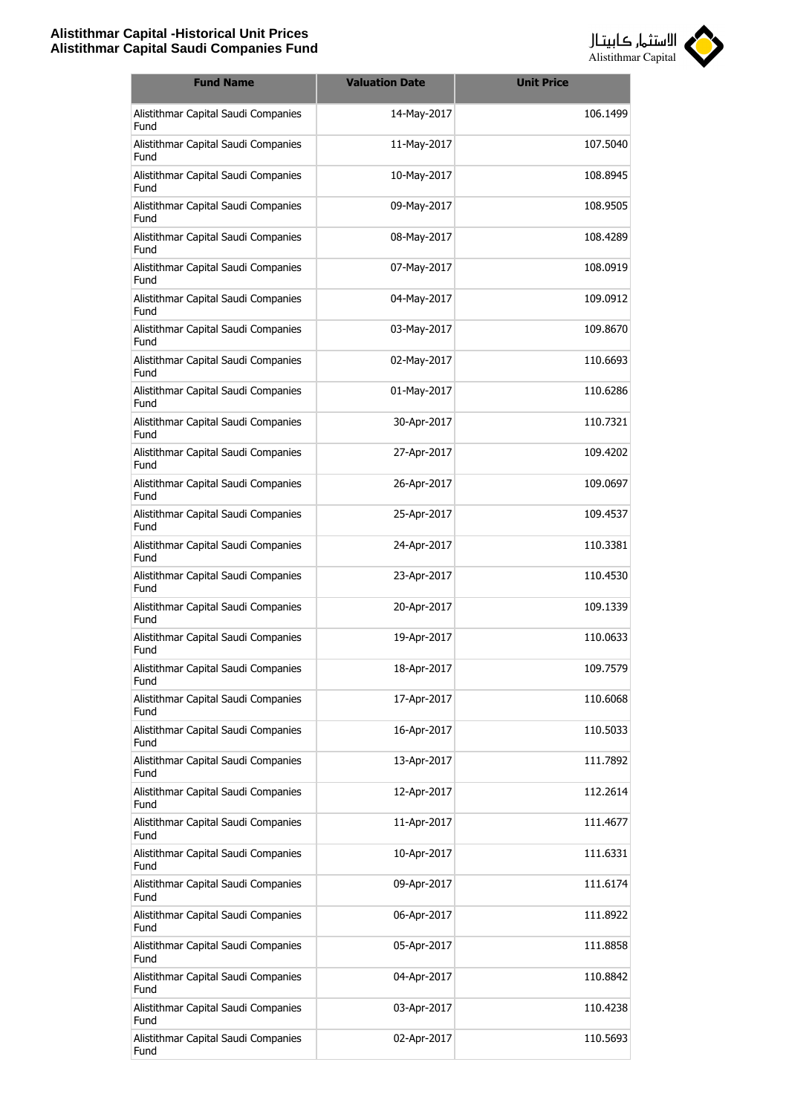

| <b>Fund Name</b>                            | <b>Valuation Date</b> | <b>Unit Price</b> |
|---------------------------------------------|-----------------------|-------------------|
| Alistithmar Capital Saudi Companies<br>Fund | 14-May-2017           | 106.1499          |
| Alistithmar Capital Saudi Companies<br>Fund | 11-May-2017           | 107.5040          |
| Alistithmar Capital Saudi Companies<br>Fund | 10-May-2017           | 108.8945          |
| Alistithmar Capital Saudi Companies<br>Fund | 09-May-2017           | 108.9505          |
| Alistithmar Capital Saudi Companies<br>Fund | 08-May-2017           | 108.4289          |
| Alistithmar Capital Saudi Companies<br>Fund | 07-May-2017           | 108.0919          |
| Alistithmar Capital Saudi Companies<br>Fund | 04-May-2017           | 109.0912          |
| Alistithmar Capital Saudi Companies<br>Fund | 03-May-2017           | 109.8670          |
| Alistithmar Capital Saudi Companies<br>Fund | 02-May-2017           | 110.6693          |
| Alistithmar Capital Saudi Companies<br>Fund | 01-May-2017           | 110.6286          |
| Alistithmar Capital Saudi Companies<br>Fund | 30-Apr-2017           | 110.7321          |
| Alistithmar Capital Saudi Companies<br>Fund | 27-Apr-2017           | 109.4202          |
| Alistithmar Capital Saudi Companies<br>Fund | 26-Apr-2017           | 109.0697          |
| Alistithmar Capital Saudi Companies<br>Fund | 25-Apr-2017           | 109.4537          |
| Alistithmar Capital Saudi Companies<br>Fund | 24-Apr-2017           | 110.3381          |
| Alistithmar Capital Saudi Companies<br>Fund | 23-Apr-2017           | 110.4530          |
| Alistithmar Capital Saudi Companies<br>Fund | 20-Apr-2017           | 109.1339          |
| Alistithmar Capital Saudi Companies<br>Fund | 19-Apr-2017           | 110.0633          |
| Alistithmar Capital Saudi Companies<br>Fund | 18-Apr-2017           | 109.7579          |
| Alistithmar Capital Saudi Companies<br>Fund | 17-Apr-2017           | 110.6068          |
| Alistithmar Capital Saudi Companies<br>Fund | 16-Apr-2017           | 110.5033          |
| Alistithmar Capital Saudi Companies<br>Fund | 13-Apr-2017           | 111.7892          |
| Alistithmar Capital Saudi Companies<br>Fund | 12-Apr-2017           | 112.2614          |
| Alistithmar Capital Saudi Companies<br>Fund | 11-Apr-2017           | 111.4677          |
| Alistithmar Capital Saudi Companies<br>Fund | 10-Apr-2017           | 111.6331          |
| Alistithmar Capital Saudi Companies<br>Fund | 09-Apr-2017           | 111.6174          |
| Alistithmar Capital Saudi Companies<br>Fund | 06-Apr-2017           | 111.8922          |
| Alistithmar Capital Saudi Companies<br>Fund | 05-Apr-2017           | 111.8858          |
| Alistithmar Capital Saudi Companies<br>Fund | 04-Apr-2017           | 110.8842          |
| Alistithmar Capital Saudi Companies<br>Fund | 03-Apr-2017           | 110.4238          |
| Alistithmar Capital Saudi Companies<br>Fund | 02-Apr-2017           | 110.5693          |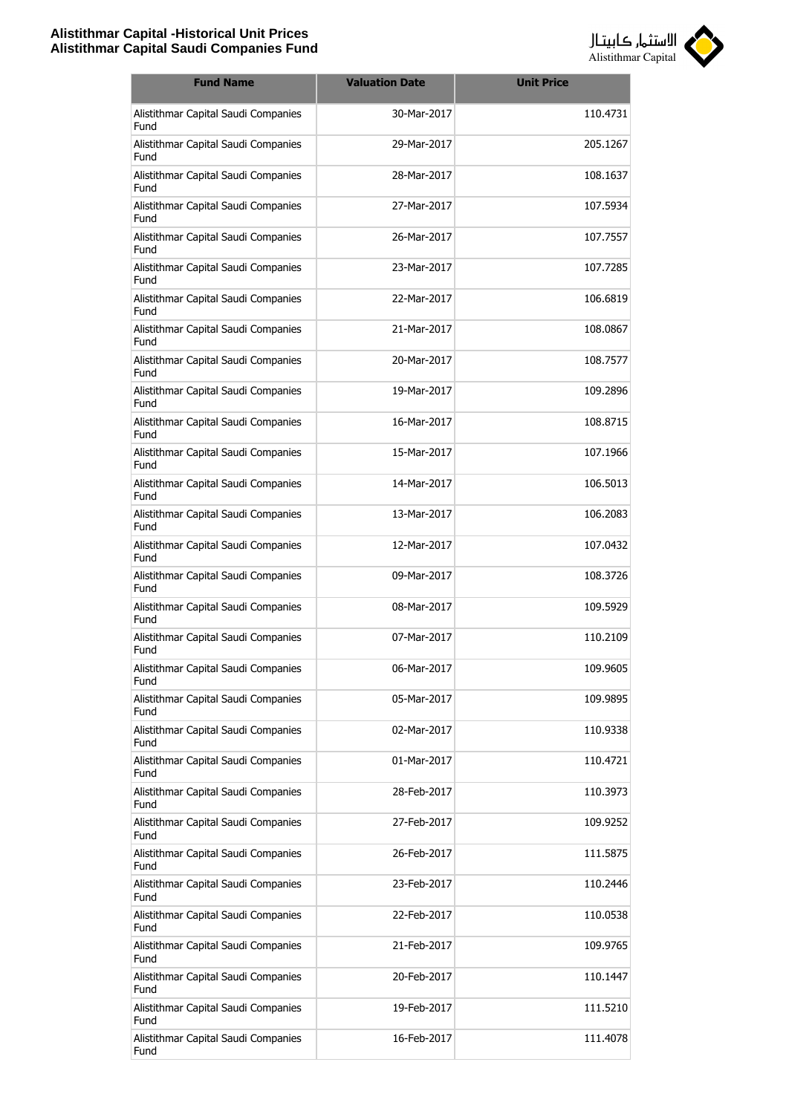

| <b>Fund Name</b>                            | <b>Valuation Date</b> | <b>Unit Price</b> |
|---------------------------------------------|-----------------------|-------------------|
| Alistithmar Capital Saudi Companies<br>Fund | 30-Mar-2017           | 110.4731          |
| Alistithmar Capital Saudi Companies<br>Fund | 29-Mar-2017           | 205.1267          |
| Alistithmar Capital Saudi Companies<br>Fund | 28-Mar-2017           | 108.1637          |
| Alistithmar Capital Saudi Companies<br>Fund | 27-Mar-2017           | 107.5934          |
| Alistithmar Capital Saudi Companies<br>Fund | 26-Mar-2017           | 107.7557          |
| Alistithmar Capital Saudi Companies<br>Fund | 23-Mar-2017           | 107.7285          |
| Alistithmar Capital Saudi Companies<br>Fund | 22-Mar-2017           | 106.6819          |
| Alistithmar Capital Saudi Companies<br>Fund | 21-Mar-2017           | 108.0867          |
| Alistithmar Capital Saudi Companies<br>Fund | 20-Mar-2017           | 108.7577          |
| Alistithmar Capital Saudi Companies<br>Fund | 19-Mar-2017           | 109.2896          |
| Alistithmar Capital Saudi Companies<br>Fund | 16-Mar-2017           | 108.8715          |
| Alistithmar Capital Saudi Companies<br>Fund | 15-Mar-2017           | 107.1966          |
| Alistithmar Capital Saudi Companies<br>Fund | 14-Mar-2017           | 106.5013          |
| Alistithmar Capital Saudi Companies<br>Fund | 13-Mar-2017           | 106.2083          |
| Alistithmar Capital Saudi Companies<br>Fund | 12-Mar-2017           | 107.0432          |
| Alistithmar Capital Saudi Companies<br>Fund | 09-Mar-2017           | 108.3726          |
| Alistithmar Capital Saudi Companies<br>Fund | 08-Mar-2017           | 109.5929          |
| Alistithmar Capital Saudi Companies<br>Fund | 07-Mar-2017           | 110.2109          |
| Alistithmar Capital Saudi Companies<br>Fund | 06-Mar-2017           | 109.9605          |
| Alistithmar Capital Saudi Companies<br>Fund | 05-Mar-2017           | 109.9895          |
| Alistithmar Capital Saudi Companies<br>Fund | 02-Mar-2017           | 110.9338          |
| Alistithmar Capital Saudi Companies<br>Fund | 01-Mar-2017           | 110.4721          |
| Alistithmar Capital Saudi Companies<br>Fund | 28-Feb-2017           | 110.3973          |
| Alistithmar Capital Saudi Companies<br>Fund | 27-Feb-2017           | 109.9252          |
| Alistithmar Capital Saudi Companies<br>Fund | 26-Feb-2017           | 111.5875          |
| Alistithmar Capital Saudi Companies<br>Fund | 23-Feb-2017           | 110.2446          |
| Alistithmar Capital Saudi Companies<br>Fund | 22-Feb-2017           | 110.0538          |
| Alistithmar Capital Saudi Companies<br>Fund | 21-Feb-2017           | 109.9765          |
| Alistithmar Capital Saudi Companies<br>Fund | 20-Feb-2017           | 110.1447          |
| Alistithmar Capital Saudi Companies<br>Fund | 19-Feb-2017           | 111.5210          |
| Alistithmar Capital Saudi Companies<br>Fund | 16-Feb-2017           | 111.4078          |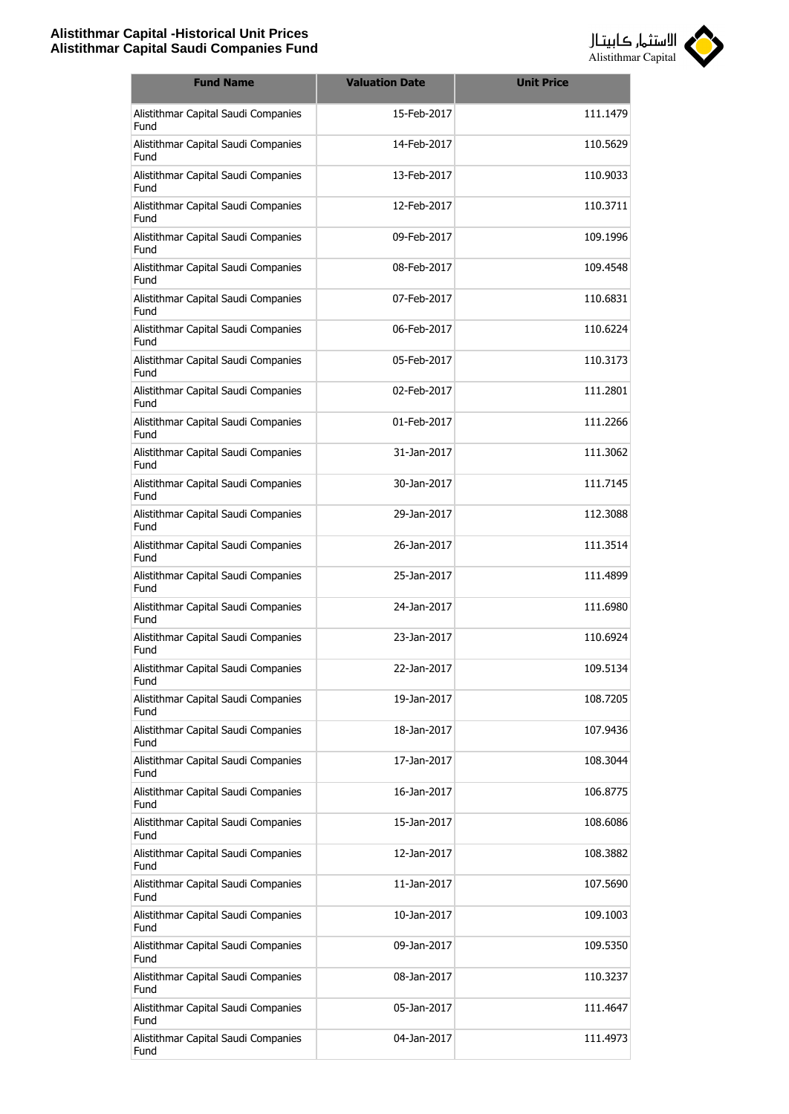

| <b>Fund Name</b>                            | <b>Valuation Date</b> | <b>Unit Price</b> |
|---------------------------------------------|-----------------------|-------------------|
| Alistithmar Capital Saudi Companies<br>Fund | 15-Feb-2017           | 111.1479          |
| Alistithmar Capital Saudi Companies<br>Fund | 14-Feb-2017           | 110.5629          |
| Alistithmar Capital Saudi Companies<br>Fund | 13-Feb-2017           | 110.9033          |
| Alistithmar Capital Saudi Companies<br>Fund | 12-Feb-2017           | 110.3711          |
| Alistithmar Capital Saudi Companies<br>Fund | 09-Feb-2017           | 109.1996          |
| Alistithmar Capital Saudi Companies<br>Fund | 08-Feb-2017           | 109.4548          |
| Alistithmar Capital Saudi Companies<br>Fund | 07-Feb-2017           | 110.6831          |
| Alistithmar Capital Saudi Companies<br>Fund | 06-Feb-2017           | 110.6224          |
| Alistithmar Capital Saudi Companies<br>Fund | 05-Feb-2017           | 110.3173          |
| Alistithmar Capital Saudi Companies<br>Fund | 02-Feb-2017           | 111.2801          |
| Alistithmar Capital Saudi Companies<br>Fund | 01-Feb-2017           | 111.2266          |
| Alistithmar Capital Saudi Companies<br>Fund | 31-Jan-2017           | 111.3062          |
| Alistithmar Capital Saudi Companies<br>Fund | 30-Jan-2017           | 111.7145          |
| Alistithmar Capital Saudi Companies<br>Fund | 29-Jan-2017           | 112.3088          |
| Alistithmar Capital Saudi Companies<br>Fund | 26-Jan-2017           | 111.3514          |
| Alistithmar Capital Saudi Companies<br>Fund | 25-Jan-2017           | 111.4899          |
| Alistithmar Capital Saudi Companies<br>Fund | 24-Jan-2017           | 111.6980          |
| Alistithmar Capital Saudi Companies<br>Fund | 23-Jan-2017           | 110.6924          |
| Alistithmar Capital Saudi Companies<br>Fund | 22-Jan-2017           | 109.5134          |
| Alistithmar Capital Saudi Companies<br>Fund | 19-Jan-2017           | 108.7205          |
| Alistithmar Capital Saudi Companies<br>Fund | 18-Jan-2017           | 107.9436          |
| Alistithmar Capital Saudi Companies<br>Fund | 17-Jan-2017           | 108.3044          |
| Alistithmar Capital Saudi Companies<br>Fund | 16-Jan-2017           | 106.8775          |
| Alistithmar Capital Saudi Companies<br>Fund | 15-Jan-2017           | 108.6086          |
| Alistithmar Capital Saudi Companies<br>Fund | 12-Jan-2017           | 108.3882          |
| Alistithmar Capital Saudi Companies<br>Fund | 11-Jan-2017           | 107.5690          |
| Alistithmar Capital Saudi Companies<br>Fund | 10-Jan-2017           | 109.1003          |
| Alistithmar Capital Saudi Companies<br>Fund | 09-Jan-2017           | 109.5350          |
| Alistithmar Capital Saudi Companies<br>Fund | 08-Jan-2017           | 110.3237          |
| Alistithmar Capital Saudi Companies<br>Fund | 05-Jan-2017           | 111.4647          |
| Alistithmar Capital Saudi Companies<br>Fund | 04-Jan-2017           | 111.4973          |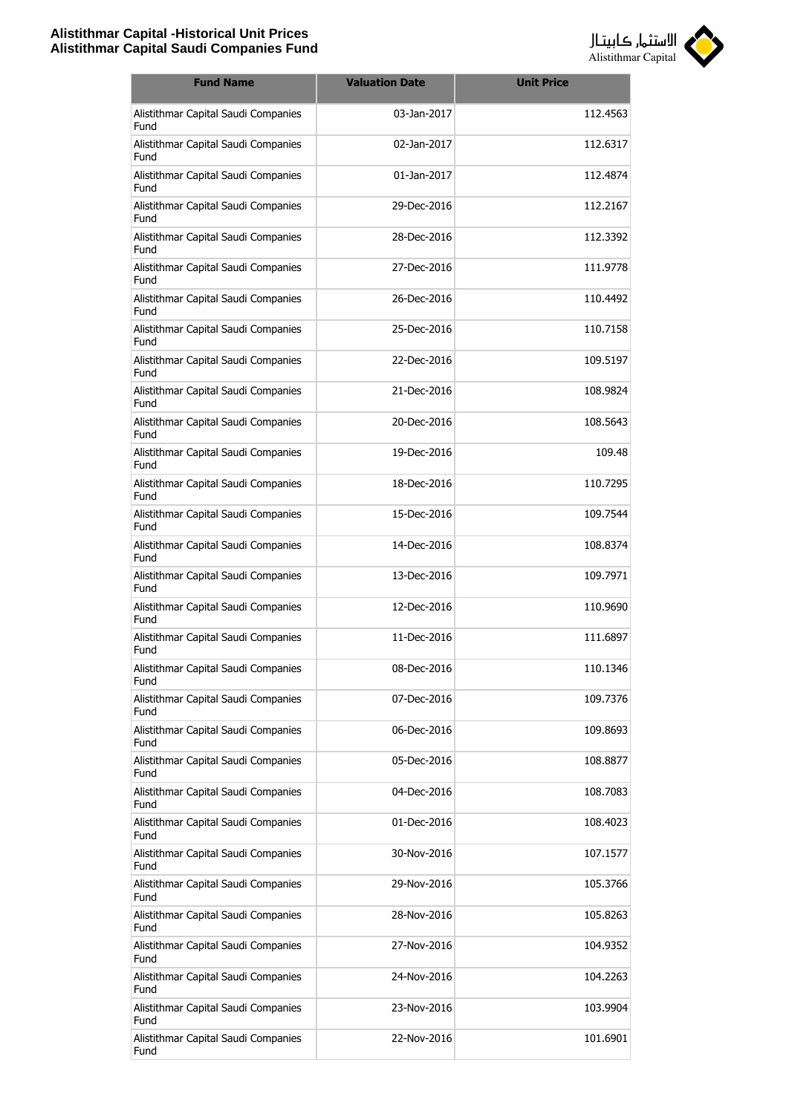

| <b>Fund Name</b>                            | <b>Valuation Date</b> | <b>Unit Price</b> |
|---------------------------------------------|-----------------------|-------------------|
| Alistithmar Capital Saudi Companies<br>Fund | 03-Jan-2017           | 112.4563          |
| Alistithmar Capital Saudi Companies<br>Fund | 02-Jan-2017           | 112.6317          |
| Alistithmar Capital Saudi Companies<br>Fund | 01-Jan-2017           | 112.4874          |
| Alistithmar Capital Saudi Companies<br>Fund | 29-Dec-2016           | 112.2167          |
| Alistithmar Capital Saudi Companies<br>Fund | 28-Dec-2016           | 112.3392          |
| Alistithmar Capital Saudi Companies<br>Fund | 27-Dec-2016           | 111.9778          |
| Alistithmar Capital Saudi Companies<br>Fund | 26-Dec-2016           | 110.4492          |
| Alistithmar Capital Saudi Companies<br>Fund | 25-Dec-2016           | 110.7158          |
| Alistithmar Capital Saudi Companies<br>Fund | 22-Dec-2016           | 109.5197          |
| Alistithmar Capital Saudi Companies<br>Fund | 21-Dec-2016           | 108.9824          |
| Alistithmar Capital Saudi Companies<br>Fund | 20-Dec-2016           | 108.5643          |
| Alistithmar Capital Saudi Companies<br>Fund | 19-Dec-2016           | 109.48            |
| Alistithmar Capital Saudi Companies<br>Fund | 18-Dec-2016           | 110.7295          |
| Alistithmar Capital Saudi Companies<br>Fund | 15-Dec-2016           | 109.7544          |
| Alistithmar Capital Saudi Companies<br>Fund | 14-Dec-2016           | 108.8374          |
| Alistithmar Capital Saudi Companies<br>Fund | 13-Dec-2016           | 109.7971          |
| Alistithmar Capital Saudi Companies<br>Fund | 12-Dec-2016           | 110.9690          |
| Alistithmar Capital Saudi Companies<br>Fund | 11-Dec-2016           | 111.6897          |
| Alistithmar Capital Saudi Companies<br>Fund | 08-Dec-2016           | 110.1346          |
| Alistithmar Capital Saudi Companies<br>Fund | 07-Dec-2016           | 109.7376          |
| Alistithmar Capital Saudi Companies<br>Fund | 06-Dec-2016           | 109.8693          |
| Alistithmar Capital Saudi Companies<br>Fund | 05-Dec-2016           | 108.8877          |
| Alistithmar Capital Saudi Companies<br>Fund | 04-Dec-2016           | 108.7083          |
| Alistithmar Capital Saudi Companies<br>Fund | 01-Dec-2016           | 108.4023          |
| Alistithmar Capital Saudi Companies<br>Fund | 30-Nov-2016           | 107.1577          |
| Alistithmar Capital Saudi Companies<br>Fund | 29-Nov-2016           | 105.3766          |
| Alistithmar Capital Saudi Companies<br>Fund | 28-Nov-2016           | 105.8263          |
| Alistithmar Capital Saudi Companies<br>Fund | 27-Nov-2016           | 104.9352          |
| Alistithmar Capital Saudi Companies<br>Fund | 24-Nov-2016           | 104.2263          |
| Alistithmar Capital Saudi Companies<br>Fund | 23-Nov-2016           | 103.9904          |
| Alistithmar Capital Saudi Companies<br>Fund | 22-Nov-2016           | 101.6901          |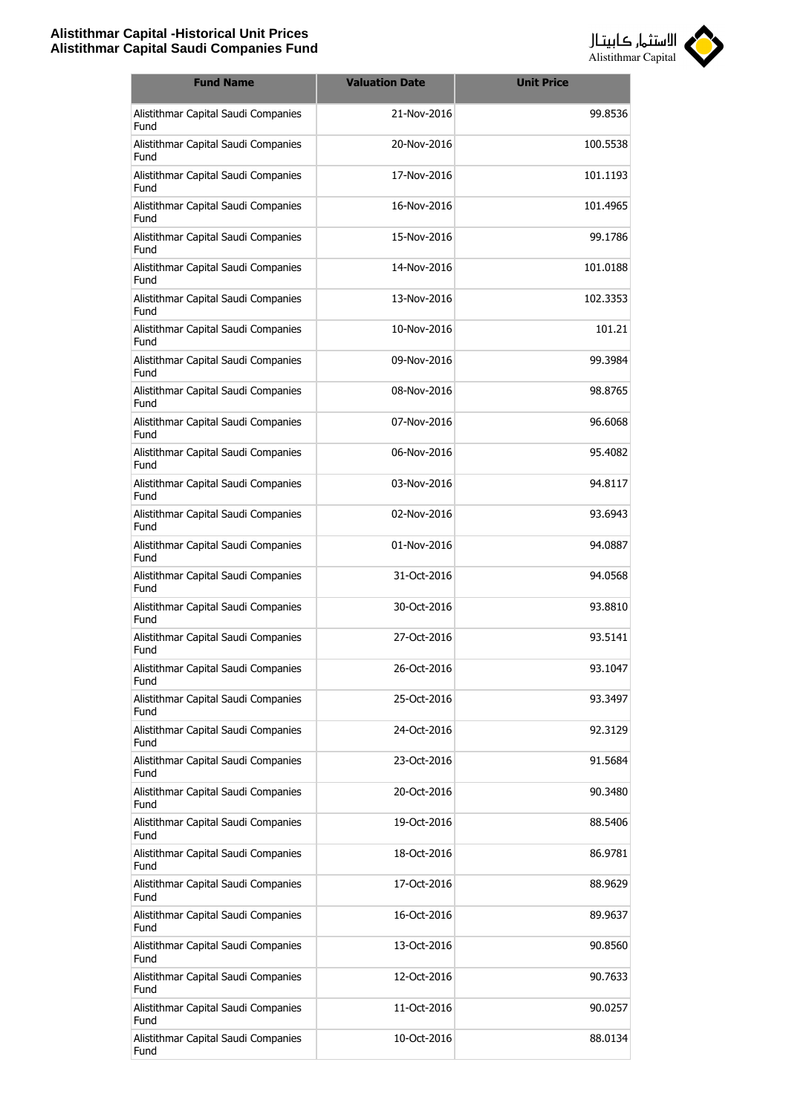

| <b>Fund Name</b>                            | <b>Valuation Date</b> | <b>Unit Price</b> |
|---------------------------------------------|-----------------------|-------------------|
| Alistithmar Capital Saudi Companies<br>Fund | 21-Nov-2016           | 99.8536           |
| Alistithmar Capital Saudi Companies<br>Fund | 20-Nov-2016           | 100.5538          |
| Alistithmar Capital Saudi Companies<br>Fund | 17-Nov-2016           | 101.1193          |
| Alistithmar Capital Saudi Companies<br>Fund | 16-Nov-2016           | 101.4965          |
| Alistithmar Capital Saudi Companies<br>Fund | 15-Nov-2016           | 99.1786           |
| Alistithmar Capital Saudi Companies<br>Fund | 14-Nov-2016           | 101.0188          |
| Alistithmar Capital Saudi Companies<br>Fund | 13-Nov-2016           | 102.3353          |
| Alistithmar Capital Saudi Companies<br>Fund | 10-Nov-2016           | 101.21            |
| Alistithmar Capital Saudi Companies<br>Fund | 09-Nov-2016           | 99.3984           |
| Alistithmar Capital Saudi Companies<br>Fund | 08-Nov-2016           | 98.8765           |
| Alistithmar Capital Saudi Companies<br>Fund | 07-Nov-2016           | 96.6068           |
| Alistithmar Capital Saudi Companies<br>Fund | 06-Nov-2016           | 95.4082           |
| Alistithmar Capital Saudi Companies<br>Fund | 03-Nov-2016           | 94.8117           |
| Alistithmar Capital Saudi Companies<br>Fund | 02-Nov-2016           | 93.6943           |
| Alistithmar Capital Saudi Companies<br>Fund | 01-Nov-2016           | 94.0887           |
| Alistithmar Capital Saudi Companies<br>Fund | 31-Oct-2016           | 94.0568           |
| Alistithmar Capital Saudi Companies<br>Fund | 30-Oct-2016           | 93.8810           |
| Alistithmar Capital Saudi Companies<br>Fund | 27-Oct-2016           | 93.5141           |
| Alistithmar Capital Saudi Companies<br>Fund | 26-Oct-2016           | 93.1047           |
| Alistithmar Capital Saudi Companies<br>Fund | 25-Oct-2016           | 93.3497           |
| Alistithmar Capital Saudi Companies<br>Fund | 24-Oct-2016           | 92.3129           |
| Alistithmar Capital Saudi Companies<br>Fund | 23-Oct-2016           | 91.5684           |
| Alistithmar Capital Saudi Companies<br>Fund | 20-Oct-2016           | 90.3480           |
| Alistithmar Capital Saudi Companies<br>Fund | 19-Oct-2016           | 88.5406           |
| Alistithmar Capital Saudi Companies<br>Fund | 18-Oct-2016           | 86.9781           |
| Alistithmar Capital Saudi Companies<br>Fund | 17-Oct-2016           | 88.9629           |
| Alistithmar Capital Saudi Companies<br>Fund | 16-Oct-2016           | 89.9637           |
| Alistithmar Capital Saudi Companies<br>Fund | 13-Oct-2016           | 90.8560           |
| Alistithmar Capital Saudi Companies<br>Fund | 12-Oct-2016           | 90.7633           |
| Alistithmar Capital Saudi Companies<br>Fund | 11-Oct-2016           | 90.0257           |
| Alistithmar Capital Saudi Companies<br>Fund | 10-Oct-2016           | 88.0134           |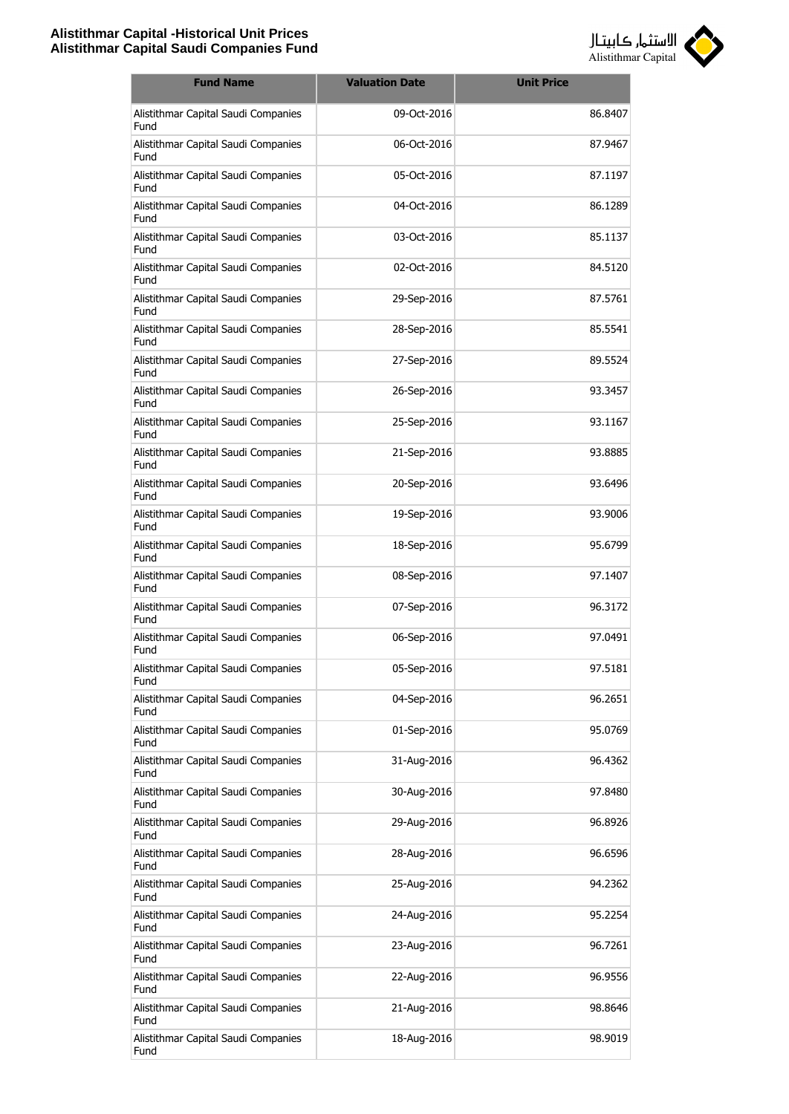

| <b>Fund Name</b>                            | <b>Valuation Date</b> | <b>Unit Price</b> |
|---------------------------------------------|-----------------------|-------------------|
| Alistithmar Capital Saudi Companies<br>Fund | 09-Oct-2016           | 86.8407           |
| Alistithmar Capital Saudi Companies<br>Fund | 06-Oct-2016           | 87.9467           |
| Alistithmar Capital Saudi Companies<br>Fund | 05-Oct-2016           | 87.1197           |
| Alistithmar Capital Saudi Companies<br>Fund | 04-Oct-2016           | 86.1289           |
| Alistithmar Capital Saudi Companies<br>Fund | 03-Oct-2016           | 85.1137           |
| Alistithmar Capital Saudi Companies<br>Fund | 02-Oct-2016           | 84.5120           |
| Alistithmar Capital Saudi Companies<br>Fund | 29-Sep-2016           | 87.5761           |
| Alistithmar Capital Saudi Companies<br>Fund | 28-Sep-2016           | 85.5541           |
| Alistithmar Capital Saudi Companies<br>Fund | 27-Sep-2016           | 89.5524           |
| Alistithmar Capital Saudi Companies<br>Fund | 26-Sep-2016           | 93.3457           |
| Alistithmar Capital Saudi Companies<br>Fund | 25-Sep-2016           | 93.1167           |
| Alistithmar Capital Saudi Companies<br>Fund | 21-Sep-2016           | 93.8885           |
| Alistithmar Capital Saudi Companies<br>Fund | 20-Sep-2016           | 93.6496           |
| Alistithmar Capital Saudi Companies<br>Fund | 19-Sep-2016           | 93.9006           |
| Alistithmar Capital Saudi Companies<br>Fund | 18-Sep-2016           | 95.6799           |
| Alistithmar Capital Saudi Companies<br>Fund | 08-Sep-2016           | 97.1407           |
| Alistithmar Capital Saudi Companies<br>Fund | 07-Sep-2016           | 96.3172           |
| Alistithmar Capital Saudi Companies<br>Fund | 06-Sep-2016           | 97.0491           |
| Alistithmar Capital Saudi Companies<br>Fund | 05-Sep-2016           | 97.5181           |
| Alistithmar Capital Saudi Companies<br>Fund | 04-Sep-2016           | 96.2651           |
| Alistithmar Capital Saudi Companies<br>Fund | 01-Sep-2016           | 95.0769           |
| Alistithmar Capital Saudi Companies<br>Fund | 31-Aug-2016           | 96.4362           |
| Alistithmar Capital Saudi Companies<br>Fund | 30-Aug-2016           | 97.8480           |
| Alistithmar Capital Saudi Companies<br>Fund | 29-Aug-2016           | 96.8926           |
| Alistithmar Capital Saudi Companies<br>Fund | 28-Aug-2016           | 96.6596           |
| Alistithmar Capital Saudi Companies<br>Fund | 25-Aug-2016           | 94.2362           |
| Alistithmar Capital Saudi Companies<br>Fund | 24-Aug-2016           | 95.2254           |
| Alistithmar Capital Saudi Companies<br>Fund | 23-Aug-2016           | 96.7261           |
| Alistithmar Capital Saudi Companies<br>Fund | 22-Aug-2016           | 96.9556           |
| Alistithmar Capital Saudi Companies<br>Fund | 21-Aug-2016           | 98.8646           |
| Alistithmar Capital Saudi Companies<br>Fund | 18-Aug-2016           | 98.9019           |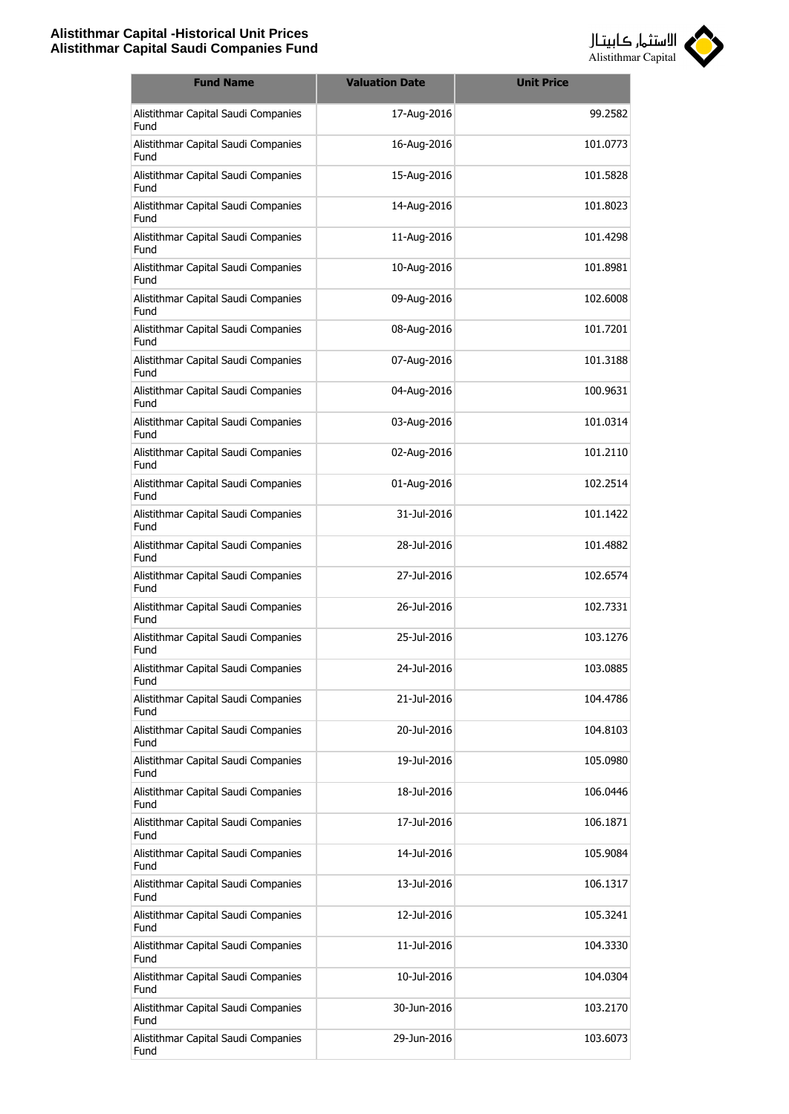

| <b>Fund Name</b>                            | <b>Valuation Date</b> | <b>Unit Price</b> |
|---------------------------------------------|-----------------------|-------------------|
| Alistithmar Capital Saudi Companies<br>Fund | 17-Aug-2016           | 99.2582           |
| Alistithmar Capital Saudi Companies<br>Fund | 16-Aug-2016           | 101.0773          |
| Alistithmar Capital Saudi Companies<br>Fund | 15-Aug-2016           | 101.5828          |
| Alistithmar Capital Saudi Companies<br>Fund | 14-Aug-2016           | 101.8023          |
| Alistithmar Capital Saudi Companies<br>Fund | 11-Aug-2016           | 101.4298          |
| Alistithmar Capital Saudi Companies<br>Fund | 10-Aug-2016           | 101.8981          |
| Alistithmar Capital Saudi Companies<br>Fund | 09-Aug-2016           | 102,6008          |
| Alistithmar Capital Saudi Companies<br>Fund | 08-Aug-2016           | 101.7201          |
| Alistithmar Capital Saudi Companies<br>Fund | 07-Aug-2016           | 101.3188          |
| Alistithmar Capital Saudi Companies<br>Fund | 04-Aug-2016           | 100.9631          |
| Alistithmar Capital Saudi Companies<br>Fund | 03-Aug-2016           | 101.0314          |
| Alistithmar Capital Saudi Companies<br>Fund | 02-Aug-2016           | 101.2110          |
| Alistithmar Capital Saudi Companies<br>Fund | 01-Aug-2016           | 102.2514          |
| Alistithmar Capital Saudi Companies<br>Fund | 31-Jul-2016           | 101.1422          |
| Alistithmar Capital Saudi Companies<br>Fund | 28-Jul-2016           | 101.4882          |
| Alistithmar Capital Saudi Companies<br>Fund | 27-Jul-2016           | 102.6574          |
| Alistithmar Capital Saudi Companies<br>Fund | 26-Jul-2016           | 102.7331          |
| Alistithmar Capital Saudi Companies<br>Fund | 25-Jul-2016           | 103.1276          |
| Alistithmar Capital Saudi Companies<br>Fund | 24-Jul-2016           | 103.0885          |
| Alistithmar Capital Saudi Companies<br>Fund | 21-Jul-2016           | 104.4786          |
| Alistithmar Capital Saudi Companies<br>Fund | 20-Jul-2016           | 104.8103          |
| Alistithmar Capital Saudi Companies<br>Fund | 19-Jul-2016           | 105.0980          |
| Alistithmar Capital Saudi Companies<br>Fund | 18-Jul-2016           | 106.0446          |
| Alistithmar Capital Saudi Companies<br>Fund | 17-Jul-2016           | 106.1871          |
| Alistithmar Capital Saudi Companies<br>Fund | 14-Jul-2016           | 105.9084          |
| Alistithmar Capital Saudi Companies<br>Fund | 13-Jul-2016           | 106.1317          |
| Alistithmar Capital Saudi Companies<br>Fund | 12-Jul-2016           | 105.3241          |
| Alistithmar Capital Saudi Companies<br>Fund | 11-Jul-2016           | 104.3330          |
| Alistithmar Capital Saudi Companies<br>Fund | 10-Jul-2016           | 104.0304          |
| Alistithmar Capital Saudi Companies<br>Fund | 30-Jun-2016           | 103.2170          |
| Alistithmar Capital Saudi Companies<br>Fund | 29-Jun-2016           | 103.6073          |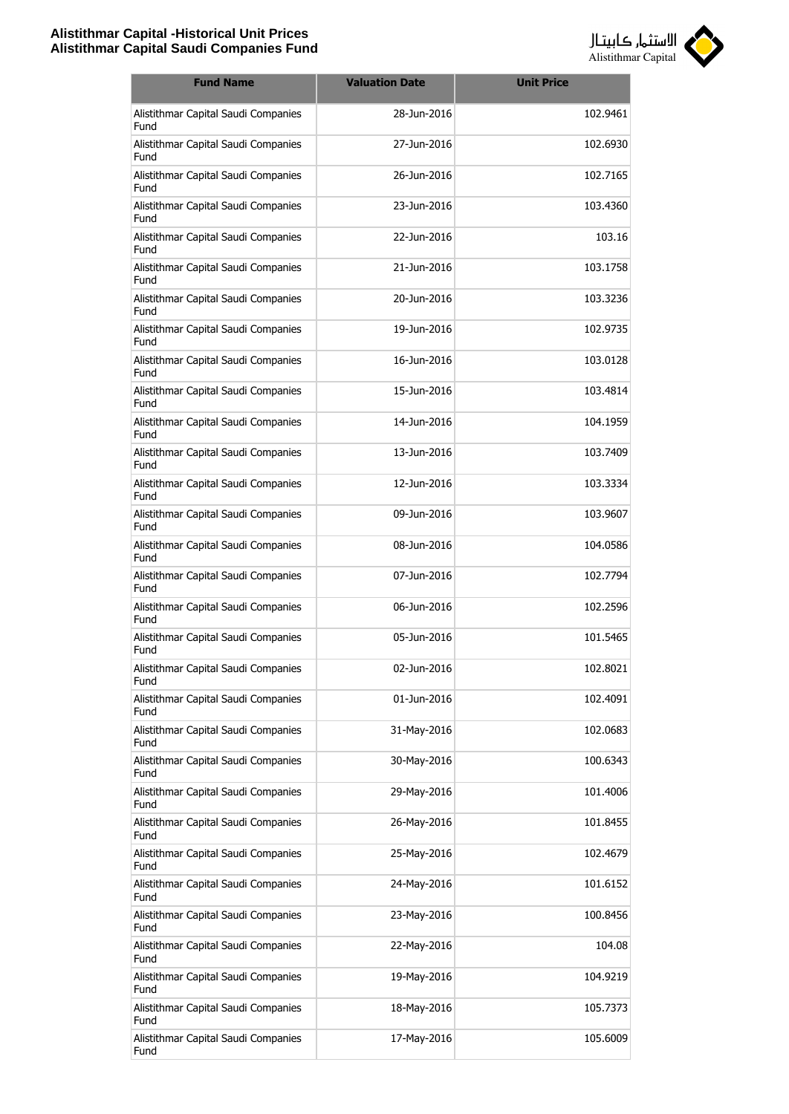

| <b>Fund Name</b>                            | <b>Valuation Date</b> | <b>Unit Price</b> |
|---------------------------------------------|-----------------------|-------------------|
| Alistithmar Capital Saudi Companies<br>Fund | 28-Jun-2016           | 102.9461          |
| Alistithmar Capital Saudi Companies<br>Fund | 27-Jun-2016           | 102.6930          |
| Alistithmar Capital Saudi Companies<br>Fund | 26-Jun-2016           | 102.7165          |
| Alistithmar Capital Saudi Companies<br>Fund | 23-Jun-2016           | 103.4360          |
| Alistithmar Capital Saudi Companies<br>Fund | 22-Jun-2016           | 103.16            |
| Alistithmar Capital Saudi Companies<br>Fund | 21-Jun-2016           | 103.1758          |
| Alistithmar Capital Saudi Companies<br>Fund | 20-Jun-2016           | 103.3236          |
| Alistithmar Capital Saudi Companies<br>Fund | 19-1un-2016           | 102.9735          |
| Alistithmar Capital Saudi Companies<br>Fund | 16-Jun-2016           | 103.0128          |
| Alistithmar Capital Saudi Companies<br>Fund | 15-Jun-2016           | 103.4814          |
| Alistithmar Capital Saudi Companies<br>Fund | 14-Jun-2016           | 104.1959          |
| Alistithmar Capital Saudi Companies<br>Fund | 13-Jun-2016           | 103.7409          |
| Alistithmar Capital Saudi Companies<br>Fund | 12-Jun-2016           | 103.3334          |
| Alistithmar Capital Saudi Companies<br>Fund | 09-Jun-2016           | 103.9607          |
| Alistithmar Capital Saudi Companies<br>Fund | 08-Jun-2016           | 104.0586          |
| Alistithmar Capital Saudi Companies<br>Fund | 07-Jun-2016           | 102.7794          |
| Alistithmar Capital Saudi Companies<br>Fund | 06-Jun-2016           | 102.2596          |
| Alistithmar Capital Saudi Companies<br>Fund | 05-Jun-2016           | 101.5465          |
| Alistithmar Capital Saudi Companies<br>Fund | 02-Jun-2016           | 102.8021          |
| Alistithmar Capital Saudi Companies<br>Fund | 01-Jun-2016           | 102.4091          |
| Alistithmar Capital Saudi Companies<br>Fund | 31-May-2016           | 102.0683          |
| Alistithmar Capital Saudi Companies<br>Fund | 30-May-2016           | 100.6343          |
| Alistithmar Capital Saudi Companies<br>Fund | 29-May-2016           | 101.4006          |
| Alistithmar Capital Saudi Companies<br>Fund | 26-May-2016           | 101.8455          |
| Alistithmar Capital Saudi Companies<br>Fund | 25-May-2016           | 102.4679          |
| Alistithmar Capital Saudi Companies<br>Fund | 24-May-2016           | 101.6152          |
| Alistithmar Capital Saudi Companies<br>Fund | 23-May-2016           | 100.8456          |
| Alistithmar Capital Saudi Companies<br>Fund | 22-May-2016           | 104.08            |
| Alistithmar Capital Saudi Companies<br>Fund | 19-May-2016           | 104.9219          |
| Alistithmar Capital Saudi Companies<br>Fund | 18-May-2016           | 105.7373          |
| Alistithmar Capital Saudi Companies<br>Fund | 17-May-2016           | 105.6009          |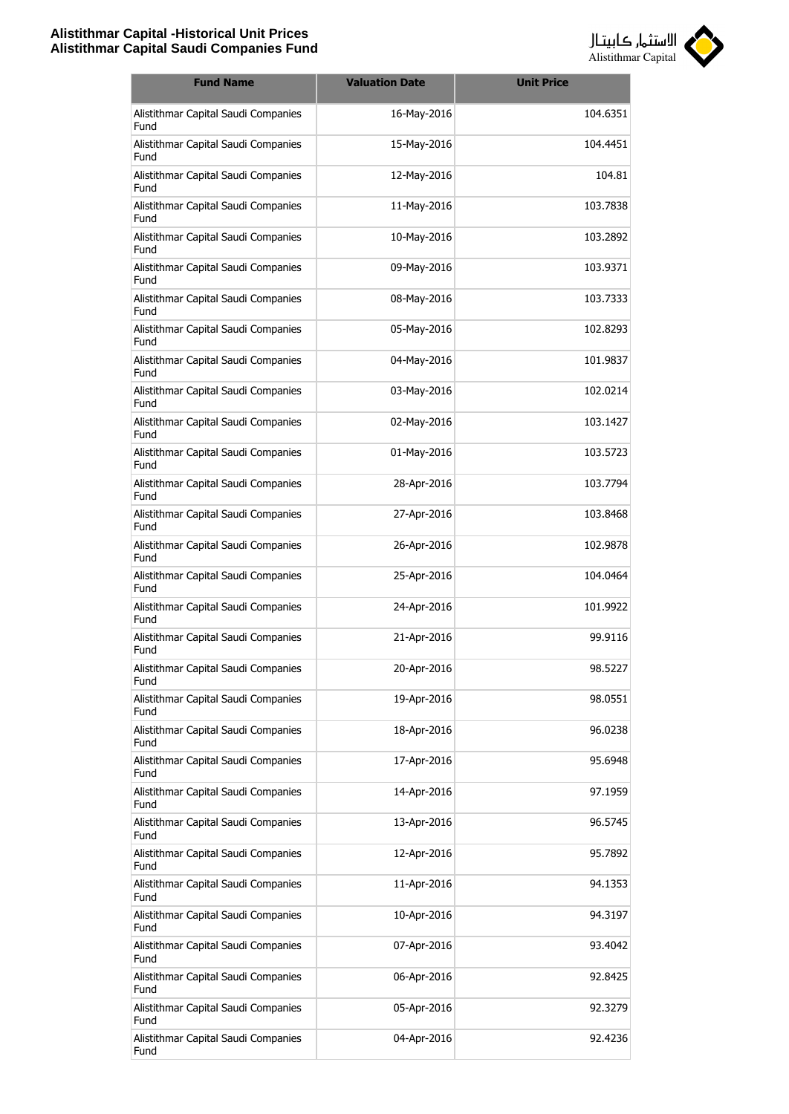

| <b>Fund Name</b>                            | <b>Valuation Date</b> | <b>Unit Price</b> |
|---------------------------------------------|-----------------------|-------------------|
| Alistithmar Capital Saudi Companies<br>Fund | 16-May-2016           | 104.6351          |
| Alistithmar Capital Saudi Companies<br>Fund | 15-May-2016           | 104.4451          |
| Alistithmar Capital Saudi Companies<br>Fund | 12-May-2016           | 104.81            |
| Alistithmar Capital Saudi Companies<br>Fund | 11-May-2016           | 103.7838          |
| Alistithmar Capital Saudi Companies<br>Fund | 10-May-2016           | 103.2892          |
| Alistithmar Capital Saudi Companies<br>Fund | 09-May-2016           | 103.9371          |
| Alistithmar Capital Saudi Companies<br>Fund | 08-May-2016           | 103.7333          |
| Alistithmar Capital Saudi Companies<br>Fund | 05-May-2016           | 102.8293          |
| Alistithmar Capital Saudi Companies<br>Fund | 04-May-2016           | 101.9837          |
| Alistithmar Capital Saudi Companies<br>Fund | 03-May-2016           | 102.0214          |
| Alistithmar Capital Saudi Companies<br>Fund | 02-May-2016           | 103.1427          |
| Alistithmar Capital Saudi Companies<br>Fund | 01-May-2016           | 103.5723          |
| Alistithmar Capital Saudi Companies<br>Fund | 28-Apr-2016           | 103.7794          |
| Alistithmar Capital Saudi Companies<br>Fund | 27-Apr-2016           | 103.8468          |
| Alistithmar Capital Saudi Companies<br>Fund | 26-Apr-2016           | 102.9878          |
| Alistithmar Capital Saudi Companies<br>Fund | 25-Apr-2016           | 104.0464          |
| Alistithmar Capital Saudi Companies<br>Fund | 24-Apr-2016           | 101.9922          |
| Alistithmar Capital Saudi Companies<br>Fund | 21-Apr-2016           | 99.9116           |
| Alistithmar Capital Saudi Companies<br>Fund | 20-Apr-2016           | 98.5227           |
| Alistithmar Capital Saudi Companies<br>Fund | 19-Apr-2016           | 98.0551           |
| Alistithmar Capital Saudi Companies<br>Fund | 18-Apr-2016           | 96.0238           |
| Alistithmar Capital Saudi Companies<br>Fund | 17-Apr-2016           | 95.6948           |
| Alistithmar Capital Saudi Companies<br>Fund | 14-Apr-2016           | 97.1959           |
| Alistithmar Capital Saudi Companies<br>Fund | 13-Apr-2016           | 96.5745           |
| Alistithmar Capital Saudi Companies<br>Fund | 12-Apr-2016           | 95.7892           |
| Alistithmar Capital Saudi Companies<br>Fund | 11-Apr-2016           | 94.1353           |
| Alistithmar Capital Saudi Companies<br>Fund | 10-Apr-2016           | 94.3197           |
| Alistithmar Capital Saudi Companies<br>Fund | 07-Apr-2016           | 93.4042           |
| Alistithmar Capital Saudi Companies<br>Fund | 06-Apr-2016           | 92.8425           |
| Alistithmar Capital Saudi Companies<br>Fund | 05-Apr-2016           | 92.3279           |
| Alistithmar Capital Saudi Companies<br>Fund | 04-Apr-2016           | 92.4236           |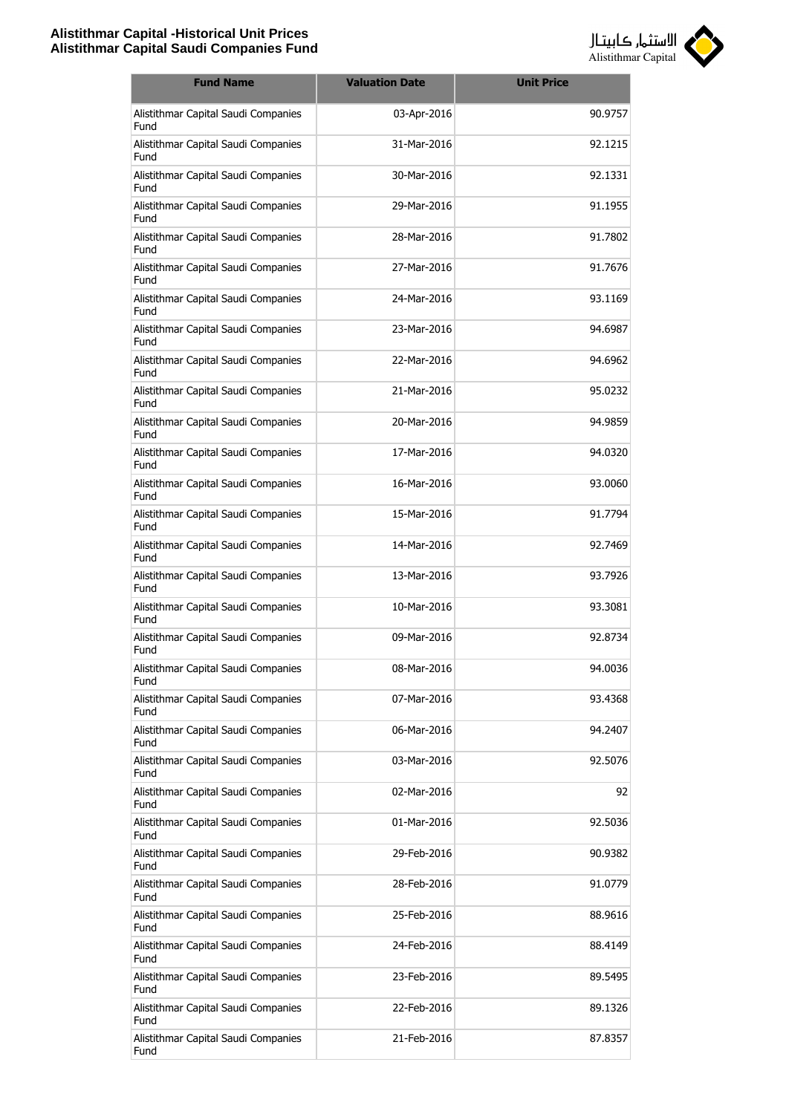

| <b>Fund Name</b>                            | <b>Valuation Date</b> | <b>Unit Price</b> |
|---------------------------------------------|-----------------------|-------------------|
| Alistithmar Capital Saudi Companies<br>Fund | 03-Apr-2016           | 90.9757           |
| Alistithmar Capital Saudi Companies<br>Fund | 31-Mar-2016           | 92.1215           |
| Alistithmar Capital Saudi Companies<br>Fund | 30-Mar-2016           | 92.1331           |
| Alistithmar Capital Saudi Companies<br>Fund | 29-Mar-2016           | 91.1955           |
| Alistithmar Capital Saudi Companies<br>Fund | 28-Mar-2016           | 91.7802           |
| Alistithmar Capital Saudi Companies<br>Fund | 27-Mar-2016           | 91.7676           |
| Alistithmar Capital Saudi Companies<br>Fund | 24-Mar-2016           | 93.1169           |
| Alistithmar Capital Saudi Companies<br>Fund | 23-Mar-2016           | 94.6987           |
| Alistithmar Capital Saudi Companies<br>Fund | 22-Mar-2016           | 94.6962           |
| Alistithmar Capital Saudi Companies<br>Fund | 21-Mar-2016           | 95.0232           |
| Alistithmar Capital Saudi Companies<br>Fund | 20-Mar-2016           | 94.9859           |
| Alistithmar Capital Saudi Companies<br>Fund | 17-Mar-2016           | 94.0320           |
| Alistithmar Capital Saudi Companies<br>Fund | 16-Mar-2016           | 93.0060           |
| Alistithmar Capital Saudi Companies<br>Fund | 15-Mar-2016           | 91.7794           |
| Alistithmar Capital Saudi Companies<br>Fund | 14-Mar-2016           | 92.7469           |
| Alistithmar Capital Saudi Companies<br>Fund | 13-Mar-2016           | 93.7926           |
| Alistithmar Capital Saudi Companies<br>Fund | 10-Mar-2016           | 93.3081           |
| Alistithmar Capital Saudi Companies<br>Fund | 09-Mar-2016           | 92.8734           |
| Alistithmar Capital Saudi Companies<br>Fund | 08-Mar-2016           | 94.0036           |
| Alistithmar Capital Saudi Companies<br>Fund | 07-Mar-2016           | 93.4368           |
| Alistithmar Capital Saudi Companies<br>Fund | 06-Mar-2016           | 94.2407           |
| Alistithmar Capital Saudi Companies<br>Fund | 03-Mar-2016           | 92.5076           |
| Alistithmar Capital Saudi Companies<br>Fund | 02-Mar-2016           | 92                |
| Alistithmar Capital Saudi Companies<br>Fund | 01-Mar-2016           | 92.5036           |
| Alistithmar Capital Saudi Companies<br>Fund | 29-Feb-2016           | 90.9382           |
| Alistithmar Capital Saudi Companies<br>Fund | 28-Feb-2016           | 91.0779           |
| Alistithmar Capital Saudi Companies<br>Fund | 25-Feb-2016           | 88.9616           |
| Alistithmar Capital Saudi Companies<br>Fund | 24-Feb-2016           | 88.4149           |
| Alistithmar Capital Saudi Companies<br>Fund | 23-Feb-2016           | 89.5495           |
| Alistithmar Capital Saudi Companies<br>Fund | 22-Feb-2016           | 89.1326           |
| Alistithmar Capital Saudi Companies<br>Fund | 21-Feb-2016           | 87.8357           |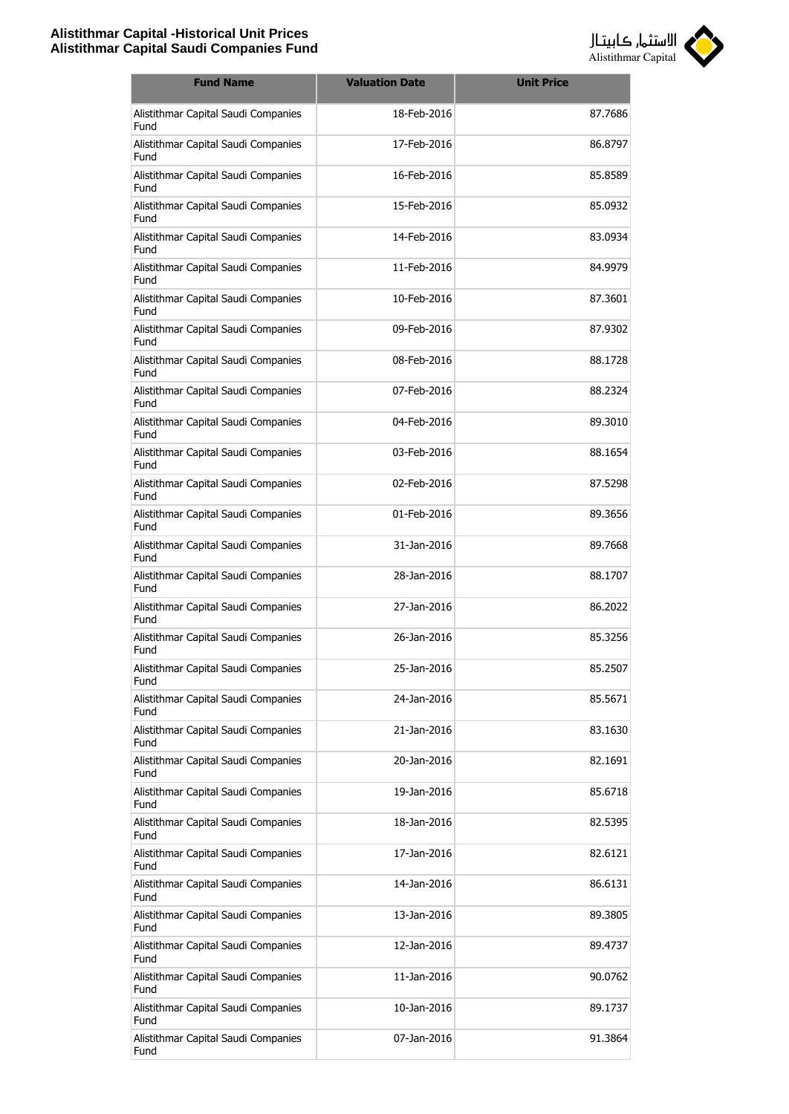

| <b>Fund Name</b>                            | <b>Valuation Date</b> | <b>Unit Price</b> |
|---------------------------------------------|-----------------------|-------------------|
| Alistithmar Capital Saudi Companies<br>Fund | 18-Feb-2016           | 87.7686           |
| Alistithmar Capital Saudi Companies<br>Fund | 17-Feb-2016           | 86.8797           |
| Alistithmar Capital Saudi Companies<br>Fund | 16-Feb-2016           | 85.8589           |
| Alistithmar Capital Saudi Companies<br>Fund | 15-Feb-2016           | 85.0932           |
| Alistithmar Capital Saudi Companies<br>Fund | 14-Feb-2016           | 83.0934           |
| Alistithmar Capital Saudi Companies<br>Fund | 11-Feb-2016           | 84.9979           |
| Alistithmar Capital Saudi Companies<br>Fund | 10-Feb-2016           | 87.3601           |
| Alistithmar Capital Saudi Companies<br>Fund | 09-Feb-2016           | 87.9302           |
| Alistithmar Capital Saudi Companies<br>Fund | 08-Feb-2016           | 88.1728           |
| Alistithmar Capital Saudi Companies<br>Fund | 07-Feb-2016           | 88.2324           |
| Alistithmar Capital Saudi Companies<br>Fund | 04-Feb-2016           | 89.3010           |
| Alistithmar Capital Saudi Companies<br>Fund | 03-Feb-2016           | 88.1654           |
| Alistithmar Capital Saudi Companies<br>Fund | 02-Feb-2016           | 87.5298           |
| Alistithmar Capital Saudi Companies<br>Fund | 01-Feb-2016           | 89.3656           |
| Alistithmar Capital Saudi Companies<br>Fund | 31-Jan-2016           | 89.7668           |
| Alistithmar Capital Saudi Companies<br>Fund | 28-Jan-2016           | 88.1707           |
| Alistithmar Capital Saudi Companies<br>Fund | 27-Jan-2016           | 86.2022           |
| Alistithmar Capital Saudi Companies<br>Fund | 26-Jan-2016           | 85.3256           |
| Alistithmar Capital Saudi Companies<br>Fund | 25-Jan-2016           | 85.2507           |
| Alistithmar Capital Saudi Companies<br>Fund | 24-Jan-2016           | 85.5671           |
| Alistithmar Capital Saudi Companies<br>Fund | 21-Jan-2016           | 83.1630           |
| Alistithmar Capital Saudi Companies<br>Fund | 20-Jan-2016           | 82.1691           |
| Alistithmar Capital Saudi Companies<br>Fund | 19-Jan-2016           | 85.6718           |
| Alistithmar Capital Saudi Companies<br>Fund | 18-Jan-2016           | 82.5395           |
| Alistithmar Capital Saudi Companies<br>Fund | 17-Jan-2016           | 82.6121           |
| Alistithmar Capital Saudi Companies<br>Fund | 14-Jan-2016           | 86.6131           |
| Alistithmar Capital Saudi Companies<br>Fund | 13-Jan-2016           | 89.3805           |
| Alistithmar Capital Saudi Companies<br>Fund | 12-Jan-2016           | 89.4737           |
| Alistithmar Capital Saudi Companies<br>Fund | 11-Jan-2016           | 90.0762           |
| Alistithmar Capital Saudi Companies<br>Fund | 10-Jan-2016           | 89.1737           |
| Alistithmar Capital Saudi Companies<br>Fund | 07-Jan-2016           | 91.3864           |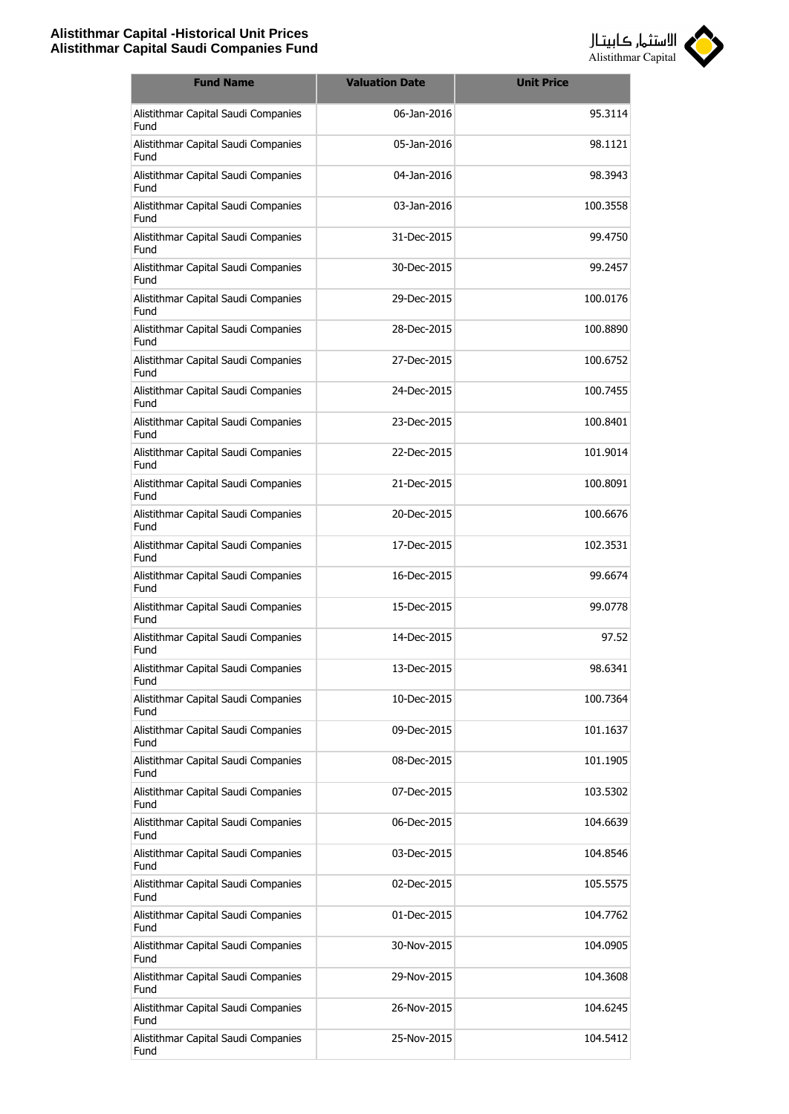

| <b>Fund Name</b>                            | <b>Valuation Date</b> | <b>Unit Price</b> |
|---------------------------------------------|-----------------------|-------------------|
| Alistithmar Capital Saudi Companies<br>Fund | 06-Jan-2016           | 95.3114           |
| Alistithmar Capital Saudi Companies<br>Fund | 05-Jan-2016           | 98.1121           |
| Alistithmar Capital Saudi Companies<br>Fund | 04-Jan-2016           | 98.3943           |
| Alistithmar Capital Saudi Companies<br>Fund | 03-Jan-2016           | 100.3558          |
| Alistithmar Capital Saudi Companies<br>Fund | 31-Dec-2015           | 99.4750           |
| Alistithmar Capital Saudi Companies<br>Fund | 30-Dec-2015           | 99.2457           |
| Alistithmar Capital Saudi Companies<br>Fund | 29-Dec-2015           | 100.0176          |
| Alistithmar Capital Saudi Companies<br>Fund | 28-Dec-2015           | 100.8890          |
| Alistithmar Capital Saudi Companies<br>Fund | 27-Dec-2015           | 100.6752          |
| Alistithmar Capital Saudi Companies<br>Fund | 24-Dec-2015           | 100.7455          |
| Alistithmar Capital Saudi Companies<br>Fund | 23-Dec-2015           | 100.8401          |
| Alistithmar Capital Saudi Companies<br>Fund | 22-Dec-2015           | 101.9014          |
| Alistithmar Capital Saudi Companies<br>Fund | 21-Dec-2015           | 100.8091          |
| Alistithmar Capital Saudi Companies<br>Fund | 20-Dec-2015           | 100.6676          |
| Alistithmar Capital Saudi Companies<br>Fund | 17-Dec-2015           | 102.3531          |
| Alistithmar Capital Saudi Companies<br>Fund | 16-Dec-2015           | 99.6674           |
| Alistithmar Capital Saudi Companies<br>Fund | 15-Dec-2015           | 99.0778           |
| Alistithmar Capital Saudi Companies<br>Fund | 14-Dec-2015           | 97.52             |
| Alistithmar Capital Saudi Companies<br>Fund | 13-Dec-2015           | 98.6341           |
| Alistithmar Capital Saudi Companies<br>Fund | 10-Dec-2015           | 100.7364          |
| Alistithmar Capital Saudi Companies<br>Fund | 09-Dec-2015           | 101.1637          |
| Alistithmar Capital Saudi Companies<br>Fund | 08-Dec-2015           | 101.1905          |
| Alistithmar Capital Saudi Companies<br>Fund | 07-Dec-2015           | 103.5302          |
| Alistithmar Capital Saudi Companies<br>Fund | 06-Dec-2015           | 104.6639          |
| Alistithmar Capital Saudi Companies<br>Fund | 03-Dec-2015           | 104.8546          |
| Alistithmar Capital Saudi Companies<br>Fund | 02-Dec-2015           | 105.5575          |
| Alistithmar Capital Saudi Companies<br>Fund | 01-Dec-2015           | 104.7762          |
| Alistithmar Capital Saudi Companies<br>Fund | 30-Nov-2015           | 104.0905          |
| Alistithmar Capital Saudi Companies<br>Fund | 29-Nov-2015           | 104.3608          |
| Alistithmar Capital Saudi Companies<br>Fund | 26-Nov-2015           | 104.6245          |
| Alistithmar Capital Saudi Companies<br>Fund | 25-Nov-2015           | 104.5412          |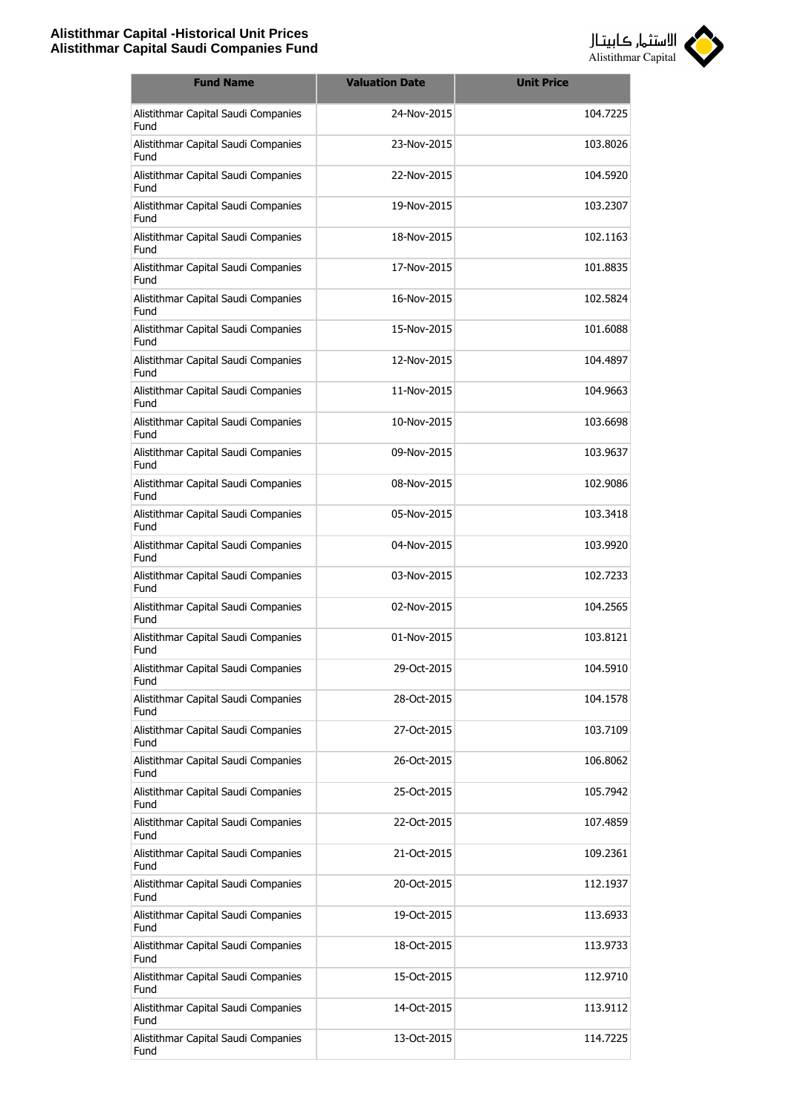

| <b>Fund Name</b>                            | <b>Valuation Date</b> | <b>Unit Price</b> |
|---------------------------------------------|-----------------------|-------------------|
| Alistithmar Capital Saudi Companies<br>Fund | 24-Nov-2015           | 104.7225          |
| Alistithmar Capital Saudi Companies<br>Fund | 23-Nov-2015           | 103.8026          |
| Alistithmar Capital Saudi Companies<br>Fund | 22-Nov-2015           | 104.5920          |
| Alistithmar Capital Saudi Companies<br>Fund | 19-Nov-2015           | 103.2307          |
| Alistithmar Capital Saudi Companies<br>Fund | 18-Nov-2015           | 102.1163          |
| Alistithmar Capital Saudi Companies<br>Fund | 17-Nov-2015           | 101.8835          |
| Alistithmar Capital Saudi Companies<br>Fund | 16-Nov-2015           | 102.5824          |
| Alistithmar Capital Saudi Companies<br>Fund | 15-Nov-2015           | 101.6088          |
| Alistithmar Capital Saudi Companies<br>Fund | 12-Nov-2015           | 104.4897          |
| Alistithmar Capital Saudi Companies<br>Fund | 11-Nov-2015           | 104.9663          |
| Alistithmar Capital Saudi Companies<br>Fund | 10-Nov-2015           | 103.6698          |
| Alistithmar Capital Saudi Companies<br>Fund | 09-Nov-2015           | 103.9637          |
| Alistithmar Capital Saudi Companies<br>Fund | 08-Nov-2015           | 102.9086          |
| Alistithmar Capital Saudi Companies<br>Fund | 05-Nov-2015           | 103.3418          |
| Alistithmar Capital Saudi Companies<br>Fund | 04-Nov-2015           | 103.9920          |
| Alistithmar Capital Saudi Companies<br>Fund | 03-Nov-2015           | 102.7233          |
| Alistithmar Capital Saudi Companies<br>Fund | 02-Nov-2015           | 104.2565          |
| Alistithmar Capital Saudi Companies<br>Fund | 01-Nov-2015           | 103.8121          |
| Alistithmar Capital Saudi Companies<br>Fund | 29-Oct-2015           | 104.5910          |
| Alistithmar Capital Saudi Companies<br>Fund | 28-Oct-2015           | 104.1578          |
| Alistithmar Capital Saudi Companies<br>Fund | 27-Oct-2015           | 103.7109          |
| Alistithmar Capital Saudi Companies<br>Fund | 26-Oct-2015           | 106.8062          |
| Alistithmar Capital Saudi Companies<br>Fund | 25-Oct-2015           | 105.7942          |
| Alistithmar Capital Saudi Companies<br>Fund | 22-Oct-2015           | 107.4859          |
| Alistithmar Capital Saudi Companies<br>Fund | 21-Oct-2015           | 109.2361          |
| Alistithmar Capital Saudi Companies<br>Fund | 20-Oct-2015           | 112.1937          |
| Alistithmar Capital Saudi Companies<br>Fund | 19-Oct-2015           | 113.6933          |
| Alistithmar Capital Saudi Companies<br>Fund | 18-Oct-2015           | 113.9733          |
| Alistithmar Capital Saudi Companies<br>Fund | 15-Oct-2015           | 112.9710          |
| Alistithmar Capital Saudi Companies<br>Fund | 14-Oct-2015           | 113.9112          |
| Alistithmar Capital Saudi Companies<br>Fund | 13-Oct-2015           | 114.7225          |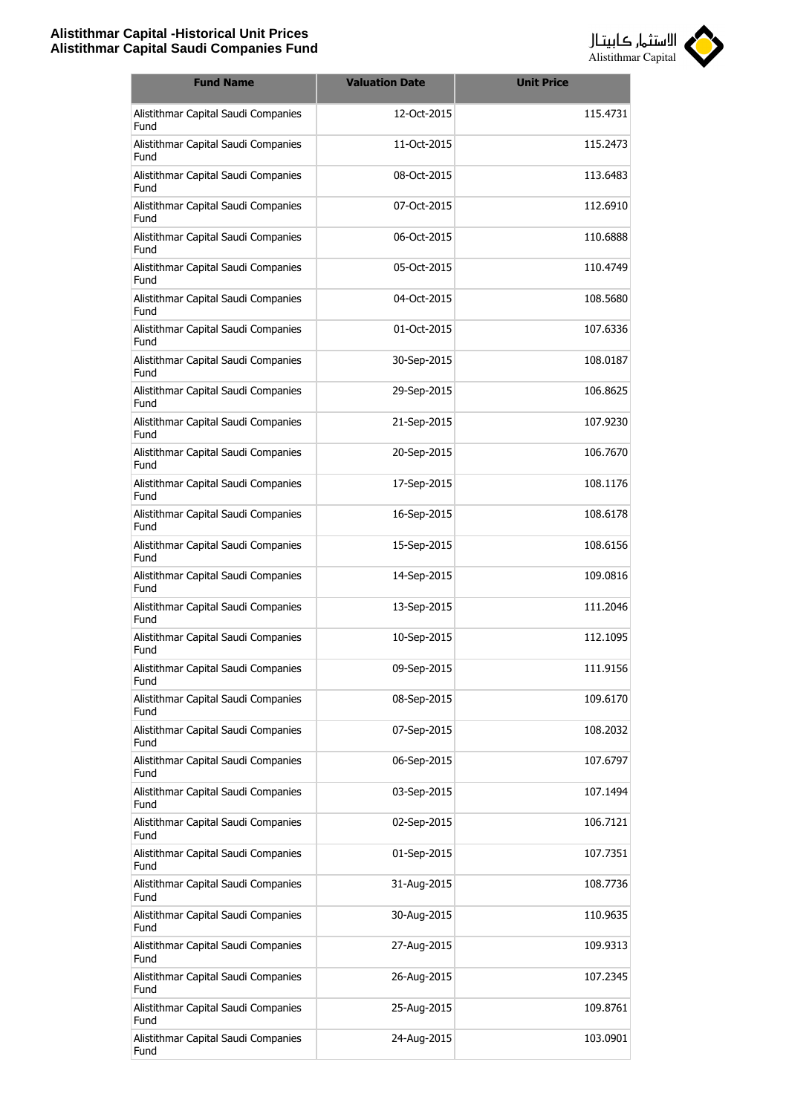

| <b>Fund Name</b>                            | <b>Valuation Date</b> | <b>Unit Price</b> |
|---------------------------------------------|-----------------------|-------------------|
| Alistithmar Capital Saudi Companies<br>Fund | 12-Oct-2015           | 115.4731          |
| Alistithmar Capital Saudi Companies<br>Fund | 11-Oct-2015           | 115.2473          |
| Alistithmar Capital Saudi Companies<br>Fund | 08-Oct-2015           | 113.6483          |
| Alistithmar Capital Saudi Companies<br>Fund | 07-Oct-2015           | 112.6910          |
| Alistithmar Capital Saudi Companies<br>Fund | 06-Oct-2015           | 110.6888          |
| Alistithmar Capital Saudi Companies<br>Fund | 05-Oct-2015           | 110.4749          |
| Alistithmar Capital Saudi Companies<br>Fund | 04-Oct-2015           | 108.5680          |
| Alistithmar Capital Saudi Companies<br>Fund | 01-Oct-2015           | 107.6336          |
| Alistithmar Capital Saudi Companies<br>Fund | 30-Sep-2015           | 108.0187          |
| Alistithmar Capital Saudi Companies<br>Fund | 29-Sep-2015           | 106.8625          |
| Alistithmar Capital Saudi Companies<br>Fund | 21-Sep-2015           | 107.9230          |
| Alistithmar Capital Saudi Companies<br>Fund | 20-Sep-2015           | 106.7670          |
| Alistithmar Capital Saudi Companies<br>Fund | 17-Sep-2015           | 108.1176          |
| Alistithmar Capital Saudi Companies<br>Fund | 16-Sep-2015           | 108.6178          |
| Alistithmar Capital Saudi Companies<br>Fund | 15-Sep-2015           | 108.6156          |
| Alistithmar Capital Saudi Companies<br>Fund | 14-Sep-2015           | 109.0816          |
| Alistithmar Capital Saudi Companies<br>Fund | 13-Sep-2015           | 111.2046          |
| Alistithmar Capital Saudi Companies<br>Fund | 10-Sep-2015           | 112.1095          |
| Alistithmar Capital Saudi Companies<br>Fund | 09-Sep-2015           | 111.9156          |
| Alistithmar Capital Saudi Companies<br>Fund | 08-Sep-2015           | 109.6170          |
| Alistithmar Capital Saudi Companies<br>Fund | 07-Sep-2015           | 108.2032          |
| Alistithmar Capital Saudi Companies<br>Fund | 06-Sep-2015           | 107.6797          |
| Alistithmar Capital Saudi Companies<br>Fund | 03-Sep-2015           | 107.1494          |
| Alistithmar Capital Saudi Companies<br>Fund | 02-Sep-2015           | 106.7121          |
| Alistithmar Capital Saudi Companies<br>Fund | 01-Sep-2015           | 107.7351          |
| Alistithmar Capital Saudi Companies<br>Fund | 31-Aug-2015           | 108.7736          |
| Alistithmar Capital Saudi Companies<br>Fund | 30-Aug-2015           | 110.9635          |
| Alistithmar Capital Saudi Companies<br>Fund | 27-Aug-2015           | 109.9313          |
| Alistithmar Capital Saudi Companies<br>Fund | 26-Aug-2015           | 107.2345          |
| Alistithmar Capital Saudi Companies<br>Fund | 25-Aug-2015           | 109.8761          |
| Alistithmar Capital Saudi Companies<br>Fund | 24-Aug-2015           | 103.0901          |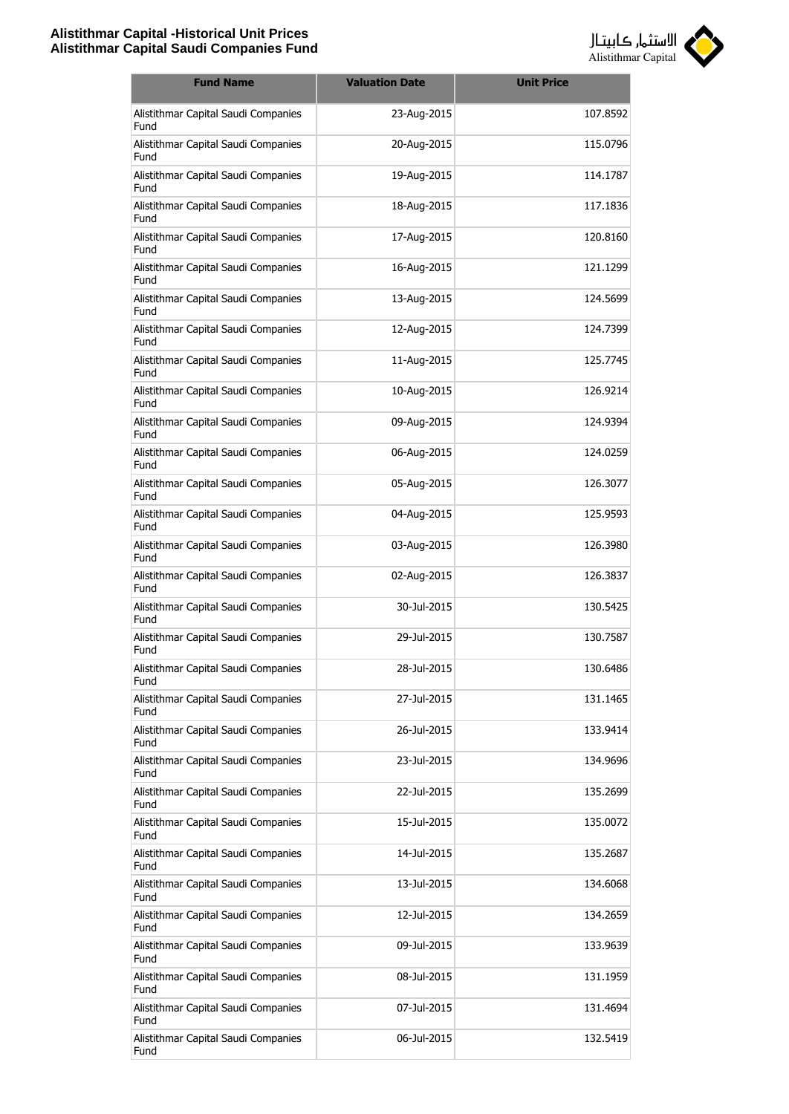

| <b>Fund Name</b>                            | <b>Valuation Date</b> | <b>Unit Price</b> |
|---------------------------------------------|-----------------------|-------------------|
| Alistithmar Capital Saudi Companies<br>Fund | 23-Aug-2015           | 107.8592          |
| Alistithmar Capital Saudi Companies<br>Fund | 20-Aug-2015           | 115.0796          |
| Alistithmar Capital Saudi Companies<br>Fund | 19-Aug-2015           | 114.1787          |
| Alistithmar Capital Saudi Companies<br>Fund | 18-Aug-2015           | 117.1836          |
| Alistithmar Capital Saudi Companies<br>Fund | 17-Aug-2015           | 120.8160          |
| Alistithmar Capital Saudi Companies<br>Fund | 16-Aug-2015           | 121.1299          |
| Alistithmar Capital Saudi Companies<br>Fund | 13-Aug-2015           | 124.5699          |
| Alistithmar Capital Saudi Companies<br>Fund | 12-Aug-2015           | 124.7399          |
| Alistithmar Capital Saudi Companies<br>Fund | 11-Aug-2015           | 125.7745          |
| Alistithmar Capital Saudi Companies<br>Fund | 10-Aug-2015           | 126.9214          |
| Alistithmar Capital Saudi Companies<br>Fund | 09-Aug-2015           | 124.9394          |
| Alistithmar Capital Saudi Companies<br>Fund | 06-Aug-2015           | 124.0259          |
| Alistithmar Capital Saudi Companies<br>Fund | 05-Aug-2015           | 126.3077          |
| Alistithmar Capital Saudi Companies<br>Fund | 04-Aug-2015           | 125.9593          |
| Alistithmar Capital Saudi Companies<br>Fund | 03-Aug-2015           | 126.3980          |
| Alistithmar Capital Saudi Companies<br>Fund | 02-Aug-2015           | 126.3837          |
| Alistithmar Capital Saudi Companies<br>Fund | 30-Jul-2015           | 130.5425          |
| Alistithmar Capital Saudi Companies<br>Fund | 29-Jul-2015           | 130.7587          |
| Alistithmar Capital Saudi Companies<br>Fund | 28-Jul-2015           | 130.6486          |
| Alistithmar Capital Saudi Companies<br>Fund | 27-Jul-2015           | 131.1465          |
| Alistithmar Capital Saudi Companies<br>Fund | 26-Jul-2015           | 133.9414          |
| Alistithmar Capital Saudi Companies<br>Fund | 23-Jul-2015           | 134.9696          |
| Alistithmar Capital Saudi Companies<br>Fund | 22-Jul-2015           | 135.2699          |
| Alistithmar Capital Saudi Companies<br>Fund | 15-Jul-2015           | 135.0072          |
| Alistithmar Capital Saudi Companies<br>Fund | 14-Jul-2015           | 135.2687          |
| Alistithmar Capital Saudi Companies<br>Fund | 13-Jul-2015           | 134.6068          |
| Alistithmar Capital Saudi Companies<br>Fund | 12-Jul-2015           | 134.2659          |
| Alistithmar Capital Saudi Companies<br>Fund | 09-Jul-2015           | 133.9639          |
| Alistithmar Capital Saudi Companies<br>Fund | 08-Jul-2015           | 131.1959          |
| Alistithmar Capital Saudi Companies<br>Fund | 07-Jul-2015           | 131.4694          |
| Alistithmar Capital Saudi Companies<br>Fund | 06-Jul-2015           | 132.5419          |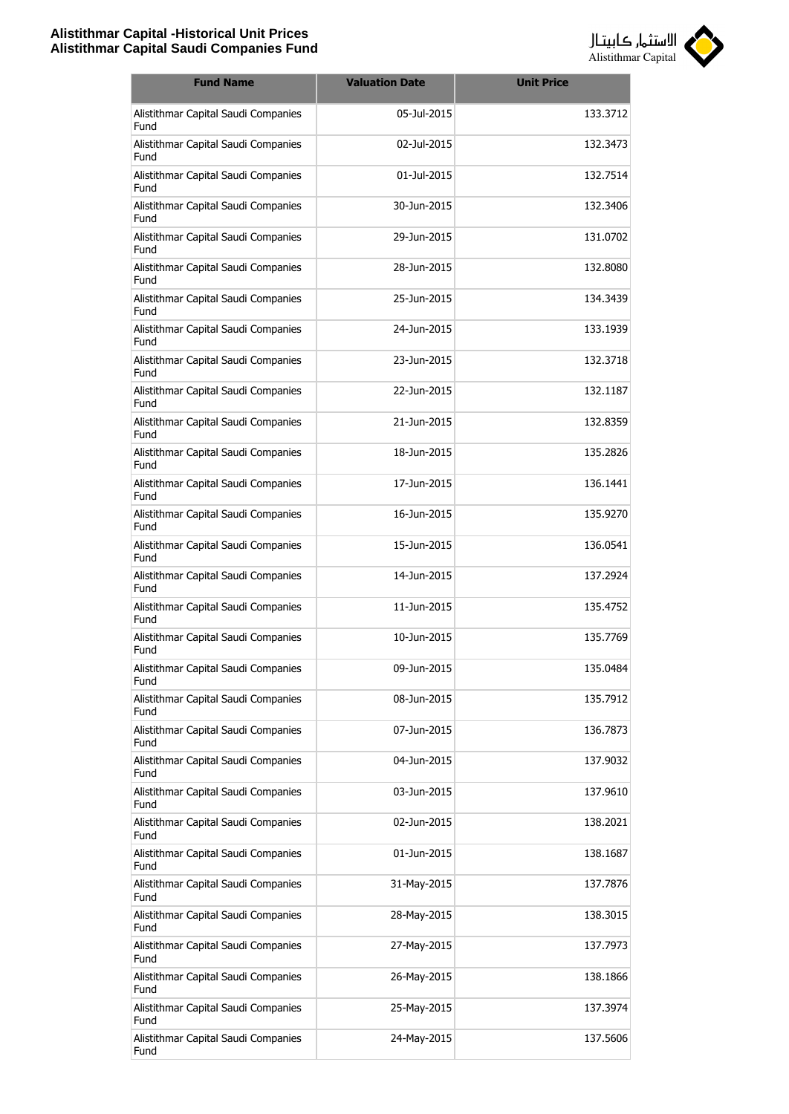

| <b>Fund Name</b>                            | <b>Valuation Date</b> | <b>Unit Price</b> |
|---------------------------------------------|-----------------------|-------------------|
| Alistithmar Capital Saudi Companies<br>Fund | 05-Jul-2015           | 133.3712          |
| Alistithmar Capital Saudi Companies<br>Fund | 02-Jul-2015           | 132.3473          |
| Alistithmar Capital Saudi Companies<br>Fund | 01-Jul-2015           | 132.7514          |
| Alistithmar Capital Saudi Companies<br>Fund | 30-Jun-2015           | 132.3406          |
| Alistithmar Capital Saudi Companies<br>Fund | 29-Jun-2015           | 131.0702          |
| Alistithmar Capital Saudi Companies<br>Fund | 28-Jun-2015           | 132,8080          |
| Alistithmar Capital Saudi Companies<br>Fund | 25-Jun-2015           | 134.3439          |
| Alistithmar Capital Saudi Companies<br>Fund | 24-1un-2015           | 133.1939          |
| Alistithmar Capital Saudi Companies<br>Fund | 23-Jun-2015           | 132,3718          |
| Alistithmar Capital Saudi Companies<br>Fund | 22-Jun-2015           | 132.1187          |
| Alistithmar Capital Saudi Companies<br>Fund | 21-Jun-2015           | 132.8359          |
| Alistithmar Capital Saudi Companies<br>Fund | 18-Jun-2015           | 135.2826          |
| Alistithmar Capital Saudi Companies<br>Fund | 17-Jun-2015           | 136.1441          |
| Alistithmar Capital Saudi Companies<br>Fund | 16-Jun-2015           | 135.9270          |
| Alistithmar Capital Saudi Companies<br>Fund | 15-Jun-2015           | 136.0541          |
| Alistithmar Capital Saudi Companies<br>Fund | 14-Jun-2015           | 137.2924          |
| Alistithmar Capital Saudi Companies<br>Fund | 11-1un-2015           | 135.4752          |
| Alistithmar Capital Saudi Companies<br>Fund | 10-Jun-2015           | 135.7769          |
| Alistithmar Capital Saudi Companies<br>Fund | 09-Jun-2015           | 135.0484          |
| Alistithmar Capital Saudi Companies<br>Fund | 08-Jun-2015           | 135.7912          |
| Alistithmar Capital Saudi Companies<br>Fund | 07-Jun-2015           | 136.7873          |
| Alistithmar Capital Saudi Companies<br>Fund | 04-Jun-2015           | 137.9032          |
| Alistithmar Capital Saudi Companies<br>Fund | 03-Jun-2015           | 137.9610          |
| Alistithmar Capital Saudi Companies<br>Fund | 02-Jun-2015           | 138.2021          |
| Alistithmar Capital Saudi Companies<br>Fund | 01-Jun-2015           | 138.1687          |
| Alistithmar Capital Saudi Companies<br>Fund | 31-May-2015           | 137.7876          |
| Alistithmar Capital Saudi Companies<br>Fund | 28-May-2015           | 138.3015          |
| Alistithmar Capital Saudi Companies<br>Fund | 27-May-2015           | 137.7973          |
| Alistithmar Capital Saudi Companies<br>Fund | 26-May-2015           | 138.1866          |
| Alistithmar Capital Saudi Companies<br>Fund | 25-May-2015           | 137.3974          |
| Alistithmar Capital Saudi Companies<br>Fund | 24-May-2015           | 137.5606          |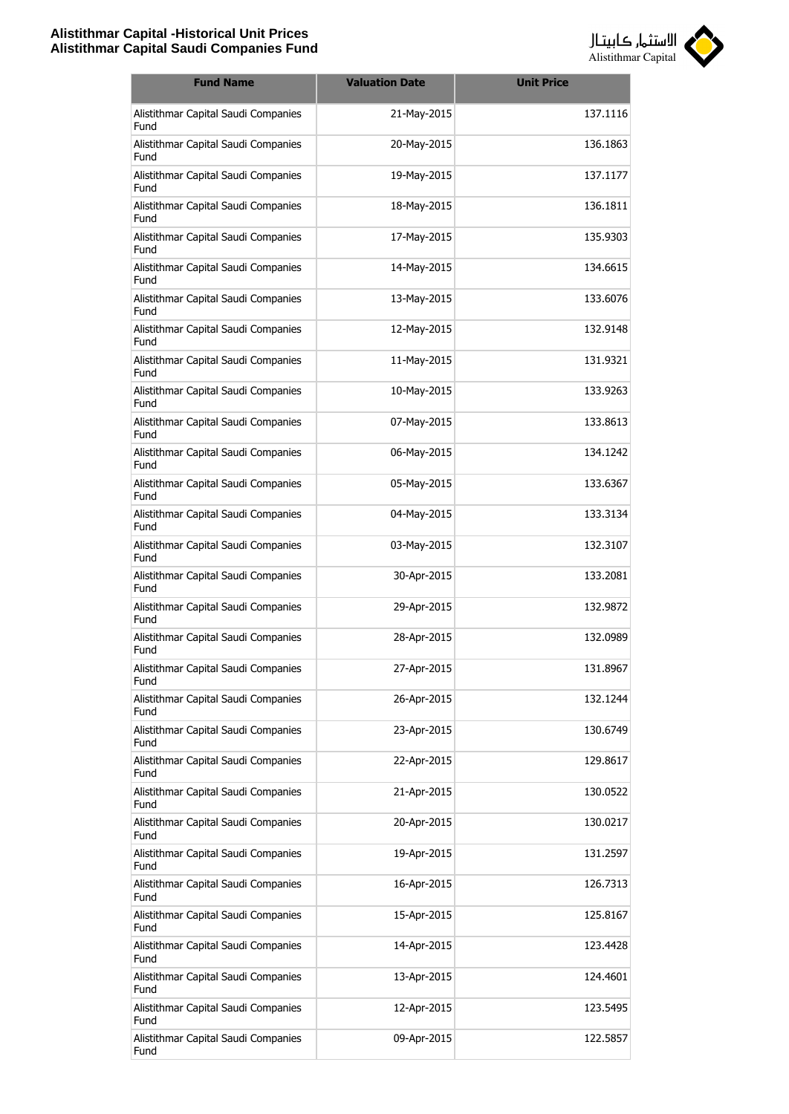

| <b>Fund Name</b>                            | <b>Valuation Date</b> | <b>Unit Price</b> |
|---------------------------------------------|-----------------------|-------------------|
| Alistithmar Capital Saudi Companies<br>Fund | 21-May-2015           | 137.1116          |
| Alistithmar Capital Saudi Companies<br>Fund | 20-May-2015           | 136.1863          |
| Alistithmar Capital Saudi Companies<br>Fund | 19-May-2015           | 137.1177          |
| Alistithmar Capital Saudi Companies<br>Fund | 18-May-2015           | 136.1811          |
| Alistithmar Capital Saudi Companies<br>Fund | 17-May-2015           | 135.9303          |
| Alistithmar Capital Saudi Companies<br>Fund | 14-May-2015           | 134.6615          |
| Alistithmar Capital Saudi Companies<br>Fund | 13-May-2015           | 133,6076          |
| Alistithmar Capital Saudi Companies<br>Fund | 12-May-2015           | 132.9148          |
| Alistithmar Capital Saudi Companies<br>Fund | 11-May-2015           | 131.9321          |
| Alistithmar Capital Saudi Companies<br>Fund | 10-May-2015           | 133.9263          |
| Alistithmar Capital Saudi Companies<br>Fund | 07-May-2015           | 133.8613          |
| Alistithmar Capital Saudi Companies<br>Fund | 06-May-2015           | 134.1242          |
| Alistithmar Capital Saudi Companies<br>Fund | 05-May-2015           | 133.6367          |
| Alistithmar Capital Saudi Companies<br>Fund | 04-May-2015           | 133.3134          |
| Alistithmar Capital Saudi Companies<br>Fund | 03-May-2015           | 132.3107          |
| Alistithmar Capital Saudi Companies<br>Fund | 30-Apr-2015           | 133.2081          |
| Alistithmar Capital Saudi Companies<br>Fund | 29-Apr-2015           | 132.9872          |
| Alistithmar Capital Saudi Companies<br>Fund | 28-Apr-2015           | 132.0989          |
| Alistithmar Capital Saudi Companies<br>Fund | 27-Apr-2015           | 131.8967          |
| Alistithmar Capital Saudi Companies<br>Fund | 26-Apr-2015           | 132.1244          |
| Alistithmar Capital Saudi Companies<br>Fund | 23-Apr-2015           | 130.6749          |
| Alistithmar Capital Saudi Companies<br>Fund | 22-Apr-2015           | 129.8617          |
| Alistithmar Capital Saudi Companies<br>Fund | 21-Apr-2015           | 130.0522          |
| Alistithmar Capital Saudi Companies<br>Fund | 20-Apr-2015           | 130.0217          |
| Alistithmar Capital Saudi Companies<br>Fund | 19-Apr-2015           | 131.2597          |
| Alistithmar Capital Saudi Companies<br>Fund | 16-Apr-2015           | 126.7313          |
| Alistithmar Capital Saudi Companies<br>Fund | 15-Apr-2015           | 125.8167          |
| Alistithmar Capital Saudi Companies<br>Fund | 14-Apr-2015           | 123.4428          |
| Alistithmar Capital Saudi Companies<br>Fund | 13-Apr-2015           | 124.4601          |
| Alistithmar Capital Saudi Companies<br>Fund | 12-Apr-2015           | 123.5495          |
| Alistithmar Capital Saudi Companies<br>Fund | 09-Apr-2015           | 122.5857          |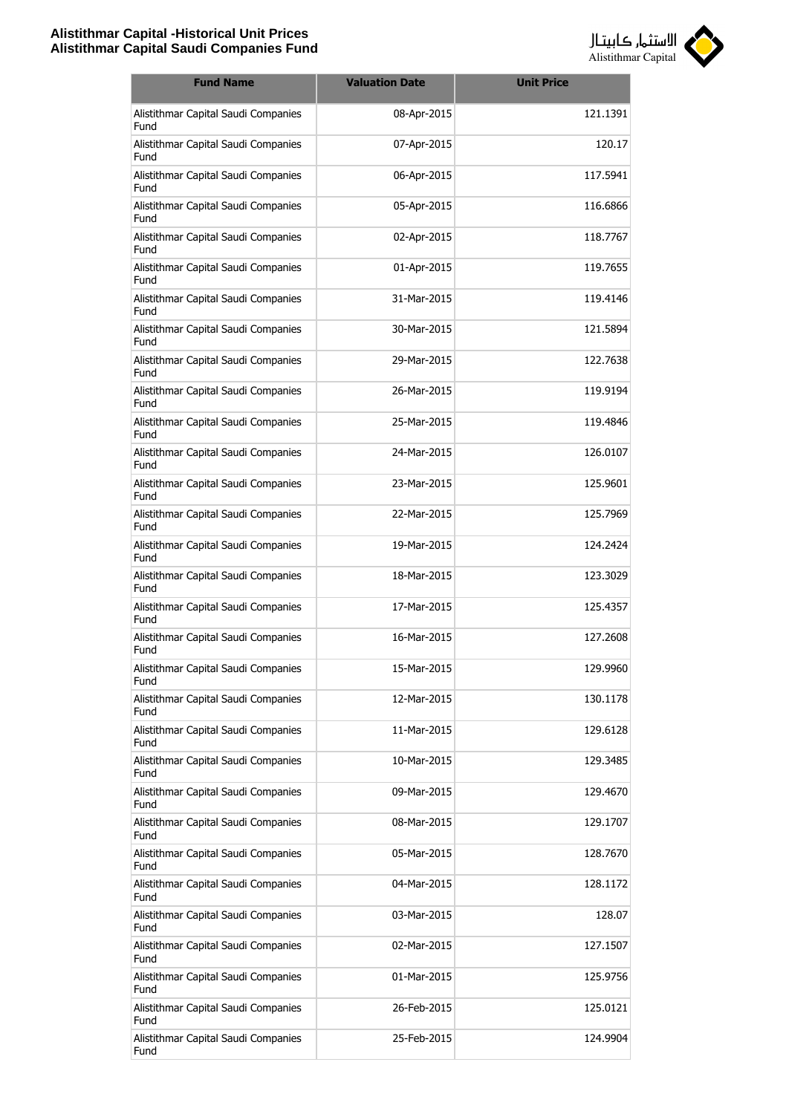

| <b>Fund Name</b>                            | <b>Valuation Date</b> | <b>Unit Price</b> |
|---------------------------------------------|-----------------------|-------------------|
| Alistithmar Capital Saudi Companies<br>Fund | 08-Apr-2015           | 121.1391          |
| Alistithmar Capital Saudi Companies<br>Fund | 07-Apr-2015           | 120.17            |
| Alistithmar Capital Saudi Companies<br>Fund | 06-Apr-2015           | 117.5941          |
| Alistithmar Capital Saudi Companies<br>Fund | 05-Apr-2015           | 116.6866          |
| Alistithmar Capital Saudi Companies<br>Fund | 02-Apr-2015           | 118,7767          |
| Alistithmar Capital Saudi Companies<br>Fund | 01-Apr-2015           | 119.7655          |
| Alistithmar Capital Saudi Companies<br>Fund | 31-Mar-2015           | 119.4146          |
| Alistithmar Capital Saudi Companies<br>Fund | 30-Mar-2015           | 121.5894          |
| Alistithmar Capital Saudi Companies<br>Fund | 29-Mar-2015           | 122.7638          |
| Alistithmar Capital Saudi Companies<br>Fund | 26-Mar-2015           | 119.9194          |
| Alistithmar Capital Saudi Companies<br>Fund | 25-Mar-2015           | 119.4846          |
| Alistithmar Capital Saudi Companies<br>Fund | 24-Mar-2015           | 126.0107          |
| Alistithmar Capital Saudi Companies<br>Fund | 23-Mar-2015           | 125.9601          |
| Alistithmar Capital Saudi Companies<br>Fund | 22-Mar-2015           | 125.7969          |
| Alistithmar Capital Saudi Companies<br>Fund | 19-Mar-2015           | 124.2424          |
| Alistithmar Capital Saudi Companies<br>Fund | 18-Mar-2015           | 123.3029          |
| Alistithmar Capital Saudi Companies<br>Fund | 17-Mar-2015           | 125.4357          |
| Alistithmar Capital Saudi Companies<br>Fund | 16-Mar-2015           | 127,2608          |
| Alistithmar Capital Saudi Companies<br>Fund | 15-Mar-2015           | 129.9960          |
| Alistithmar Capital Saudi Companies<br>Fund | 12-Mar-2015           | 130.1178          |
| Alistithmar Capital Saudi Companies<br>Fund | 11-Mar-2015           | 129.6128          |
| Alistithmar Capital Saudi Companies<br>Fund | 10-Mar-2015           | 129.3485          |
| Alistithmar Capital Saudi Companies<br>Fund | 09-Mar-2015           | 129.4670          |
| Alistithmar Capital Saudi Companies<br>Fund | 08-Mar-2015           | 129.1707          |
| Alistithmar Capital Saudi Companies<br>Fund | 05-Mar-2015           | 128.7670          |
| Alistithmar Capital Saudi Companies<br>Fund | 04-Mar-2015           | 128.1172          |
| Alistithmar Capital Saudi Companies<br>Fund | 03-Mar-2015           | 128.07            |
| Alistithmar Capital Saudi Companies<br>Fund | 02-Mar-2015           | 127.1507          |
| Alistithmar Capital Saudi Companies<br>Fund | 01-Mar-2015           | 125.9756          |
| Alistithmar Capital Saudi Companies<br>Fund | 26-Feb-2015           | 125.0121          |
| Alistithmar Capital Saudi Companies<br>Fund | 25-Feb-2015           | 124.9904          |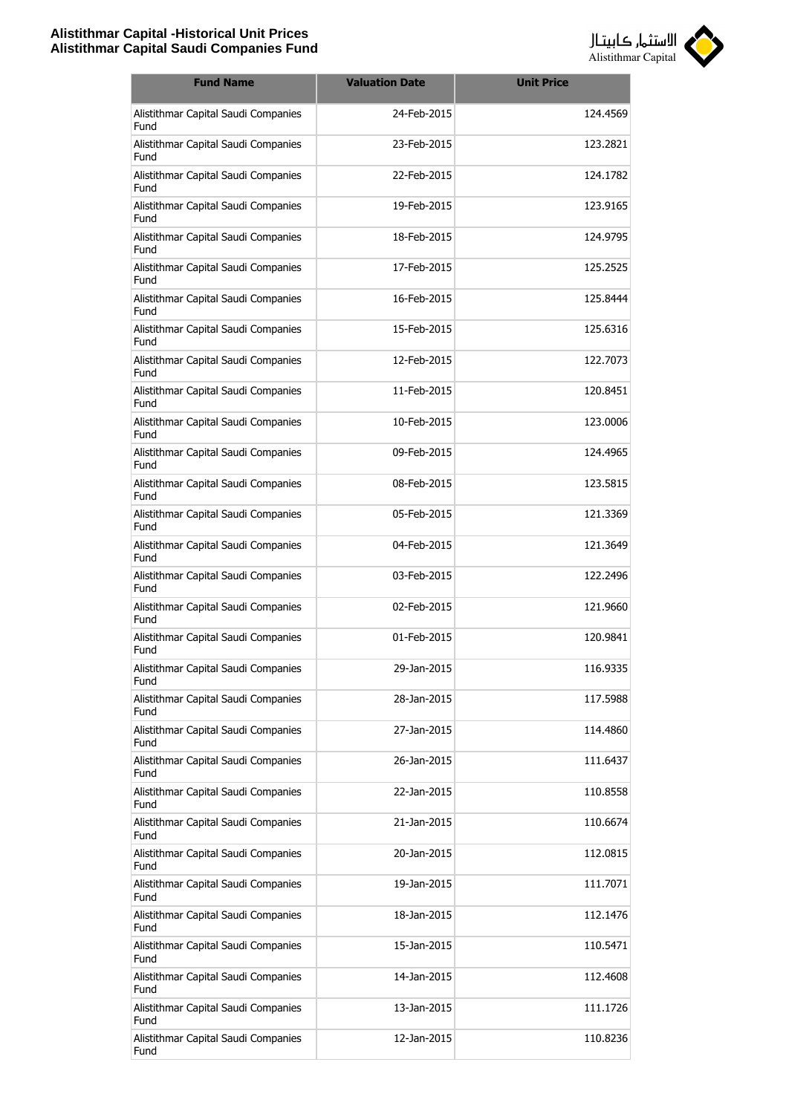

| <b>Fund Name</b>                            | <b>Valuation Date</b> | <b>Unit Price</b> |
|---------------------------------------------|-----------------------|-------------------|
| Alistithmar Capital Saudi Companies<br>Fund | 24-Feb-2015           | 124.4569          |
| Alistithmar Capital Saudi Companies<br>Fund | 23-Feb-2015           | 123.2821          |
| Alistithmar Capital Saudi Companies<br>Fund | 22-Feb-2015           | 124.1782          |
| Alistithmar Capital Saudi Companies<br>Fund | 19-Feb-2015           | 123.9165          |
| Alistithmar Capital Saudi Companies<br>Fund | 18-Feb-2015           | 124.9795          |
| Alistithmar Capital Saudi Companies<br>Fund | 17-Feb-2015           | 125.2525          |
| Alistithmar Capital Saudi Companies<br>Fund | 16-Feb-2015           | 125.8444          |
| Alistithmar Capital Saudi Companies<br>Fund | 15-Feb-2015           | 125.6316          |
| Alistithmar Capital Saudi Companies<br>Fund | 12-Feb-2015           | 122.7073          |
| Alistithmar Capital Saudi Companies<br>Fund | 11-Feb-2015           | 120.8451          |
| Alistithmar Capital Saudi Companies<br>Fund | 10-Feb-2015           | 123,0006          |
| Alistithmar Capital Saudi Companies<br>Fund | 09-Feb-2015           | 124.4965          |
| Alistithmar Capital Saudi Companies<br>Fund | 08-Feb-2015           | 123.5815          |
| Alistithmar Capital Saudi Companies<br>Fund | 05-Feb-2015           | 121.3369          |
| Alistithmar Capital Saudi Companies<br>Fund | 04-Feb-2015           | 121.3649          |
| Alistithmar Capital Saudi Companies<br>Fund | 03-Feb-2015           | 122.2496          |
| Alistithmar Capital Saudi Companies<br>Fund | 02-Feb-2015           | 121.9660          |
| Alistithmar Capital Saudi Companies<br>Fund | 01-Feb-2015           | 120.9841          |
| Alistithmar Capital Saudi Companies<br>Fund | 29-Jan-2015           | 116.9335          |
| Alistithmar Capital Saudi Companies<br>Fund | 28-Jan-2015           | 117.5988          |
| Alistithmar Capital Saudi Companies<br>Fund | 27-Jan-2015           | 114.4860          |
| Alistithmar Capital Saudi Companies<br>Fund | 26-Jan-2015           | 111.6437          |
| Alistithmar Capital Saudi Companies<br>Fund | 22-Jan-2015           | 110.8558          |
| Alistithmar Capital Saudi Companies<br>Fund | 21-Jan-2015           | 110.6674          |
| Alistithmar Capital Saudi Companies<br>Fund | 20-Jan-2015           | 112.0815          |
| Alistithmar Capital Saudi Companies<br>Fund | 19-Jan-2015           | 111.7071          |
| Alistithmar Capital Saudi Companies<br>Fund | 18-Jan-2015           | 112.1476          |
| Alistithmar Capital Saudi Companies<br>Fund | 15-Jan-2015           | 110.5471          |
| Alistithmar Capital Saudi Companies<br>Fund | 14-Jan-2015           | 112.4608          |
| Alistithmar Capital Saudi Companies<br>Fund | 13-Jan-2015           | 111.1726          |
| Alistithmar Capital Saudi Companies<br>Fund | 12-Jan-2015           | 110.8236          |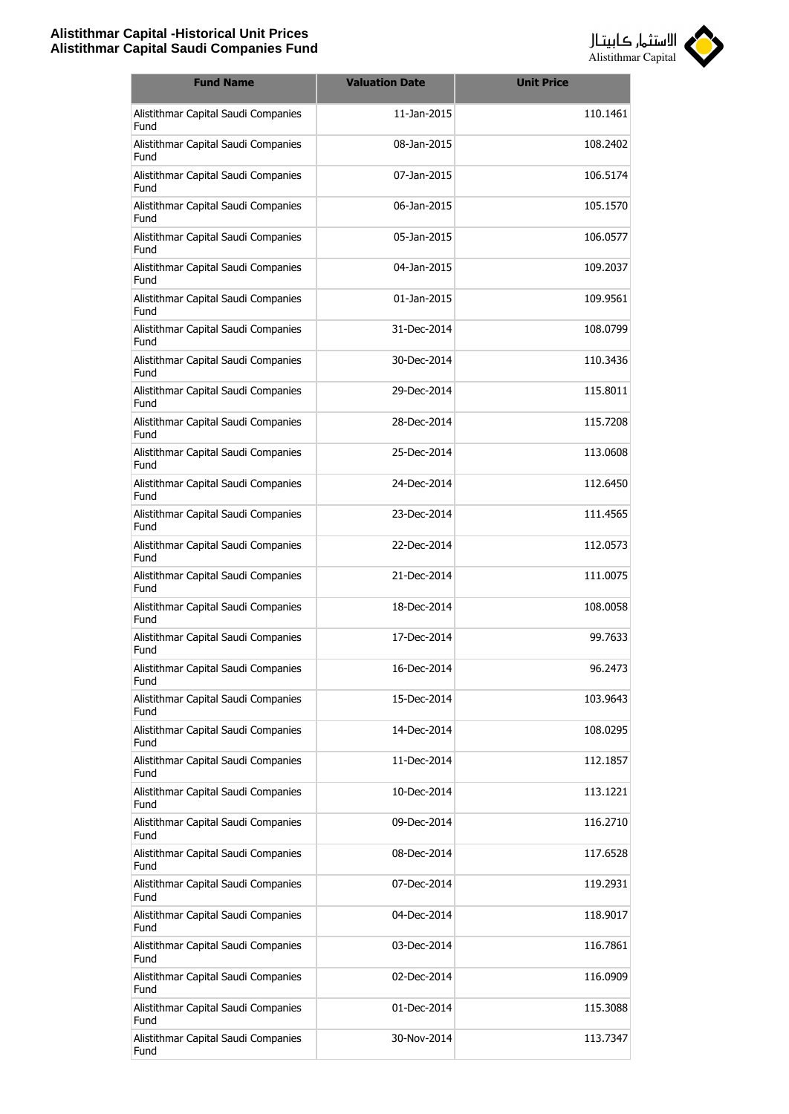

| <b>Fund Name</b>                            | <b>Valuation Date</b> | <b>Unit Price</b> |
|---------------------------------------------|-----------------------|-------------------|
| Alistithmar Capital Saudi Companies<br>Fund | 11-Jan-2015           | 110.1461          |
| Alistithmar Capital Saudi Companies<br>Fund | 08-Jan-2015           | 108.2402          |
| Alistithmar Capital Saudi Companies<br>Fund | 07-Jan-2015           | 106.5174          |
| Alistithmar Capital Saudi Companies<br>Fund | 06-Jan-2015           | 105.1570          |
| Alistithmar Capital Saudi Companies<br>Fund | 05-Jan-2015           | 106.0577          |
| Alistithmar Capital Saudi Companies<br>Fund | 04-Jan-2015           | 109.2037          |
| Alistithmar Capital Saudi Companies<br>Fund | 01-Jan-2015           | 109.9561          |
| Alistithmar Capital Saudi Companies<br>Fund | 31-Dec-2014           | 108.0799          |
| Alistithmar Capital Saudi Companies<br>Fund | 30-Dec-2014           | 110.3436          |
| Alistithmar Capital Saudi Companies<br>Fund | 29-Dec-2014           | 115.8011          |
| Alistithmar Capital Saudi Companies<br>Fund | 28-Dec-2014           | 115.7208          |
| Alistithmar Capital Saudi Companies<br>Fund | 25-Dec-2014           | 113.0608          |
| Alistithmar Capital Saudi Companies<br>Fund | 24-Dec-2014           | 112.6450          |
| Alistithmar Capital Saudi Companies<br>Fund | 23-Dec-2014           | 111.4565          |
| Alistithmar Capital Saudi Companies<br>Fund | 22-Dec-2014           | 112.0573          |
| Alistithmar Capital Saudi Companies<br>Fund | 21-Dec-2014           | 111.0075          |
| Alistithmar Capital Saudi Companies<br>Fund | 18-Dec-2014           | 108.0058          |
| Alistithmar Capital Saudi Companies<br>Fund | 17-Dec-2014           | 99.7633           |
| Alistithmar Capital Saudi Companies<br>Fund | 16-Dec-2014           | 96.2473           |
| Alistithmar Capital Saudi Companies<br>Fund | 15-Dec-2014           | 103.9643          |
| Alistithmar Capital Saudi Companies<br>Fund | 14-Dec-2014           | 108.0295          |
| Alistithmar Capital Saudi Companies<br>Fund | 11-Dec-2014           | 112.1857          |
| Alistithmar Capital Saudi Companies<br>Fund | 10-Dec-2014           | 113.1221          |
| Alistithmar Capital Saudi Companies<br>Fund | 09-Dec-2014           | 116.2710          |
| Alistithmar Capital Saudi Companies<br>Fund | 08-Dec-2014           | 117.6528          |
| Alistithmar Capital Saudi Companies<br>Fund | 07-Dec-2014           | 119.2931          |
| Alistithmar Capital Saudi Companies<br>Fund | 04-Dec-2014           | 118.9017          |
| Alistithmar Capital Saudi Companies<br>Fund | 03-Dec-2014           | 116.7861          |
| Alistithmar Capital Saudi Companies<br>Fund | 02-Dec-2014           | 116.0909          |
| Alistithmar Capital Saudi Companies<br>Fund | 01-Dec-2014           | 115.3088          |
| Alistithmar Capital Saudi Companies<br>Fund | 30-Nov-2014           | 113.7347          |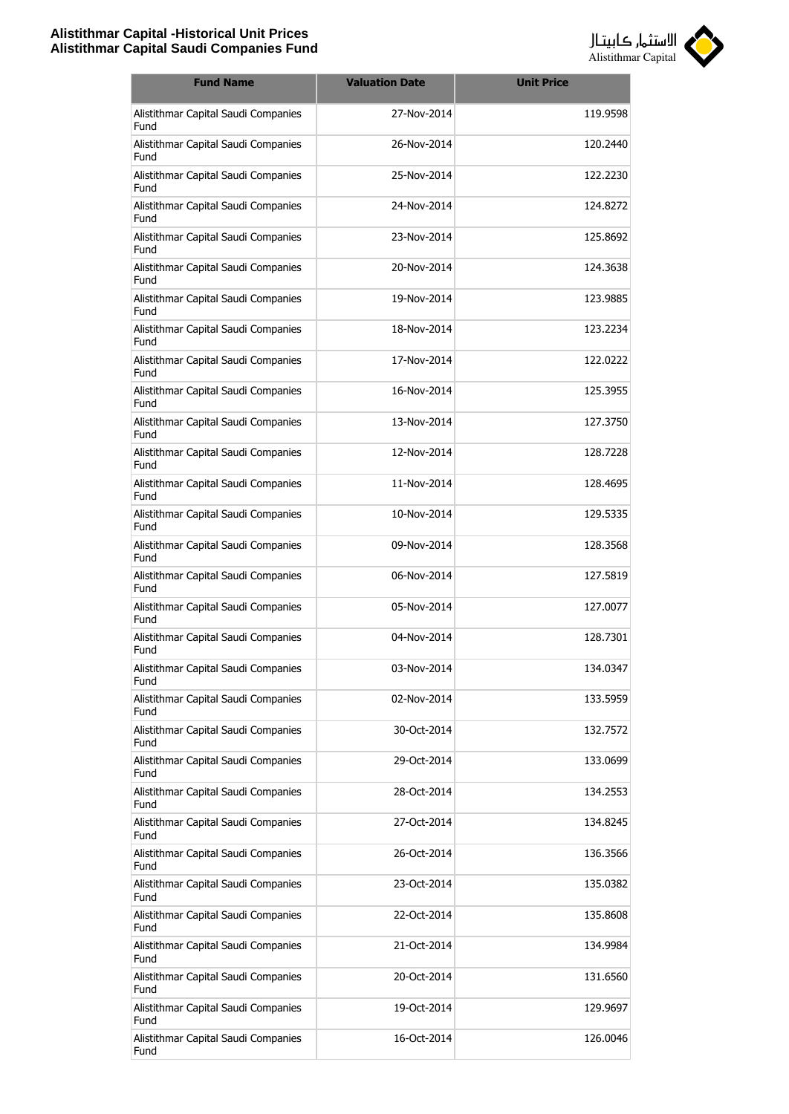

| <b>Fund Name</b>                            | <b>Valuation Date</b> | <b>Unit Price</b> |
|---------------------------------------------|-----------------------|-------------------|
| Alistithmar Capital Saudi Companies<br>Fund | 27-Nov-2014           | 119,9598          |
| Alistithmar Capital Saudi Companies<br>Fund | 26-Nov-2014           | 120.2440          |
| Alistithmar Capital Saudi Companies<br>Fund | 25-Nov-2014           | 122.2230          |
| Alistithmar Capital Saudi Companies<br>Fund | 24-Nov-2014           | 124.8272          |
| Alistithmar Capital Saudi Companies<br>Fund | 23-Nov-2014           | 125.8692          |
| Alistithmar Capital Saudi Companies<br>Fund | 20-Nov-2014           | 124.3638          |
| Alistithmar Capital Saudi Companies<br>Fund | 19-Nov-2014           | 123.9885          |
| Alistithmar Capital Saudi Companies<br>Fund | 18-Nov-2014           | 123.2234          |
| Alistithmar Capital Saudi Companies<br>Fund | 17-Nov-2014           | 122.0222          |
| Alistithmar Capital Saudi Companies<br>Fund | 16-Nov-2014           | 125.3955          |
| Alistithmar Capital Saudi Companies<br>Fund | 13-Nov-2014           | 127.3750          |
| Alistithmar Capital Saudi Companies<br>Fund | 12-Nov-2014           | 128.7228          |
| Alistithmar Capital Saudi Companies<br>Fund | 11-Nov-2014           | 128.4695          |
| Alistithmar Capital Saudi Companies<br>Fund | 10-Nov-2014           | 129.5335          |
| Alistithmar Capital Saudi Companies<br>Fund | 09-Nov-2014           | 128.3568          |
| Alistithmar Capital Saudi Companies<br>Fund | 06-Nov-2014           | 127.5819          |
| Alistithmar Capital Saudi Companies<br>Fund | 05-Nov-2014           | 127.0077          |
| Alistithmar Capital Saudi Companies<br>Fund | 04-Nov-2014           | 128.7301          |
| Alistithmar Capital Saudi Companies<br>Fund | 03-Nov-2014           | 134.0347          |
| Alistithmar Capital Saudi Companies<br>Fund | 02-Nov-2014           | 133.5959          |
| Alistithmar Capital Saudi Companies<br>Fund | 30-Oct-2014           | 132.7572          |
| Alistithmar Capital Saudi Companies<br>Fund | 29-Oct-2014           | 133.0699          |
| Alistithmar Capital Saudi Companies<br>Fund | 28-Oct-2014           | 134.2553          |
| Alistithmar Capital Saudi Companies<br>Fund | 27-Oct-2014           | 134.8245          |
| Alistithmar Capital Saudi Companies<br>Fund | 26-Oct-2014           | 136.3566          |
| Alistithmar Capital Saudi Companies<br>Fund | 23-Oct-2014           | 135.0382          |
| Alistithmar Capital Saudi Companies<br>Fund | 22-Oct-2014           | 135.8608          |
| Alistithmar Capital Saudi Companies<br>Fund | 21-Oct-2014           | 134.9984          |
| Alistithmar Capital Saudi Companies<br>Fund | 20-Oct-2014           | 131.6560          |
| Alistithmar Capital Saudi Companies<br>Fund | 19-Oct-2014           | 129.9697          |
| Alistithmar Capital Saudi Companies<br>Fund | 16-Oct-2014           | 126.0046          |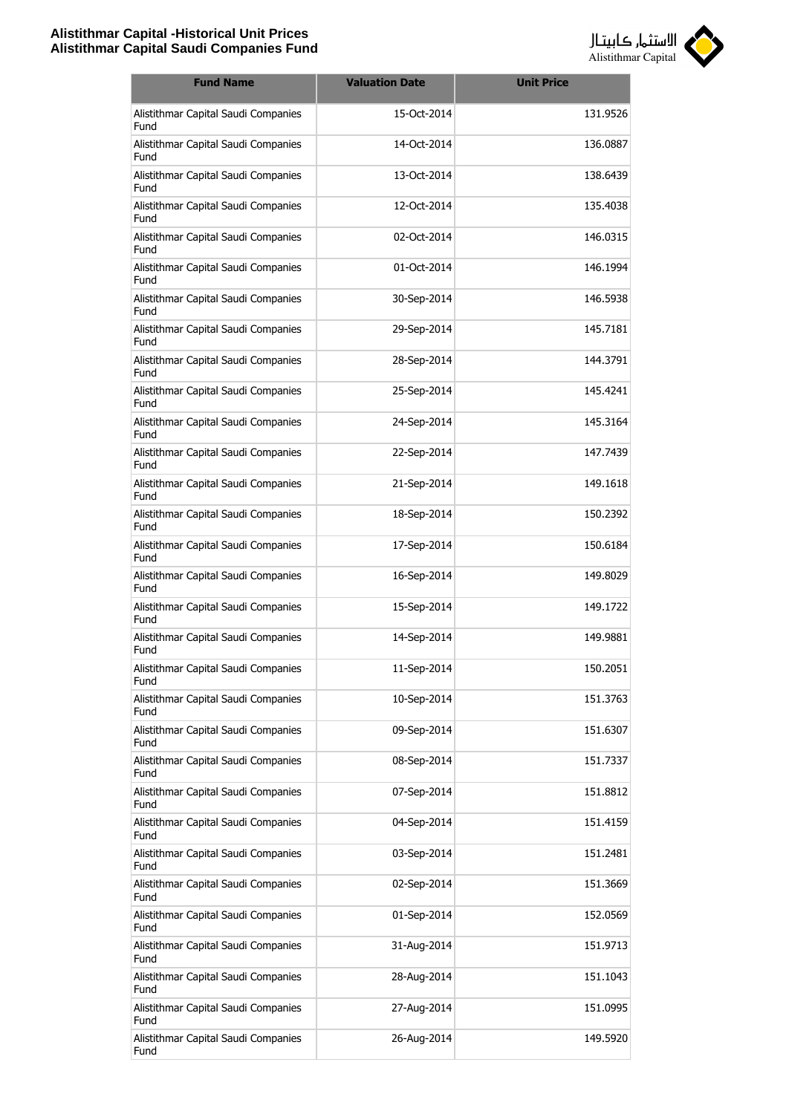

| <b>Fund Name</b>                            | <b>Valuation Date</b> | <b>Unit Price</b> |
|---------------------------------------------|-----------------------|-------------------|
| Alistithmar Capital Saudi Companies<br>Fund | 15-Oct-2014           | 131.9526          |
| Alistithmar Capital Saudi Companies<br>Fund | 14-Oct-2014           | 136.0887          |
| Alistithmar Capital Saudi Companies<br>Fund | 13-Oct-2014           | 138.6439          |
| Alistithmar Capital Saudi Companies<br>Fund | 12-Oct-2014           | 135.4038          |
| Alistithmar Capital Saudi Companies<br>Fund | 02-Oct-2014           | 146.0315          |
| Alistithmar Capital Saudi Companies<br>Fund | 01-Oct-2014           | 146.1994          |
| Alistithmar Capital Saudi Companies<br>Fund | 30-Sep-2014           | 146.5938          |
| Alistithmar Capital Saudi Companies<br>Fund | 29-Sep-2014           | 145.7181          |
| Alistithmar Capital Saudi Companies<br>Fund | 28-Sep-2014           | 144.3791          |
| Alistithmar Capital Saudi Companies<br>Fund | 25-Sep-2014           | 145.4241          |
| Alistithmar Capital Saudi Companies<br>Fund | 24-Sep-2014           | 145.3164          |
| Alistithmar Capital Saudi Companies<br>Fund | 22-Sep-2014           | 147.7439          |
| Alistithmar Capital Saudi Companies<br>Fund | 21-Sep-2014           | 149.1618          |
| Alistithmar Capital Saudi Companies<br>Fund | 18-Sep-2014           | 150.2392          |
| Alistithmar Capital Saudi Companies<br>Fund | 17-Sep-2014           | 150.6184          |
| Alistithmar Capital Saudi Companies<br>Fund | 16-Sep-2014           | 149.8029          |
| Alistithmar Capital Saudi Companies<br>Fund | 15-Sep-2014           | 149.1722          |
| Alistithmar Capital Saudi Companies<br>Fund | 14-Sep-2014           | 149.9881          |
| Alistithmar Capital Saudi Companies<br>Fund | 11-Sep-2014           | 150.2051          |
| Alistithmar Capital Saudi Companies<br>Fund | 10-Sep-2014           | 151.3763          |
| Alistithmar Capital Saudi Companies<br>Fund | 09-Sep-2014           | 151.6307          |
| Alistithmar Capital Saudi Companies<br>Fund | 08-Sep-2014           | 151.7337          |
| Alistithmar Capital Saudi Companies<br>Fund | 07-Sep-2014           | 151.8812          |
| Alistithmar Capital Saudi Companies<br>Fund | 04-Sep-2014           | 151.4159          |
| Alistithmar Capital Saudi Companies<br>Fund | 03-Sep-2014           | 151.2481          |
| Alistithmar Capital Saudi Companies<br>Fund | 02-Sep-2014           | 151.3669          |
| Alistithmar Capital Saudi Companies<br>Fund | 01-Sep-2014           | 152.0569          |
| Alistithmar Capital Saudi Companies<br>Fund | 31-Aug-2014           | 151.9713          |
| Alistithmar Capital Saudi Companies<br>Fund | 28-Aug-2014           | 151.1043          |
| Alistithmar Capital Saudi Companies<br>Fund | 27-Aug-2014           | 151.0995          |
| Alistithmar Capital Saudi Companies<br>Fund | 26-Aug-2014           | 149.5920          |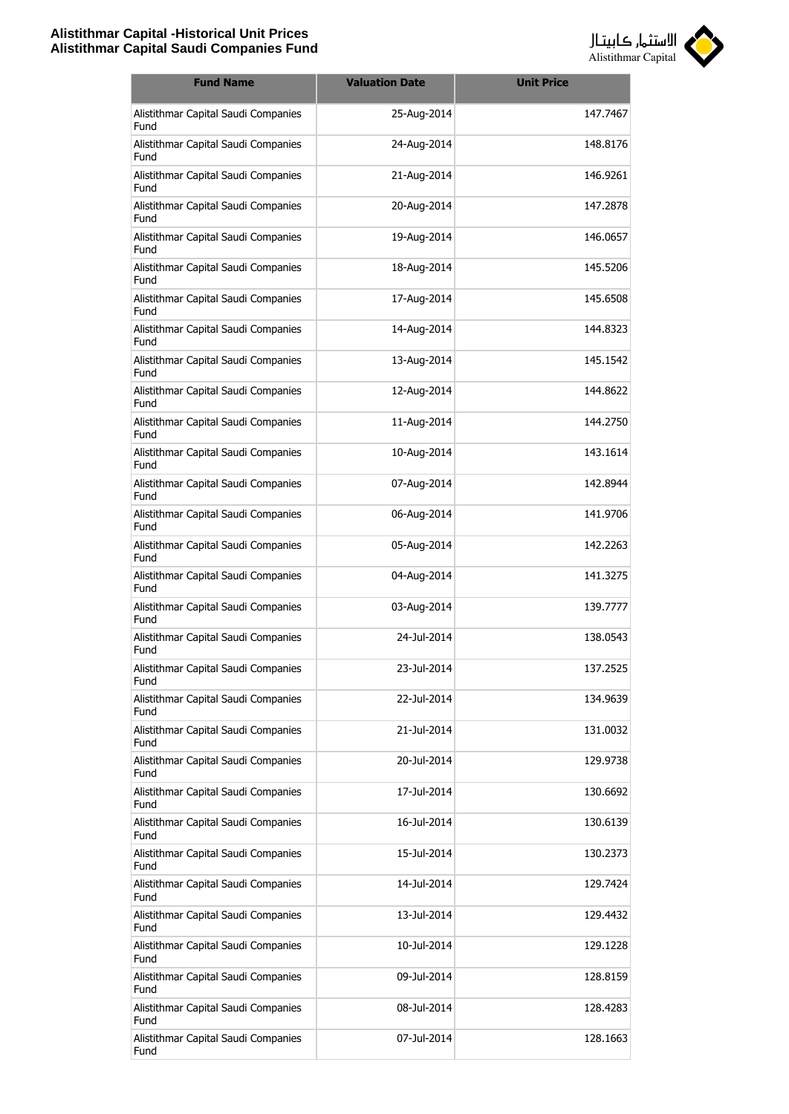

| <b>Fund Name</b>                            | <b>Valuation Date</b> | <b>Unit Price</b> |
|---------------------------------------------|-----------------------|-------------------|
| Alistithmar Capital Saudi Companies<br>Fund | 25-Aug-2014           | 147.7467          |
| Alistithmar Capital Saudi Companies<br>Fund | 24-Aug-2014           | 148.8176          |
| Alistithmar Capital Saudi Companies<br>Fund | 21-Aug-2014           | 146.9261          |
| Alistithmar Capital Saudi Companies<br>Fund | 20-Aug-2014           | 147.2878          |
| Alistithmar Capital Saudi Companies<br>Fund | 19-Aug-2014           | 146.0657          |
| Alistithmar Capital Saudi Companies<br>Fund | 18-Aug-2014           | 145.5206          |
| Alistithmar Capital Saudi Companies<br>Fund | 17-Aug-2014           | 145.6508          |
| Alistithmar Capital Saudi Companies<br>Fund | 14-Aug-2014           | 144.8323          |
| Alistithmar Capital Saudi Companies<br>Fund | 13-Aug-2014           | 145.1542          |
| Alistithmar Capital Saudi Companies<br>Fund | 12-Aug-2014           | 144.8622          |
| Alistithmar Capital Saudi Companies<br>Fund | 11-Aug-2014           | 144.2750          |
| Alistithmar Capital Saudi Companies<br>Fund | 10-Aug-2014           | 143.1614          |
| Alistithmar Capital Saudi Companies<br>Fund | 07-Aug-2014           | 142.8944          |
| Alistithmar Capital Saudi Companies<br>Fund | 06-Aug-2014           | 141.9706          |
| Alistithmar Capital Saudi Companies<br>Fund | 05-Aug-2014           | 142.2263          |
| Alistithmar Capital Saudi Companies<br>Fund | 04-Aug-2014           | 141.3275          |
| Alistithmar Capital Saudi Companies<br>Fund | 03-Aug-2014           | 139.7777          |
| Alistithmar Capital Saudi Companies<br>Fund | 24-Jul-2014           | 138.0543          |
| Alistithmar Capital Saudi Companies<br>Fund | 23-Jul-2014           | 137.2525          |
| Alistithmar Capital Saudi Companies<br>Fund | 22-Jul-2014           | 134.9639          |
| Alistithmar Capital Saudi Companies<br>Fund | 21-Jul-2014           | 131.0032          |
| Alistithmar Capital Saudi Companies<br>Fund | 20-Jul-2014           | 129.9738          |
| Alistithmar Capital Saudi Companies<br>Fund | 17-Jul-2014           | 130.6692          |
| Alistithmar Capital Saudi Companies<br>Fund | 16-Jul-2014           | 130.6139          |
| Alistithmar Capital Saudi Companies<br>Fund | 15-Jul-2014           | 130.2373          |
| Alistithmar Capital Saudi Companies<br>Fund | 14-Jul-2014           | 129.7424          |
| Alistithmar Capital Saudi Companies<br>Fund | 13-Jul-2014           | 129.4432          |
| Alistithmar Capital Saudi Companies<br>Fund | 10-Jul-2014           | 129.1228          |
| Alistithmar Capital Saudi Companies<br>Fund | 09-Jul-2014           | 128.8159          |
| Alistithmar Capital Saudi Companies<br>Fund | 08-Jul-2014           | 128.4283          |
| Alistithmar Capital Saudi Companies<br>Fund | 07-Jul-2014           | 128.1663          |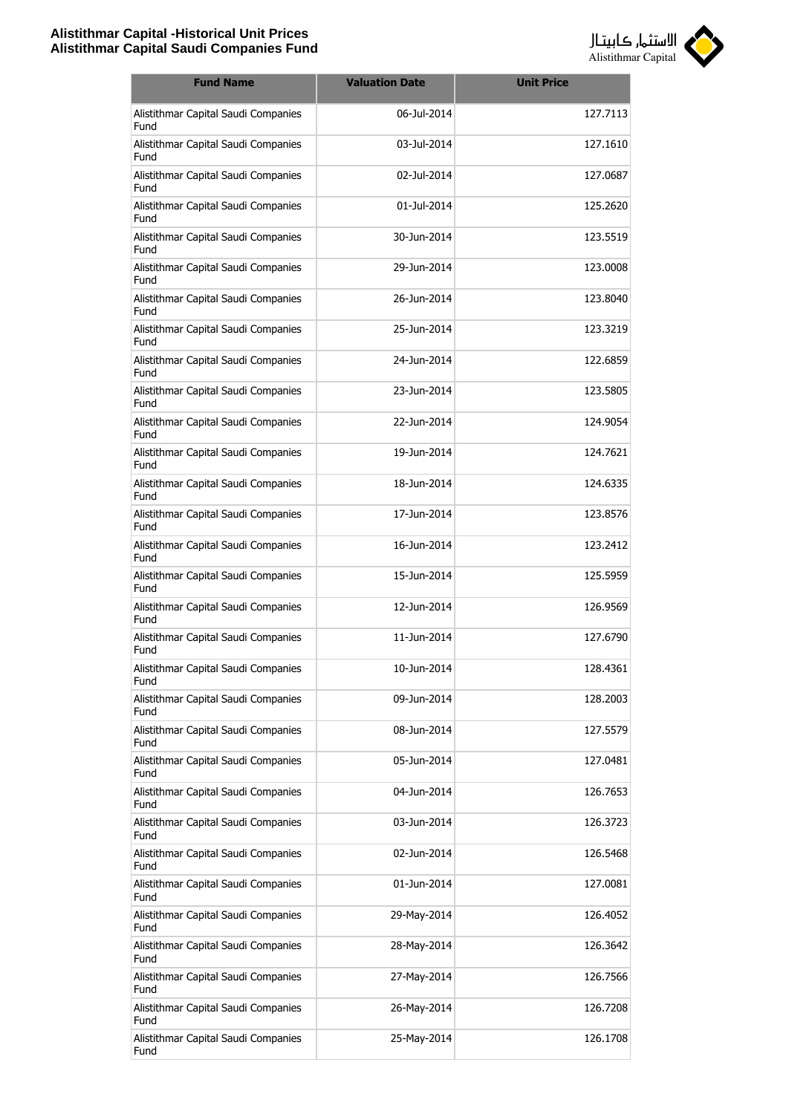

| <b>Fund Name</b>                            | <b>Valuation Date</b> | <b>Unit Price</b> |
|---------------------------------------------|-----------------------|-------------------|
| Alistithmar Capital Saudi Companies<br>Fund | 06-Jul-2014           | 127.7113          |
| Alistithmar Capital Saudi Companies<br>Fund | 03-Jul-2014           | 127.1610          |
| Alistithmar Capital Saudi Companies<br>Fund | 02-Jul-2014           | 127.0687          |
| Alistithmar Capital Saudi Companies<br>Fund | 01-Jul-2014           | 125.2620          |
| Alistithmar Capital Saudi Companies<br>Fund | 30-Jun-2014           | 123.5519          |
| Alistithmar Capital Saudi Companies<br>Fund | 29-Jun-2014           | 123,0008          |
| Alistithmar Capital Saudi Companies<br>Fund | 26-Jun-2014           | 123.8040          |
| Alistithmar Capital Saudi Companies<br>Fund | 25-Jun-2014           | 123.3219          |
| Alistithmar Capital Saudi Companies<br>Fund | 24-Jun-2014           | 122.6859          |
| Alistithmar Capital Saudi Companies<br>Fund | 23-1un-2014           | 123.5805          |
| Alistithmar Capital Saudi Companies<br>Fund | 22-Jun-2014           | 124.9054          |
| Alistithmar Capital Saudi Companies<br>Fund | 19-Jun-2014           | 124.7621          |
| Alistithmar Capital Saudi Companies<br>Fund | 18-Jun-2014           | 124.6335          |
| Alistithmar Capital Saudi Companies<br>Fund | 17-Jun-2014           | 123.8576          |
| Alistithmar Capital Saudi Companies<br>Fund | 16-Jun-2014           | 123.2412          |
| Alistithmar Capital Saudi Companies<br>Fund | 15-Jun-2014           | 125.5959          |
| Alistithmar Capital Saudi Companies<br>Fund | 12-Jun-2014           | 126.9569          |
| Alistithmar Capital Saudi Companies<br>Fund | 11-Jun-2014           | 127.6790          |
| Alistithmar Capital Saudi Companies<br>Fund | 10-Jun-2014           | 128.4361          |
| Alistithmar Capital Saudi Companies<br>Fund | 09-Jun-2014           | 128.2003          |
| Alistithmar Capital Saudi Companies<br>Fund | 08-Jun-2014           | 127.5579          |
| Alistithmar Capital Saudi Companies<br>Fund | 05-Jun-2014           | 127.0481          |
| Alistithmar Capital Saudi Companies<br>Fund | 04-Jun-2014           | 126.7653          |
| Alistithmar Capital Saudi Companies<br>Fund | 03-Jun-2014           | 126.3723          |
| Alistithmar Capital Saudi Companies<br>Fund | 02-Jun-2014           | 126.5468          |
| Alistithmar Capital Saudi Companies<br>Fund | 01-Jun-2014           | 127.0081          |
| Alistithmar Capital Saudi Companies<br>Fund | 29-May-2014           | 126.4052          |
| Alistithmar Capital Saudi Companies<br>Fund | 28-May-2014           | 126.3642          |
| Alistithmar Capital Saudi Companies<br>Fund | 27-May-2014           | 126.7566          |
| Alistithmar Capital Saudi Companies<br>Fund | 26-May-2014           | 126.7208          |
| Alistithmar Capital Saudi Companies<br>Fund | 25-May-2014           | 126.1708          |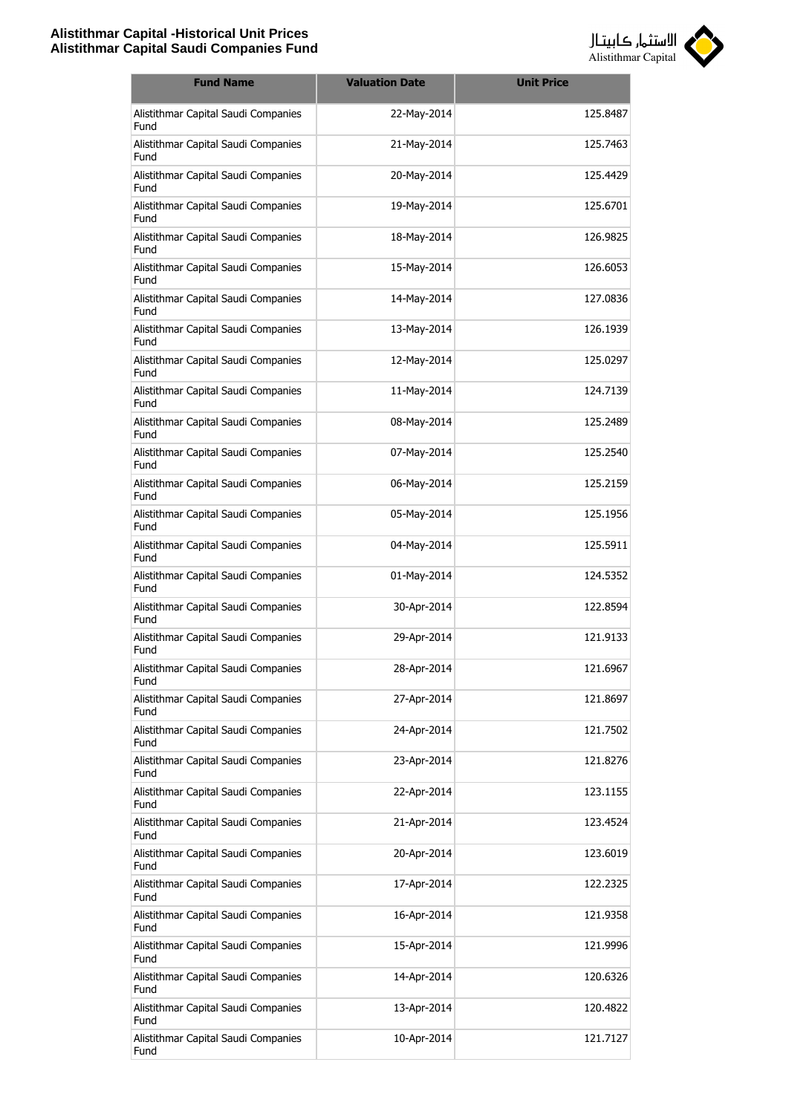

| <b>Fund Name</b>                            | <b>Valuation Date</b> | <b>Unit Price</b> |
|---------------------------------------------|-----------------------|-------------------|
| Alistithmar Capital Saudi Companies<br>Fund | 22-May-2014           | 125.8487          |
| Alistithmar Capital Saudi Companies<br>Fund | 21-May-2014           | 125.7463          |
| Alistithmar Capital Saudi Companies<br>Fund | 20-May-2014           | 125.4429          |
| Alistithmar Capital Saudi Companies<br>Fund | 19-May-2014           | 125.6701          |
| Alistithmar Capital Saudi Companies<br>Fund | 18-May-2014           | 126.9825          |
| Alistithmar Capital Saudi Companies<br>Fund | 15-May-2014           | 126.6053          |
| Alistithmar Capital Saudi Companies<br>Fund | 14-May-2014           | 127.0836          |
| Alistithmar Capital Saudi Companies<br>Fund | 13-May-2014           | 126.1939          |
| Alistithmar Capital Saudi Companies<br>Fund | 12-May-2014           | 125.0297          |
| Alistithmar Capital Saudi Companies<br>Fund | 11-May-2014           | 124.7139          |
| Alistithmar Capital Saudi Companies<br>Fund | 08-May-2014           | 125.2489          |
| Alistithmar Capital Saudi Companies<br>Fund | 07-May-2014           | 125.2540          |
| Alistithmar Capital Saudi Companies<br>Fund | 06-May-2014           | 125.2159          |
| Alistithmar Capital Saudi Companies<br>Fund | 05-May-2014           | 125.1956          |
| Alistithmar Capital Saudi Companies<br>Fund | 04-May-2014           | 125.5911          |
| Alistithmar Capital Saudi Companies<br>Fund | 01-May-2014           | 124.5352          |
| Alistithmar Capital Saudi Companies<br>Fund | 30-Apr-2014           | 122.8594          |
| Alistithmar Capital Saudi Companies<br>Fund | 29-Apr-2014           | 121.9133          |
| Alistithmar Capital Saudi Companies<br>Fund | 28-Apr-2014           | 121.6967          |
| Alistithmar Capital Saudi Companies<br>Fund | 27-Apr-2014           | 121.8697          |
| Alistithmar Capital Saudi Companies<br>Fund | 24-Apr-2014           | 121.7502          |
| Alistithmar Capital Saudi Companies<br>Fund | 23-Apr-2014           | 121.8276          |
| Alistithmar Capital Saudi Companies<br>Fund | 22-Apr-2014           | 123.1155          |
| Alistithmar Capital Saudi Companies<br>Fund | 21-Apr-2014           | 123.4524          |
| Alistithmar Capital Saudi Companies<br>Fund | 20-Apr-2014           | 123.6019          |
| Alistithmar Capital Saudi Companies<br>Fund | 17-Apr-2014           | 122.2325          |
| Alistithmar Capital Saudi Companies<br>Fund | 16-Apr-2014           | 121.9358          |
| Alistithmar Capital Saudi Companies<br>Fund | 15-Apr-2014           | 121.9996          |
| Alistithmar Capital Saudi Companies<br>Fund | 14-Apr-2014           | 120.6326          |
| Alistithmar Capital Saudi Companies<br>Fund | 13-Apr-2014           | 120.4822          |
| Alistithmar Capital Saudi Companies<br>Fund | 10-Apr-2014           | 121.7127          |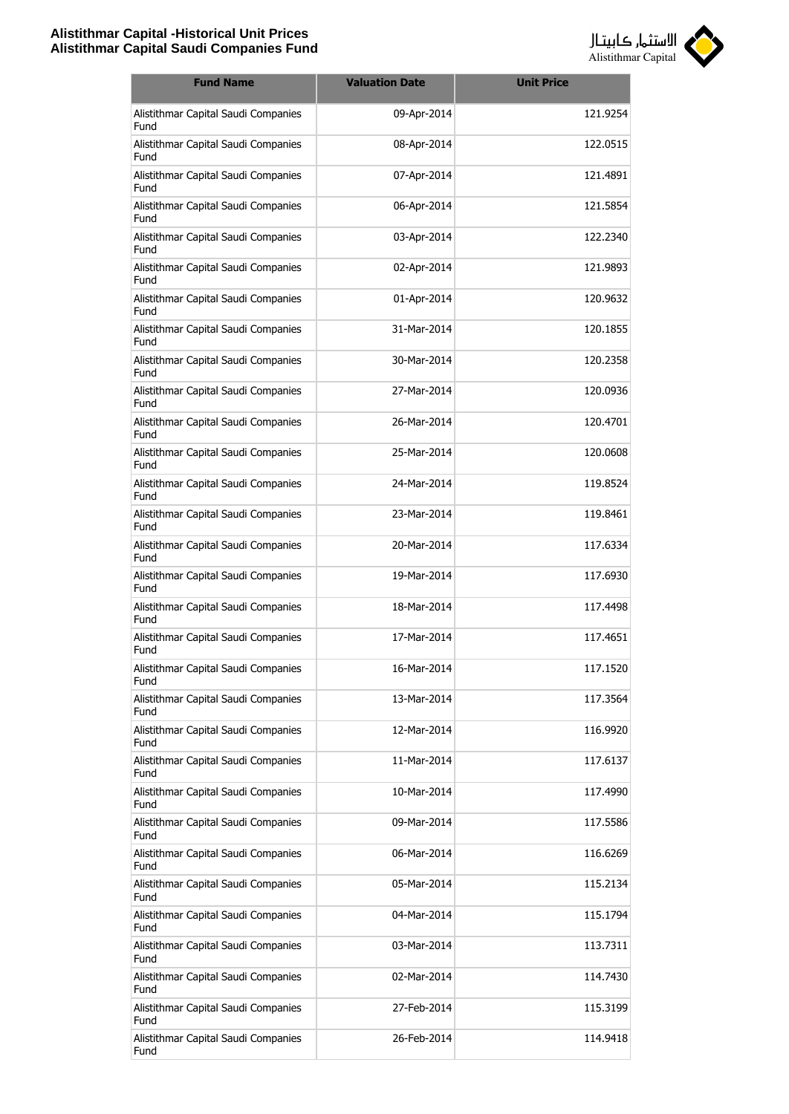

| <b>Fund Name</b>                            | <b>Valuation Date</b> | <b>Unit Price</b> |
|---------------------------------------------|-----------------------|-------------------|
| Alistithmar Capital Saudi Companies<br>Fund | 09-Apr-2014           | 121.9254          |
| Alistithmar Capital Saudi Companies<br>Fund | 08-Apr-2014           | 122.0515          |
| Alistithmar Capital Saudi Companies<br>Fund | 07-Apr-2014           | 121.4891          |
| Alistithmar Capital Saudi Companies<br>Fund | 06-Apr-2014           | 121.5854          |
| Alistithmar Capital Saudi Companies<br>Fund | 03-Apr-2014           | 122.2340          |
| Alistithmar Capital Saudi Companies<br>Fund | 02-Apr-2014           | 121.9893          |
| Alistithmar Capital Saudi Companies<br>Fund | 01-Apr-2014           | 120.9632          |
| Alistithmar Capital Saudi Companies<br>Fund | 31-Mar-2014           | 120.1855          |
| Alistithmar Capital Saudi Companies<br>Fund | 30-Mar-2014           | 120.2358          |
| Alistithmar Capital Saudi Companies<br>Fund | 27-Mar-2014           | 120.0936          |
| Alistithmar Capital Saudi Companies<br>Fund | 26-Mar-2014           | 120.4701          |
| Alistithmar Capital Saudi Companies<br>Fund | 25-Mar-2014           | 120.0608          |
| Alistithmar Capital Saudi Companies<br>Fund | 24-Mar-2014           | 119.8524          |
| Alistithmar Capital Saudi Companies<br>Fund | 23-Mar-2014           | 119.8461          |
| Alistithmar Capital Saudi Companies<br>Fund | 20-Mar-2014           | 117.6334          |
| Alistithmar Capital Saudi Companies<br>Fund | 19-Mar-2014           | 117.6930          |
| Alistithmar Capital Saudi Companies<br>Fund | 18-Mar-2014           | 117.4498          |
| Alistithmar Capital Saudi Companies<br>Fund | 17-Mar-2014           | 117.4651          |
| Alistithmar Capital Saudi Companies<br>Fund | 16-Mar-2014           | 117.1520          |
| Alistithmar Capital Saudi Companies<br>Fund | 13-Mar-2014           | 117.3564          |
| Alistithmar Capital Saudi Companies<br>Fund | 12-Mar-2014           | 116.9920          |
| Alistithmar Capital Saudi Companies<br>Fund | 11-Mar-2014           | 117.6137          |
| Alistithmar Capital Saudi Companies<br>Fund | 10-Mar-2014           | 117.4990          |
| Alistithmar Capital Saudi Companies<br>Fund | 09-Mar-2014           | 117.5586          |
| Alistithmar Capital Saudi Companies<br>Fund | 06-Mar-2014           | 116.6269          |
| Alistithmar Capital Saudi Companies<br>Fund | 05-Mar-2014           | 115.2134          |
| Alistithmar Capital Saudi Companies<br>Fund | 04-Mar-2014           | 115.1794          |
| Alistithmar Capital Saudi Companies<br>Fund | 03-Mar-2014           | 113.7311          |
| Alistithmar Capital Saudi Companies<br>Fund | 02-Mar-2014           | 114.7430          |
| Alistithmar Capital Saudi Companies<br>Fund | 27-Feb-2014           | 115.3199          |
| Alistithmar Capital Saudi Companies<br>Fund | 26-Feb-2014           | 114.9418          |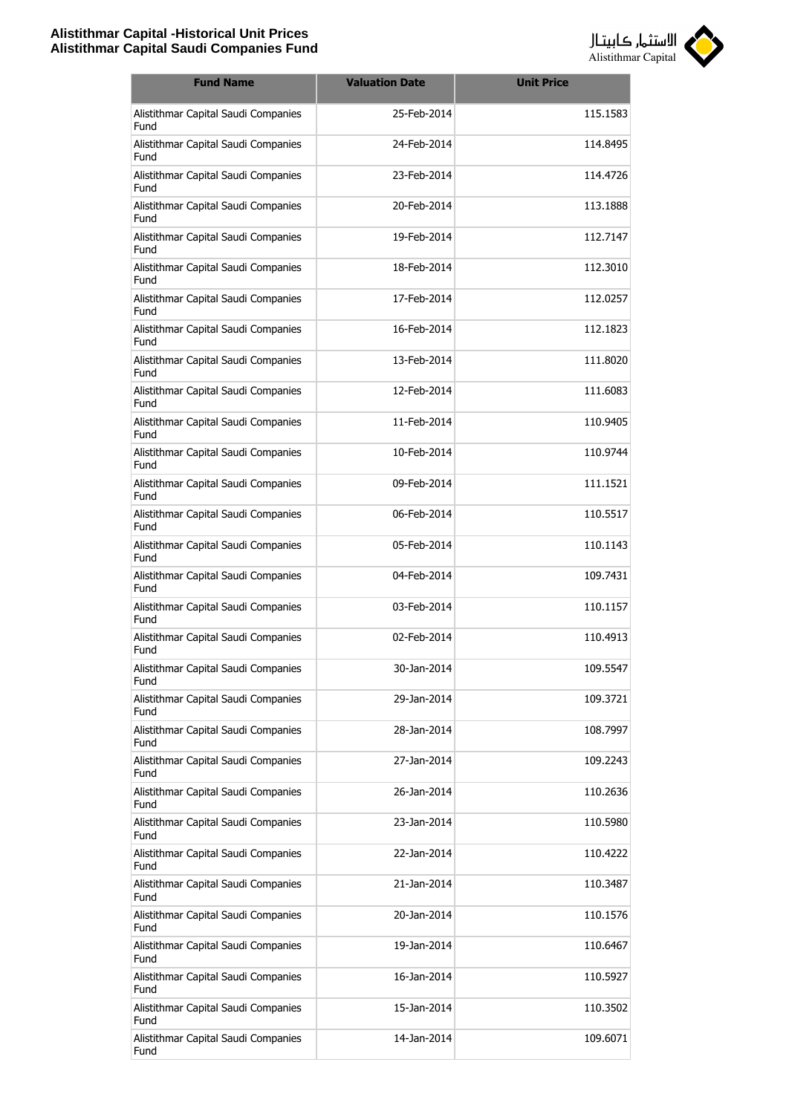

| <b>Fund Name</b>                            | <b>Valuation Date</b> | <b>Unit Price</b> |
|---------------------------------------------|-----------------------|-------------------|
| Alistithmar Capital Saudi Companies<br>Fund | 25-Feb-2014           | 115.1583          |
| Alistithmar Capital Saudi Companies<br>Fund | 24-Feb-2014           | 114.8495          |
| Alistithmar Capital Saudi Companies<br>Fund | 23-Feb-2014           | 114.4726          |
| Alistithmar Capital Saudi Companies<br>Fund | 20-Feb-2014           | 113.1888          |
| Alistithmar Capital Saudi Companies<br>Fund | 19-Feb-2014           | 112.7147          |
| Alistithmar Capital Saudi Companies<br>Fund | 18-Feb-2014           | 112.3010          |
| Alistithmar Capital Saudi Companies<br>Fund | 17-Feb-2014           | 112.0257          |
| Alistithmar Capital Saudi Companies<br>Fund | 16-Feb-2014           | 112.1823          |
| Alistithmar Capital Saudi Companies<br>Fund | 13-Feb-2014           | 111.8020          |
| Alistithmar Capital Saudi Companies<br>Fund | 12-Feb-2014           | 111.6083          |
| Alistithmar Capital Saudi Companies<br>Fund | 11-Feb-2014           | 110.9405          |
| Alistithmar Capital Saudi Companies<br>Fund | 10-Feb-2014           | 110.9744          |
| Alistithmar Capital Saudi Companies<br>Fund | 09-Feb-2014           | 111.1521          |
| Alistithmar Capital Saudi Companies<br>Fund | 06-Feb-2014           | 110.5517          |
| Alistithmar Capital Saudi Companies<br>Fund | 05-Feb-2014           | 110.1143          |
| Alistithmar Capital Saudi Companies<br>Fund | 04-Feb-2014           | 109.7431          |
| Alistithmar Capital Saudi Companies<br>Fund | 03-Feb-2014           | 110.1157          |
| Alistithmar Capital Saudi Companies<br>Fund | 02-Feb-2014           | 110.4913          |
| Alistithmar Capital Saudi Companies<br>Fund | 30-Jan-2014           | 109.5547          |
| Alistithmar Capital Saudi Companies<br>Fund | 29-Jan-2014           | 109.3721          |
| Alistithmar Capital Saudi Companies<br>Fund | 28-Jan-2014           | 108.7997          |
| Alistithmar Capital Saudi Companies<br>Fund | 27-Jan-2014           | 109.2243          |
| Alistithmar Capital Saudi Companies<br>Fund | 26-Jan-2014           | 110.2636          |
| Alistithmar Capital Saudi Companies<br>Fund | 23-Jan-2014           | 110.5980          |
| Alistithmar Capital Saudi Companies<br>Fund | 22-Jan-2014           | 110.4222          |
| Alistithmar Capital Saudi Companies<br>Fund | 21-Jan-2014           | 110.3487          |
| Alistithmar Capital Saudi Companies<br>Fund | 20-Jan-2014           | 110.1576          |
| Alistithmar Capital Saudi Companies<br>Fund | 19-Jan-2014           | 110.6467          |
| Alistithmar Capital Saudi Companies<br>Fund | 16-Jan-2014           | 110.5927          |
| Alistithmar Capital Saudi Companies<br>Fund | 15-Jan-2014           | 110.3502          |
| Alistithmar Capital Saudi Companies<br>Fund | 14-Jan-2014           | 109.6071          |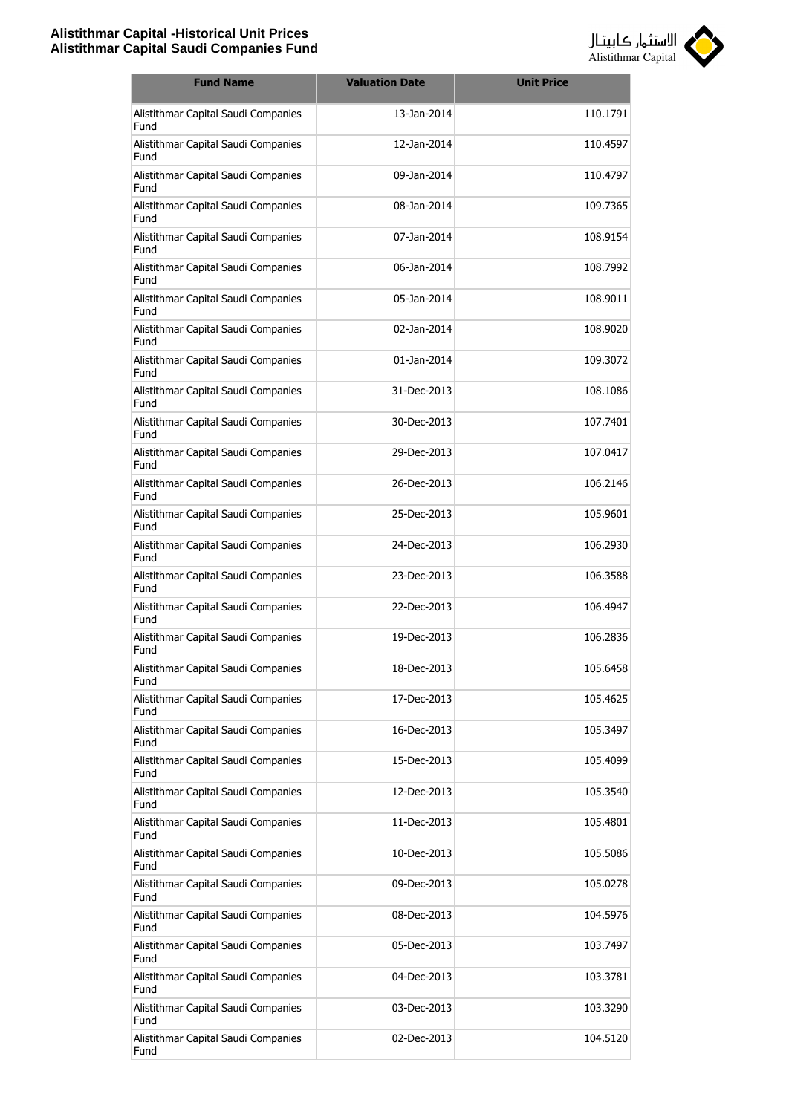

| <b>Fund Name</b>                            | <b>Valuation Date</b> | <b>Unit Price</b> |
|---------------------------------------------|-----------------------|-------------------|
| Alistithmar Capital Saudi Companies<br>Fund | 13-Jan-2014           | 110.1791          |
| Alistithmar Capital Saudi Companies<br>Fund | 12-Jan-2014           | 110.4597          |
| Alistithmar Capital Saudi Companies<br>Fund | 09-Jan-2014           | 110.4797          |
| Alistithmar Capital Saudi Companies<br>Fund | 08-Jan-2014           | 109.7365          |
| Alistithmar Capital Saudi Companies<br>Fund | 07-Jan-2014           | 108.9154          |
| Alistithmar Capital Saudi Companies<br>Fund | 06-Jan-2014           | 108.7992          |
| Alistithmar Capital Saudi Companies<br>Fund | 05-Jan-2014           | 108.9011          |
| Alistithmar Capital Saudi Companies<br>Fund | 02-Jan-2014           | 108,9020          |
| Alistithmar Capital Saudi Companies<br>Fund | 01-Jan-2014           | 109.3072          |
| Alistithmar Capital Saudi Companies<br>Fund | 31-Dec-2013           | 108.1086          |
| Alistithmar Capital Saudi Companies<br>Fund | 30-Dec-2013           | 107.7401          |
| Alistithmar Capital Saudi Companies<br>Fund | 29-Dec-2013           | 107.0417          |
| Alistithmar Capital Saudi Companies<br>Fund | 26-Dec-2013           | 106.2146          |
| Alistithmar Capital Saudi Companies<br>Fund | 25-Dec-2013           | 105.9601          |
| Alistithmar Capital Saudi Companies<br>Fund | 24-Dec-2013           | 106.2930          |
| Alistithmar Capital Saudi Companies<br>Fund | 23-Dec-2013           | 106.3588          |
| Alistithmar Capital Saudi Companies<br>Fund | 22-Dec-2013           | 106.4947          |
| Alistithmar Capital Saudi Companies<br>Fund | 19-Dec-2013           | 106.2836          |
| Alistithmar Capital Saudi Companies<br>Fund | 18-Dec-2013           | 105.6458          |
| Alistithmar Capital Saudi Companies<br>Fund | 17-Dec-2013           | 105.4625          |
| Alistithmar Capital Saudi Companies<br>Fund | 16-Dec-2013           | 105.3497          |
| Alistithmar Capital Saudi Companies<br>Fund | 15-Dec-2013           | 105.4099          |
| Alistithmar Capital Saudi Companies<br>Fund | 12-Dec-2013           | 105.3540          |
| Alistithmar Capital Saudi Companies<br>Fund | 11-Dec-2013           | 105.4801          |
| Alistithmar Capital Saudi Companies<br>Fund | 10-Dec-2013           | 105.5086          |
| Alistithmar Capital Saudi Companies<br>Fund | 09-Dec-2013           | 105.0278          |
| Alistithmar Capital Saudi Companies<br>Fund | 08-Dec-2013           | 104.5976          |
| Alistithmar Capital Saudi Companies<br>Fund | 05-Dec-2013           | 103.7497          |
| Alistithmar Capital Saudi Companies<br>Fund | 04-Dec-2013           | 103.3781          |
| Alistithmar Capital Saudi Companies<br>Fund | 03-Dec-2013           | 103.3290          |
| Alistithmar Capital Saudi Companies<br>Fund | 02-Dec-2013           | 104.5120          |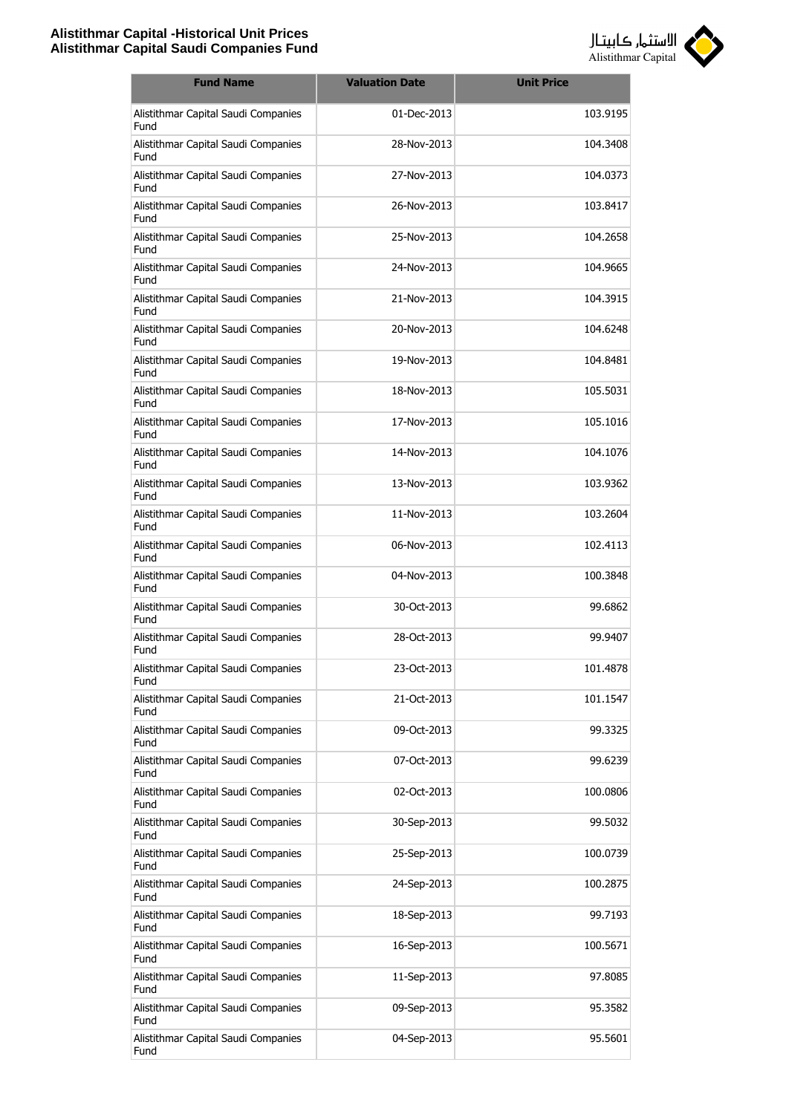

| <b>Fund Name</b>                            | <b>Valuation Date</b> | <b>Unit Price</b> |
|---------------------------------------------|-----------------------|-------------------|
| Alistithmar Capital Saudi Companies<br>Fund | 01-Dec-2013           | 103.9195          |
| Alistithmar Capital Saudi Companies<br>Fund | 28-Nov-2013           | 104.3408          |
| Alistithmar Capital Saudi Companies<br>Fund | 27-Nov-2013           | 104.0373          |
| Alistithmar Capital Saudi Companies<br>Fund | 26-Nov-2013           | 103.8417          |
| Alistithmar Capital Saudi Companies<br>Fund | 25-Nov-2013           | 104.2658          |
| Alistithmar Capital Saudi Companies<br>Fund | 24-Nov-2013           | 104.9665          |
| Alistithmar Capital Saudi Companies<br>Fund | 21-Nov-2013           | 104.3915          |
| Alistithmar Capital Saudi Companies<br>Fund | 20-Nov-2013           | 104.6248          |
| Alistithmar Capital Saudi Companies<br>Fund | 19-Nov-2013           | 104.8481          |
| Alistithmar Capital Saudi Companies<br>Fund | 18-Nov-2013           | 105.5031          |
| Alistithmar Capital Saudi Companies<br>Fund | 17-Nov-2013           | 105.1016          |
| Alistithmar Capital Saudi Companies<br>Fund | 14-Nov-2013           | 104.1076          |
| Alistithmar Capital Saudi Companies<br>Fund | 13-Nov-2013           | 103.9362          |
| Alistithmar Capital Saudi Companies<br>Fund | 11-Nov-2013           | 103.2604          |
| Alistithmar Capital Saudi Companies<br>Fund | 06-Nov-2013           | 102.4113          |
| Alistithmar Capital Saudi Companies<br>Fund | 04-Nov-2013           | 100.3848          |
| Alistithmar Capital Saudi Companies<br>Fund | 30-Oct-2013           | 99.6862           |
| Alistithmar Capital Saudi Companies<br>Fund | 28-Oct-2013           | 99.9407           |
| Alistithmar Capital Saudi Companies<br>Fund | 23-Oct-2013           | 101.4878          |
| Alistithmar Capital Saudi Companies<br>Fund | 21-Oct-2013           | 101.1547          |
| Alistithmar Capital Saudi Companies<br>Fund | 09-Oct-2013           | 99.3325           |
| Alistithmar Capital Saudi Companies<br>Fund | 07-Oct-2013           | 99.6239           |
| Alistithmar Capital Saudi Companies<br>Fund | 02-Oct-2013           | 100.0806          |
| Alistithmar Capital Saudi Companies<br>Fund | 30-Sep-2013           | 99.5032           |
| Alistithmar Capital Saudi Companies<br>Fund | 25-Sep-2013           | 100.0739          |
| Alistithmar Capital Saudi Companies<br>Fund | 24-Sep-2013           | 100.2875          |
| Alistithmar Capital Saudi Companies<br>Fund | 18-Sep-2013           | 99.7193           |
| Alistithmar Capital Saudi Companies<br>Fund | 16-Sep-2013           | 100.5671          |
| Alistithmar Capital Saudi Companies<br>Fund | 11-Sep-2013           | 97.8085           |
| Alistithmar Capital Saudi Companies<br>Fund | 09-Sep-2013           | 95.3582           |
| Alistithmar Capital Saudi Companies<br>Fund | 04-Sep-2013           | 95.5601           |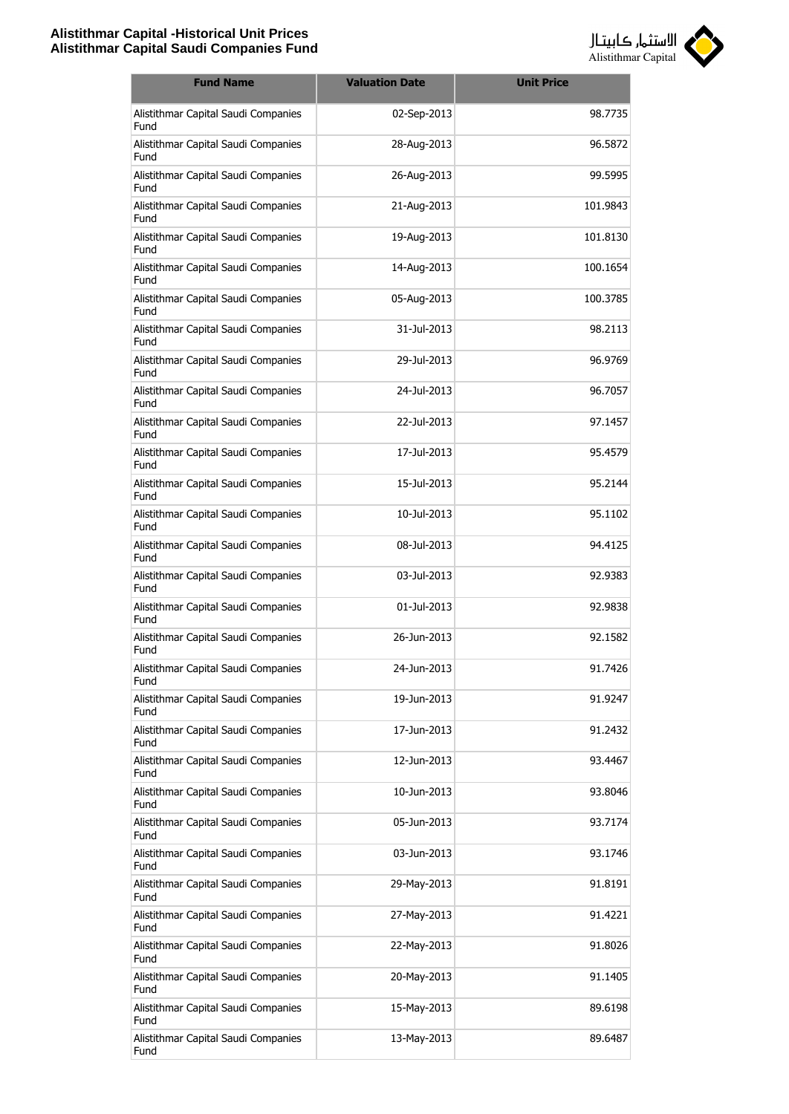

| <b>Fund Name</b>                            | <b>Valuation Date</b> | <b>Unit Price</b> |
|---------------------------------------------|-----------------------|-------------------|
| Alistithmar Capital Saudi Companies<br>Fund | 02-Sep-2013           | 98.7735           |
| Alistithmar Capital Saudi Companies<br>Fund | 28-Aug-2013           | 96.5872           |
| Alistithmar Capital Saudi Companies<br>Fund | 26-Aug-2013           | 99.5995           |
| Alistithmar Capital Saudi Companies<br>Fund | 21-Aug-2013           | 101.9843          |
| Alistithmar Capital Saudi Companies<br>Fund | 19-Aug-2013           | 101.8130          |
| Alistithmar Capital Saudi Companies<br>Fund | 14-Aug-2013           | 100.1654          |
| Alistithmar Capital Saudi Companies<br>Fund | 05-Aug-2013           | 100.3785          |
| Alistithmar Capital Saudi Companies<br>Fund | 31-Jul-2013           | 98.2113           |
| Alistithmar Capital Saudi Companies<br>Fund | 29-Jul-2013           | 96.9769           |
| Alistithmar Capital Saudi Companies<br>Fund | 24-Jul-2013           | 96.7057           |
| Alistithmar Capital Saudi Companies<br>Fund | 22-Jul-2013           | 97.1457           |
| Alistithmar Capital Saudi Companies<br>Fund | 17-Jul-2013           | 95.4579           |
| Alistithmar Capital Saudi Companies<br>Fund | 15-Jul-2013           | 95.2144           |
| Alistithmar Capital Saudi Companies<br>Fund | 10-Jul-2013           | 95.1102           |
| Alistithmar Capital Saudi Companies<br>Fund | 08-Jul-2013           | 94.4125           |
| Alistithmar Capital Saudi Companies<br>Fund | 03-Jul-2013           | 92.9383           |
| Alistithmar Capital Saudi Companies<br>Fund | 01-Jul-2013           | 92.9838           |
| Alistithmar Capital Saudi Companies<br>Fund | 26-Jun-2013           | 92.1582           |
| Alistithmar Capital Saudi Companies<br>Fund | 24-Jun-2013           | 91.7426           |
| Alistithmar Capital Saudi Companies<br>Fund | 19-Jun-2013           | 91.9247           |
| Alistithmar Capital Saudi Companies<br>Fund | 17-Jun-2013           | 91.2432           |
| Alistithmar Capital Saudi Companies<br>Fund | 12-Jun-2013           | 93.4467           |
| Alistithmar Capital Saudi Companies<br>Fund | 10-Jun-2013           | 93.8046           |
| Alistithmar Capital Saudi Companies<br>Fund | 05-Jun-2013           | 93.7174           |
| Alistithmar Capital Saudi Companies<br>Fund | 03-Jun-2013           | 93.1746           |
| Alistithmar Capital Saudi Companies<br>Fund | 29-May-2013           | 91.8191           |
| Alistithmar Capital Saudi Companies<br>Fund | 27-May-2013           | 91.4221           |
| Alistithmar Capital Saudi Companies<br>Fund | 22-May-2013           | 91.8026           |
| Alistithmar Capital Saudi Companies<br>Fund | 20-May-2013           | 91.1405           |
| Alistithmar Capital Saudi Companies<br>Fund | 15-May-2013           | 89.6198           |
| Alistithmar Capital Saudi Companies<br>Fund | 13-May-2013           | 89.6487           |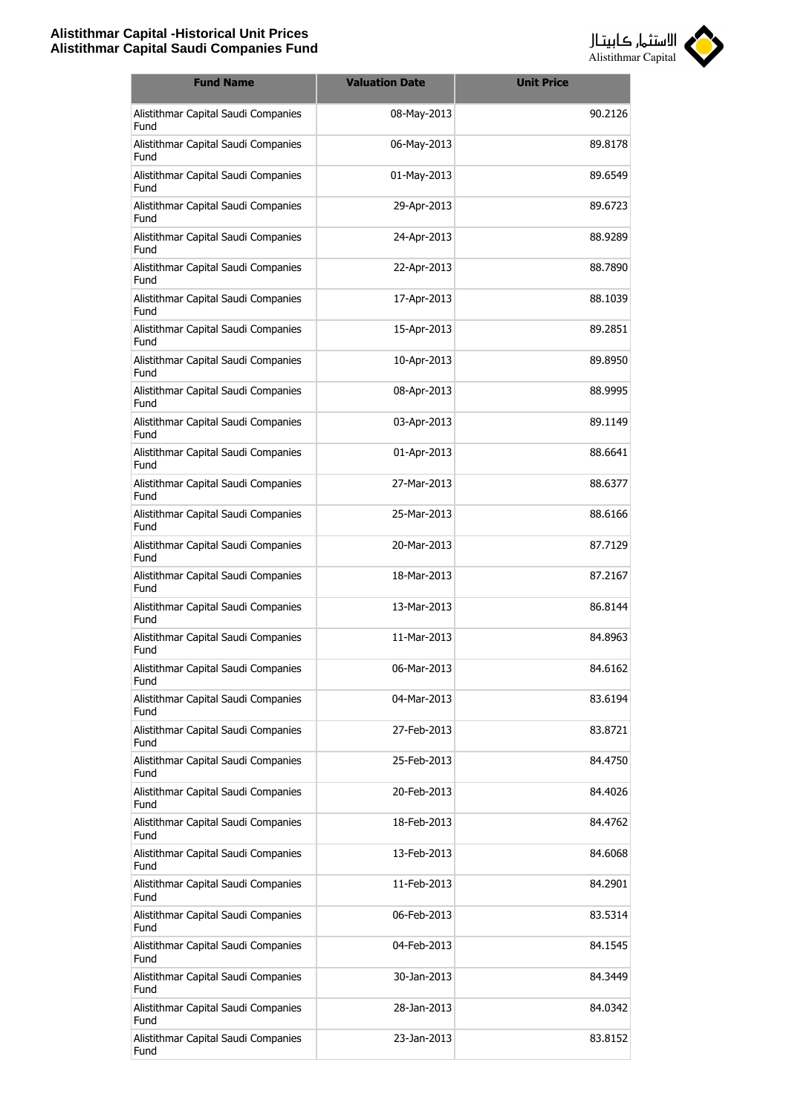

| <b>Fund Name</b>                            | <b>Valuation Date</b> | <b>Unit Price</b> |
|---------------------------------------------|-----------------------|-------------------|
| Alistithmar Capital Saudi Companies<br>Fund | 08-May-2013           | 90.2126           |
| Alistithmar Capital Saudi Companies<br>Fund | 06-May-2013           | 89.8178           |
| Alistithmar Capital Saudi Companies<br>Fund | 01-May-2013           | 89.6549           |
| Alistithmar Capital Saudi Companies<br>Fund | 29-Apr-2013           | 89.6723           |
| Alistithmar Capital Saudi Companies<br>Fund | 24-Apr-2013           | 88.9289           |
| Alistithmar Capital Saudi Companies<br>Fund | 22-Apr-2013           | 88.7890           |
| Alistithmar Capital Saudi Companies<br>Fund | 17-Apr-2013           | 88.1039           |
| Alistithmar Capital Saudi Companies<br>Fund | 15-Apr-2013           | 89.2851           |
| Alistithmar Capital Saudi Companies<br>Fund | 10-Apr-2013           | 89.8950           |
| Alistithmar Capital Saudi Companies<br>Fund | 08-Apr-2013           | 88.9995           |
| Alistithmar Capital Saudi Companies<br>Fund | 03-Apr-2013           | 89.1149           |
| Alistithmar Capital Saudi Companies<br>Fund | 01-Apr-2013           | 88.6641           |
| Alistithmar Capital Saudi Companies<br>Fund | 27-Mar-2013           | 88.6377           |
| Alistithmar Capital Saudi Companies<br>Fund | 25-Mar-2013           | 88.6166           |
| Alistithmar Capital Saudi Companies<br>Fund | 20-Mar-2013           | 87.7129           |
| Alistithmar Capital Saudi Companies<br>Fund | 18-Mar-2013           | 87.2167           |
| Alistithmar Capital Saudi Companies<br>Fund | 13-Mar-2013           | 86.8144           |
| Alistithmar Capital Saudi Companies<br>Fund | 11-Mar-2013           | 84.8963           |
| Alistithmar Capital Saudi Companies<br>Fund | 06-Mar-2013           | 84.6162           |
| Alistithmar Capital Saudi Companies<br>Fund | 04-Mar-2013           | 83.6194           |
| Alistithmar Capital Saudi Companies<br>Fund | 27-Feb-2013           | 83.8721           |
| Alistithmar Capital Saudi Companies<br>Fund | 25-Feb-2013           | 84.4750           |
| Alistithmar Capital Saudi Companies<br>Fund | 20-Feb-2013           | 84.4026           |
| Alistithmar Capital Saudi Companies<br>Fund | 18-Feb-2013           | 84.4762           |
| Alistithmar Capital Saudi Companies<br>Fund | 13-Feb-2013           | 84.6068           |
| Alistithmar Capital Saudi Companies<br>Fund | 11-Feb-2013           | 84.2901           |
| Alistithmar Capital Saudi Companies<br>Fund | 06-Feb-2013           | 83.5314           |
| Alistithmar Capital Saudi Companies<br>Fund | 04-Feb-2013           | 84.1545           |
| Alistithmar Capital Saudi Companies<br>Fund | 30-Jan-2013           | 84.3449           |
| Alistithmar Capital Saudi Companies<br>Fund | 28-Jan-2013           | 84.0342           |
| Alistithmar Capital Saudi Companies<br>Fund | 23-Jan-2013           | 83.8152           |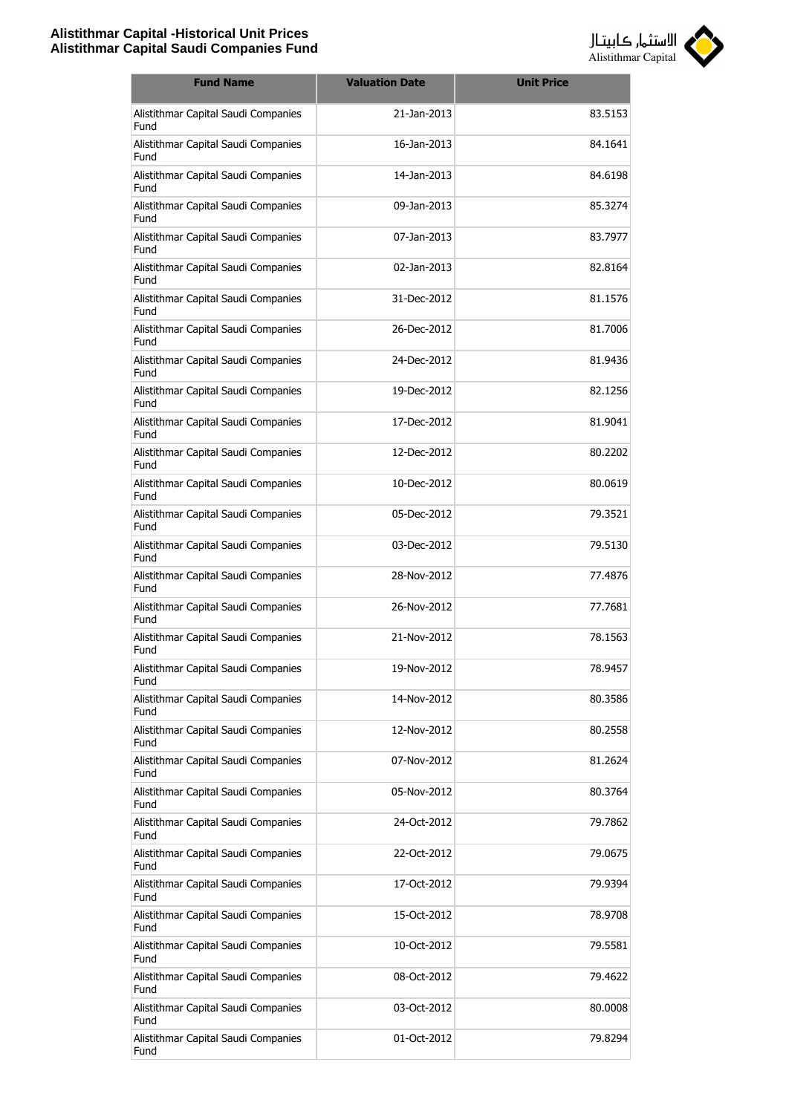

| <b>Fund Name</b>                            | <b>Valuation Date</b> | <b>Unit Price</b> |
|---------------------------------------------|-----------------------|-------------------|
| Alistithmar Capital Saudi Companies<br>Fund | 21-Jan-2013           | 83.5153           |
| Alistithmar Capital Saudi Companies<br>Fund | 16-Jan-2013           | 84.1641           |
| Alistithmar Capital Saudi Companies<br>Fund | 14-Jan-2013           | 84.6198           |
| Alistithmar Capital Saudi Companies<br>Fund | 09-Jan-2013           | 85.3274           |
| Alistithmar Capital Saudi Companies<br>Fund | 07-Jan-2013           | 83.7977           |
| Alistithmar Capital Saudi Companies<br>Fund | 02-Jan-2013           | 82.8164           |
| Alistithmar Capital Saudi Companies<br>Fund | 31-Dec-2012           | 81.1576           |
| Alistithmar Capital Saudi Companies<br>Fund | 26-Dec-2012           | 81.7006           |
| Alistithmar Capital Saudi Companies<br>Fund | 24-Dec-2012           | 81.9436           |
| Alistithmar Capital Saudi Companies<br>Fund | 19-Dec-2012           | 82.1256           |
| Alistithmar Capital Saudi Companies<br>Fund | 17-Dec-2012           | 81.9041           |
| Alistithmar Capital Saudi Companies<br>Fund | 12-Dec-2012           | 80.2202           |
| Alistithmar Capital Saudi Companies<br>Fund | 10-Dec-2012           | 80.0619           |
| Alistithmar Capital Saudi Companies<br>Fund | 05-Dec-2012           | 79.3521           |
| Alistithmar Capital Saudi Companies<br>Fund | 03-Dec-2012           | 79.5130           |
| Alistithmar Capital Saudi Companies<br>Fund | 28-Nov-2012           | 77.4876           |
| Alistithmar Capital Saudi Companies<br>Fund | 26-Nov-2012           | 77.7681           |
| Alistithmar Capital Saudi Companies<br>Fund | 21-Nov-2012           | 78.1563           |
| Alistithmar Capital Saudi Companies<br>Fund | 19-Nov-2012           | 78.9457           |
| Alistithmar Capital Saudi Companies<br>Fund | 14-Nov-2012           | 80.3586           |
| Alistithmar Capital Saudi Companies<br>Fund | 12-Nov-2012           | 80.2558           |
| Alistithmar Capital Saudi Companies<br>Fund | 07-Nov-2012           | 81.2624           |
| Alistithmar Capital Saudi Companies<br>Fund | 05-Nov-2012           | 80.3764           |
| Alistithmar Capital Saudi Companies<br>Fund | 24-Oct-2012           | 79.7862           |
| Alistithmar Capital Saudi Companies<br>Fund | 22-Oct-2012           | 79.0675           |
| Alistithmar Capital Saudi Companies<br>Fund | 17-Oct-2012           | 79.9394           |
| Alistithmar Capital Saudi Companies<br>Fund | 15-Oct-2012           | 78.9708           |
| Alistithmar Capital Saudi Companies<br>Fund | 10-Oct-2012           | 79.5581           |
| Alistithmar Capital Saudi Companies<br>Fund | 08-Oct-2012           | 79.4622           |
| Alistithmar Capital Saudi Companies<br>Fund | 03-Oct-2012           | 80.0008           |
| Alistithmar Capital Saudi Companies<br>Fund | 01-Oct-2012           | 79.8294           |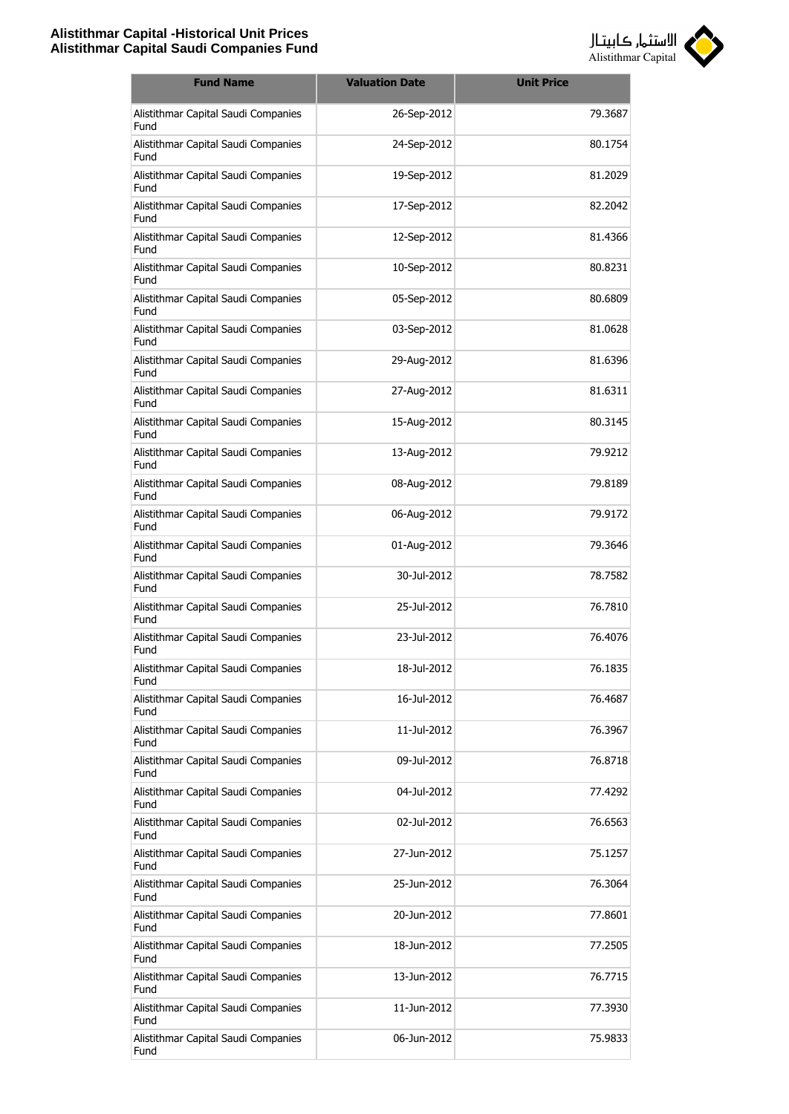

| <b>Fund Name</b>                            | <b>Valuation Date</b> | <b>Unit Price</b> |
|---------------------------------------------|-----------------------|-------------------|
| Alistithmar Capital Saudi Companies<br>Fund | 26-Sep-2012           | 79.3687           |
| Alistithmar Capital Saudi Companies<br>Fund | 24-Sep-2012           | 80.1754           |
| Alistithmar Capital Saudi Companies<br>Fund | 19-Sep-2012           | 81.2029           |
| Alistithmar Capital Saudi Companies<br>Fund | 17-Sep-2012           | 82.2042           |
| Alistithmar Capital Saudi Companies<br>Fund | 12-Sep-2012           | 81.4366           |
| Alistithmar Capital Saudi Companies<br>Fund | 10-Sep-2012           | 80.8231           |
| Alistithmar Capital Saudi Companies<br>Fund | 05-Sep-2012           | 80.6809           |
| Alistithmar Capital Saudi Companies<br>Fund | 03-Sep-2012           | 81.0628           |
| Alistithmar Capital Saudi Companies<br>Fund | 29-Aug-2012           | 81.6396           |
| Alistithmar Capital Saudi Companies<br>Fund | 27-Aug-2012           | 81.6311           |
| Alistithmar Capital Saudi Companies<br>Fund | 15-Aug-2012           | 80.3145           |
| Alistithmar Capital Saudi Companies<br>Fund | 13-Aug-2012           | 79.9212           |
| Alistithmar Capital Saudi Companies<br>Fund | 08-Aug-2012           | 79.8189           |
| Alistithmar Capital Saudi Companies<br>Fund | 06-Aug-2012           | 79.9172           |
| Alistithmar Capital Saudi Companies<br>Fund | 01-Aug-2012           | 79.3646           |
| Alistithmar Capital Saudi Companies<br>Fund | 30-Jul-2012           | 78.7582           |
| Alistithmar Capital Saudi Companies<br>Fund | 25-Jul-2012           | 76.7810           |
| Alistithmar Capital Saudi Companies<br>Fund | 23-Jul-2012           | 76.4076           |
| Alistithmar Capital Saudi Companies<br>Fund | 18-Jul-2012           | 76.1835           |
| Alistithmar Capital Saudi Companies<br>Fund | 16-Jul-2012           | 76.4687           |
| Alistithmar Capital Saudi Companies<br>Fund | 11-Jul-2012           | 76.3967           |
| Alistithmar Capital Saudi Companies<br>Fund | 09-Jul-2012           | 76.8718           |
| Alistithmar Capital Saudi Companies<br>Fund | 04-Jul-2012           | 77.4292           |
| Alistithmar Capital Saudi Companies<br>Fund | 02-Jul-2012           | 76.6563           |
| Alistithmar Capital Saudi Companies<br>Fund | 27-Jun-2012           | 75.1257           |
| Alistithmar Capital Saudi Companies<br>Fund | 25-Jun-2012           | 76.3064           |
| Alistithmar Capital Saudi Companies<br>Fund | 20-Jun-2012           | 77.8601           |
| Alistithmar Capital Saudi Companies<br>Fund | 18-Jun-2012           | 77.2505           |
| Alistithmar Capital Saudi Companies<br>Fund | 13-Jun-2012           | 76.7715           |
| Alistithmar Capital Saudi Companies<br>Fund | 11-Jun-2012           | 77.3930           |
| Alistithmar Capital Saudi Companies<br>Fund | 06-Jun-2012           | 75.9833           |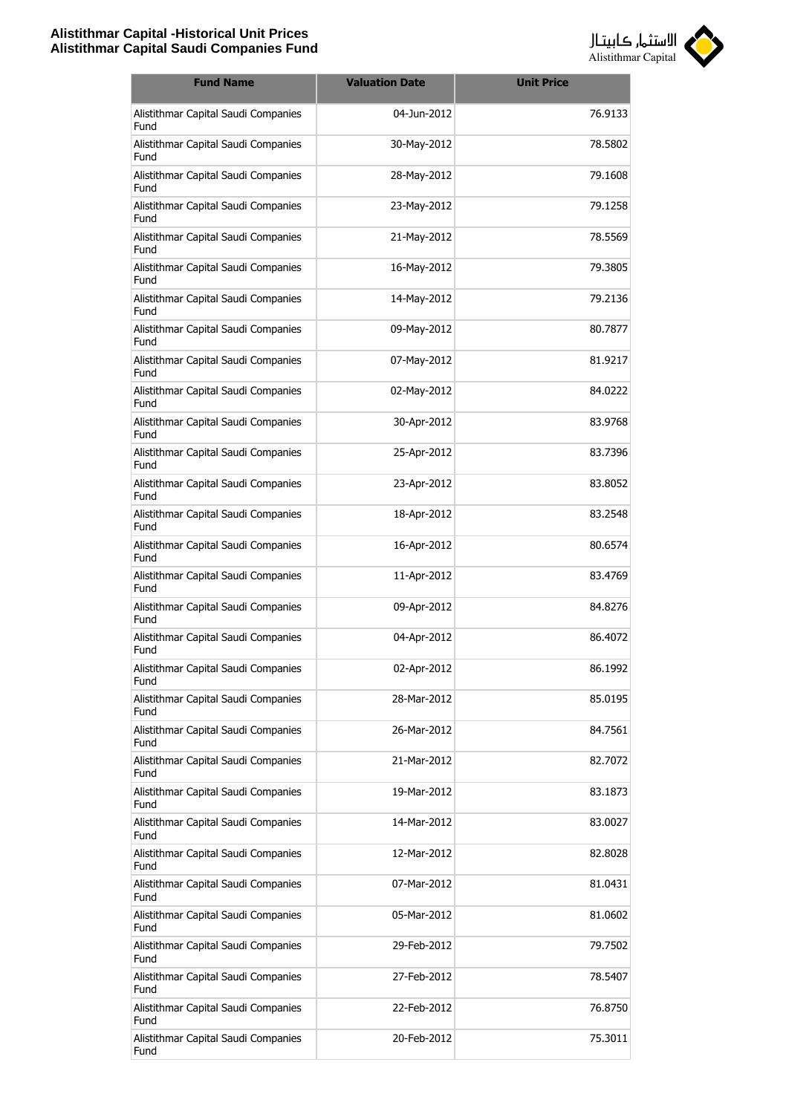

| <b>Fund Name</b>                            | <b>Valuation Date</b> | <b>Unit Price</b> |
|---------------------------------------------|-----------------------|-------------------|
| Alistithmar Capital Saudi Companies<br>Fund | 04-Jun-2012           | 76.9133           |
| Alistithmar Capital Saudi Companies<br>Fund | 30-May-2012           | 78.5802           |
| Alistithmar Capital Saudi Companies<br>Fund | 28-May-2012           | 79.1608           |
| Alistithmar Capital Saudi Companies<br>Fund | 23-May-2012           | 79.1258           |
| Alistithmar Capital Saudi Companies<br>Fund | 21-May-2012           | 78.5569           |
| Alistithmar Capital Saudi Companies<br>Fund | 16-May-2012           | 79.3805           |
| Alistithmar Capital Saudi Companies<br>Fund | 14-May-2012           | 79.2136           |
| Alistithmar Capital Saudi Companies<br>Fund | 09-May-2012           | 80.7877           |
| Alistithmar Capital Saudi Companies<br>Fund | 07-May-2012           | 81.9217           |
| Alistithmar Capital Saudi Companies<br>Fund | 02-May-2012           | 84.0222           |
| Alistithmar Capital Saudi Companies<br>Fund | 30-Apr-2012           | 83.9768           |
| Alistithmar Capital Saudi Companies<br>Fund | 25-Apr-2012           | 83.7396           |
| Alistithmar Capital Saudi Companies<br>Fund | 23-Apr-2012           | 83.8052           |
| Alistithmar Capital Saudi Companies<br>Fund | 18-Apr-2012           | 83.2548           |
| Alistithmar Capital Saudi Companies<br>Fund | 16-Apr-2012           | 80.6574           |
| Alistithmar Capital Saudi Companies<br>Fund | 11-Apr-2012           | 83.4769           |
| Alistithmar Capital Saudi Companies<br>Fund | 09-Apr-2012           | 84.8276           |
| Alistithmar Capital Saudi Companies<br>Fund | 04-Apr-2012           | 86.4072           |
| Alistithmar Capital Saudi Companies<br>Fund | 02-Apr-2012           | 86.1992           |
| Alistithmar Capital Saudi Companies<br>Fund | 28-Mar-2012           | 85.0195           |
| Alistithmar Capital Saudi Companies<br>Fund | 26-Mar-2012           | 84.7561           |
| Alistithmar Capital Saudi Companies<br>Fund | 21-Mar-2012           | 82.7072           |
| Alistithmar Capital Saudi Companies<br>Fund | 19-Mar-2012           | 83.1873           |
| Alistithmar Capital Saudi Companies<br>Fund | 14-Mar-2012           | 83.0027           |
| Alistithmar Capital Saudi Companies<br>Fund | 12-Mar-2012           | 82.8028           |
| Alistithmar Capital Saudi Companies<br>Fund | 07-Mar-2012           | 81.0431           |
| Alistithmar Capital Saudi Companies<br>Fund | 05-Mar-2012           | 81.0602           |
| Alistithmar Capital Saudi Companies<br>Fund | 29-Feb-2012           | 79.7502           |
| Alistithmar Capital Saudi Companies<br>Fund | 27-Feb-2012           | 78.5407           |
| Alistithmar Capital Saudi Companies<br>Fund | 22-Feb-2012           | 76.8750           |
| Alistithmar Capital Saudi Companies<br>Fund | 20-Feb-2012           | 75.3011           |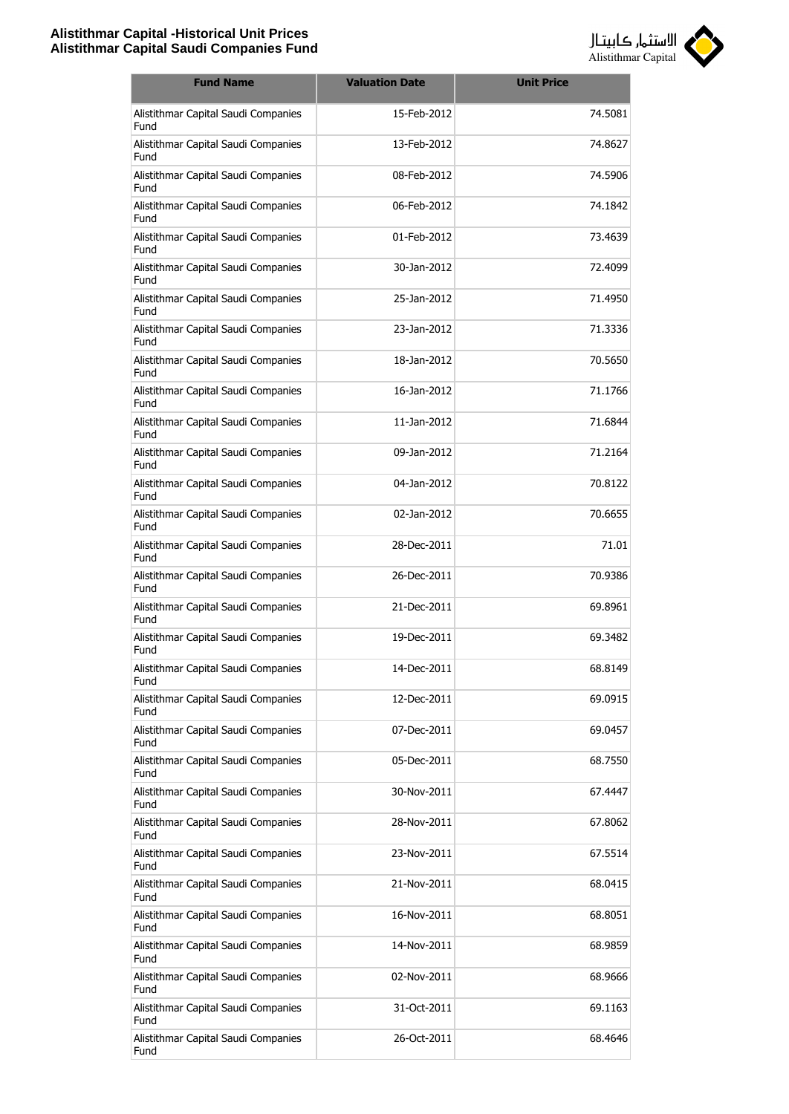

| <b>Fund Name</b>                            | <b>Valuation Date</b> | <b>Unit Price</b> |
|---------------------------------------------|-----------------------|-------------------|
| Alistithmar Capital Saudi Companies<br>Fund | 15-Feb-2012           | 74.5081           |
| Alistithmar Capital Saudi Companies<br>Fund | 13-Feb-2012           | 74.8627           |
| Alistithmar Capital Saudi Companies<br>Fund | 08-Feb-2012           | 74.5906           |
| Alistithmar Capital Saudi Companies<br>Fund | 06-Feb-2012           | 74.1842           |
| Alistithmar Capital Saudi Companies<br>Fund | 01-Feb-2012           | 73.4639           |
| Alistithmar Capital Saudi Companies<br>Fund | 30-Jan-2012           | 72.4099           |
| Alistithmar Capital Saudi Companies<br>Fund | 25-Jan-2012           | 71.4950           |
| Alistithmar Capital Saudi Companies<br>Fund | 23-Jan-2012           | 71.3336           |
| Alistithmar Capital Saudi Companies<br>Fund | 18-Jan-2012           | 70.5650           |
| Alistithmar Capital Saudi Companies<br>Fund | 16-Jan-2012           | 71.1766           |
| Alistithmar Capital Saudi Companies<br>Fund | 11-Jan-2012           | 71.6844           |
| Alistithmar Capital Saudi Companies<br>Fund | 09-Jan-2012           | 71.2164           |
| Alistithmar Capital Saudi Companies<br>Fund | 04-Jan-2012           | 70.8122           |
| Alistithmar Capital Saudi Companies<br>Fund | 02-Jan-2012           | 70.6655           |
| Alistithmar Capital Saudi Companies<br>Fund | 28-Dec-2011           | 71.01             |
| Alistithmar Capital Saudi Companies<br>Fund | 26-Dec-2011           | 70.9386           |
| Alistithmar Capital Saudi Companies<br>Fund | 21-Dec-2011           | 69.8961           |
| Alistithmar Capital Saudi Companies<br>Fund | 19-Dec-2011           | 69.3482           |
| Alistithmar Capital Saudi Companies<br>Fund | 14-Dec-2011           | 68.8149           |
| Alistithmar Capital Saudi Companies<br>Fund | 12-Dec-2011           | 69.0915           |
| Alistithmar Capital Saudi Companies<br>Fund | 07-Dec-2011           | 69.0457           |
| Alistithmar Capital Saudi Companies<br>Fund | 05-Dec-2011           | 68.7550           |
| Alistithmar Capital Saudi Companies<br>Fund | 30-Nov-2011           | 67.4447           |
| Alistithmar Capital Saudi Companies<br>Fund | 28-Nov-2011           | 67.8062           |
| Alistithmar Capital Saudi Companies<br>Fund | 23-Nov-2011           | 67.5514           |
| Alistithmar Capital Saudi Companies<br>Fund | 21-Nov-2011           | 68.0415           |
| Alistithmar Capital Saudi Companies<br>Fund | 16-Nov-2011           | 68.8051           |
| Alistithmar Capital Saudi Companies<br>Fund | 14-Nov-2011           | 68.9859           |
| Alistithmar Capital Saudi Companies<br>Fund | 02-Nov-2011           | 68.9666           |
| Alistithmar Capital Saudi Companies<br>Fund | 31-Oct-2011           | 69.1163           |
| Alistithmar Capital Saudi Companies<br>Fund | 26-Oct-2011           | 68.4646           |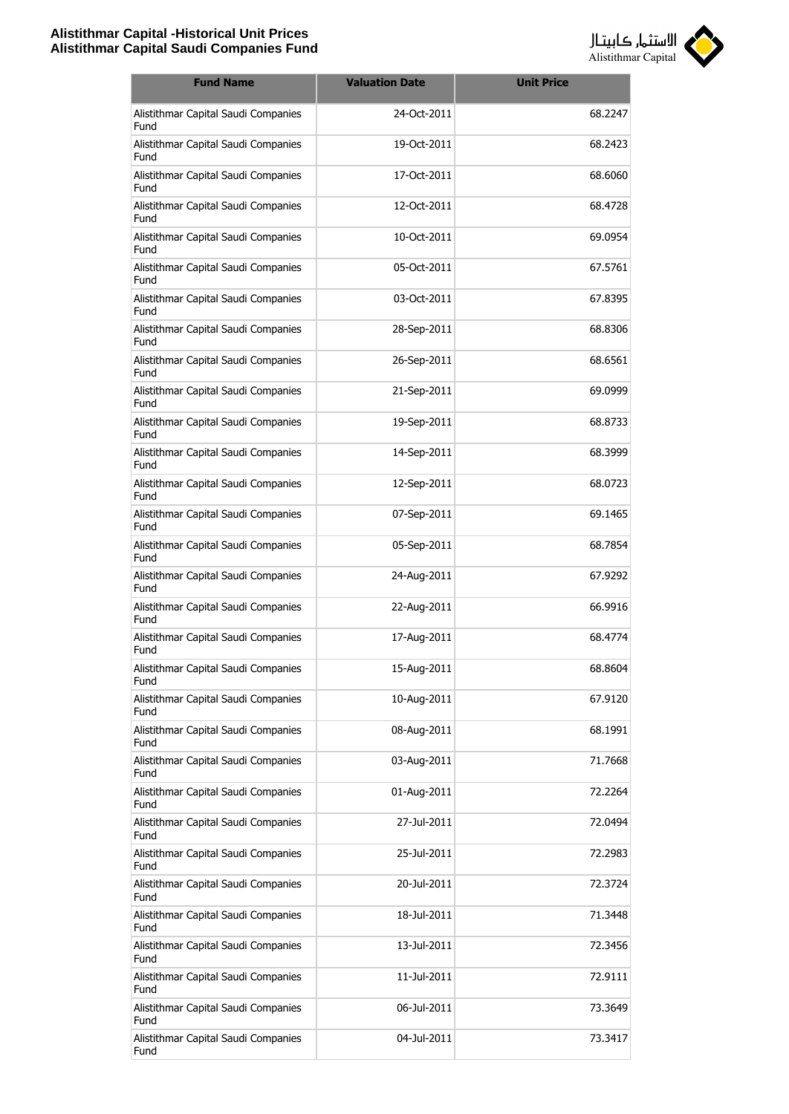

| <b>Fund Name</b>                            | <b>Valuation Date</b> | <b>Unit Price</b> |
|---------------------------------------------|-----------------------|-------------------|
| Alistithmar Capital Saudi Companies<br>Fund | 24-Oct-2011           | 68.2247           |
| Alistithmar Capital Saudi Companies<br>Fund | 19-Oct-2011           | 68.2423           |
| Alistithmar Capital Saudi Companies<br>Fund | 17-Oct-2011           | 68.6060           |
| Alistithmar Capital Saudi Companies<br>Fund | 12-Oct-2011           | 68.4728           |
| Alistithmar Capital Saudi Companies<br>Fund | 10-Oct-2011           | 69.0954           |
| Alistithmar Capital Saudi Companies<br>Fund | 05-Oct-2011           | 67.5761           |
| Alistithmar Capital Saudi Companies<br>Fund | 03-Oct-2011           | 67.8395           |
| Alistithmar Capital Saudi Companies<br>Fund | 28-Sep-2011           | 68.8306           |
| Alistithmar Capital Saudi Companies<br>Fund | 26-Sep-2011           | 68.6561           |
| Alistithmar Capital Saudi Companies<br>Fund | 21-Sep-2011           | 69.0999           |
| Alistithmar Capital Saudi Companies<br>Fund | 19-Sep-2011           | 68.8733           |
| Alistithmar Capital Saudi Companies<br>Fund | 14-Sep-2011           | 68.3999           |
| Alistithmar Capital Saudi Companies<br>Fund | 12-Sep-2011           | 68.0723           |
| Alistithmar Capital Saudi Companies<br>Fund | 07-Sep-2011           | 69.1465           |
| Alistithmar Capital Saudi Companies<br>Fund | 05-Sep-2011           | 68.7854           |
| Alistithmar Capital Saudi Companies<br>Fund | 24-Aug-2011           | 67.9292           |
| Alistithmar Capital Saudi Companies<br>Fund | 22-Aug-2011           | 66.9916           |
| Alistithmar Capital Saudi Companies<br>Fund | 17-Aug-2011           | 68.4774           |
| Alistithmar Capital Saudi Companies<br>Fund | 15-Aug-2011           | 68.8604           |
| Alistithmar Capital Saudi Companies<br>Fund | 10-Aug-2011           | 67.9120           |
| Alistithmar Capital Saudi Companies<br>Fund | 08-Aug-2011           | 68.1991           |
| Alistithmar Capital Saudi Companies<br>Fund | 03-Aug-2011           | 71.7668           |
| Alistithmar Capital Saudi Companies<br>Fund | 01-Aug-2011           | 72.2264           |
| Alistithmar Capital Saudi Companies<br>Fund | 27-Jul-2011           | 72.0494           |
| Alistithmar Capital Saudi Companies<br>Fund | 25-Jul-2011           | 72.2983           |
| Alistithmar Capital Saudi Companies<br>Fund | 20-Jul-2011           | 72.3724           |
| Alistithmar Capital Saudi Companies<br>Fund | 18-Jul-2011           | 71.3448           |
| Alistithmar Capital Saudi Companies<br>Fund | 13-Jul-2011           | 72.3456           |
| Alistithmar Capital Saudi Companies<br>Fund | 11-Jul-2011           | 72.9111           |
| Alistithmar Capital Saudi Companies<br>Fund | 06-Jul-2011           | 73.3649           |
| Alistithmar Capital Saudi Companies<br>Fund | 04-Jul-2011           | 73.3417           |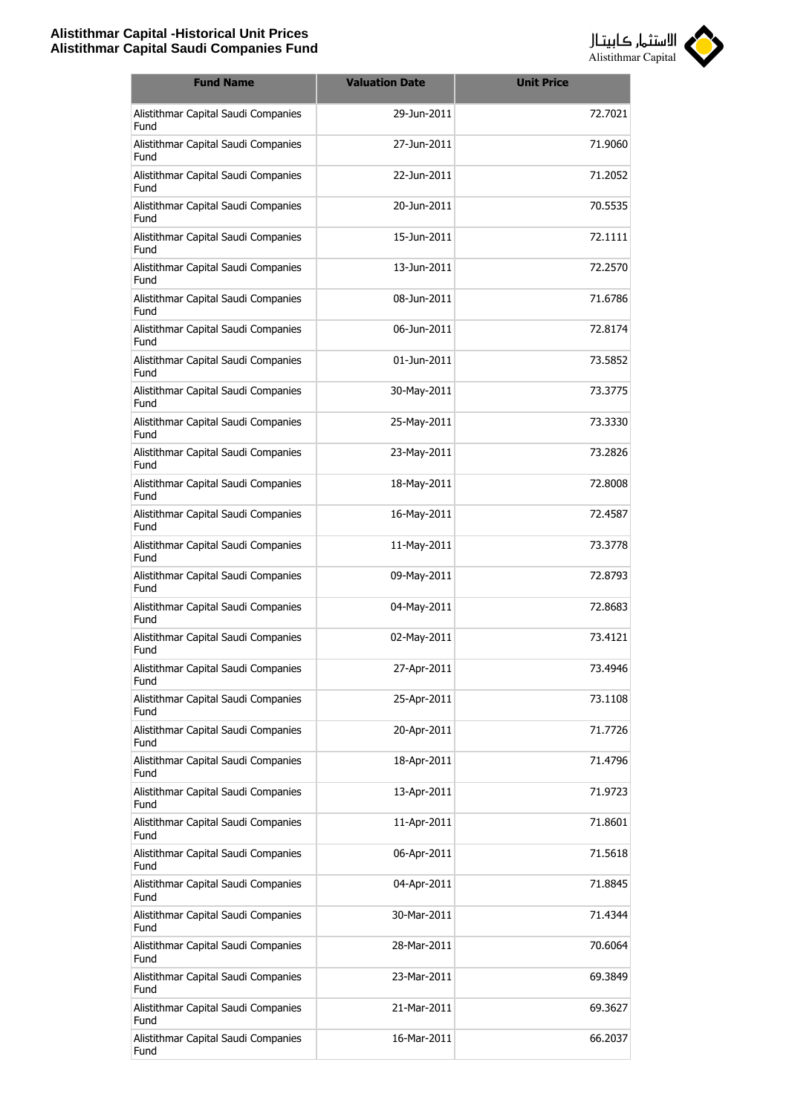

| <b>Fund Name</b>                            | <b>Valuation Date</b> | <b>Unit Price</b> |
|---------------------------------------------|-----------------------|-------------------|
| Alistithmar Capital Saudi Companies<br>Fund | 29-Jun-2011           | 72.7021           |
| Alistithmar Capital Saudi Companies<br>Fund | 27-Jun-2011           | 71.9060           |
| Alistithmar Capital Saudi Companies<br>Fund | 22-Jun-2011           | 71.2052           |
| Alistithmar Capital Saudi Companies<br>Fund | 20-Jun-2011           | 70.5535           |
| Alistithmar Capital Saudi Companies<br>Fund | 15-Jun-2011           | 72.1111           |
| Alistithmar Capital Saudi Companies<br>Fund | 13-Jun-2011           | 72.2570           |
| Alistithmar Capital Saudi Companies<br>Fund | 08-Jun-2011           | 71.6786           |
| Alistithmar Capital Saudi Companies<br>Fund | 06-Jun-2011           | 72.8174           |
| Alistithmar Capital Saudi Companies<br>Fund | 01-Jun-2011           | 73.5852           |
| Alistithmar Capital Saudi Companies<br>Fund | 30-May-2011           | 73.3775           |
| Alistithmar Capital Saudi Companies<br>Fund | 25-May-2011           | 73.3330           |
| Alistithmar Capital Saudi Companies<br>Fund | 23-May-2011           | 73.2826           |
| Alistithmar Capital Saudi Companies<br>Fund | 18-May-2011           | 72.8008           |
| Alistithmar Capital Saudi Companies<br>Fund | 16-May-2011           | 72.4587           |
| Alistithmar Capital Saudi Companies<br>Fund | 11-May-2011           | 73.3778           |
| Alistithmar Capital Saudi Companies<br>Fund | 09-May-2011           | 72.8793           |
| Alistithmar Capital Saudi Companies<br>Fund | 04-May-2011           | 72.8683           |
| Alistithmar Capital Saudi Companies<br>Fund | 02-May-2011           | 73.4121           |
| Alistithmar Capital Saudi Companies<br>Fund | 27-Apr-2011           | 73.4946           |
| Alistithmar Capital Saudi Companies<br>Fund | 25-Apr-2011           | 73.1108           |
| Alistithmar Capital Saudi Companies<br>Fund | 20-Apr-2011           | 71.7726           |
| Alistithmar Capital Saudi Companies<br>Fund | 18-Apr-2011           | 71.4796           |
| Alistithmar Capital Saudi Companies<br>Fund | 13-Apr-2011           | 71.9723           |
| Alistithmar Capital Saudi Companies<br>Fund | 11-Apr-2011           | 71.8601           |
| Alistithmar Capital Saudi Companies<br>Fund | 06-Apr-2011           | 71.5618           |
| Alistithmar Capital Saudi Companies<br>Fund | 04-Apr-2011           | 71.8845           |
| Alistithmar Capital Saudi Companies<br>Fund | 30-Mar-2011           | 71.4344           |
| Alistithmar Capital Saudi Companies<br>Fund | 28-Mar-2011           | 70.6064           |
| Alistithmar Capital Saudi Companies<br>Fund | 23-Mar-2011           | 69.3849           |
| Alistithmar Capital Saudi Companies<br>Fund | 21-Mar-2011           | 69.3627           |
| Alistithmar Capital Saudi Companies<br>Fund | 16-Mar-2011           | 66.2037           |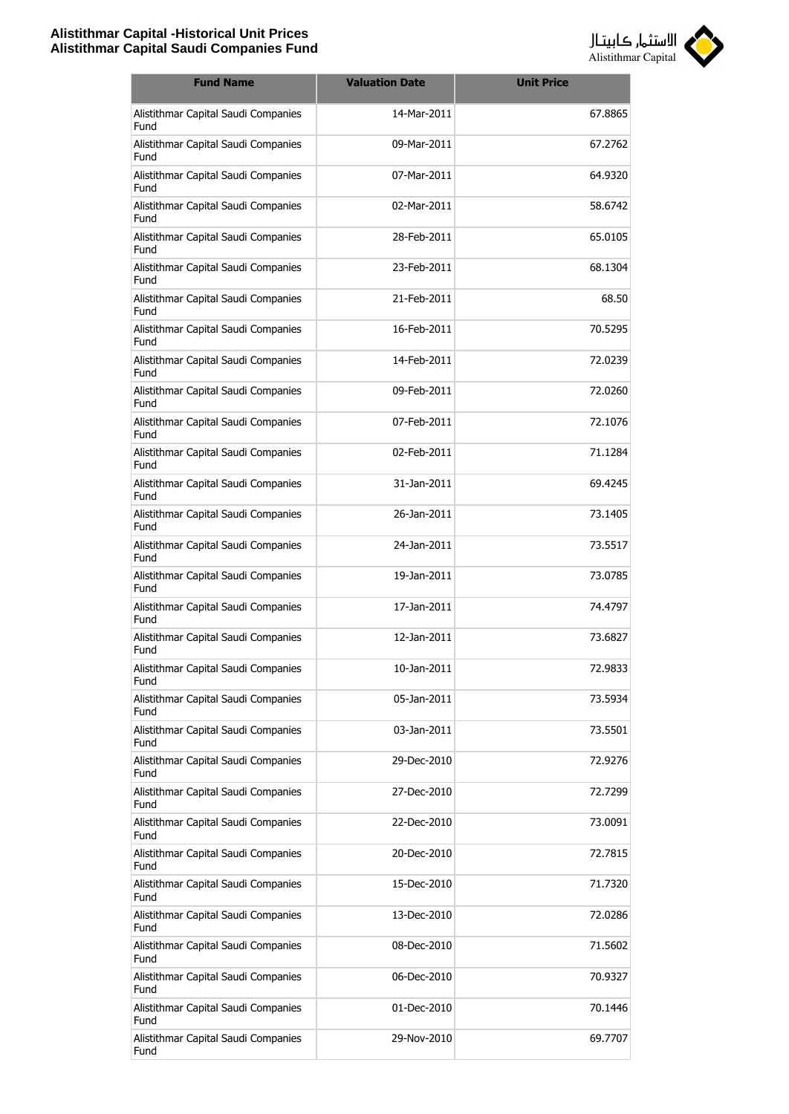

| <b>Fund Name</b>                            | <b>Valuation Date</b> | <b>Unit Price</b> |
|---------------------------------------------|-----------------------|-------------------|
| Alistithmar Capital Saudi Companies<br>Fund | 14-Mar-2011           | 67.8865           |
| Alistithmar Capital Saudi Companies<br>Fund | 09-Mar-2011           | 67.2762           |
| Alistithmar Capital Saudi Companies<br>Fund | 07-Mar-2011           | 64.9320           |
| Alistithmar Capital Saudi Companies<br>Fund | 02-Mar-2011           | 58.6742           |
| Alistithmar Capital Saudi Companies<br>Fund | 28-Feb-2011           | 65.0105           |
| Alistithmar Capital Saudi Companies<br>Fund | 23-Feb-2011           | 68.1304           |
| Alistithmar Capital Saudi Companies<br>Fund | 21-Feb-2011           | 68.50             |
| Alistithmar Capital Saudi Companies<br>Fund | 16-Feb-2011           | 70.5295           |
| Alistithmar Capital Saudi Companies<br>Fund | 14-Feb-2011           | 72.0239           |
| Alistithmar Capital Saudi Companies<br>Fund | 09-Feb-2011           | 72.0260           |
| Alistithmar Capital Saudi Companies<br>Fund | 07-Feb-2011           | 72.1076           |
| Alistithmar Capital Saudi Companies<br>Fund | 02-Feb-2011           | 71.1284           |
| Alistithmar Capital Saudi Companies<br>Fund | 31-Jan-2011           | 69.4245           |
| Alistithmar Capital Saudi Companies<br>Fund | 26-Jan-2011           | 73.1405           |
| Alistithmar Capital Saudi Companies<br>Fund | 24-Jan-2011           | 73.5517           |
| Alistithmar Capital Saudi Companies<br>Fund | 19-Jan-2011           | 73.0785           |
| Alistithmar Capital Saudi Companies<br>Fund | 17-Jan-2011           | 74.4797           |
| Alistithmar Capital Saudi Companies<br>Fund | 12-Jan-2011           | 73.6827           |
| Alistithmar Capital Saudi Companies<br>Fund | 10-Jan-2011           | 72.9833           |
| Alistithmar Capital Saudi Companies<br>Fund | 05-Jan-2011           | 73.5934           |
| Alistithmar Capital Saudi Companies<br>Fund | 03-Jan-2011           | 73.5501           |
| Alistithmar Capital Saudi Companies<br>Fund | 29-Dec-2010           | 72.9276           |
| Alistithmar Capital Saudi Companies<br>Fund | 27-Dec-2010           | 72.7299           |
| Alistithmar Capital Saudi Companies<br>Fund | 22-Dec-2010           | 73.0091           |
| Alistithmar Capital Saudi Companies<br>Fund | 20-Dec-2010           | 72.7815           |
| Alistithmar Capital Saudi Companies<br>Fund | 15-Dec-2010           | 71.7320           |
| Alistithmar Capital Saudi Companies<br>Fund | 13-Dec-2010           | 72.0286           |
| Alistithmar Capital Saudi Companies<br>Fund | 08-Dec-2010           | 71.5602           |
| Alistithmar Capital Saudi Companies<br>Fund | 06-Dec-2010           | 70.9327           |
| Alistithmar Capital Saudi Companies<br>Fund | 01-Dec-2010           | 70.1446           |
| Alistithmar Capital Saudi Companies<br>Fund | 29-Nov-2010           | 69.7707           |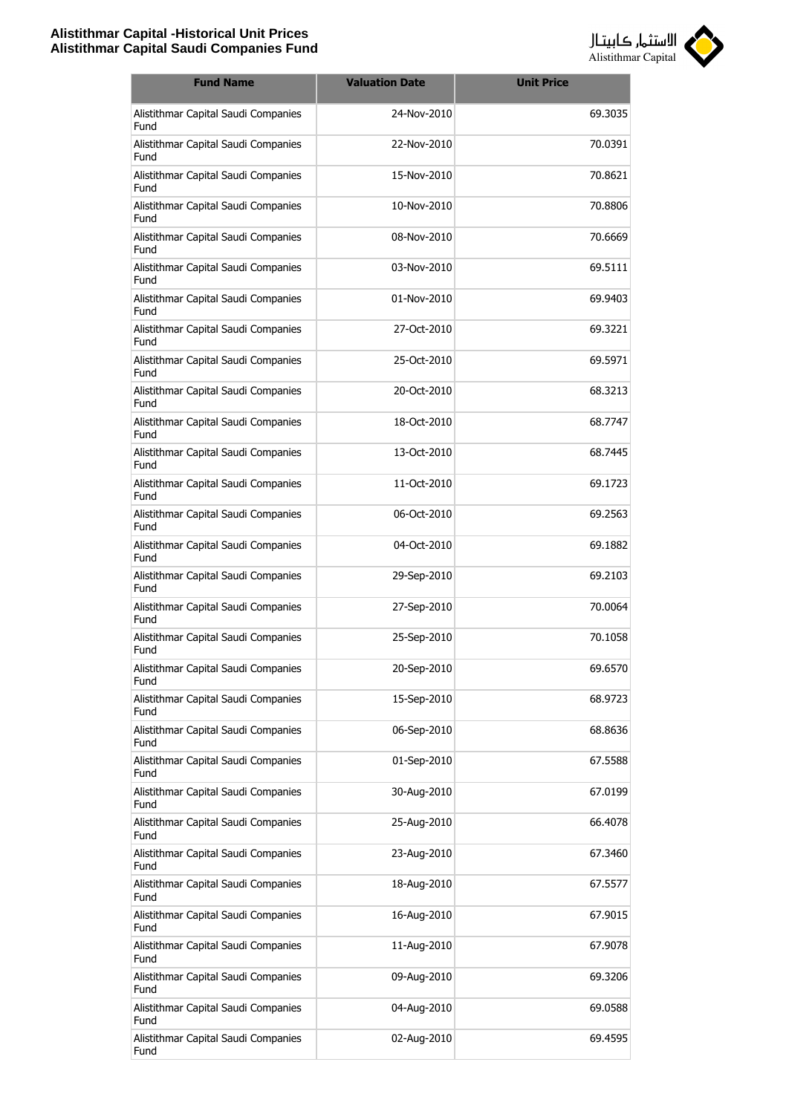

| <b>Fund Name</b>                            | <b>Valuation Date</b> | <b>Unit Price</b> |
|---------------------------------------------|-----------------------|-------------------|
| Alistithmar Capital Saudi Companies<br>Fund | 24-Nov-2010           | 69.3035           |
| Alistithmar Capital Saudi Companies<br>Fund | 22-Nov-2010           | 70.0391           |
| Alistithmar Capital Saudi Companies<br>Fund | 15-Nov-2010           | 70.8621           |
| Alistithmar Capital Saudi Companies<br>Fund | 10-Nov-2010           | 70.8806           |
| Alistithmar Capital Saudi Companies<br>Fund | 08-Nov-2010           | 70.6669           |
| Alistithmar Capital Saudi Companies<br>Fund | 03-Nov-2010           | 69.5111           |
| Alistithmar Capital Saudi Companies<br>Fund | 01-Nov-2010           | 69.9403           |
| Alistithmar Capital Saudi Companies<br>Fund | 27-Oct-2010           | 69.3221           |
| Alistithmar Capital Saudi Companies<br>Fund | 25-Oct-2010           | 69.5971           |
| Alistithmar Capital Saudi Companies<br>Fund | 20-Oct-2010           | 68.3213           |
| Alistithmar Capital Saudi Companies<br>Fund | 18-Oct-2010           | 68.7747           |
| Alistithmar Capital Saudi Companies<br>Fund | 13-Oct-2010           | 68.7445           |
| Alistithmar Capital Saudi Companies<br>Fund | 11-Oct-2010           | 69.1723           |
| Alistithmar Capital Saudi Companies<br>Fund | 06-Oct-2010           | 69.2563           |
| Alistithmar Capital Saudi Companies<br>Fund | 04-Oct-2010           | 69.1882           |
| Alistithmar Capital Saudi Companies<br>Fund | 29-Sep-2010           | 69.2103           |
| Alistithmar Capital Saudi Companies<br>Fund | 27-Sep-2010           | 70.0064           |
| Alistithmar Capital Saudi Companies<br>Fund | 25-Sep-2010           | 70.1058           |
| Alistithmar Capital Saudi Companies<br>Fund | 20-Sep-2010           | 69.6570           |
| Alistithmar Capital Saudi Companies<br>Fund | 15-Sep-2010           | 68.9723           |
| Alistithmar Capital Saudi Companies<br>Fund | 06-Sep-2010           | 68.8636           |
| Alistithmar Capital Saudi Companies<br>Fund | 01-Sep-2010           | 67.5588           |
| Alistithmar Capital Saudi Companies<br>Fund | 30-Aug-2010           | 67.0199           |
| Alistithmar Capital Saudi Companies<br>Fund | 25-Aug-2010           | 66.4078           |
| Alistithmar Capital Saudi Companies<br>Fund | 23-Aug-2010           | 67.3460           |
| Alistithmar Capital Saudi Companies<br>Fund | 18-Aug-2010           | 67.5577           |
| Alistithmar Capital Saudi Companies<br>Fund | 16-Aug-2010           | 67.9015           |
| Alistithmar Capital Saudi Companies<br>Fund | 11-Aug-2010           | 67.9078           |
| Alistithmar Capital Saudi Companies<br>Fund | 09-Aug-2010           | 69.3206           |
| Alistithmar Capital Saudi Companies<br>Fund | 04-Aug-2010           | 69.0588           |
| Alistithmar Capital Saudi Companies<br>Fund | 02-Aug-2010           | 69.4595           |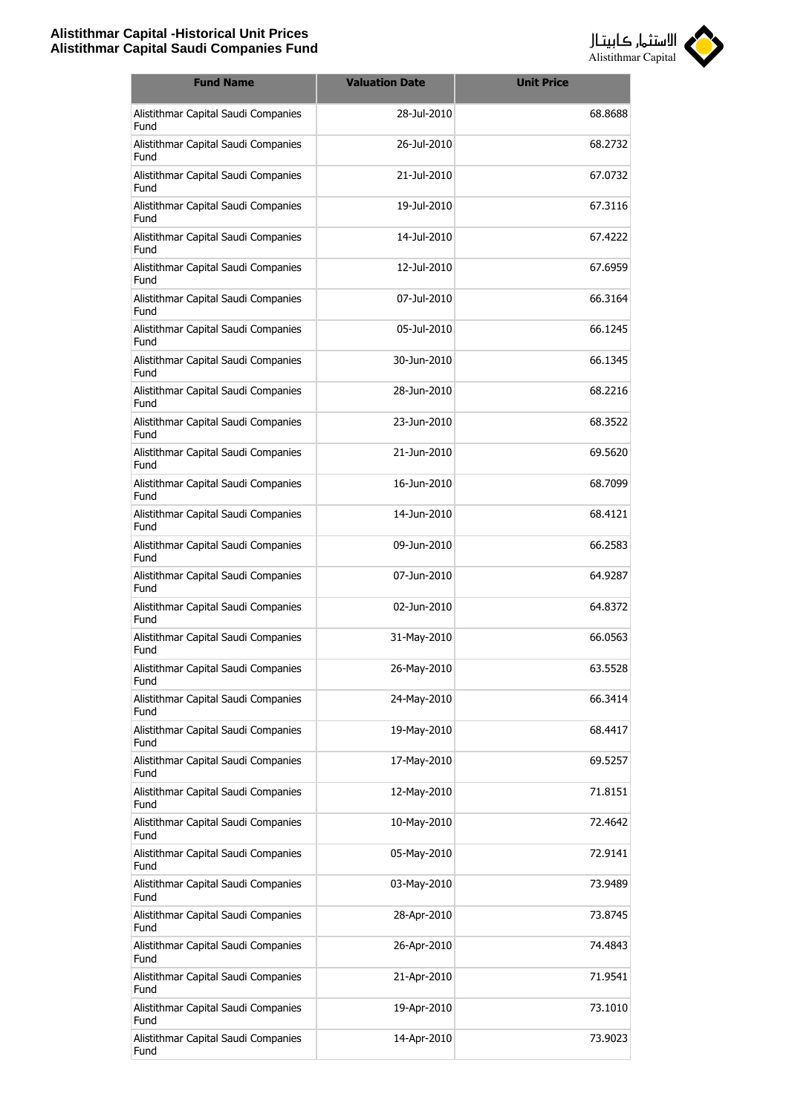

| <b>Fund Name</b>                            | <b>Valuation Date</b> | <b>Unit Price</b> |
|---------------------------------------------|-----------------------|-------------------|
| Alistithmar Capital Saudi Companies<br>Fund | 28-Jul-2010           | 68.8688           |
| Alistithmar Capital Saudi Companies<br>Fund | 26-Jul-2010           | 68.2732           |
| Alistithmar Capital Saudi Companies<br>Fund | 21-Jul-2010           | 67.0732           |
| Alistithmar Capital Saudi Companies<br>Fund | 19-Jul-2010           | 67.3116           |
| Alistithmar Capital Saudi Companies<br>Fund | 14-Jul-2010           | 67.4222           |
| Alistithmar Capital Saudi Companies<br>Fund | 12-Jul-2010           | 67.6959           |
| Alistithmar Capital Saudi Companies<br>Fund | 07-Jul-2010           | 66.3164           |
| Alistithmar Capital Saudi Companies<br>Fund | 05-Jul-2010           | 66.1245           |
| Alistithmar Capital Saudi Companies<br>Fund | 30-Jun-2010           | 66.1345           |
| Alistithmar Capital Saudi Companies<br>Fund | 28-Jun-2010           | 68.2216           |
| Alistithmar Capital Saudi Companies<br>Fund | 23-Jun-2010           | 68.3522           |
| Alistithmar Capital Saudi Companies<br>Fund | 21-Jun-2010           | 69.5620           |
| Alistithmar Capital Saudi Companies<br>Fund | 16-Jun-2010           | 68.7099           |
| Alistithmar Capital Saudi Companies<br>Fund | 14-Jun-2010           | 68.4121           |
| Alistithmar Capital Saudi Companies<br>Fund | 09-Jun-2010           | 66.2583           |
| Alistithmar Capital Saudi Companies<br>Fund | 07-Jun-2010           | 64.9287           |
| Alistithmar Capital Saudi Companies<br>Fund | 02-Jun-2010           | 64.8372           |
| Alistithmar Capital Saudi Companies<br>Fund | 31-May-2010           | 66.0563           |
| Alistithmar Capital Saudi Companies<br>Fund | 26-May-2010           | 63.5528           |
| Alistithmar Capital Saudi Companies<br>Fund | 24-May-2010           | 66.3414           |
| Alistithmar Capital Saudi Companies<br>Fund | 19-May-2010           | 68.4417           |
| Alistithmar Capital Saudi Companies<br>Fund | 17-May-2010           | 69.5257           |
| Alistithmar Capital Saudi Companies<br>Fund | 12-May-2010           | 71.8151           |
| Alistithmar Capital Saudi Companies<br>Fund | 10-May-2010           | 72.4642           |
| Alistithmar Capital Saudi Companies<br>Fund | 05-May-2010           | 72.9141           |
| Alistithmar Capital Saudi Companies<br>Fund | 03-May-2010           | 73.9489           |
| Alistithmar Capital Saudi Companies<br>Fund | 28-Apr-2010           | 73.8745           |
| Alistithmar Capital Saudi Companies<br>Fund | 26-Apr-2010           | 74.4843           |
| Alistithmar Capital Saudi Companies<br>Fund | 21-Apr-2010           | 71.9541           |
| Alistithmar Capital Saudi Companies<br>Fund | 19-Apr-2010           | 73.1010           |
| Alistithmar Capital Saudi Companies<br>Fund | 14-Apr-2010           | 73.9023           |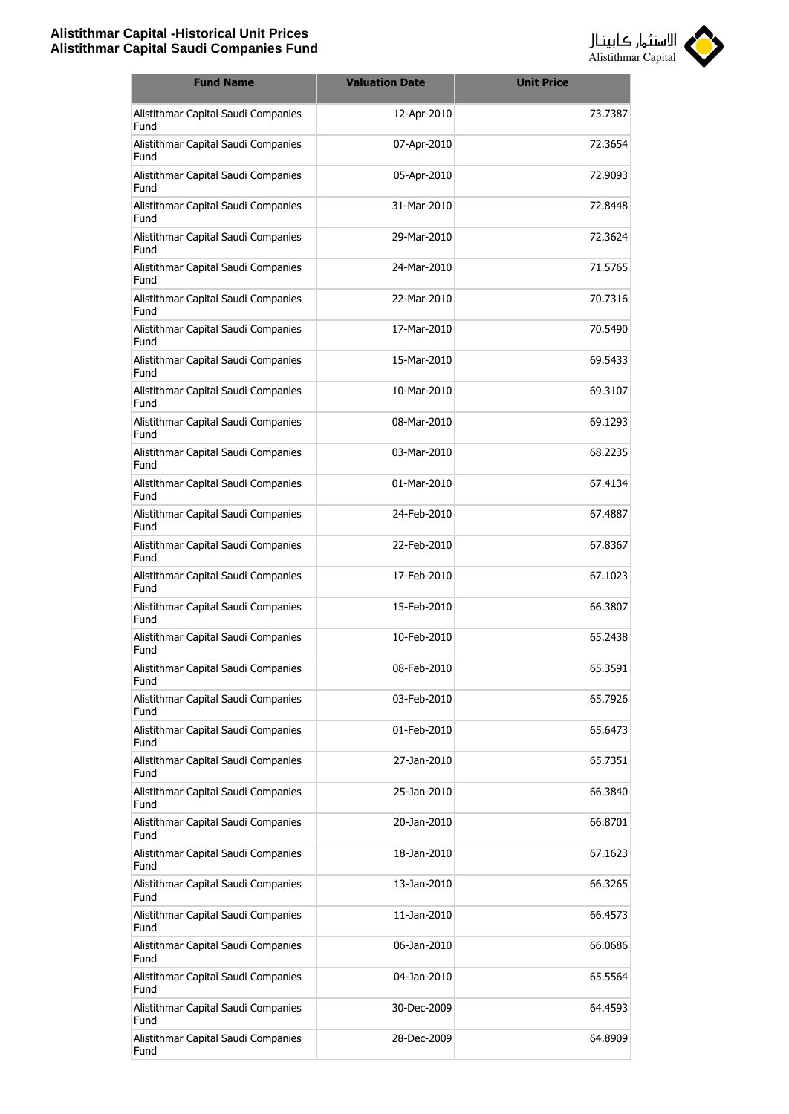

| <b>Fund Name</b>                            | <b>Valuation Date</b> | <b>Unit Price</b> |
|---------------------------------------------|-----------------------|-------------------|
| Alistithmar Capital Saudi Companies<br>Fund | 12-Apr-2010           | 73.7387           |
| Alistithmar Capital Saudi Companies<br>Fund | 07-Apr-2010           | 72.3654           |
| Alistithmar Capital Saudi Companies<br>Fund | 05-Apr-2010           | 72.9093           |
| Alistithmar Capital Saudi Companies<br>Fund | 31-Mar-2010           | 72.8448           |
| Alistithmar Capital Saudi Companies<br>Fund | 29-Mar-2010           | 72.3624           |
| Alistithmar Capital Saudi Companies<br>Fund | 24-Mar-2010           | 71.5765           |
| Alistithmar Capital Saudi Companies<br>Fund | 22-Mar-2010           | 70.7316           |
| Alistithmar Capital Saudi Companies<br>Fund | 17-Mar-2010           | 70.5490           |
| Alistithmar Capital Saudi Companies<br>Fund | 15-Mar-2010           | 69.5433           |
| Alistithmar Capital Saudi Companies<br>Fund | 10-Mar-2010           | 69.3107           |
| Alistithmar Capital Saudi Companies<br>Fund | 08-Mar-2010           | 69.1293           |
| Alistithmar Capital Saudi Companies<br>Fund | 03-Mar-2010           | 68.2235           |
| Alistithmar Capital Saudi Companies<br>Fund | 01-Mar-2010           | 67.4134           |
| Alistithmar Capital Saudi Companies<br>Fund | 24-Feb-2010           | 67.4887           |
| Alistithmar Capital Saudi Companies<br>Fund | 22-Feb-2010           | 67.8367           |
| Alistithmar Capital Saudi Companies<br>Fund | 17-Feb-2010           | 67.1023           |
| Alistithmar Capital Saudi Companies<br>Fund | 15-Feb-2010           | 66.3807           |
| Alistithmar Capital Saudi Companies<br>Fund | 10-Feb-2010           | 65.2438           |
| Alistithmar Capital Saudi Companies<br>Fund | 08-Feb-2010           | 65.3591           |
| Alistithmar Capital Saudi Companies<br>Fund | 03-Feb-2010           | 65.7926           |
| Alistithmar Capital Saudi Companies<br>Fund | 01-Feb-2010           | 65.6473           |
| Alistithmar Capital Saudi Companies<br>Fund | 27-Jan-2010           | 65.7351           |
| Alistithmar Capital Saudi Companies<br>Fund | 25-Jan-2010           | 66.3840           |
| Alistithmar Capital Saudi Companies<br>Fund | 20-Jan-2010           | 66.8701           |
| Alistithmar Capital Saudi Companies<br>Fund | 18-Jan-2010           | 67.1623           |
| Alistithmar Capital Saudi Companies<br>Fund | 13-Jan-2010           | 66.3265           |
| Alistithmar Capital Saudi Companies<br>Fund | 11-Jan-2010           | 66.4573           |
| Alistithmar Capital Saudi Companies<br>Fund | 06-Jan-2010           | 66.0686           |
| Alistithmar Capital Saudi Companies<br>Fund | 04-Jan-2010           | 65.5564           |
| Alistithmar Capital Saudi Companies<br>Fund | 30-Dec-2009           | 64.4593           |
| Alistithmar Capital Saudi Companies<br>Fund | 28-Dec-2009           | 64.8909           |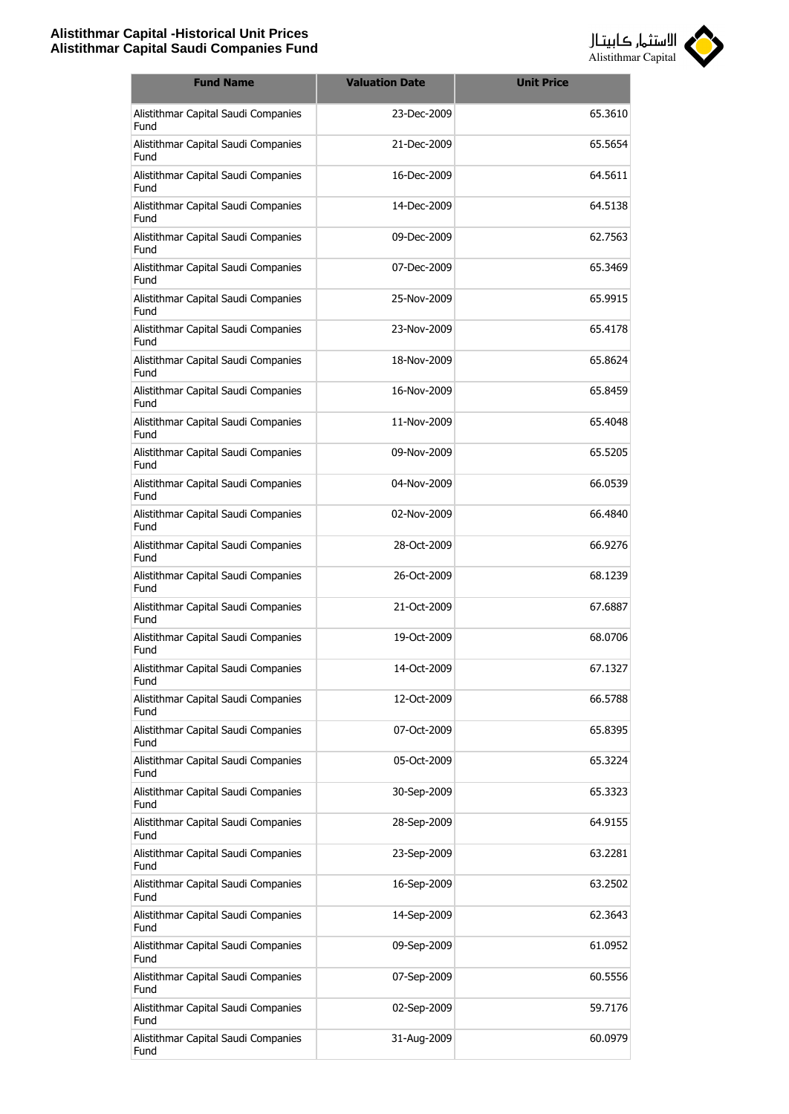

| <b>Fund Name</b>                            | <b>Valuation Date</b> | <b>Unit Price</b> |
|---------------------------------------------|-----------------------|-------------------|
| Alistithmar Capital Saudi Companies<br>Fund | 23-Dec-2009           | 65.3610           |
| Alistithmar Capital Saudi Companies<br>Fund | 21-Dec-2009           | 65.5654           |
| Alistithmar Capital Saudi Companies<br>Fund | 16-Dec-2009           | 64.5611           |
| Alistithmar Capital Saudi Companies<br>Fund | 14-Dec-2009           | 64.5138           |
| Alistithmar Capital Saudi Companies<br>Fund | 09-Dec-2009           | 62.7563           |
| Alistithmar Capital Saudi Companies<br>Fund | 07-Dec-2009           | 65.3469           |
| Alistithmar Capital Saudi Companies<br>Fund | 25-Nov-2009           | 65.9915           |
| Alistithmar Capital Saudi Companies<br>Fund | 23-Nov-2009           | 65.4178           |
| Alistithmar Capital Saudi Companies<br>Fund | 18-Nov-2009           | 65.8624           |
| Alistithmar Capital Saudi Companies<br>Fund | 16-Nov-2009           | 65.8459           |
| Alistithmar Capital Saudi Companies<br>Fund | 11-Nov-2009           | 65.4048           |
| Alistithmar Capital Saudi Companies<br>Fund | 09-Nov-2009           | 65.5205           |
| Alistithmar Capital Saudi Companies<br>Fund | 04-Nov-2009           | 66.0539           |
| Alistithmar Capital Saudi Companies<br>Fund | 02-Nov-2009           | 66.4840           |
| Alistithmar Capital Saudi Companies<br>Fund | 28-Oct-2009           | 66.9276           |
| Alistithmar Capital Saudi Companies<br>Fund | 26-Oct-2009           | 68.1239           |
| Alistithmar Capital Saudi Companies<br>Fund | 21-Oct-2009           | 67.6887           |
| Alistithmar Capital Saudi Companies<br>Fund | 19-Oct-2009           | 68.0706           |
| Alistithmar Capital Saudi Companies<br>Fund | 14-Oct-2009           | 67.1327           |
| Alistithmar Capital Saudi Companies<br>Fund | 12-Oct-2009           | 66.5788           |
| Alistithmar Capital Saudi Companies<br>Fund | 07-Oct-2009           | 65.8395           |
| Alistithmar Capital Saudi Companies<br>Fund | 05-Oct-2009           | 65.3224           |
| Alistithmar Capital Saudi Companies<br>Fund | 30-Sep-2009           | 65.3323           |
| Alistithmar Capital Saudi Companies<br>Fund | 28-Sep-2009           | 64.9155           |
| Alistithmar Capital Saudi Companies<br>Fund | 23-Sep-2009           | 63.2281           |
| Alistithmar Capital Saudi Companies<br>Fund | 16-Sep-2009           | 63.2502           |
| Alistithmar Capital Saudi Companies<br>Fund | 14-Sep-2009           | 62.3643           |
| Alistithmar Capital Saudi Companies<br>Fund | 09-Sep-2009           | 61.0952           |
| Alistithmar Capital Saudi Companies<br>Fund | 07-Sep-2009           | 60.5556           |
| Alistithmar Capital Saudi Companies<br>Fund | 02-Sep-2009           | 59.7176           |
| Alistithmar Capital Saudi Companies<br>Fund | 31-Aug-2009           | 60.0979           |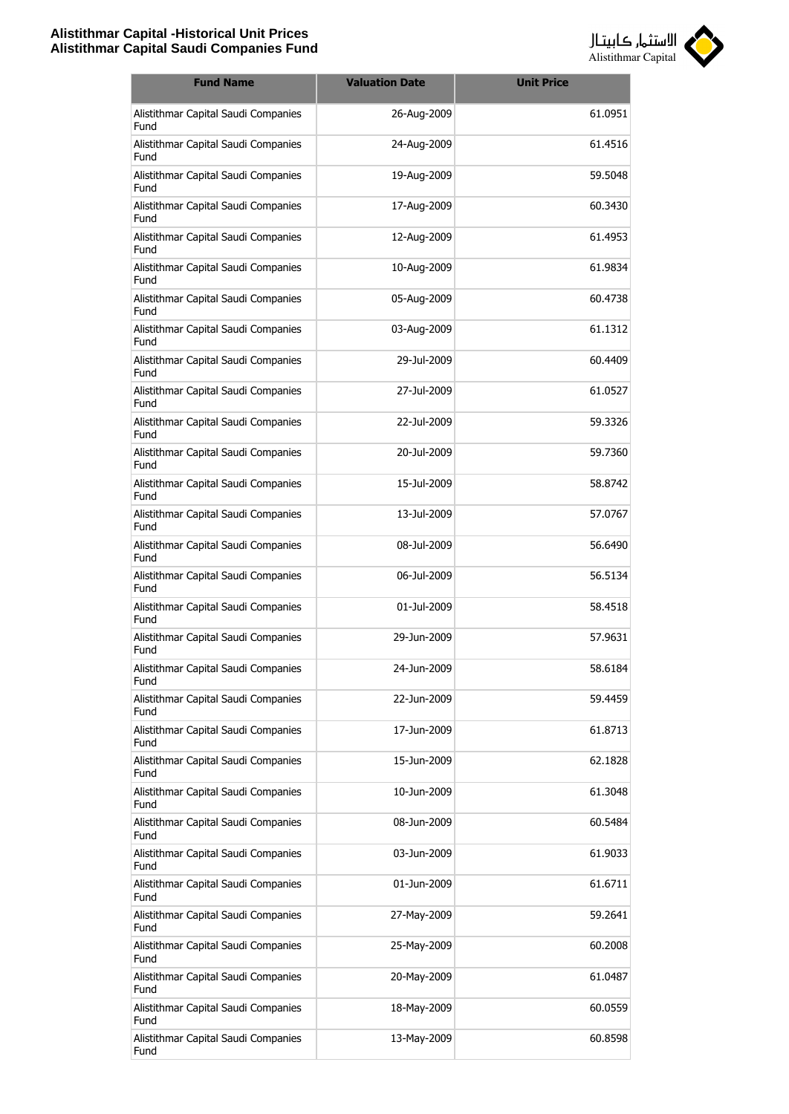

| <b>Fund Name</b>                            | <b>Valuation Date</b> | <b>Unit Price</b> |
|---------------------------------------------|-----------------------|-------------------|
| Alistithmar Capital Saudi Companies<br>Fund | 26-Aug-2009           | 61.0951           |
| Alistithmar Capital Saudi Companies<br>Fund | 24-Aug-2009           | 61.4516           |
| Alistithmar Capital Saudi Companies<br>Fund | 19-Aug-2009           | 59.5048           |
| Alistithmar Capital Saudi Companies<br>Fund | 17-Aug-2009           | 60.3430           |
| Alistithmar Capital Saudi Companies<br>Fund | 12-Aug-2009           | 61.4953           |
| Alistithmar Capital Saudi Companies<br>Fund | 10-Aug-2009           | 61.9834           |
| Alistithmar Capital Saudi Companies<br>Fund | 05-Aug-2009           | 60.4738           |
| Alistithmar Capital Saudi Companies<br>Fund | 03-Aug-2009           | 61.1312           |
| Alistithmar Capital Saudi Companies<br>Fund | 29-Jul-2009           | 60.4409           |
| Alistithmar Capital Saudi Companies<br>Fund | 27-Jul-2009           | 61.0527           |
| Alistithmar Capital Saudi Companies<br>Fund | 22-Jul-2009           | 59.3326           |
| Alistithmar Capital Saudi Companies<br>Fund | 20-Jul-2009           | 59.7360           |
| Alistithmar Capital Saudi Companies<br>Fund | 15-Jul-2009           | 58.8742           |
| Alistithmar Capital Saudi Companies<br>Fund | 13-Jul-2009           | 57.0767           |
| Alistithmar Capital Saudi Companies<br>Fund | 08-Jul-2009           | 56.6490           |
| Alistithmar Capital Saudi Companies<br>Fund | 06-Jul-2009           | 56.5134           |
| Alistithmar Capital Saudi Companies<br>Fund | 01-Jul-2009           | 58.4518           |
| Alistithmar Capital Saudi Companies<br>Fund | 29-Jun-2009           | 57.9631           |
| Alistithmar Capital Saudi Companies<br>Fund | 24-Jun-2009           | 58.6184           |
| Alistithmar Capital Saudi Companies<br>Fund | 22-Jun-2009           | 59.4459           |
| Alistithmar Capital Saudi Companies<br>Fund | 17-Jun-2009           | 61.8713           |
| Alistithmar Capital Saudi Companies<br>Fund | 15-Jun-2009           | 62.1828           |
| Alistithmar Capital Saudi Companies<br>Fund | 10-Jun-2009           | 61.3048           |
| Alistithmar Capital Saudi Companies<br>Fund | 08-Jun-2009           | 60.5484           |
| Alistithmar Capital Saudi Companies<br>Fund | 03-Jun-2009           | 61.9033           |
| Alistithmar Capital Saudi Companies<br>Fund | 01-Jun-2009           | 61.6711           |
| Alistithmar Capital Saudi Companies<br>Fund | 27-May-2009           | 59.2641           |
| Alistithmar Capital Saudi Companies<br>Fund | 25-May-2009           | 60.2008           |
| Alistithmar Capital Saudi Companies<br>Fund | 20-May-2009           | 61.0487           |
| Alistithmar Capital Saudi Companies<br>Fund | 18-May-2009           | 60.0559           |
| Alistithmar Capital Saudi Companies<br>Fund | 13-May-2009           | 60.8598           |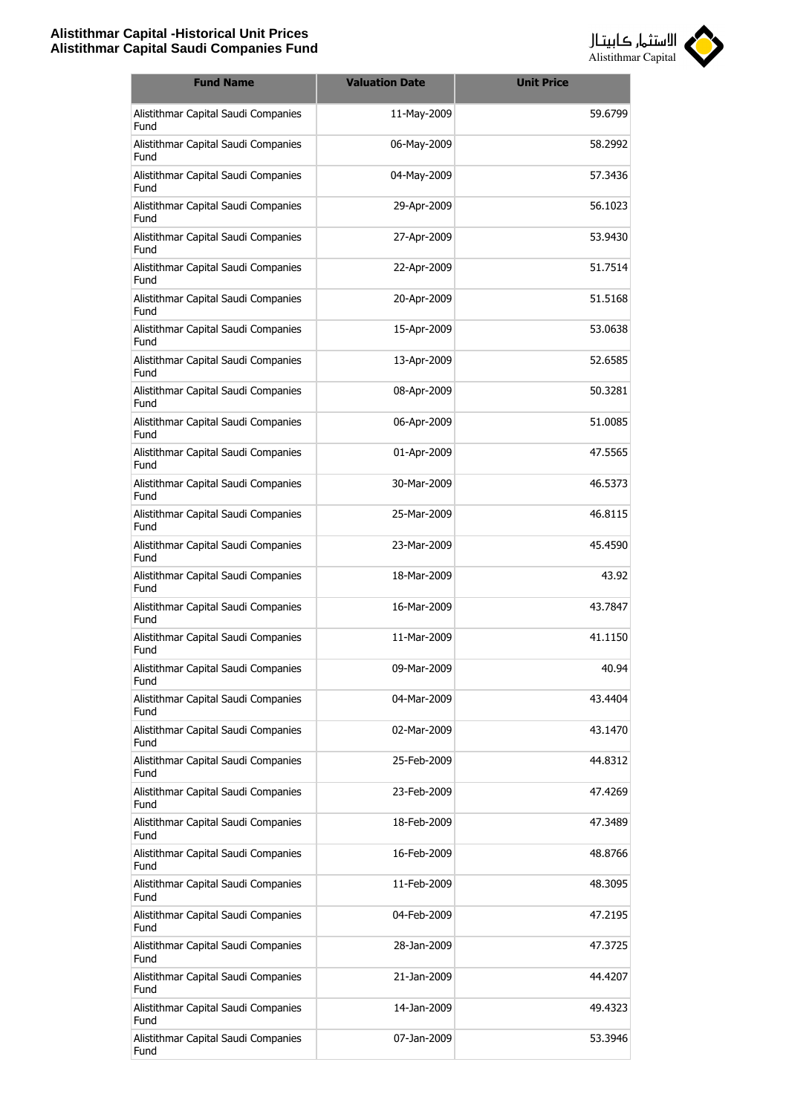

| <b>Fund Name</b>                            | <b>Valuation Date</b> | <b>Unit Price</b> |
|---------------------------------------------|-----------------------|-------------------|
| Alistithmar Capital Saudi Companies<br>Fund | 11-May-2009           | 59.6799           |
| Alistithmar Capital Saudi Companies<br>Fund | 06-May-2009           | 58.2992           |
| Alistithmar Capital Saudi Companies<br>Fund | 04-May-2009           | 57.3436           |
| Alistithmar Capital Saudi Companies<br>Fund | 29-Apr-2009           | 56.1023           |
| Alistithmar Capital Saudi Companies<br>Fund | 27-Apr-2009           | 53.9430           |
| Alistithmar Capital Saudi Companies<br>Fund | 22-Apr-2009           | 51.7514           |
| Alistithmar Capital Saudi Companies<br>Fund | 20-Apr-2009           | 51.5168           |
| Alistithmar Capital Saudi Companies<br>Fund | 15-Apr-2009           | 53.0638           |
| Alistithmar Capital Saudi Companies<br>Fund | 13-Apr-2009           | 52.6585           |
| Alistithmar Capital Saudi Companies<br>Fund | 08-Apr-2009           | 50.3281           |
| Alistithmar Capital Saudi Companies<br>Fund | 06-Apr-2009           | 51.0085           |
| Alistithmar Capital Saudi Companies<br>Fund | 01-Apr-2009           | 47.5565           |
| Alistithmar Capital Saudi Companies<br>Fund | 30-Mar-2009           | 46.5373           |
| Alistithmar Capital Saudi Companies<br>Fund | 25-Mar-2009           | 46.8115           |
| Alistithmar Capital Saudi Companies<br>Fund | 23-Mar-2009           | 45.4590           |
| Alistithmar Capital Saudi Companies<br>Fund | 18-Mar-2009           | 43.92             |
| Alistithmar Capital Saudi Companies<br>Fund | 16-Mar-2009           | 43.7847           |
| Alistithmar Capital Saudi Companies<br>Fund | 11-Mar-2009           | 41.1150           |
| Alistithmar Capital Saudi Companies<br>Fund | 09-Mar-2009           | 40.94             |
| Alistithmar Capital Saudi Companies<br>Fund | 04-Mar-2009           | 43.4404           |
| Alistithmar Capital Saudi Companies<br>Fund | 02-Mar-2009           | 43.1470           |
| Alistithmar Capital Saudi Companies<br>Fund | 25-Feb-2009           | 44.8312           |
| Alistithmar Capital Saudi Companies<br>Fund | 23-Feb-2009           | 47.4269           |
| Alistithmar Capital Saudi Companies<br>Fund | 18-Feb-2009           | 47.3489           |
| Alistithmar Capital Saudi Companies<br>Fund | 16-Feb-2009           | 48.8766           |
| Alistithmar Capital Saudi Companies<br>Fund | 11-Feb-2009           | 48.3095           |
| Alistithmar Capital Saudi Companies<br>Fund | 04-Feb-2009           | 47.2195           |
| Alistithmar Capital Saudi Companies<br>Fund | 28-Jan-2009           | 47.3725           |
| Alistithmar Capital Saudi Companies<br>Fund | 21-Jan-2009           | 44.4207           |
| Alistithmar Capital Saudi Companies<br>Fund | 14-Jan-2009           | 49.4323           |
| Alistithmar Capital Saudi Companies<br>Fund | 07-Jan-2009           | 53.3946           |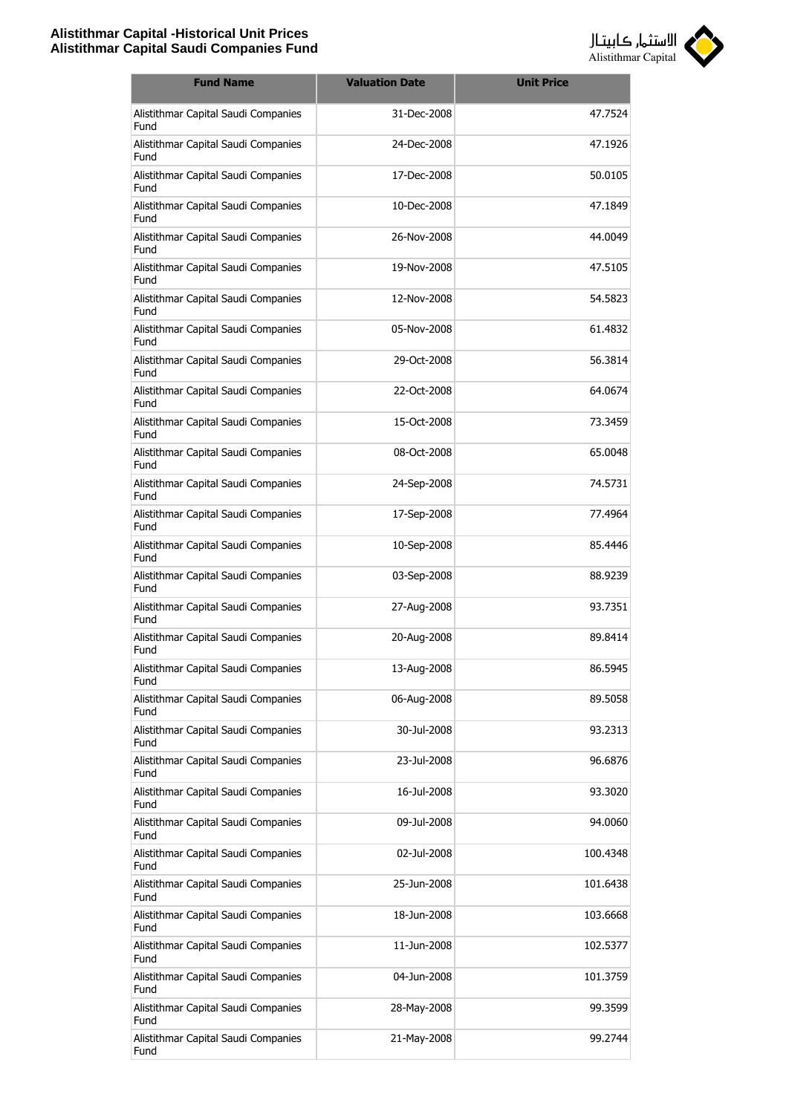

| <b>Fund Name</b>                            | <b>Valuation Date</b> | <b>Unit Price</b> |
|---------------------------------------------|-----------------------|-------------------|
| Alistithmar Capital Saudi Companies<br>Fund | 31-Dec-2008           | 47.7524           |
| Alistithmar Capital Saudi Companies<br>Fund | 24-Dec-2008           | 47.1926           |
| Alistithmar Capital Saudi Companies<br>Fund | 17-Dec-2008           | 50.0105           |
| Alistithmar Capital Saudi Companies<br>Fund | 10-Dec-2008           | 47.1849           |
| Alistithmar Capital Saudi Companies<br>Fund | 26-Nov-2008           | 44.0049           |
| Alistithmar Capital Saudi Companies<br>Fund | 19-Nov-2008           | 47.5105           |
| Alistithmar Capital Saudi Companies<br>Fund | 12-Nov-2008           | 54.5823           |
| Alistithmar Capital Saudi Companies<br>Fund | 05-Nov-2008           | 61.4832           |
| Alistithmar Capital Saudi Companies<br>Fund | 29-Oct-2008           | 56.3814           |
| Alistithmar Capital Saudi Companies<br>Fund | 22-Oct-2008           | 64.0674           |
| Alistithmar Capital Saudi Companies<br>Fund | 15-Oct-2008           | 73.3459           |
| Alistithmar Capital Saudi Companies<br>Fund | 08-Oct-2008           | 65.0048           |
| Alistithmar Capital Saudi Companies<br>Fund | 24-Sep-2008           | 74.5731           |
| Alistithmar Capital Saudi Companies<br>Fund | 17-Sep-2008           | 77.4964           |
| Alistithmar Capital Saudi Companies<br>Fund | 10-Sep-2008           | 85.4446           |
| Alistithmar Capital Saudi Companies<br>Fund | 03-Sep-2008           | 88.9239           |
| Alistithmar Capital Saudi Companies<br>Fund | 27-Aug-2008           | 93.7351           |
| Alistithmar Capital Saudi Companies<br>Fund | 20-Aug-2008           | 89.8414           |
| Alistithmar Capital Saudi Companies<br>Fund | 13-Aug-2008           | 86.5945           |
| Alistithmar Capital Saudi Companies<br>Fund | 06-Aug-2008           | 89.5058           |
| Alistithmar Capital Saudi Companies<br>Fund | 30-Jul-2008           | 93.2313           |
| Alistithmar Capital Saudi Companies<br>Fund | 23-Jul-2008           | 96.6876           |
| Alistithmar Capital Saudi Companies<br>Fund | 16-Jul-2008           | 93.3020           |
| Alistithmar Capital Saudi Companies<br>Fund | 09-Jul-2008           | 94.0060           |
| Alistithmar Capital Saudi Companies<br>Fund | 02-Jul-2008           | 100.4348          |
| Alistithmar Capital Saudi Companies<br>Fund | 25-Jun-2008           | 101.6438          |
| Alistithmar Capital Saudi Companies<br>Fund | 18-Jun-2008           | 103.6668          |
| Alistithmar Capital Saudi Companies<br>Fund | 11-Jun-2008           | 102.5377          |
| Alistithmar Capital Saudi Companies<br>Fund | 04-Jun-2008           | 101.3759          |
| Alistithmar Capital Saudi Companies<br>Fund | 28-May-2008           | 99.3599           |
| Alistithmar Capital Saudi Companies<br>Fund | 21-May-2008           | 99.2744           |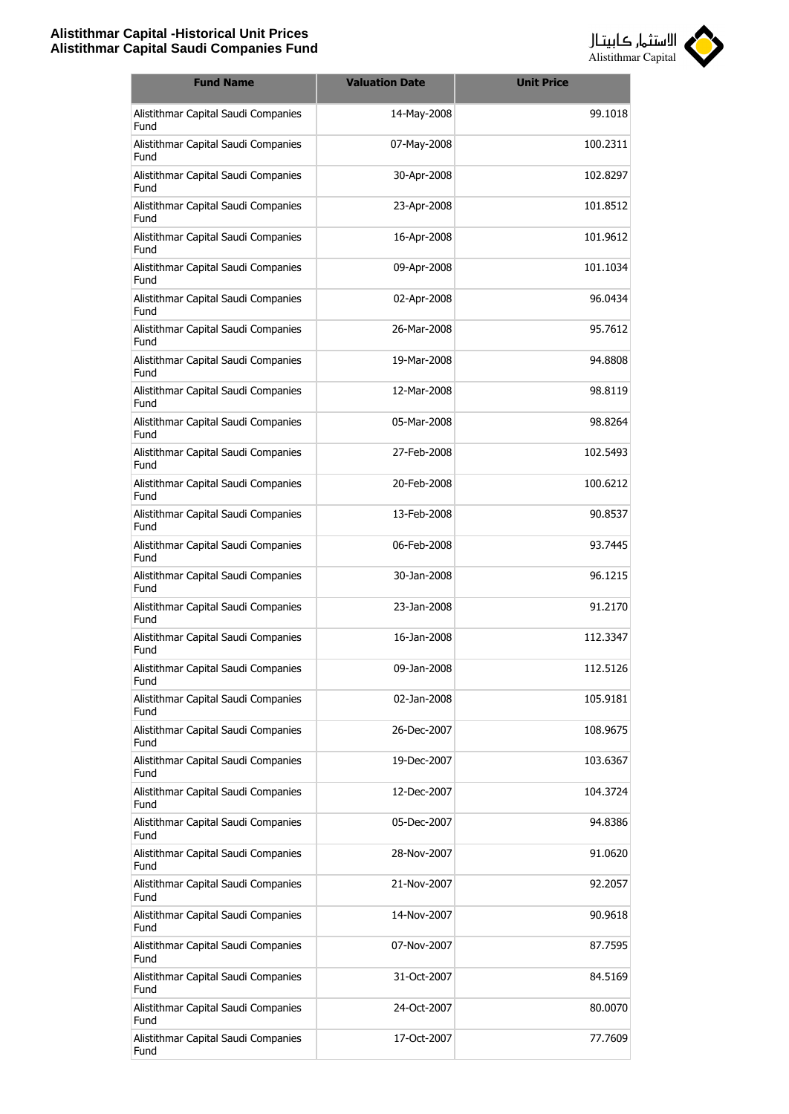

| <b>Fund Name</b>                            | <b>Valuation Date</b> | <b>Unit Price</b> |
|---------------------------------------------|-----------------------|-------------------|
| Alistithmar Capital Saudi Companies<br>Fund | 14-May-2008           | 99.1018           |
| Alistithmar Capital Saudi Companies<br>Fund | 07-May-2008           | 100.2311          |
| Alistithmar Capital Saudi Companies<br>Fund | 30-Apr-2008           | 102.8297          |
| Alistithmar Capital Saudi Companies<br>Fund | 23-Apr-2008           | 101.8512          |
| Alistithmar Capital Saudi Companies<br>Fund | 16-Apr-2008           | 101.9612          |
| Alistithmar Capital Saudi Companies<br>Fund | 09-Apr-2008           | 101.1034          |
| Alistithmar Capital Saudi Companies<br>Fund | 02-Apr-2008           | 96.0434           |
| Alistithmar Capital Saudi Companies<br>Fund | 26-Mar-2008           | 95.7612           |
| Alistithmar Capital Saudi Companies<br>Fund | 19-Mar-2008           | 94.8808           |
| Alistithmar Capital Saudi Companies<br>Fund | 12-Mar-2008           | 98.8119           |
| Alistithmar Capital Saudi Companies<br>Fund | 05-Mar-2008           | 98.8264           |
| Alistithmar Capital Saudi Companies<br>Fund | 27-Feb-2008           | 102.5493          |
| Alistithmar Capital Saudi Companies<br>Fund | 20-Feb-2008           | 100.6212          |
| Alistithmar Capital Saudi Companies<br>Fund | 13-Feb-2008           | 90.8537           |
| Alistithmar Capital Saudi Companies<br>Fund | 06-Feb-2008           | 93.7445           |
| Alistithmar Capital Saudi Companies<br>Fund | 30-Jan-2008           | 96.1215           |
| Alistithmar Capital Saudi Companies<br>Fund | 23-Jan-2008           | 91.2170           |
| Alistithmar Capital Saudi Companies<br>Fund | 16-Jan-2008           | 112.3347          |
| Alistithmar Capital Saudi Companies<br>Fund | 09-Jan-2008           | 112.5126          |
| Alistithmar Capital Saudi Companies<br>Fund | 02-Jan-2008           | 105.9181          |
| Alistithmar Capital Saudi Companies<br>Fund | 26-Dec-2007           | 108.9675          |
| Alistithmar Capital Saudi Companies<br>Fund | 19-Dec-2007           | 103.6367          |
| Alistithmar Capital Saudi Companies<br>Fund | 12-Dec-2007           | 104.3724          |
| Alistithmar Capital Saudi Companies<br>Fund | 05-Dec-2007           | 94.8386           |
| Alistithmar Capital Saudi Companies<br>Fund | 28-Nov-2007           | 91.0620           |
| Alistithmar Capital Saudi Companies<br>Fund | 21-Nov-2007           | 92.2057           |
| Alistithmar Capital Saudi Companies<br>Fund | 14-Nov-2007           | 90.9618           |
| Alistithmar Capital Saudi Companies<br>Fund | 07-Nov-2007           | 87.7595           |
| Alistithmar Capital Saudi Companies<br>Fund | 31-Oct-2007           | 84.5169           |
| Alistithmar Capital Saudi Companies<br>Fund | 24-Oct-2007           | 80.0070           |
| Alistithmar Capital Saudi Companies<br>Fund | 17-Oct-2007           | 77.7609           |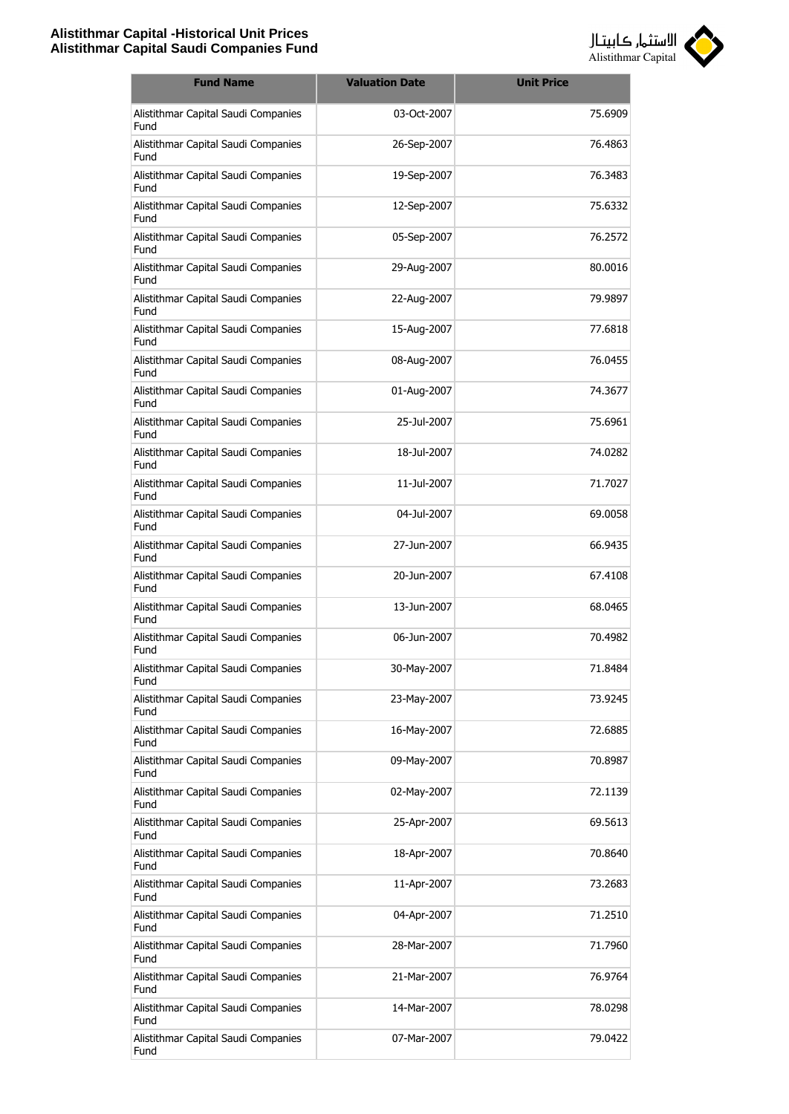

| <b>Fund Name</b>                            | <b>Valuation Date</b> | <b>Unit Price</b> |
|---------------------------------------------|-----------------------|-------------------|
| Alistithmar Capital Saudi Companies<br>Fund | 03-Oct-2007           | 75.6909           |
| Alistithmar Capital Saudi Companies<br>Fund | 26-Sep-2007           | 76.4863           |
| Alistithmar Capital Saudi Companies<br>Fund | 19-Sep-2007           | 76.3483           |
| Alistithmar Capital Saudi Companies<br>Fund | 12-Sep-2007           | 75.6332           |
| Alistithmar Capital Saudi Companies<br>Fund | 05-Sep-2007           | 76.2572           |
| Alistithmar Capital Saudi Companies<br>Fund | 29-Aug-2007           | 80.0016           |
| Alistithmar Capital Saudi Companies<br>Fund | 22-Aug-2007           | 79.9897           |
| Alistithmar Capital Saudi Companies<br>Fund | 15-Aug-2007           | 77.6818           |
| Alistithmar Capital Saudi Companies<br>Fund | 08-Aug-2007           | 76.0455           |
| Alistithmar Capital Saudi Companies<br>Fund | 01-Aug-2007           | 74.3677           |
| Alistithmar Capital Saudi Companies<br>Fund | 25-Jul-2007           | 75.6961           |
| Alistithmar Capital Saudi Companies<br>Fund | 18-Jul-2007           | 74.0282           |
| Alistithmar Capital Saudi Companies<br>Fund | 11-Jul-2007           | 71.7027           |
| Alistithmar Capital Saudi Companies<br>Fund | 04-Jul-2007           | 69.0058           |
| Alistithmar Capital Saudi Companies<br>Fund | 27-Jun-2007           | 66.9435           |
| Alistithmar Capital Saudi Companies<br>Fund | 20-Jun-2007           | 67.4108           |
| Alistithmar Capital Saudi Companies<br>Fund | 13-Jun-2007           | 68.0465           |
| Alistithmar Capital Saudi Companies<br>Fund | 06-Jun-2007           | 70.4982           |
| Alistithmar Capital Saudi Companies<br>Fund | 30-May-2007           | 71.8484           |
| Alistithmar Capital Saudi Companies<br>Fund | 23-May-2007           | 73.9245           |
| Alistithmar Capital Saudi Companies<br>Fund | 16-May-2007           | 72.6885           |
| Alistithmar Capital Saudi Companies<br>Fund | 09-May-2007           | 70.8987           |
| Alistithmar Capital Saudi Companies<br>Fund | 02-May-2007           | 72.1139           |
| Alistithmar Capital Saudi Companies<br>Fund | 25-Apr-2007           | 69.5613           |
| Alistithmar Capital Saudi Companies<br>Fund | 18-Apr-2007           | 70.8640           |
| Alistithmar Capital Saudi Companies<br>Fund | 11-Apr-2007           | 73.2683           |
| Alistithmar Capital Saudi Companies<br>Fund | 04-Apr-2007           | 71.2510           |
| Alistithmar Capital Saudi Companies<br>Fund | 28-Mar-2007           | 71.7960           |
| Alistithmar Capital Saudi Companies<br>Fund | 21-Mar-2007           | 76.9764           |
| Alistithmar Capital Saudi Companies<br>Fund | 14-Mar-2007           | 78.0298           |
| Alistithmar Capital Saudi Companies<br>Fund | 07-Mar-2007           | 79.0422           |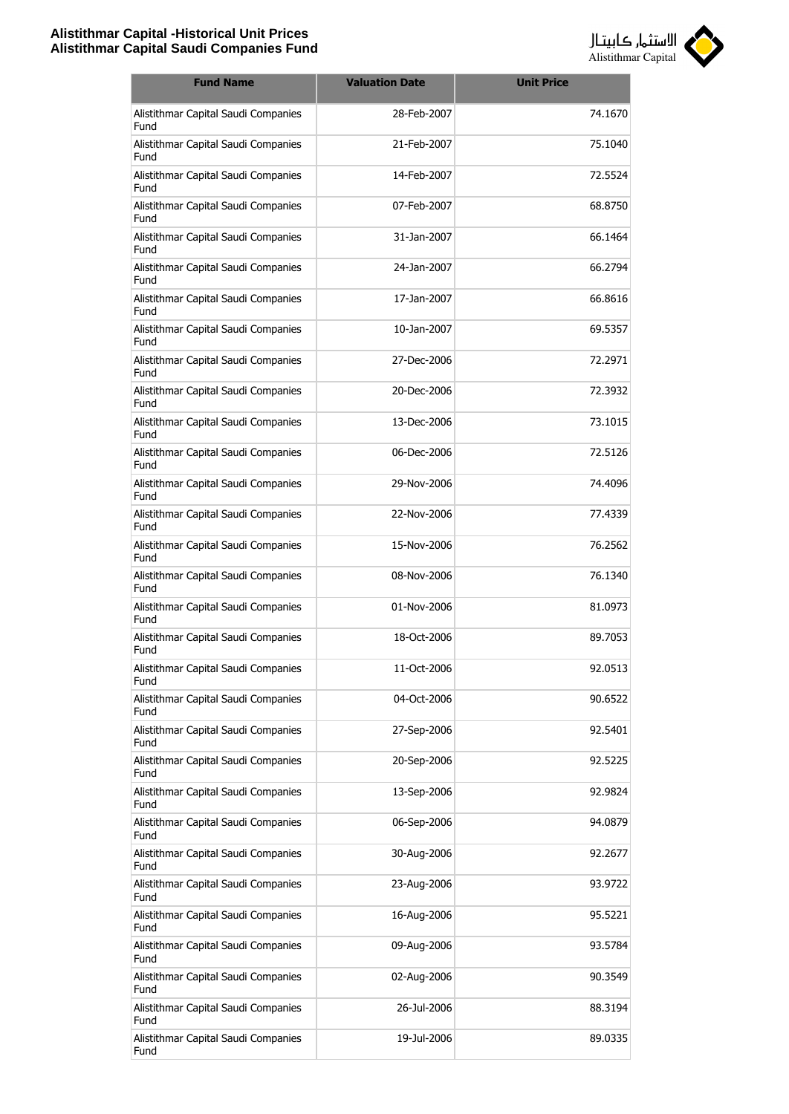

| <b>Fund Name</b>                            | <b>Valuation Date</b> | <b>Unit Price</b> |
|---------------------------------------------|-----------------------|-------------------|
| Alistithmar Capital Saudi Companies<br>Fund | 28-Feb-2007           | 74.1670           |
| Alistithmar Capital Saudi Companies<br>Fund | 21-Feb-2007           | 75.1040           |
| Alistithmar Capital Saudi Companies<br>Fund | 14-Feb-2007           | 72.5524           |
| Alistithmar Capital Saudi Companies<br>Fund | 07-Feb-2007           | 68.8750           |
| Alistithmar Capital Saudi Companies<br>Fund | 31-Jan-2007           | 66.1464           |
| Alistithmar Capital Saudi Companies<br>Fund | 24-Jan-2007           | 66.2794           |
| Alistithmar Capital Saudi Companies<br>Fund | 17-Jan-2007           | 66.8616           |
| Alistithmar Capital Saudi Companies<br>Fund | 10-Jan-2007           | 69.5357           |
| Alistithmar Capital Saudi Companies<br>Fund | 27-Dec-2006           | 72.2971           |
| Alistithmar Capital Saudi Companies<br>Fund | 20-Dec-2006           | 72.3932           |
| Alistithmar Capital Saudi Companies<br>Fund | 13-Dec-2006           | 73.1015           |
| Alistithmar Capital Saudi Companies<br>Fund | 06-Dec-2006           | 72.5126           |
| Alistithmar Capital Saudi Companies<br>Fund | 29-Nov-2006           | 74.4096           |
| Alistithmar Capital Saudi Companies<br>Fund | 22-Nov-2006           | 77.4339           |
| Alistithmar Capital Saudi Companies<br>Fund | 15-Nov-2006           | 76.2562           |
| Alistithmar Capital Saudi Companies<br>Fund | 08-Nov-2006           | 76.1340           |
| Alistithmar Capital Saudi Companies<br>Fund | 01-Nov-2006           | 81.0973           |
| Alistithmar Capital Saudi Companies<br>Fund | 18-Oct-2006           | 89.7053           |
| Alistithmar Capital Saudi Companies<br>Fund | 11-Oct-2006           | 92.0513           |
| Alistithmar Capital Saudi Companies<br>Fund | 04-Oct-2006           | 90.6522           |
| Alistithmar Capital Saudi Companies<br>Fund | 27-Sep-2006           | 92.5401           |
| Alistithmar Capital Saudi Companies<br>Fund | 20-Sep-2006           | 92.5225           |
| Alistithmar Capital Saudi Companies<br>Fund | 13-Sep-2006           | 92.9824           |
| Alistithmar Capital Saudi Companies<br>Fund | 06-Sep-2006           | 94.0879           |
| Alistithmar Capital Saudi Companies<br>Fund | 30-Aug-2006           | 92.2677           |
| Alistithmar Capital Saudi Companies<br>Fund | 23-Aug-2006           | 93.9722           |
| Alistithmar Capital Saudi Companies<br>Fund | 16-Aug-2006           | 95.5221           |
| Alistithmar Capital Saudi Companies<br>Fund | 09-Aug-2006           | 93.5784           |
| Alistithmar Capital Saudi Companies<br>Fund | 02-Aug-2006           | 90.3549           |
| Alistithmar Capital Saudi Companies<br>Fund | 26-Jul-2006           | 88.3194           |
| Alistithmar Capital Saudi Companies<br>Fund | 19-Jul-2006           | 89.0335           |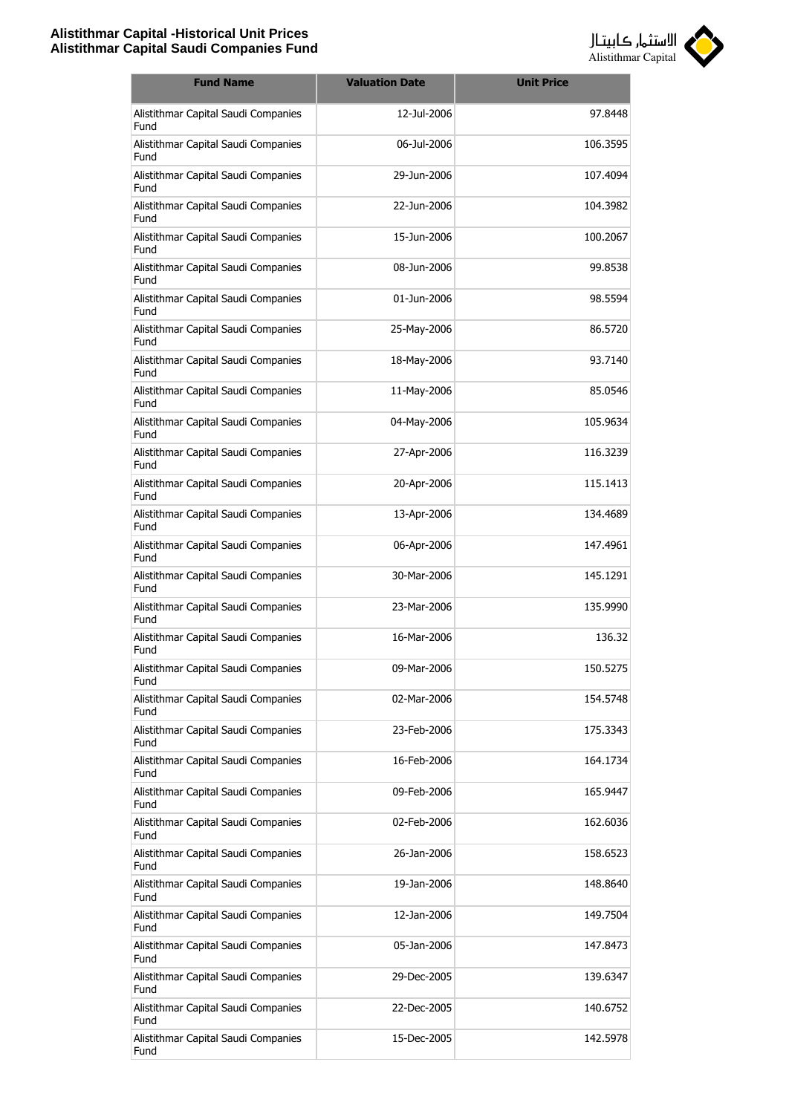

| <b>Fund Name</b>                            | <b>Valuation Date</b> | <b>Unit Price</b> |
|---------------------------------------------|-----------------------|-------------------|
| Alistithmar Capital Saudi Companies<br>Fund | 12-Jul-2006           | 97.8448           |
| Alistithmar Capital Saudi Companies<br>Fund | 06-Jul-2006           | 106.3595          |
| Alistithmar Capital Saudi Companies<br>Fund | 29-Jun-2006           | 107.4094          |
| Alistithmar Capital Saudi Companies<br>Fund | 22-Jun-2006           | 104.3982          |
| Alistithmar Capital Saudi Companies<br>Fund | 15-Jun-2006           | 100.2067          |
| Alistithmar Capital Saudi Companies<br>Fund | 08-Jun-2006           | 99.8538           |
| Alistithmar Capital Saudi Companies<br>Fund | 01-Jun-2006           | 98.5594           |
| Alistithmar Capital Saudi Companies<br>Fund | 25-May-2006           | 86.5720           |
| Alistithmar Capital Saudi Companies<br>Fund | 18-May-2006           | 93.7140           |
| Alistithmar Capital Saudi Companies<br>Fund | 11-May-2006           | 85.0546           |
| Alistithmar Capital Saudi Companies<br>Fund | 04-May-2006           | 105.9634          |
| Alistithmar Capital Saudi Companies<br>Fund | 27-Apr-2006           | 116.3239          |
| Alistithmar Capital Saudi Companies<br>Fund | 20-Apr-2006           | 115.1413          |
| Alistithmar Capital Saudi Companies<br>Fund | 13-Apr-2006           | 134.4689          |
| Alistithmar Capital Saudi Companies<br>Fund | 06-Apr-2006           | 147.4961          |
| Alistithmar Capital Saudi Companies<br>Fund | 30-Mar-2006           | 145.1291          |
| Alistithmar Capital Saudi Companies<br>Fund | 23-Mar-2006           | 135.9990          |
| Alistithmar Capital Saudi Companies<br>Fund | 16-Mar-2006           | 136.32            |
| Alistithmar Capital Saudi Companies<br>Fund | 09-Mar-2006           | 150.5275          |
| Alistithmar Capital Saudi Companies<br>Fund | 02-Mar-2006           | 154.5748          |
| Alistithmar Capital Saudi Companies<br>Fund | 23-Feb-2006           | 175.3343          |
| Alistithmar Capital Saudi Companies<br>Fund | 16-Feb-2006           | 164.1734          |
| Alistithmar Capital Saudi Companies<br>Fund | 09-Feb-2006           | 165.9447          |
| Alistithmar Capital Saudi Companies<br>Fund | 02-Feb-2006           | 162.6036          |
| Alistithmar Capital Saudi Companies<br>Fund | 26-Jan-2006           | 158.6523          |
| Alistithmar Capital Saudi Companies<br>Fund | 19-Jan-2006           | 148.8640          |
| Alistithmar Capital Saudi Companies<br>Fund | 12-Jan-2006           | 149.7504          |
| Alistithmar Capital Saudi Companies<br>Fund | 05-Jan-2006           | 147.8473          |
| Alistithmar Capital Saudi Companies<br>Fund | 29-Dec-2005           | 139.6347          |
| Alistithmar Capital Saudi Companies<br>Fund | 22-Dec-2005           | 140.6752          |
| Alistithmar Capital Saudi Companies<br>Fund | 15-Dec-2005           | 142.5978          |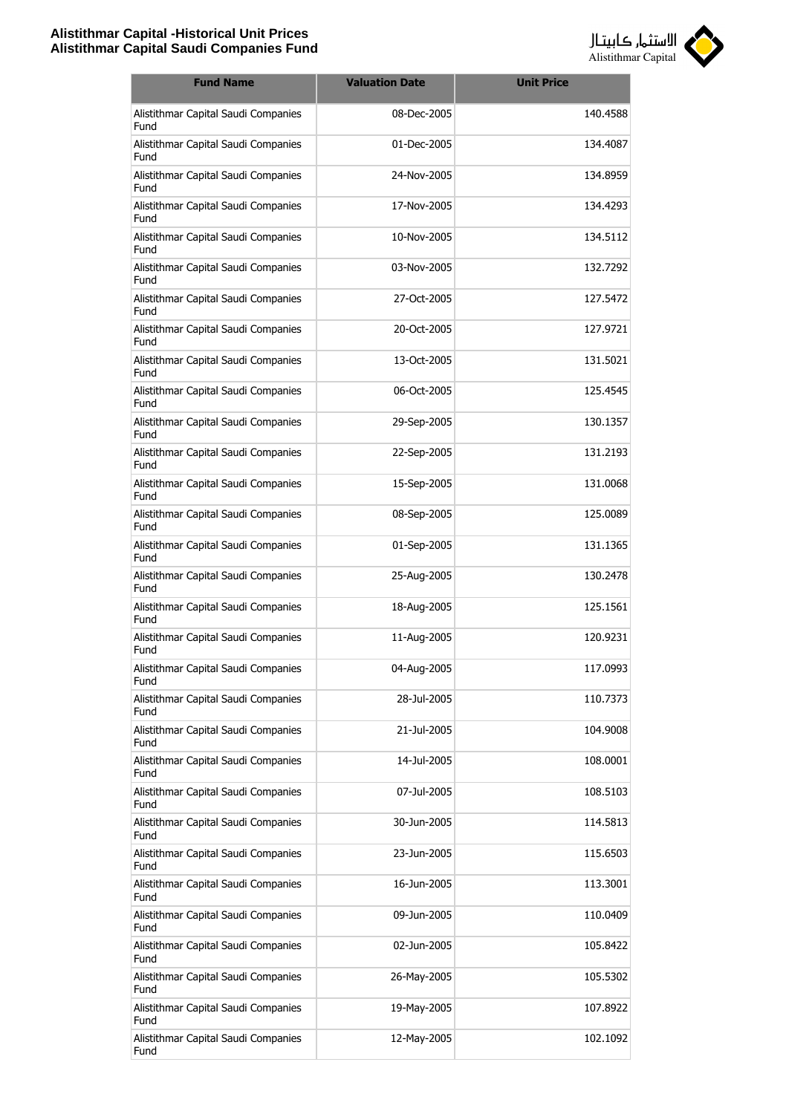

| <b>Fund Name</b>                            | <b>Valuation Date</b> | <b>Unit Price</b> |
|---------------------------------------------|-----------------------|-------------------|
| Alistithmar Capital Saudi Companies<br>Fund | 08-Dec-2005           | 140.4588          |
| Alistithmar Capital Saudi Companies<br>Fund | 01-Dec-2005           | 134.4087          |
| Alistithmar Capital Saudi Companies<br>Fund | 24-Nov-2005           | 134.8959          |
| Alistithmar Capital Saudi Companies<br>Fund | 17-Nov-2005           | 134.4293          |
| Alistithmar Capital Saudi Companies<br>Fund | 10-Nov-2005           | 134.5112          |
| Alistithmar Capital Saudi Companies<br>Fund | 03-Nov-2005           | 132.7292          |
| Alistithmar Capital Saudi Companies<br>Fund | 27-Oct-2005           | 127.5472          |
| Alistithmar Capital Saudi Companies<br>Fund | 20-Oct-2005           | 127.9721          |
| Alistithmar Capital Saudi Companies<br>Fund | 13-Oct-2005           | 131.5021          |
| Alistithmar Capital Saudi Companies<br>Fund | 06-Oct-2005           | 125.4545          |
| Alistithmar Capital Saudi Companies<br>Fund | 29-Sep-2005           | 130.1357          |
| Alistithmar Capital Saudi Companies<br>Fund | 22-Sep-2005           | 131.2193          |
| Alistithmar Capital Saudi Companies<br>Fund | 15-Sep-2005           | 131.0068          |
| Alistithmar Capital Saudi Companies<br>Fund | 08-Sep-2005           | 125.0089          |
| Alistithmar Capital Saudi Companies<br>Fund | 01-Sep-2005           | 131.1365          |
| Alistithmar Capital Saudi Companies<br>Fund | 25-Aug-2005           | 130.2478          |
| Alistithmar Capital Saudi Companies<br>Fund | 18-Aug-2005           | 125.1561          |
| Alistithmar Capital Saudi Companies<br>Fund | 11-Aug-2005           | 120.9231          |
| Alistithmar Capital Saudi Companies<br>Fund | 04-Aug-2005           | 117.0993          |
| Alistithmar Capital Saudi Companies<br>Fund | 28-Jul-2005           | 110.7373          |
| Alistithmar Capital Saudi Companies<br>Fund | 21-Jul-2005           | 104.9008          |
| Alistithmar Capital Saudi Companies<br>Fund | 14-Jul-2005           | 108.0001          |
| Alistithmar Capital Saudi Companies<br>Fund | 07-Jul-2005           | 108.5103          |
| Alistithmar Capital Saudi Companies<br>Fund | 30-Jun-2005           | 114.5813          |
| Alistithmar Capital Saudi Companies<br>Fund | 23-Jun-2005           | 115.6503          |
| Alistithmar Capital Saudi Companies<br>Fund | 16-Jun-2005           | 113.3001          |
| Alistithmar Capital Saudi Companies<br>Fund | 09-Jun-2005           | 110.0409          |
| Alistithmar Capital Saudi Companies<br>Fund | 02-Jun-2005           | 105.8422          |
| Alistithmar Capital Saudi Companies<br>Fund | 26-May-2005           | 105.5302          |
| Alistithmar Capital Saudi Companies<br>Fund | 19-May-2005           | 107.8922          |
| Alistithmar Capital Saudi Companies<br>Fund | 12-May-2005           | 102.1092          |